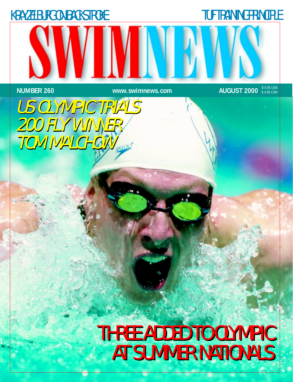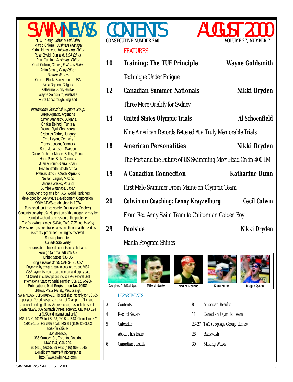SWIMNEWS

Marco Chiesa, Business Manager Karin Helmstaedt, International Editor Russ Ewald, Sunland, USA Editor Paul Quinlan, Australian Editor Cecil Colwin, Ottawa, Features Editor Anita Smale, Copy Editor Feature Writers

> Nikki Dryden, Calgary Katharine Dunn, Halifax

Jorge Aguado, Argentina

Chaker Belhadj, Tunisia Young-Ryul Cho, Korea

Gerd Heydn, Germany Franck Jensen, Denmark

Nelson Vargas, Mexico Janusz Wasko, Poland Sumire Watanabe, Japan

> Subscription rates: Canada \$35 yearly

United States \$35 US

George Block, San Antonio, USA Wayne Goldsmith, Australia Anita Lonsbrough, England International Statistical Support Group: Rumen Atanasov, Bulgaria Szabolcs Fodor, Hungary Berth Johansson, Sweden Daniel Pichon / Michel Salles, France Hans Peter Sick, Germany Juan Antonio Sierra, Spain Neville Smith, South Africa Fratisek Stochl, Czech Republic Computer programs for TAG, World Rankings developed by EveryWare Development Corporation. SWIMNEWS established in 1974 Published ten times yearly (January to October) Contents copyright © No portion of this magazine may be reprinted without permission of the publisher. The following names: SWIM, TAG, TOP and Making Waves are registered trademarks and their unauthorized use is strictly prohibited. All rights reserved. Inquire about bulk discounts to club teams. Foreign (air mailed) \$45 US Single issues \$4.95 CAN \$4.95 USA Payments by cheque, bank money orders and VISA VISA payments require card number and expiry date All Canadian subscriptions include 7% Federal GST International Standard Serial Number ISSN 1209-5966 **Publications Mail Registration No. 09981** Gateway Postal Facility, Mississauga. SWIMNEWS (USPS #015-207) is published monthly for US \$35 per year. Periodicals postage paid at Champlain, N.Y. and additional mailing offices. Address changes should be sent to: **SWIMNEWS, 356 Sumach Street, Toronto, ON, M4X 1V4** or (USA and International only) IMS of N.Y., 100 Walnut St. #3, P.O.Box 1518, Champlain, N.Y. 12919-1518. For details call: IMS at 1 (800) 428-3003 Technique Under Fatigue **[12 Canadian Summer Nationals](#page-11-0) Nikki Dryden** Three More Qualify for Sydney **14 United States Olympic Trials Al Schoenfield** [Nine American Records Bettered At a Truly Memorable Trials](#page-13-0) The Past and the Future of US Swimming Meet Head On in 400 IM First Male Swimmer From Maine on Olympic Team **20 Colwin on Coaching: Lenny Krayzelburg Cecil Colwin** [From Red Army Swim Team to Californian Golden Boy](#page-19-0) **29 Poolside Nikki** Dryden Manta Program Shines DEPARTMENTS 3 Contents 4 [Record Setters](#page-3-0) 5 Calendar [About This Issue](#page-4-0) 6 [Canadian Results](#page-5-0) **Cover photo: Al Bell0/All Sport Mike Mintenko Nadine Rolland Klete Keller Megan Quann** 8 [American Results](#page-7-0) [11 Canadian Olympic Team](#page-10-0) [23-27 TAG \(Top Age Group Times\)](#page-21-0) [28 Backwash](#page-27-0) [30 Making Waves](#page-29-0) **Mike Mintenko**

#### FEATURES



**18 American Personalities Mikki Dryden** 

**[10 Training: The TUF Principle](#page-9-0) Wayne Goldsmith**

- **[19 A Canadian Connection Kathari](#page-18-0)ne Dunn**
	-



# **CONSECUTIVE NUMBER 260**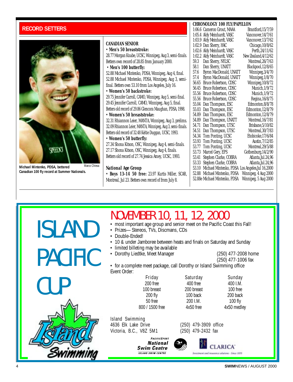#### <span id="page-3-0"></span>**RECORD SETTERS**



**Michael Mintenko, PDSA, bettered Canadian 100 fly record at Summer Nationals.**

#### **CANADIAN SENIOR**

| • Men's 50 breaststroke:<br>28.77 Morgan Knabe, UCSC, Winnipeg, Aug 3, semi-finals.<br>Betters own record of 28.85 from January 2000.<br>• Men's 100 butterfly:<br>52.88 Michael Mintenko, PDSA, Winnipeg, Aug 4, final. | 59.3<br>58.1 | 1:02.9 Dan Sherry<br>1:02.6 Aldy Meinh<br>1:02.2 Aldy Meinh<br>Dan Sherry |
|--------------------------------------------------------------------------------------------------------------------------------------------------------------------------------------------------------------------------|--------------|---------------------------------------------------------------------------|
|                                                                                                                                                                                                                          |              |                                                                           |
|                                                                                                                                                                                                                          |              |                                                                           |
|                                                                                                                                                                                                                          |              |                                                                           |
|                                                                                                                                                                                                                          |              | Dan Sherry                                                                |
|                                                                                                                                                                                                                          | 57.6         | <b>Byron Mac</b>                                                          |
| 52.88 Michael Mintenko, PDSA, Winnipeg, Aug 3, semi-                                                                                                                                                                     | 57.4         | <b>Byron Mac</b>                                                          |
| final. Betters own 53.10 from Los Angeles, July 16.                                                                                                                                                                      |              | 56.65 Bruce Robe                                                          |
| • Women's 50 backstroke:                                                                                                                                                                                                 |              | 56.45 Bruce Robe                                                          |
| 29.75 Jennifer Carroll, CAMO, Winnipeg, Aug 5, semi-final.                                                                                                                                                               |              | 55.56 Bruce Robe                                                          |
| 29.45 Jennifer Carroll, CAMO, Winnipeg, Aug 5, final.                                                                                                                                                                    |              | 55.56 Bruce Robe                                                          |
|                                                                                                                                                                                                                          |              | 55.04 Dan Thom                                                            |
| Betters old record of 29.86 Glencora Maughan, PDSA, 1998.                                                                                                                                                                |              | 55.03 Dan Thom                                                            |
| • Women's 50 breaststroke:                                                                                                                                                                                               |              | 54.89 Dan Thom                                                            |
| 32.31 Rhiannon Leier, MANTA, Winnipeg, Aug 3, prelims.                                                                                                                                                                   |              | 54.89 Dan Thom                                                            |
| 32.09 Rhiannon Leier, MANTA, Winnipeg, Aug 3, semi-finals.                                                                                                                                                               | 54.51        | 54.71 Dan Thom<br>Dan Thom                                                |
| Betters old record of 32.48 Keltie Duggan, UCSC, 1993.                                                                                                                                                                   |              | 54.34 Tom Ponti                                                           |
| • Women's 50 butterfly:                                                                                                                                                                                                  |              | 53.93 Tom Ponti                                                           |
| 27.34 Shona Kitson, OSC, Winnipeg, Aug 4, semi-finals.                                                                                                                                                                   |              | 53.77 Tom Ponti                                                           |
| 27.17 Shona Kitson, OSC, Winnipeg, Aug 4, finals.                                                                                                                                                                        | 53.73        | Marcel Ger                                                                |
| Betters old record of 27.74 Jessica Amey, UCSC, 1993.                                                                                                                                                                    | 53.41        | Stephen Cla                                                               |
|                                                                                                                                                                                                                          |              | 53.33 Stephen Cla                                                         |
| <i>National Age Group</i>                                                                                                                                                                                                |              | 53.10 Michael Mi                                                          |
| • Boys 13-14 50 free: 23.97 Kurtis Miller, SCAR,                                                                                                                                                                         |              | 52.88 Michael Mi                                                          |
| Montreal, Jul 23. Betters own record of from July 8.                                                                                                                                                                     |              | 52.88e Michael Mi                                                         |

#### **CHRONOLOGY 100 FLY/PAPILLON**

|        | 1:06.6 Cameron Grout, MAAA  | Brantford, 15/7/59       |
|--------|-----------------------------|--------------------------|
|        | 1:05.4 Aldy Meinhardt, VASC | Vancouver, 14/7/61       |
|        | 1:03.9 Aldy Meinhardt, VASC | Vancouver, 13/7/62       |
|        | 1:02.9 Dan Sherry, HAC      | Chicago, 10/8/62         |
|        | 1:02.6 Aldy Meinhardt, VASC | Perth, 24/11/62          |
|        | 1:02.2 Aldy Meinhardt, VASC | New Zealand, 4/12/62     |
| 59.3   | Dan Sherry, NYLSC           | Montreal, 26/7/63        |
| 58.1   | Dan Sherry, UNATT           | Blackpool, 12/8/65       |
| 57.6   | Byron MacDonald, UNATT      | Winnipeg, 3/4/70         |
| 57.4   | Byron MacDonald, UNATT      | Winnipeg, 1/8/70         |
| 56.65  | Bruce Robertson, CDSC       | Winnipeg, 10/8/72        |
| 56.45  | Bruce Robertson, CDSC       | Munich, 1/9/72           |
| 55.56  | Bruce Robertson, CDSC       | Munich, 1/9/72           |
| 55.56  | Bruce Robertson, CDSC       | Regina, 16/8/75          |
| 55.04  | Dan Thompson, ESC           | Edmonton, 8/8/78         |
| 55.03  | Dan Thompson, ESC           | Edmonton, 12/8/79        |
| 54.89  | Dan Thompson, ESC           | Edmonton, 12/8/79        |
| 54.89  | Dan Thompson, UNATT         | Montreal, 16/7/81        |
| 54.71  | Dan Thompson, UTSC          | Brisbane, 5/10/82        |
| 54.51  | Dan Thompson, UTSC          | Montreal, 30/7/83        |
| 54.34  | Tom Ponting, UCSC           | Etobicoke, 17/6/84       |
| 53.93  | Tom Ponting, UCSC           | Austin, 7/12/85          |
| 53.77  | Tom Ponting, UCSC           | Montreal, 29/5/88        |
| 53.73  | Marcel Gery, EPS            | Gothenburg, 14/2/90      |
| 53.41  | Stephen Clarke, COBRA       | Atlanta, Jul. 24, 96     |
| 53.33  | Stephen Clarke, COBRA       | Atlanta,Jul.24,96        |
| 53.10  | Michael Mintenko, PDSA      | Los Angeles, Jul 16,2000 |
| 52.88  | Michael Mintenko, PDSA      | Winnipeg, 4 Aug 2000     |
| 52.88e | Michael Mintenko, PDSA      | Winnipeg, 5 Aug 2000     |
|        |                             |                          |

# Island Swimming ISLAND PACIFIC CUP

### NOVEMBER 10, 11, 12, 2000

- most important age group and senior meet on the Pacific Coast this Fall!
- Prizes—Stereos, TVs, Discmans, CDs
- Double-Ended!
- 10 & under Jamboree between heats and finals on Saturday and Sunday
- limited billeting may be available
- Dorothy Liedtke, Meet Manager (250) 477-2008 home

(250) 477-1006 fax

• for a complete meet package, call Dorothy or Island Swimming office Event Order:

Friday Saturday Sunday 200 free 400 free 400 I.M. 100 breast 200 breast 100 free 200 fly 100 back 200 back 50 free 200 I.M. 100 fly 800 / 1500 free 4x50 free 4x50 medley

4636 Elk Lake Drive (250) 479-3909 office Victoria, B.C., V8Z 5M1 (250) 479-2432 fax



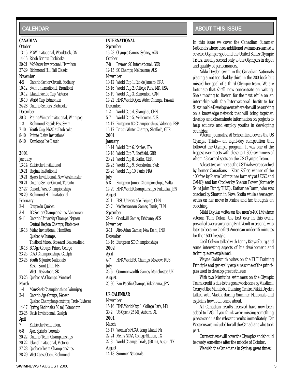#### <span id="page-4-0"></span>**CALENDAR**

#### **CANADIAN**

*October*

13-15 POW Invitational, Woodstock, ON 14-15 Ricoh Sprints, Etobicoke 20-21 McMaster Invitational, Hamilton 27-29 Richmond Hill Fall Classic *November* 4-5 Ontario Senior Circuit, Sudbury 10-12 Swim International, Brantford 10-12 Island Pacific Cup, Victoria 18-19 World Cup, Edmonton 24-28 Ontario Seniors, Etobicoke *December* 30-3 Prairie Winter Invitational, Winnipeg 1-3 Richmond Rapids Fast Swim 7-10 Youth Cup, NYAC at Etobicoke 8-10 Pointe Claire Invitational 8-10 Kamloops Ice Classic **2001**

#### *January*

| ланиан у |                                           |
|----------|-------------------------------------------|
|          | 13-14 Etobicoke Invitational              |
|          | 19-21 Regina Invitational                 |
|          | 19-21 Hyack Invitational, New Westminster |
|          | 20-21 Ontario Senior Circuit, Toronto     |
|          | 27-27 Canada West Championships           |
|          | 28-29 Richmond Hill Invitational          |
| February |                                           |
| $2 - 4$  | Coupe du Quebec                           |
| $3-4$    | BC Senior Championships, Vancouver        |
| $9 - 11$ | Ontario University Champs, Nepean         |
|          | Central Region Champs, Etobicoke          |
|          | 16-18 Malar Invitational, Hamilton        |
|          | Quebec A Champs,                          |
|          | Thetford Mines, Brossard, Beaconsfield    |
|          | 16-18 BC Age Groups, Prince George        |
|          | 23-25 CIAU Championships, Guelph          |
|          | 23-25 Youth & Junior Nationals            |
|          | East - Saint John, NB                     |
|          | West - Saskatoon, SK                      |
|          | 23-25 Quebec AA Champs, Montreal          |
| March    |                                           |
| $1-4$    | Man/Sask Championships, Winnipeg          |
| $2 - 4$  | Ontario Age Groups, Nepean                |
|          | Quebec Championpionships, Trois-Rivieres  |
|          | 14-17 Spring Nationals (50 m) Edmonton    |
|          | 23-25 Davis Invitational, Guelph          |
| April    |                                           |
| 7        | Etobicoke Pentathlon,                     |
| 6-8      | Ajax Sprints, Toronto                     |
|          | 20-22 Ontario Team Championships          |
|          | 20-22 Island Invitational, Victoria       |
|          | 27-28 Quebece Team Championships          |
|          | 28-29 West Coast Open, Richmond           |
|          |                                           |

#### **INTERNATIONAL**

#### *September* 16-23 Olympic Games, Sydney, AUS *October* 7-8 Bremen SC International, GER 12-15 SC Champs, Melbourne, AUS *November* 10-12 World Cup 1, Rio de Janeiro, BRA 15-16 World Cup 2, College Park, MD, USA 18-19 World Cup 3, Edmonton, CAN 17-22 FINA World Open Water Champs, Hawaii *December* 1-2 World Cup 4, Shanghai, CHN 5-7 World Cup 5, Melbourne, AUS 14-17 European SC Championships, Valencia, ESP 16-17 British Winter Champs, Sheffield, GBR **2001** *January* 13-14 World Cup 6, Naples, ITA 17-18 World Cup 7, Sheffield, GBR 20-21 World Cup 8, Berlin, GER 24-25 World Cup 9, Stockholm, SWE 27-28 World Cup 10, Paris, FRA *July* 5-8 European Junior Championships, Malta 17-29 FINA World Championships, Fukuoka, JPN *August* 22-1 FISU Universiade, Beijing, CHN 25-7 Mediterranean Games, Tunis, TUN *September* 29-9 Goodwill Games, Brisbane, AUS *November* 3-11 Afro-Asian Games, New Delhi, IND *December* 13-16 European SC Championships **2002** *April* 4-7 FINA World SC Champs, Moscow, RUS *July* 26-6 Commonwealth Games, Manchester, UK *August* 25-30 Pan Pacific Champs, Yokohama, JPN **US CALENDAR** *November* 15-16 FINA World Cup 1, College Park, MD 30-2 US Open (25 M), Auburn, AL **2001**

#### *March*

15-17 Women's NCAA, Long Island, NY

22-24 Men's NCAA, College Station, TX

27-3 World Champs Trials, (50 m), Austin, TX *August*

14-18 Summer Nationals

#### **ABOUT THIS ISSUE ABOUT THIS ISSUE**

In this issue we cover the Canadian Summer Nationals where three additional swimmers earned a coveted Olympic spot and the United States Olympic Trials, usually second only to the Olympics in depth and quality of performances.

Nikki Dryden swam in the Canadian Nationals placing a not-too-shabby third in the 200 back but missed her goal of a third Olympic team. We are fortunate that she'll now concentrate on writing. She's moving to Boston for the next while on an internship with the *International Institute for Sustainable Developmen*t where she will be working on a knowledge network that will bring together, develop, and disseminate information on projects to help educate and employ youths in developing countries.

Veteran journalist Al Schoenfield covers the US Olympic Trials—an eight-day competition that followed the Olympic program. It was one of the biggest ever meets with close to 1,300 swimmers of whom 48 earned spots on the US Olympic Team.

At least two winners at the US Trials were coached by former Canadians—Klete Keller, winner of the 400 free by Pierre Lafontaine (formerly at UCSC and CAMO) and Ian Crocker by Sharon Power (formerly Saint John Fundy TIDE). Katharine Dunn, who was coached by Sharon in Nova Scotia while a teenager, writes on her move to Maine and her thoughts on coaching.

Nikki Dryden writes on the men's 400 IM where veteran Tom Dolan, the best ever in this event, prevailed over a surprising Erik Vendt in second, who later to became the first American under 15 minutes for the 1500 freestyle.

Cecil Colwin talked with Lenny Krayzelburg and some interesting aspects of his development and technique are explained.

Wayne Goldsmith writes on the TUF Training Principle and generally explains some of the principles used to develop great athletes.

With two Manitoba swimmers on the Olympic Team, credit is due to the great work done by Vlastimil Cerny at the Manitoba Training Centre. Nikki Dryden talked with Vlastik during Summer Nationals and explains how it all came about.

All Canadian results received have now been added to TAG. If you think we're missing something please send us the relevant results immediately. Far Westerns are included for all the Canadians who took part.

Our next issue will cover the Olympics and should be ready sometime after the middle of October.

We wish the Canadians in Sydney great times!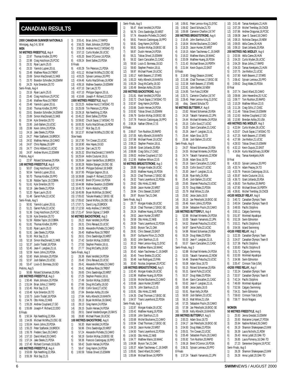#### <span id="page-5-0"></span>**CANADIAN RESULTS**

| 2000 CANADIAN SUMMER NATIONALS<br>3) |                    |                                                                  |                      |  |  |
|--------------------------------------|--------------------|------------------------------------------------------------------|----------------------|--|--|
|                                      |                    | Winnipeg, Aug 3-6, 50 M                                          | 4)                   |  |  |
| men                                  |                    | 50 METRES FREESTYLE, Aug 4                                       | 5)<br>6)             |  |  |
| 1)                                   |                    | 22.97 Thomas Kindler, 20, PPO                                    | 7)                   |  |  |
| 2)                                   |                    | 22.98 Craig Hutchison, 25, PCSC                                  | 8)                   |  |  |
| 3)                                   |                    | 23.31 Ryan Laurin, 25, IS                                        | <b>B</b> Fir         |  |  |
| 4)                                   |                    | 23.33 Yannick Lupien, 20, UL                                     | 9)                   |  |  |
| 5)<br>6)                             |                    | 23.48 Matthew Rose, 19, TRENT<br>23.69 Simon MacDonald, 21, NKB  | 10)<br>11)           |  |  |
| 7)                                   |                    | 23.70 Brandon Schindler, 24, ESWIM                               | 12)                  |  |  |
| 8)                                   |                    | 24.25 Kyle Smerdon, 20, TO                                       | 13)                  |  |  |
|                                      | Semi-Finals, Aug 4 |                                                                  | 14)                  |  |  |
| 1)                                   |                    | 23.16 Ryan Laurin, 25, IS                                        | 15)                  |  |  |
| 2)<br>2)<br>3)                       |                    | 23.46 Craig Hutchison, 25, PCSC<br>23.46 Matthew Rose, 19, TRENT | 16)<br>150           |  |  |
| 4)                                   | 23.48              | Yannick Lupien, 20, UL                                           | 1)                   |  |  |
| 5)                                   |                    | 23.60 Thomas Kindler, 20, PPO                                    | 2)                   |  |  |
| 6)                                   |                    | 23.61 Brandon Schindler, 24, ESWIM                               | 3)                   |  |  |
| 7)                                   |                    | 23.89 Simon MacDonald, 21, NKB                                   | 4)                   |  |  |
| 8)                                   |                    | 23.94 Kyle Smerdon, 20, TO                                       | í<br>5)              |  |  |
| 9)<br>10)                            |                    | 23.95 Josh Ballem, 23, UCSC<br>23.99 Kevin Johns, 20, PDSA       | 6)                   |  |  |
| 11)                                  |                    | 24.16 Jake Steele, 21, PDSA                                      | 7)<br>j<br>8)        |  |  |
| 12)                                  |                    | 24.27 Peter Szaflarski, 19, BROCK                                | Slow                 |  |  |
| 13)                                  |                    | 24.52 Mathieu Heroux, 19, CAMO                                   | 1)                   |  |  |
| 14)                                  |                    | 24.67 Chris Razeau, 20, GPP                                      | 2)                   |  |  |
| 15)                                  |                    | 24.77 Chris Hibberd, 21, UCSC                                    | 3)                   |  |  |
| 16)                                  | Prelims, Aug 4     | 24.97 Andrew Munro, 22, ESWIM                                    | 4)<br>j              |  |  |
| 1)                                   |                    | 22.97 Roland Schoeman, 20, RSA                                   | 5)<br>6)             |  |  |
|                                      |                    | 100 METRES FREESTYLE, Aug 6                                      | 7)                   |  |  |
| 1)                                   |                    | 50.07 Craig Hutchison, 25, PCSC                                  | 8)                   |  |  |
| 2)                                   | 50.54              | Yannick Lupien, 20, UL                                           | 9)                   |  |  |
| 3)<br>4)                             |                    | 50.70 Thomas Kindler, 20, PPO                                    | 10)                  |  |  |
| 5)                                   |                    | 51.36 Robbie Taylor, 19, COBRA<br>51.61 Kyle Smerdon, 20, TO     | j<br>11)<br>j<br>12) |  |  |
| 6)                                   |                    | 52.19 Jake Steele, 21, PDSA                                      | 13)                  |  |  |
| 7)                                   |                    | 52.20 Ryan Laurin, 25, IS                                        | 14)                  |  |  |
| 8)                                   |                    | 51.48 Garret Pulle, 22, UCSC                                     | 15)                  |  |  |
|                                      | Semi-Finals, Aug 5 |                                                                  | 16)                  |  |  |
| 1)                                   |                    | 50.91 Yannick Lupien, 20, UL                                     | 17)                  |  |  |
| 2)<br>3)                             | 51.21              | Garret Pulle, 22, UCSC<br>51.36 Craig Hutchison, 25, PCSC        | 18)<br>j<br>19)      |  |  |
| 4)                                   |                    | 51.59 Kyle Smerdon, 20, TO                                       | 50 N                 |  |  |
| 5)                                   | 51.59              | Robbie Taylor, 19, COBRA                                         | 1)                   |  |  |
| 6)                                   | 51.81              | Thomas Kindler, 20, PPO                                          | 2)                   |  |  |
| 7)                                   | 51.83              | Ryan Laurin, 25, IS                                              | 3)                   |  |  |
| 8)                                   | 51.91              | Jake Steele, 21, PDSA                                            | 4)                   |  |  |
| 9)<br>10)                            | $52.18$            | 51.93 Rick Say, 21, IS<br>Simon MacDonald, 21, NKB               | 5)<br>6)             |  |  |
| 11)                                  | 52.37              | Justin Tisdall, 18, PDSA                                         | 7)                   |  |  |
| 12)                                  | 52.45              | Jean-F. Langlais, 21, UL                                         | 8)                   |  |  |
| 13)                                  |                    | 52.59 Kevin Johns, 20, PDSA                                      | Semi                 |  |  |
| 14)                                  |                    | 52.60 Mark Johnston, 20, PDSA                                    | 1)                   |  |  |
| 15)                                  | 52.97              | Josh Ballem, 23, UCSC                                            | 2)                   |  |  |
| 16)                                  | Prelims, Aug 5     | 53.47 Louis-D. Bonneau, 19, GO                                   | 3)<br>4)             |  |  |
| 1)                                   |                    | 50.86 Roland Schoeman, 20, RSA                                   | 5)                   |  |  |
|                                      |                    | 200 METRES FREESTYLE, Aug 3                                      | 6)                   |  |  |
| 1)                                   |                    | 1:50.46 Mark Johnston, 20, PDSA                                  | 7)                   |  |  |
| 2)                                   | 1:51.04<br>1:52.45 | Brian Johns, 17, RAPID                                           | 8)                   |  |  |
| 3)<br>4)                             |                    | Rick Say, 21, IS<br>1:53.48 Kyle Smerdon, 20, TO                 | 9)<br>10)            |  |  |
| 5)                                   | 1:53.73            | Justin Tisdall, 18, PDSA                                         | 11)                  |  |  |
| 6)                                   | 1:54.76            | Otto Hinks, 22, NKB                                              | 12)                  |  |  |
| 7)                                   | 1:55.28            | Andrew Coupland, 17, GO                                          | 13)                  |  |  |
| 8)                                   | 1:55.89            | Joseph-P. Richard, 22, DDO                                       | 14)                  |  |  |
| <b>B</b> Finals<br>9)                | 1:50.34            | Ryk Neethling, 22, RSA                                           | 15)<br>16)           |  |  |
| 10)                                  | 1:54.06            | Michael McWha,23,0SC-SE                                          | 100                  |  |  |
| 11)                                  | 1:55.04            | Kevin Johns, 20, PDSA                                            | 1)                   |  |  |
| 12)                                  | 1:55.23            | Peter Szaflarski, 19, BROCK                                      | 2)                   |  |  |
| 13)                                  | 1:55.78            | Frederic Savo, 20, CAMO                                          | 3)                   |  |  |
| 14)                                  |                    | 1:57.10 David Allard, 20, CAMO                                   | 4)                   |  |  |
| 15)                                  | 1:57.24            | Jake Steele, 21, PDSA                                            | 5)                   |  |  |
| 16)                                  | 1:57.40            | Richard Cormack, 18, GLEN<br>400 METRES FREESTYLE, Aug 4         | 6)<br>7)             |  |  |
| 1)                                   |                    | 3:53.69 Ryk Neethling, 22, RSA                                   | 8)                   |  |  |
| 2)                                   | 3:55.39            | Rick Say, 21, IS                                                 |                      |  |  |

#### 3) 3:55.41 Brian Johns,17,RAPID 4) 3:56.25 Mark Johnston,20,PDSA 5) 3:56.39 Andrew Hurd,17,MSSAC-TO 6) 3:57.13 Curtis Myden,26,UCSC 7) 4:05.20 Brent O'Connor,16,PDSA 8) 4:09.24 Brent Sallee,23,PDSA hals 9) 4:00.29 Tim Peterson,21,PDSA 10) 4:01.12 Michael McWha,23,OSC-SE 11) 4:03.25 Sylvain Lemieux,20,PPO 12) 4:04.46 Kurtis MacGillivary,16,ROW 13) 4:06.16 Mathew Swanton,19,ESWIM 14) 4:07.10 Dan Lee,23,TO 15) 4:07.10 Philippe Gagnon,20,UL 16) 4:10.66 Joseph-P. Richard,22,DDO **1500 METRES FREESTYLE**, Aug 6 1) 15:23.25 Andrew Hurd,17,MSSAC-TO 2) 15:25.09 Tim Peterson,21,PDSA 3) 15:29.18 Ryk Neethling,22,RSA 4) 15:45.22 Brent Sallee,23,PDSA 5) 15:59.82 Chuck Sayao,17,MSSAC-TO 6) 16:00.35 Kurtis MacGillivary,16,ROW 7) 16:11.27 Rick Say,21,IS 8) 16:12.37 Michael McWha,23,OSC-SE I heats 16:17.90 Tim Cowan,22,UCSC 2) 16:18.90 Alex Hayes,19,GO 3) 16:21.64 Dan Lee,23,TO 4) 16:25.32 Elliot MacDonald,17,MANTA 5) 16:25.64 Andre Couturier,19,UL 6) 16:26.84 Jason VanderSluis,18,BROCK 7) 16:30.28 Robbie Stanger,19,OSC-SE 8) 16:35.40 Philippe Dubreuil,18,SHER 9) 16:37.95 Philippe Gagnon,20,UL 10) 16:39.88 Joseph-P. Richard,22,DDO 16:44.92 Brent O'Connor,16,PDSA 16:44.98 Mathew Swanton,19,ESWIM 13) 16:45.73 Karim Abdulla,17,ROD 16:45.99 Bryan McMillan,18,GMAC 15) 17:05.02 Taisuke Maeda,17,EKSC-SE 17:05.62 Daniel McRory,19,OSC-SE 17) 17:07.71 David Ling,20,BROCK 18) 17:12.50 Andy Andrew,17,WVOSC 19) 17:21.47 Simon Gignac,17,SHER **50 METRES BACKSTROKE**, Aug 3 26.22 Mark Versfeld,24,PDSA 26.31 Chris Renaud,23,UCSC 3) 26.35 Alexandre Pichette,23,CAMO 26.40 Matthew Rose, 19, TRENT 5) 26.51 Chris Sawbridge,20,NRST 27.42 Gordon McKay, 19, EKSC 27.53 Stephen Preston,18,UL 27.77 Doug McCarthy, 18, GO Finals, Aug 3 26.36 Mark Versfeld,24,PDSA 26.40 Chris Renaud, 23, UCSC 3) 26.41 Alexandre Pichette,23,CAMO 26.41 Matthew Rose, 19, TRENT 26.65 Chris Sawbridge, 20, NRST 27.25 Stephen Preston,18,UL 27.49 Gordon McKay, 19, EKSC 27.66 Doug McCarthy, 18, GO 27.80 Collin Sood, 27, UCSC 27.84 Brendan Ashby,20,USA 27.84 Kelly Albrecht, 19, MANTA 28.13 Bryan McMillan,18,GMAC 28.13 Greg Hamm,24,PDSA 28.15 Dustin Hersee, 24, PDSA 28.51 Daniel VandenDungen, 20, RAYS 28.80 Michael Power, 19, UCSC **METRES BACKSTROKE, Aug 6** 1) 56.30 Mark Versfeld,24,PDSA 2) 56.96 Chris Sawbridge,20,NRST 3) 57.24 Alexandre Pichette,23,CAMO 58.19 Gordon McKay,19,EKSC-SE 5) 58.38 Francois Castonguay,18,PPO 6) 58.42 Dustin Hersee,24,PDSA 58.47 Greg Hamm,24,PDSA 8) 1:00.59 Tobias Oriwol,15,ESWIM

|            | Semi-Finals, Aug 5       |                                                                                                |
|------------|--------------------------|------------------------------------------------------------------------------------------------|
| 1)         |                          | 56.47 Mark Versfeld, 24, PDSA                                                                  |
| 2)         |                          | 56.76 Chris Sawbridge, 20, NRST                                                                |
| 3)         |                          |                                                                                                |
| 4)         |                          | 57.74 Alexandre Pichette, 23, CAMO<br>58.61 Francois Castonguay, 18, PPO                       |
| 5)         |                          |                                                                                                |
| 6)         |                          | 58.81 Greg Hamm, 24, PDSA<br>58.81 Gordon McKay, 19, EKSC-SE<br>58.87 Dustin Hersee, 24, PDSA  |
| 7)         |                          |                                                                                                |
| 8)         | 59.21                    | Tobias Oriwol, 15, ESWIM                                                                       |
| 9)         |                          | 59.32 Gavin Carscallen, 21, CASC                                                               |
| 10)        | 59.50                    | Louis-D. Bonneau, 19, GO                                                                       |
| 11)        | 59.60                    | Stephen Preston, 18, UL                                                                        |
| 12)        | 59.97                    | Michael Power, 19, UCSC                                                                        |
|            | 12) 59.97<br>13) 1:00.17 | Keith Beavers, 17, STARS                                                                       |
|            | 1:00.23                  |                                                                                                |
| 14)<br>15) | 1:00.29                  | Kelly Albrecht, 19, MANTA<br>Doug McCarthy, 18, GO                                             |
|            |                          |                                                                                                |
| 16)        | 1:00.49                  | Brendan Ashby, 20, USA                                                                         |
|            |                          | 200 METRES BACKSTROKE, Aug 4                                                                   |
| 1)         |                          | 2:01.81 Mark Versfeld, 24, PDSA                                                                |
| 2)         |                          | 2:02.72 Chuck Sayao, 17, MSSAC-TO                                                              |
| 3)         |                          | 2:02.97 Greg Hamm, 24, PDSA                                                                    |
| 4)         |                          | 2:03.66 Dustin Hersee, 24, PDSA                                                                |
| 5)         |                          | 2:03.92 Tobias Oriwol, 15, ESWIM                                                               |
| 6)         |                          | 2:06.79 Gordon McKay, 19, EKSC-SE                                                              |
| 7)         |                          | 2:07.78 Francois Castonguay, 18, PPO                                                           |
| 8)         |                          | 2:08.34 Nathan O'Brien, 17, IS                                                                 |
| B Finals   |                          |                                                                                                |
| 9)         | 2:06.67                  | Tom Rushton, 20, RAPID                                                                         |
| 10)        |                          | 2:07.05 Kelly Albrecht, 19, MANTA                                                              |
| 11)<br>12) |                          | 2:07.98 Michael Power, 19, UCSC<br>2:08.22 Stephen Preston, 18, UL                             |
| 12)        |                          |                                                                                                |
| 13)        |                          | 2:08.49 Grant Jollands, 20, RSA                                                                |
| 14)        |                          | 2:08.88 Craig Gillis, 17, CASC                                                                 |
| 15)        | 2:09.02                  | Andrew Coupland, 17, GO                                                                        |
| 16)        | 2:12.95                  | Matthew Wilson, 22, IS                                                                         |
|            |                          | 50 METRES BREASTSTROKE, Aug 3                                                                  |
| 1)         |                          | 28.88 Morgan Knabe, 19, UCSC                                                                   |
| 2)         |                          | 29.03 Matthew Huang, 16, PDSA                                                                  |
| 3)         |                          | 29.23 Chad Thomsen, 17, EKSC-SE                                                                |
| 4)         | 29.32                    | Travis Leyenhorst, 22, PDSA                                                                    |
| 5)         |                          | 29.62 Otto Hinks, 22, NKB                                                                      |
| 6)         | 29.69                    | Jason Hunter, 20, NRST                                                                         |
| 7)         | 29.94                    | Chris Stewart, 23, EAST                                                                        |
| 8)         |                          | 29.97 Bryson Tan, 21, OAK                                                                      |
|            | Semi-Finals, Aug 3       |                                                                                                |
| 1)         | 28.77                    | Morgan Knabe, 19, UCSC                                                                         |
| 2)         |                          | 29.18 Chad Thomsen, 17, EKSC-SE                                                                |
| 3)         |                          | 29.24 Matthew Huang, 16, PDSA                                                                  |
| 4)         |                          | 29.52 Jason Hunter, 20, NRST                                                                   |
| 5)         |                          | 29.58 Otto Hinks, 22, NKB                                                                      |
| 6)         | 29.59                    | Travis Leyenhorst, 22, PDSA                                                                    |
| 7)         |                          |                                                                                                |
| 8)         |                          | 29.83 Bryson Tan, 21, OAK<br>29.91 Chris Stewart, 23, EAST<br>29.97 Guillaume Filion, 21, CNCB |
| 9)         |                          |                                                                                                |
| 10)        | 30.02                    | John Stamhuis, 21, IS                                                                          |
| 11)        | 30.13                    | Peter Lennox-King, 21, EYSC                                                                    |
| 12)        | 30.39                    | Matthew Mains, 18, WAAC                                                                        |
| 13)        | 30.42                    | Adam Taschereau-C., 19, SHER                                                                   |
| 14)        | 30.45                    | Trevor Brekke, 23, UCSC                                                                        |
| 15)        | 30.48                    | Ivan Rodriguez, 23, PAN                                                                        |
| 16)        | 30.60                    | Nicolas Jorgensen,20,PCSC                                                                      |
|            |                          | 100 METRES BREASTSTROKE, Aug 5                                                                 |
| 1)         | 1:02.40                  | Morgan Knabe, 19, UCSC                                                                         |
|            |                          |                                                                                                |
| 2)         | 1:02.98                  | Matthew Huang, 16, PDSA<br>Michel Boulianne, 22, CAMO                                          |
| 3)         | 1:03.56                  | Jason Hunter, 20, NRST                                                                         |
| 4)         | 1:03.68                  |                                                                                                |
| 5)<br>6)   | 1:03.76                  | John Stamhuis, 21, IS                                                                          |
|            | 1:03.91                  | Otto Hinks, 22, NKB                                                                            |
| 7)         | 1:04.35                  | Chad Thomsen, 17, EKSC-SE                                                                      |
| 8)         | 1:04.57                  | Travis Leyenhorst, 22, PDSA                                                                    |
|            | Semi-Finals, Aug 4       |                                                                                                |
| 1)         | 1:02.87                  | Morgan Knabe, 19, UCSC                                                                         |
| 2)         | 1:03.42                  | Matthew Huang, 16, PDSA                                                                        |
| 3)         | 1:03.58                  | John Stamhuis, 21, IS                                                                          |
| 4)         | 1:03.68                  | Michel Boulianne, 22, CAMO                                                                     |
| 5)         | 1:03.94                  | Chad Thomsen, 17, EKSC-SE                                                                      |
| 6)         | 1:04.33                  | Jason Hunter, 20, NRST                                                                         |
| 7)         | 1:04.50                  | Travis Leyenhorst, 22, PDSA                                                                    |
| 8)         | 1:04.55                  | Otto Hinks, 22, NKB                                                                            |
| 9)         | 1:04.77                  | Matthew Mains, 18, WAAC                                                                        |
| 10)        | 1:04.88                  | Bryson Tan,21,0AK                                                                              |
| 11)        | 1:05.37                  | Adam Taschereau-C., 19, SHER                                                                   |
| 12)        | 1:05.81                  | David Allard, 20, CAMO                                                                         |
| 13)        | 1:05.84                  | Michael Brown, 16, PERTH                                                                       |

| 14)             |                    | 1:06.61 Peter Lennox-King, 21, EYSC                                |
|-----------------|--------------------|--------------------------------------------------------------------|
| 15)             |                    | 1:06.62 David Schulze, 21, TO                                      |
| 16)             |                    | 1:06.68 Cameron Charlton, 19, TAT                                  |
|                 |                    | 200 METRES BREASTSTROKE, Aug 6                                     |
|                 |                    |                                                                    |
| 1)              |                    | 2:16.45 John Stamhuis, 21, IS                                      |
| 2)              |                    | 2:18.04 Michel Boulianne, 22, CAMO                                 |
| 3)              | 2:18.25            | Jason Hunter, 20, NRST                                             |
| 4)              | 2:19.15            | Adam Taschereau-C., 19, SHER                                       |
| 5)              |                    |                                                                    |
|                 |                    | 2:19.22 Matthew Mains, 18, WAAC<br>2:20.09 Matthew Huang, 16, PDSA |
| 6)              |                    |                                                                    |
| 7)              |                    | 2:21.43 Michael Brown, 16, PERTH                                   |
| 8)              | 2:21.64            | Kevin Dupuis, 22, EAST                                             |
| <b>B</b> Finals |                    |                                                                    |
| 9)              | 2:19.80            | Gregg Gleason, 19, WAC                                             |
|                 |                    |                                                                    |
| 10)             | 2:21.88            | Chad Thomsen, 17, EKSC-SE                                          |
| 11)             |                    | 2:22.38 Keith Beavers, 17, STARS                                   |
| 12)             | 2:22.81            | John Bartlet, 18, NEW                                              |
| 13)             | 2:24.85            | Tom Fuke, 23, ROW                                                  |
| 14)             |                    | 2:25.71 Cameron Charlton, 19, TAT                                  |
|                 |                    |                                                                    |
| 15)             |                    | 2:29.45 Peter Lennox-King, 21, EYSC                                |
| 16)             |                    | disq. Daveid Schulze, TO                                           |
|                 |                    | 50 METRES BUTTERFLY, Aug 6                                         |
| 1)              | 23.82              | Roland Schoeman, 20, RSA                                           |
| 2)              | 24.18              | Takashi Yamamoto, 22, JPN                                          |
|                 |                    |                                                                    |
| 3)              |                    | 24.44 Michael Mintenko, 24, PDSA<br>25.15 Collin Sood, 27, UCSC    |
| 4)              |                    |                                                                    |
| 5)              |                    | 25.20 Gavin Carscallen, 21, CASC                                   |
| 6)              | 25.26              | Jean-F. Langlais, 21, UL                                           |
| 7)              | 25.44              | Adam Sioui, 18, TD                                                 |
|                 | 25.66              |                                                                    |
| 8)              |                    | Josh Ballem, 23, UCSC                                              |
|                 | Semi-Finals, Aug 6 |                                                                    |
| 1)              |                    | 24.07 Roland Schoeman, 20, RSA                                     |
| 2)              |                    | 24.55 Michael Mintenko, 24, PDSA                                   |
| 3)              |                    | 24.74 Takashi Yamamoto, 22, ROW                                    |
| 4)              | 25.06              | Adam Sioui, 18, TD                                                 |
|                 |                    |                                                                    |
| 5)              |                    | 25.16 Gavin Carscallen, 21, CASC                                   |
| 6)              | 25.25              | Collin Sood, 27, UCSC                                              |
| 7)              | 25.30              | Jean-F. Langlais, 21, UL                                           |
| 8)              | 25.36              | Ryan Kelly, 24, RSA                                                |
| 9)              | 25.45              | Josh Ballem, 23, UCSC                                              |
|                 |                    |                                                                    |
| 10)             | 25.65              | Shamek Pietucha, 23, UCSC                                          |
| 11)             |                    | 25.70 Doug Wake, 23, PDSA                                          |
| 12)             | 25.79              | Matt Wilsie, 21, USA                                               |
| 13)             | 25.82              | Jesse Jacks, 18, IS                                                |
| 14)             | 26.15              | Jan Pelechytik, 19, EKSC-SE                                        |
| 15)             |                    | 26.46 Kevin Johns, 20, PDSA                                        |
|                 |                    |                                                                    |
| 16)             |                    | 26.64 Sebastien Poulin, 20, CAMO                                   |
|                 |                    | 100 METRES BUTTERFLY, Aug 4                                        |
| 1)              |                    | 52.88 Michael Mintenko, 24, PDSA                                   |
| 2)              | 53.00              | Takashi Yamamoto, 22, JPN                                          |
| 3)              | 54.52              | Shamek Pietucha, 23, UCSC                                          |
|                 |                    |                                                                    |
| 4)              |                    | 54.97 Garret Pulle, 22, UCSC<br>54.98 Roland Schoeman, 20, RSA     |
| 5)              |                    |                                                                    |
| 6)              | 55.29              | Doug Wake, 23, PDSA                                                |
| 7)              | 55.53              | Jean-F. Langlais, 21, UL                                           |
| 8)              | 55.57              | Gavin Carscallen,21,CASC                                           |
|                 |                    |                                                                    |
|                 | Semi-Finals, Aug 3 |                                                                    |
| 1)              | 52.88              | Michael Mintenko, 24, PDSA                                         |
| 2)              | 53.55              | Takashi Yamamoto, 22, ROW                                          |
| 3)              | 54.46              | Shamek Pietucha, 23, UCSC                                          |
| 4)              | 55.08              | Adam Sioui, 18, TD                                                 |
| 5)              | 55.15              | Roland Schoeman, 20, RSA                                           |
| 6)              |                    | Garret Pulle, 22, UCSC                                             |
|                 | 55.31              |                                                                    |
| 7)              | 55.37              | Doug Wake, 23, PDSA                                                |
| 8)              | 55.44              | Gavin Carscallen, 21, CASC                                         |
| 9)              | 55.62              | Jean-F. Langlais, 21, UL                                           |
| 10)             | 55.90              | Jesse Jacks, 18, IS                                                |
|                 | 55.91              |                                                                    |
| 11)             |                    | Ryan Kelly, 24, RSA                                                |
| 12)             | 56.00              | Josh Ballem, 23, UCSC                                              |
| 13)             | 56.15              | Matt Wilsie, 21, USA                                               |
| 14)             | 57.25              | Sebastien Poulin, 20, CAMO                                         |
| 15)             | 57.39              | Jan Pelechytik, 19, EKSC-SE                                        |
| 16)             | 59.08              | Kelly Albrecht, 19, MANTA                                          |
|                 |                    |                                                                    |
|                 |                    | 200 METRES BUTTERFLY, Aug 5                                        |
| 1)              | 2:00.23            | Adam Sioui, 18, TD                                                 |
| 2)              | 2:04.17            | Jan Pelechytik, 19, EKSC-SE                                        |
| 3)              | 2:04.93            | Doug Wake, 23, PDSA                                                |
| 4)              | 2:05.01            | Tim Cowan, 22, UCSC                                                |
| 5)              | 2:05.49            | Sebastien Poulin, 20, CAMO                                         |
|                 |                    | Tom Rushton, 20, RAPID                                             |
| 6)              | 2:05.92            |                                                                    |
| 7)              | 2:06.18            | Brent O'Connor, 16, PDSA                                           |
| 8)              | 2:06.31            | Sylvain Lemieux, 20, PPO                                           |
| <b>B</b> Finals |                    |                                                                    |
|                 |                    |                                                                    |

9) 1:57.24 Takashi Yamamoto,22,JPN

| 10)            | 2:01.48            | Tamas Kerekjarto, 21, HUN                                                          |
|----------------|--------------------|------------------------------------------------------------------------------------|
| 11)            |                    | 2:07.29 Michel Tremblay, 19, CNCB                                                  |
|                |                    | 12) 2:07.86 Andrew Dragunas, 18, PCSC<br>13) 2:08.08 Jean-S. Savard, 18, CAMO      |
|                |                    |                                                                                    |
|                |                    | 14) 2:08.15 Nicholas Dargus, 19, NEW<br>15) 2:09.05 Attila Czene, 26, HUN          |
| 16)            |                    | 2:09.10 Grant Jollands, 20, RSA                                                    |
|                |                    | 200 METRES IND.MEDLEY, Aug 6                                                       |
| 1)             |                    | 2:03.56 Attila Czene, 26, HUN                                                      |
| 2)             |                    | 2:04.20 Curtis Myden, 26, UCSC                                                     |
| 3)             |                    | 2:04.29 Brian Johns, 17, RAPID<br>2:04.33 Tamas Kerekjarto, 21, HUN                |
| 4)             |                    |                                                                                    |
| 5)             |                    | 2:07.75 Joe Melton, 21, UCSC                                                       |
| 6)<br>7)       |                    | 2:07.90 Keith Beavers, 17, STARS<br>2:08.42 Sylvain Lemieux, 20, PPO               |
| 8)             |                    | 2:09.62 Doug Wake, 23, PDSA                                                        |
| <b>B</b> Final |                    |                                                                                    |
| 9)             | 2:07.74            | David Allard, 20, CAMO                                                             |
| 10)            | 2:09.66            | John Hewerdine, 20, YLSC                                                           |
|                |                    | 11) 2:09.77 Tom Rushton, 20, RAPID<br>12) 2:10.29 Matthew Wilson, 22, IS           |
|                |                    |                                                                                    |
|                |                    | 13) 2:11.26 Craig Gillis, 17, CASC<br>14) 2:11.48 Tobias Oriwol, 15, ESWIM         |
|                |                    |                                                                                    |
| 15)            | 2:12.63            | Andrew Coupland, 17, GO<br>16) 2:13.90 Brendan Ashby, 20, USA                      |
|                |                    | 400 METRES IND.MEDLEY, Aug 3                                                       |
|                | 1) $4:22.84$       | Curtis Myden, 26, UCSC                                                             |
| 2)             | 4:23.07            | Chuck Sayao, 17, MSSAC-TO                                                          |
| 3)             | 4:27.25            | Keith Beavers, 17, STARS                                                           |
| 4)<br>5)       | 4:27.99            | Joe Melton, 21, UCSC                                                               |
|                |                    | 4:28.53 Tobias Oriwol, 15, ESWIM<br>4:32.13 Kevin Dupuis, 22, EAST                 |
| 6)             |                    |                                                                                    |
| 7)             |                    | 4:34.84 Kurtis MacGillivary, 16, ROW<br>disq Tamas Kerekjarto, HUN                 |
| <b>B</b> Final |                    |                                                                                    |
| 9)             | 4:30.33            | Sylvain Lemieux, 20, PPO                                                           |
|                | 10) 4:33.74        | Adam Peacey, 24, TO                                                                |
|                |                    | 11) 4:33.78 Francois Castonguay, 19, UL                                            |
|                | 12) 4:35.97        | Andre Couturier, 19, UL                                                            |
|                |                    | 13) 4:36.73 Grant Jollands, 20, RSA<br>14) 4:36.83 Tom Rushton, 20, RAPII          |
| 15)            |                    | Tom Rushton, 20, RAPID<br>4:37.80 Michael Brown, 16, PERTH                         |
| 16)            |                    | 4:39.81 Michel Tremblay, 19, CNCB                                                  |
|                |                    |                                                                                    |
|                |                    |                                                                                    |
| 1)             |                    | 4X100 MEDLEY RELAY, Aug 6<br>3:40.72 Canadian Olympic Team                         |
| 2)             |                    | 3:45.54 Canadian Olympic Team B                                                    |
|                |                    |                                                                                    |
| 3)<br>4)       |                    |                                                                                    |
| 5)             |                    | 3:49.55 Pacific Dolphins<br>3:50.11 Calgary Swimming<br>3:51.97 Montreal Aquatique |
| 6)             |                    | 3:52.26 Swim Edmonton                                                              |
| 7)             |                    |                                                                                    |
| 8)             |                    | 3:53.21 Pacific Dolphins B<br>3:54.56 Island Swimming                              |
| 1)             |                    | 4X100 FREE RELAY, Aug 3<br>3:22.35 Canadian Olympic Team                           |
| 2)             |                    | 3:24.07 Canadian Olympic Team B                                                    |
| 3)             |                    | 3:27.36 Pacific Dolphins                                                           |
| 4)             |                    | 3:30.83 Pacific Dolphins B                                                         |
| 5)             |                    | 3:31.72 Calgary Swimming                                                           |
| 6)             |                    | 3:32.00 Montreal Aquatique                                                         |
| 7)             | 3:34.96<br>3:35.47 | Swim Edmonton                                                                      |
| 8)             |                    | Crimson Tide (USA)<br>4X200 FREE RELAY, Aug 4                                      |
| 1)             |                    | 7:32.24 Canadian Olympic Team                                                      |
| 2)             | 7:33.57            | Canadian Olympic Team B                                                            |
| 3)             |                    | 7:42.24 Pacific Dolphins                                                           |
| 4)             | 7:46.69            | Montreal Aquatique                                                                 |
| 5)             |                    | 7:52.56 Calgary Swimming                                                           |
| 6)             | 7:54.31            | Swim Edmonton                                                                      |
| 7)<br>8)       | 7:59.63            | Crimson Tide (USA)<br>7:59.77 Brock Niagara                                        |
|                |                    |                                                                                    |
|                | WOMEN              |                                                                                    |
|                |                    | 50 METRES FREESTYLE, Aug 5                                                         |
| 1)             |                    | 25.93 Jenna Gresdal, 15, ESWIM                                                     |
| 2)             |                    | 25.93 Marianne Limpert, 27, PDSA                                                   |
| 3)<br>4)       |                    | 25.94 Nadine Rolland, 26, CAMO<br>26.19 Shannon Shakespeare, 23, MM                |
| 5)             |                    | 26.39 Laura Nicholls, 21, ROW                                                      |
| 6)             |                    | 26.43 Anna Lydall, 20, OAK-TO                                                      |
| 7)             | 26.85              | Laura Pomeroy, 16, OAK-TO                                                          |
| 8)             | 27.23              | Genevieve Gregoire, 19, PCSC                                                       |
|                | Semi-Finals, Aug 5 |                                                                                    |
| 1)<br>2)       | 26.28<br>26.28     | Shannon Shakespeare, 23, MM<br>Anna Lydall, 20, OAK-TO                             |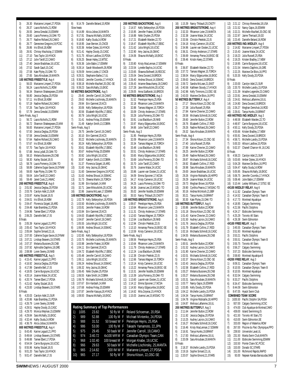3) 26.30 Marianne Limpert,27,PDSA 4) 26.37 Laura Nicholls,21,ROW 5) 26.55 Jenna Gresdal,15,ESWIM 6) 26.60 Laura Pomeroy,16,OAK-TO 7) 26.77 Nadine Rolland,26,CAMO 8) 26.77 Genevieve Gregoire, 19, PCSC 9) 26.86 Iris Elliott,18,KBM 10) 26.91 Chrissy MacAulay,17,ESWIM 11) 27.10 Tara Taylor,18,HYACK 27.12 Julie Tardif, 22, CAMO 13) 27.40 Jessie Bradshaw,16,UCSC 14) 27.52 Sarah Gault,15,CAC 15) 27.58 Kate Plyley,15,OAK-TO 16) 27.65 Sara Alroubaie,19,MANTA **100 METRES FREESTYLE**, Aug 4 1) 56.03 Marianne Limpert,27,PDSA 2) 56.24 Laura Nicholls,21,ROW 3) 56.34 Shannon Shakespeare,23,MM 4) 56.80 Jessica Deglau, 20, PDSA<br>5) 57.11 Iris Elliott, 18, KBM 5) 57.11 Iris Elliott,18,KBM 6) 57.19 Nadine Rolland,26,CAMO 7) 57.26 Tara Taylor,18,HYACK 8) 57.79 Jenna Gresdal,15,ESWIM Semi-Finals, Aug 3 1) 56.72 Laura Nicholls,21,ROW 2) 56.72 Shannon Shakespeare,23,MM 3) 56.83 Marianne Limpert,27,PDSA 4) 57.50 Jessica Deglau,20,PDSA 5) 57.58 Jenna Gresdal,15,ESWIM 6) 57.64 Nadine Rolland,26,CAMO 7) 57.67 Iris Elliott,18,KBM 8) 57.70 Tara Taylor.18.HYACK 9) 57.88 Anna Lydall,20,OAK-TO 10) 58.10 Melania Bussiere, 28, CNB<br>11) 58.30 Karley Stutzel, 18, IS 58.30 Karley Stutzel,18,IS 12) 58.78 Laura Pomeroy,16,OAK-TO 13) 58.89 Catherine Dugas-Savoie,16,DYNAM 14) 59.00 Kate Plyley,15,OAK-TO 15) 59.04 Julie Tardif,22,CAMO 16) 59.49 Janet Cook,21,HWAC **200 METRES FREESTYLE**, Aug 6 1) 2:01.92 Jessica Deglau,20,PDSA 2) 2:03.76 Carolyn Adel,21,SUR 3) 2:03.97 Karley Stutzel, 18, IS<br>
4) 2:04.01 Iris Flliott 18 KRM 4) 2:04.01 Iris Elliott,18,KBM 5) 2:04.47 Florencia Szigeti,18,ARG 6) 2:04.48 Kate Brambley,21,PDSA 7) 2:04.96 Tamee Ebert,17,PDSA 8) 2:06.25 Danielle Bell,17,IS B finals 9) 2:05.39 Karine Legault,21,PPO 10) 2:05.42 Tara Taylor,18,HYACK 11) 2:05.84 Sophie Simard,21,UL 12) 2:07.00 Catherine Dugas-Savoie,16,DYNAM 2:07.21 Lindsay Beavers, 19, STARS 14) 2:07.37 Melania Bussiere,28,CNB 15) 2:07.92 Aphrodite Daphnis,18,GRE 16) 2:08.99 Loren Sweny,18,NKB **400 METRES FREESTYLE,** Aug 5 1) 4:15.41 Karine Legault,21,PPO 2) 4:16.92 Jessica Deglau,20,PDSA 3) 4:17.99 Danielle Bell,17,IS 4) 4:18.05 Carrie Burgoyne,18,UCSC 5) 4:20.14 Joanne Malar,24,UCSC 6) 4:20.74 Tamee Ebert,17,PDSA 7) 4:21.62 Karley Stutzel,18,IS 8) 4:23.00 Lindsay Beavers,19,STARS B Finals 9) 4:20.03 Carolyn Adel, 21, SUR<br>10) 4:20.86 Kate Brambley 21 PD 10) 4:20.86 Kate Brambley,21,PDSA 11) 4:26.79 Loren Sweny,18,NKB 12) 4:29.51 Hayley Doody,15,CASC 13) 4:29.70 Monica Wejman,15,ESWIM 14) 4:29.84 Sara McNally,15,EKSC 15) 4:32.44 Kathy Siuda,14,ROW 16) 4:36.79 Alicia Jobse,16,MANTA **800 METRES FREESTYLE,** Aug 4 1) 8:43.45 Karine Legault,21,PPO 2) 8:49.64 Lindsay Beavers,19,STARS 3) 8:49.88 Tamee Ebert,17,PDSA 4) 8:54.04 Carrie Burgoyne,18,UCSC 5) 8:55.96 Karley Stutzel,18,IS 6) 9:01.20 Tara Taylor,18,HYACK 7) 9:01.47 Danielle Bell,17,IS

8) 9:14.79 Danielle Beland, 15, ROW Slow heats 1) 9:14.89 Alicia Jobse,16,MANTA 2) 9:17.81 Shauna McNally,18,EKSC 3) 9:18.60 Kathy Siuda,14,ROW 4) 9:18.95 Joan Bernier,15,CNCB 5) 9:20.36 Amber Dykes,16,HYACK 6) 9:21.41 Hayley Doody,15,CASC 7) 9:21.75 Allison Laidlow,15,PDSA 8) 9:26.25 Bevan Haley,13,WTSC 9) 9:26.36 Julie Babin,17,ESWIM 10) 9:28.14 Sarah Woodworth,26,ROW 11) 9:29.09 Annie Lizotte,17,CNCB 12) 9:29.31 Stephanie Barbe,17,UL 13) 9:36.62 Jennifer Coombs, 17 HYACK 14) 9:38.18 Michelle MacNeil, 20, OSC-SE 15) 9:39.23 Sara McNally,15,EKSC **50 METRES BACKSTROKE,** Aug 5 1) 29.45 Jennifer Carroll,19,CAMO 2) 29.63 Michelle Lischinsky,25,MANTA 3) 29.94 Frin Gammel, 20, KCS 4) 30.06 Kelly Stefanyshyn,18,PDSA 5) 30.56 Elizabeth Wycliffe,17,EBSC 6) 30.79 Julia Wright,18,UCSC 7) 31.41 Andrea Finlay,20,ESWIM 8) 31.49 Katelyn Smith,13,COBRA Semi-Finals, Aug 5 1) 29.75 Jennifer Carroll,19,CAMO 2) 30.10 Erin Gammel,20,KCS 3) 30.22 Michelle Lischinsky,25,MANTA 4) 30.24 Kelly Stefanyshyn,18,PDSA 5) 30.61 Elizabeth Wycliffe,17,EBSC 6) 30.67 Andrea Finlay,20,ESWIM 7) 30.92 Julia Wright,18,UCSC 8) 30.97 Katelyn Smith, 13, COBRA 9) 31.37 Florencia Szigeti,18,ARG 10) 31.60 Amy Jacina,16,GMAC 11) 31.60 Genevieve Gregoire,19,PCSC 12) 31.63 Andrea Shoust, 14, SSMAC<br>13) 31.73 Sheena Martin, 15, TORCH 13) 31.73 Sheena Martin,15,TORCH 14) 31.99 Erin Kardash,14,MM 15) 32.71 Jane Mikoultchik,20,UCSC 16) 32.86 Joanna McLean, 17, ESWIM **100 METRES BACKSTROKE**, Aug 4 1) 1:02.79 Kelly Stefanyshyn,18,PDSA 2) 1:03.50 Michelle Lischinsky,25,MANTA 3) 1:03.81 Jennifer Fratesi,16,ROW 4) 1:03.84 Erin Gammel,20,KCS 5) 1:04.63 Elizabeth Wycliffe,17,EBSC 6) 1:04.67 Jennifer Carroll,19,CAMO 7) 1:05.55 Julia Wright,18,UCSC 8) 1:06.95 Andrea Shoust,14,SSMAC Semi-Finals, Aug 3 1) 1:02.65 Kelly Stefanyshyn,18,PDSA 2) 1:03.75 Michelle Lischinsky,25,MANTA 3) 1:03.98 Jennifer Fratesi,16,ROW 4) 1:04.11 Frin Gammel, 20, KCS 5) 1:04.72 Elizabeth Wycliffe,17,EBSC 6) 1:05.48 Jennifer Carroll,19,CAMO 7) 1:06.11 Julia Wright,18,UCSC 8) 1:06.24 Andrea Shoust,14,SSMAC 9) 1:06.32 Amy Jacina,16,GMAC 10) 1:06.45 Nikki Dryden,25,PDSA 11) 1:06.55 Katie Smith,14,COBRA 12) 1:06.79 Michaela Schmidt,16,CASC 13) 1:07.67 Erin Kardash,14,MM 14) 1:07.68 Andrea Finlay,20,ESWIM 15) 1:07.87 Jennifer Kasuya,18,HYACK 16) 1:08.93 Shauna McNally,18,EKSC **Rating Summary of Top Performances** 1) 1005 23.82 50 fly M F Roland Schoeman, 20,RSA 2) 989 52.88 100 fly M F Michael Mintenko, 24,PDSA 3) 988 31.52 50 breast W F Penelope Heyns, 25,RSA 4) 986 53.00 100 fly M F Takashi Yamamoto, 22,JPN 5) 975 29.45 50 back W F Jennifer Carroll, 19,CAMO

8) 966 29.63 50 back W F Michelle Lischinsky, 25, MANTA<br>9) 965 2:14.82 200 IM W F Marianne Limpert, 27, PDSA 9) 965 2:14.82 200 IM W F Marianne Limpert, 27,PDSA 10) 965 27.17 50 fly W F Shona Kitson, 22,OSC-SE

**200 METRES BACKSTROKE**, Aug 6 1) 2:14.57 Kelly Stefanyshyn,18,PDSA 2) 2:15.95 Jennifer Fratesi,16,ROW 3) 2:16.88 Nikki Dryden,25,PDSA 4) 2:17.21 Elizabeth Warden,22,TO 5) 2:18.47 Elizabeth Wycliffe,17,EBSC 6) 2:21.62 Julia Wright,18,UCSC 7) 2:22.90 Amy Jacina,16,GMAC 8) 2:24.06 Shauna McNally,18,EKSC B Finals 9) 2:20.80 Kristy MacLennan,17,ESWIM 10) 2:23.54 Lynette Bayliss,14,UCSC 11) 2:23.65 Shawna Bothwell,16,RDCSC 12) 2:25.04 Dena Durand,19,BROCK 13) 2:26.40 Andrea Shoust 14, SSMAC 14) 2:26.43 Arianne Beauchamp,18,CAMO 15) 2:27.28 Jane Mikoultchik,20,UCSC 16) 2:29.05 Anna Szaflarski,16,BROCK **50 METRES BREASTSTROKE**, Aug 3 1) 31.52 Penelope Heyns,25,RSA 2) 32.18 Rhiannon Leier, 23 MANTA 3) 32.88 Tamara Wagner,15,TORCH 4) 33.09 Christy Anderson,17,STARS 5) 33.28 Julia Pomeroy, 20, OAK-TO<br>6) 33.91 Lisa Blackburn, 28, NKB 33.91 Lisa Blackburn,28,NKB 7) 33.97 Marcy Edgecumbe,16,EKSC 8) 34.66 Julie Tardif,22,CAMO Semi-Finals, Aug 3 1) 31.95 Penelope Heyns,25,RSA 2) 32.09 Rhiannon Leier,23,MANTA 3) 33.34 Tamara Wagner,15,TORCH 4) 33.48 Lisa Blackburn,28,NKB 5) 33.51 Christy Anderson,17,STARS 6) 33.65 Marcy Edgecumbe,16,EKSC 7) 33.69 Julia Pomeroy,20,OAK-TO 8) 33.70 Julie Tardif, 22, CAMO<br>9) 33.76 Joanne Malar 24 UCS 9) 33.76 Joanne Malar,24,UCSC 10) 33.86 Lauren van Oosten,21,UCSC 11) 34.09 Emma Spooner, 17, NCSA<br>12) 34.17 Kristy Cameron. 19. UCSC 12) 34.17 Kristy Cameron,19,UCSC 13) 34.25 Laura Pomeroy,16,OAK-TO 14) 34.36 Joanna Lee,15,MSSAC-TO 15) 35.02 Jennifer Noddle,20,ESWIM 16) 35.53 Nancy Thibault,20,CNOTY **100 METRES BREASTSTROKE**, Aug 6 1) 1:08.67 Penelope Heyns,25,RSA 2) 1:10.64 Rhiannon Leier,23,MANTA 3) 1:11.31 Christy Anderson,17,STARS 4) 1:12.63 Tamara Wagner,15,TORCH 5) 1:12.64 Lisa Blackburn,28,NKB 6) 1:12.94 Christin Petelski,22,IS 7) 1:13.10 Annamay Pierse,16,EKSC-SE 8) 1:13.59 Kristy Cameron,19,UCSC Semi-Finals, Aug 5 1) 1:08.56 Penelope Heyns,25,RSA 2) 1:10.64 Rhiannon Leier,23,MANTA 3) 1:11.79 Christy Anderson, 17, STARS 4) 1:12.24 Lisa Blackburn,28,NKB 5) 1:12.38 Christin Petelski,22,IS 1:12.66 Tamara Wagner, 15, TORCH 7) 1:13.14 Kristy Cameron,19,UCSC 8) 1:13.22 Annamay Pierse,16,EKSC-SE 9) 1:13.31 Jennifer Noddle,20,ESWIM 10) 1:13.39 Julia Pomeroy,20,OAK-TO 11) 1:13.60 Lauren van Oosten,21,UCSC 12) 1:14.12 Emma Spooner,17,NCSA 13) 1:14.50 Marcy Edgecumbe,16,EKSC 14) 1:14.62 Mila Zvijerac,15,HYACK 15) 1:15.03 Joanna Lee,15,MSSAC-TO 6) 974 3:40.72 4x100 MR M F Canadian Olympic Team,CAN 7) 968 1:02.40 100 breast M F Morgan Knabe, 19,UCSC

| 16)             | 1:15.39            | Nancy Thibault, 20, CNOTY<br>200 METRES BREASTSTROKE, Aug 4 |
|-----------------|--------------------|-------------------------------------------------------------|
| 1)<br>2)        | 2:32.33<br>2:32.38 | Rhiannon Leier, 23, MANTA<br>Joanne Malar, 24, UCSC         |
| 3)              | 2:33.56            | Christin Petelski, 22, IS                                   |
| 4)              | 2:34.18            | Kristy Cameron, 19, UCSC                                    |
| 5)              | 2:34.96            | Lauren van Oosten, 21, UCSC                                 |
| 6)              | 2:36.31            | Christy Anderson, 17, STARS                                 |
| 7)              | 2:36.69            | Annamay Pierse, 16, EKSC-SE                                 |
| 8)              | 2:39.46            | Kristin Keery, 22, STARS                                    |
| <b>B</b> Finals |                    |                                                             |
| 9)              | 2:36.87            | Elizabeth Warden, 22, TO                                    |
| 10)             | 2:37.72            | Tamara Wagner, 15, TORCH                                    |
| 11)             | 2:38.04            | Marcy Edgecumbe, 16, EKSC                                   |
| 12)             | 2:39.63            | Dena Durand, 19, BROCK                                      |
| 13)             | 2:39.72            | Sandra McLean, 21, EAST                                     |
| 14)             | 2:40.58            | Kathleen Stoody, 17, HYACK                                  |
| 15)             | 2:42.96            | Kelly Timmons, 13, OSC-SE                                   |
| 16)             | 2:43.03            | Marieve De Blois, 16, PPO                                   |
|                 |                    | 50 METRES BUTTERFLY, Aug 4                                  |
| 1)              | 27.17              | Shona Kitson, 22, OSC-SE                                    |
| 2)              | 27.38              | Julia Russell, 25, RSA                                      |
| 3)              | 27.84              | Karine Chevrier, 22, CAMO                                   |
| 4)              | 28.58              | Michaela Schmidt, 16, CASC                                  |
| 5)              | 28.60              | Jennifer Button, 22, ROW                                    |
| 6)              | 28.76              | Elizabeth Collins, 17, ROD                                  |
| 7)              | 29.26              | Nadine Rolland, 26, CAMO                                    |
| 8)              | 29.32              | Sara Alroubaie, 19, MANTA                                   |
|                 | Semi-Finals, Aug 4 |                                                             |
| 1)              | 27.34              | Shona Kitson, 22, OSC-SE                                    |
| 2)              | 27.40<br>27.89     | Julia Russell, 25, RSA                                      |
| 3)              | 28.25              | Karine Chevrier, 22, CAMO<br>Jennifer Button, 22, ROW       |
| 4)<br>5)        | 28.49              | Nadine Rolland, 26, CAMO                                    |
| 6)              | 28.87              | Michaela Schmidt, 16, CASC                                  |
| 7)              | 28.92              | Elizabeth Collins, 17, ROD                                  |
| 8)              | 28.98              | Sara Alroubaie, 19, MANTA                                   |
| 9)              | 29.00              | Jessie Bradshaw, 16, UCSC                                   |
| 10)             | 29.26              | Virginie Robitaille, 18, HIPPO                              |
| 11)             | 29.29              | Joanne Malar, 24, UCSC                                      |
| 12)             | 29.73              | Meghan Brown, 16, PDSA                                      |
| 13)             | 29.90              | Cynthia Pearce, 17, MSSAC-TO                                |
| 14)             | 30.16              | Andrea McIntosh, 21, BBF                                    |
| 15)             | 30.21              | Tanya Hunks, 19, BRANT                                      |
| 16)             | 30.30              | Kate Plyley, 15, OAK-TO                                     |
|                 |                    | 100 METRES BUTTERFLY, Aug 6                                 |
| 1)              | 1:00.86            | Jennifer Button, 22, ROW                                    |
| 2)              | 1:01.18            | Shona Kitson, 22, OSC-SE                                    |
| 3)              | 1:01.43            | Karine Chevrier, 22, CAMO                                   |
| 4)<br>5)        | 1:01.50<br>1:01.76 | Audrey Lacroix, 16, CAMO<br>Jessica Deglau, 20, PDSA        |
| 6)              | 1:01.79            | Elizabeth Collins, 17, ROD                                  |
| 7)              | 1:02.16            | Michaela Schmidt, 16, CASC                                  |
| 8)              | 1:04.55            | Melania Bussiere, 28, CNB                                   |
|                 | Semi-Finals, Aug 5 |                                                             |
| 1)              | 1:00.51            | Jennifer Button, 22, ROW                                    |
| 2)              | 1:01.52            | Audrey Lacroix, 16, CAMO                                    |
| 3)              | 1:01.90            | Karine Chevrier, 22, CAMO                                   |
| 4)              | 1:02.01            | Michaela Schmidt, 16, CASC                                  |
| 5)              | 1:02.37            | Shona Kitson, 22, OSC-SE                                    |
| 6)              | 1:02.43            | Jessica Deglau, 20, PDSA                                    |
| 7)              | 1:02.58            | Elizabeth Collins, 17, ROD                                  |
| 8)              | 1:03.27            | Melania Bussiere, 28, CNB                                   |
| 9)              | 1:03.27            | Melania Bussiere, 28, CNB                                   |
| 10)             | 1:03.31            | Sara Alroubaie, 19, MANTA                                   |
| 11)             | 1:03.77            | Nancy Gajos, 16, ESWIM                                      |
| 12)             | 1:03.85            | Kelly Doody, 20, PDSA                                       |
| 13)             | 1:04.12            | Michelle Landry, 15, PDSA<br>Tanya Hunks, 19, BRANT         |
| 14)             | 1:04.34            |                                                             |
| 15)<br>16)      | 1:04.78<br>1:04.87 | Virginie Robitaille, 18, HIPPO<br>Melissa Laflamme, 18, UL  |
|                 |                    | 200 METRES BUTTERFLY, Aug 3                                 |
| 1)              | 2:11.64            | Jennifer Button, 22, ROW                                    |
| 2)              | 2:11.92            | Jessica Deglau, 20, PDSA                                    |
| 3)              | 2:13.25            | Audrey Lacroix, 16, CAMO                                    |
| 4)              | 2:16.27            | Michaela Schmidt, 16, CASC                                  |
| 5)              | 2:16.46            | Kristy MacLennan, 17, ESWIM                                 |
| 6)              | 2:16.91            | Tanya Hunks, 19, BRANT                                      |
| 7)              | 2:17.83            | Melissa Laflamme, 18, UL                                    |
| 8)              | 2:20.09            | Sara Alroubaie, 19, MANTA                                   |
| <b>B</b> Finals |                    |                                                             |
| 9)              | 2:18.37            | Michelle Landry, 15, PDSA                                   |
| 10)             | 2:19.16            | Sophie Simard, 21, UL                                       |

11) 2:20.07 Sophie Emond,21,STARS

| 12)                   | 2:21.12            | Chrissy Menendez, 18, USA                                              |
|-----------------------|--------------------|------------------------------------------------------------------------|
| 13)                   | 2:21.52            | Nancy Gajos, 16, ESWIM                                                 |
| 14)<br>15)            | 2:22.21<br>2:22.97 | Michelle MacNeil,20,0SC-SE<br>Jaime Theriault, 19, GO                  |
| 16)                   | 2:23.45            | Danielle Beland, 16, ROW                                               |
|                       |                    | 200 METRES IND.MEDLEY, Aug 6                                           |
| 1)                    | 2:14.82            | Marianne Limpert, 27, PDSA                                             |
| 2)                    | 2:15.43            | Joanne Malar, 24, UCSC                                                 |
| 3)<br>4)              | 2:19.23<br>2:19.25 | Julia Russell,25,RSA<br>Kristen Bradley, 17, NEW                       |
| 5)                    | 2:19.95            | Carrie Burgoyne, 18, UCSC                                              |
| 6)                    |                    | 2:21.54 Artemis Daphnis, 16, GRE                                       |
| 7)                    | 2:22.25            | Marieve De Blois, 16, PPO                                              |
| 8)                    | 5:20.35            | Kelly Doody,20,PDSA                                                    |
| <b>B</b> Finals<br>9) | 2:20.00            | Carolyn Adel, 21, SUR                                                  |
| 10)                   | 2:20.70            | Michelle Landry, 15, PDSA                                              |
| 11)                   | 2:21.39            | Ariadne Legendre, 23, CAMO                                             |
| 12)                   | 2:23.91            | Jenna Gresdal, 15, ESWIM                                               |
| 13)                   | 2:24.61            | Melissa Laflamme, 18, UL<br>Dena Durand, 19, BROCK                     |
| 14)<br>15)            | 2:24.80<br>2:26.27 | Meghan Demchuk,16,ROD                                                  |
| 16)                   | 2:26.61            | Tanya Hunks, 19, BRANT                                                 |
|                       |                    | 400 METRES IND.MEDLEY, Aug 3                                           |
| 1)                    |                    | 4:48.58 Elizabeth Warden, 22, TO                                       |
| 2)<br>3)              | 4:48.97            | Carrie Burgoyne, 18, UCSC                                              |
| 4)                    |                    | 4:50.11 Kelly Doody, 20, PDSA<br>4:55.66 Kristen Bradley, 17, NEW      |
| 5)                    |                    | 4:55.91 Dena Durand, 19, BROCK                                         |
| 6)                    |                    | 4:58.71 Michelle Landry, 15, PDSA<br>5:00.33 Allison Laidlow, 15, PDSA |
| 7)                    |                    |                                                                        |
| 8)                    | 5:02.37            | Chanell Charron-W., 16, CAG                                            |
| <b>B</b> Finals<br>9) | 4:58.23            | Carolyn Adel, 21, SUR                                                  |
| 10)                   | 5:03.65            | Amber Dykes, 16, HYACK                                                 |
| 11)                   | 5:04.28            | Marieve De Blois, 16, PPO                                              |
| 12)                   | 5:04.47            | Kathy Siuda, 14, ROW                                                   |
| 13)<br>14)            | 5:05.95<br>5:06.75 | Shauna McNally, 18, EKSC<br>Jennifer Coombs, 17, HYACK                 |
| 15)                   | 5:08.46            | Julie Babin, 17, ESWIM                                                 |
| 16)                   | 5:10.44            | Lesley Williams, 17, STSC-SE                                           |
|                       |                    | 4X100 MEDLEY RELAY, Aug 6                                              |
| 1)                    | 4:11.92            | Canadian Olympic Team                                                  |
| 2)<br>3)              | 4:14.52<br>4:17.73 | Canadian Olympic Team B<br>Montreal Aquatique                          |
| 4)                    |                    | 4:18.95 Calgary Swimming                                               |
| 5)                    |                    | 4:21.56 Pacific Dolphins                                               |
| 6)                    | 4:24.17            | Etobicoke Swimming                                                     |
| 7)<br>8)              | 4:25.29<br>4:26.38 | <b>Toronto All Stars</b><br>Swim Edmonton                              |
|                       |                    | 4X100 FREE RELAY, Aug 5                                                |
| 1)                    | 3:45.55            | Canadian Olympic Team                                                  |
| 2)                    | 3:51.93            | Montreal Aquatique                                                     |
| 3)                    |                    |                                                                        |
| 4)                    | 3:53.21            | Pacific Dolphins                                                       |
|                       | 3:55.51            | Canadian Olympic Team B                                                |
| 5)<br>6)              | 3:55.75            | Toronto All Stars                                                      |
| 7)                    | 3:56.27<br>3:57.23 | Calgary Swimming<br>Etobicoke Swimming                                 |
| 8)                    | 3:58.60            | Montreal Aquatique B                                                   |
|                       |                    | 4X200 FREE RELAY, Aug 3                                                |
| 1)                    | 8:09.31            | Canadian Olympic Team                                                  |
| 2)<br>3)              | 8:10.55<br>8:10.55 | Canadian Olympic Team B<br>Montreal Aquatique                          |
| 4)                    | 8:32.04            | Calgary Swimming                                                       |
| 5)                    | 8:33.27            | Pacific Dolphins                                                       |
| 6)                    | 8:34.47            | Etobicoke Swimming                                                     |
| 7)                    | 8:44.09            | Swim Edmonton                                                          |
| 8)                    | 8:47.05            | Hyack Swim Club<br><b>COMBINED TEAM SCORE</b>                          |
| 1)                    | 1635.50            | Pacific Dolphin SA, PDSA                                               |
| 2)                    | 937.00             | Calgary Swimming,UCSC                                                  |
| 3)                    | 474.00             | Club Aquatique de Montreal, CAMO                                       |
| 4)<br>5)              | 439.00<br>421.50   | Island Swimming, IS<br>Toronto All Stars, TO                           |
| 6)                    | 410.00             | Swim Edmonton, SE                                                      |
| 7)                    | 333.00             | Region of Waterloo, ROW                                                |
| 8)                    | 267.00             | Piscine du Parc Olympique, PPO                                         |
| 9)                    | 239.50             | Universite Laval, UL                                                   |
| 10)<br>11)            | 231.50<br>211.00   | Manta Swim Club, MANTA<br>Etobicoke Swimming, ESWIM                    |
| 12)                   | 153.50             | Pointe Claire SC, PCSC                                                 |
| 13)                   | 153.00             | Dorado SC, STARS                                                       |
| 14)<br>15)            | 151.00<br>93.00    | Richmond Rapids, RAPID<br>Nepean Kanata Barracudas, NKB                |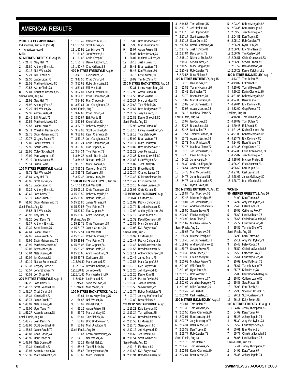#### <span id="page-7-0"></span>**AMERICAN RESULTS**

**2000 USA OLYMPIC TRIALS** Indianapolis, Aug 9-16 (50 M) • = American record **MEN 50 METRES FREESTYLE**. Aug 15 1 • 21.76 Gary Hall,74 2 21.80 Anthony Ervin,81 3 22.12 Neil Walker,76 4 22.21 Bill Pilczuk,71 5 22.30 Jason Lezak,75 6 22.51 Matthew Macedo,80 7 22.55 Aaron Ciarla, 78<br>8 22.81 Christian Hashar 22.81 Christian Hasbach.75 Semi-Finals, Aug 14 1 21.91 Gary Hall, 74<br>2 21.92 Anthony Fryin 21.92 Anthony Ervin, 81 3 22.29 Neil Walker,76 4 22.36 Aaron Ciarla, 78<br>5 22.46 Bill Pilczuk, 71 5 22.46 Bill Pilczuk,71 6 22.52 Matthew Macedo,80 7 22.57 Jason Lezak, 75<br>8 22.71 Christian Hashar 22.71 Christian Hasbach,75 9 22.75 Sabir Muhammad, 76<br>10 22.77 Gregory Busse 79 22.77 Gregory Busse,79 11 22.80 John Stratman,77 12 22.95 Shaun Zitani,79 13 22.96 Coley Stickels, 78<br>14 23.09 Matt Weghorst 80 23.09 Matt Weghorst,80 15 23.10 John Miranda,65 16 23.14 Justin Ewers,76 **100 METRES FREESTYLE**, Aug 13 1 48.71 Neil Walker,76 2 48.84 Gary Hall, 74<br>3 48.95 Scott Tucker, 48.95 Scott Tucker, 75 4 49.15 Jason Lezak,75 5 49.29 Anthony Ervin,81 6 49.40 Josh Davis,72 7 50.19 Jamie Rauch, 79<br>8 51.00 Sabir Muhamma 8 51.00 Sabir Muhammad,76 Semi-Finals, Aug 12 1 48.55 Neil Walker,76 2 48.92 Gary Hall, 74<br>3 49.20 Josh Davis 72 3 49.20 Josh Davis,72 4 49.37 Anthony Ervin, 81<br>5 49.39 Scott Tucker 75 5 49.39 Scott Tucker, 75<br>6 49.64 Jason Lezak, 75 6 49.64 Jason Lezak,75 7 49.95 Jamie Rauch,79 8 49.96 Sabir Muhammad, 76<br>9 49.99 Matthew Macedo 80 9 49.99 Matthew Macedo,80 10 50.03 Bryan Jones,78 11 50.04 Nate Dusing, 78<br>12 50.04 Jan Crocker 82 50.04 Ian Crocker, 82 13 50.19 Nathan Summers,80 14 50.37 Gregory Busse,79 15 50.57 John Stratman,77 16 50.59 Jon Olsen,69 **200 METRES FREESTYLE**, Aug 11 1• 1:47.26 Josh Davis,72 2 1:48.12 Scott Goldblatt,79 3 1:48.17 Chad Carvin, 74<br>4 1:48.31 Klete Keller 82 4 1:48.31 Klete Keller,82 5 1:48.73 Jamie Rauch,79 6 1:48.99 Nate Dusing,78 7 1:49.00 Ugur Taner,74 8 1:51.27 Adam Messner,78 Semi-Finals, Aug 10 1 1:48.45 Josh Davis,72 2 1:48.60 Scott Goldblatt,79 3 1:48.64 Jamie Rauch,79 4 1:48.83 Chad Carvin,74 5 1:48.96 Ugur Taner,74 6 1:48.99 Nate Dusing,78 7 1:49.31 Klete Keller,82 8 1:49.93 Adam Messner 78 9 1:50.36 Mark Warkentin,79

10 1:50.49 Cameron Mull,76 11 1:50.51 Scott Tucker,75 12 1:50.91 Jay Schryver,78 13 1:51.63 John Waters,81 14 1:51.65 Chris Kemp,80 15 1:51.72 Daniel Ketchum,81 16 1:52.47 Clay Kirkland,83 **400 METRES FREESTYLE**, Aug 9 1• 3:47.18 Klete Keller,82 2 3:47.50 Chad Carvin,74 3 3:50.68 Robert Margalis,82 4 3:51.64 Erik Vendt,81 5 3:52.81 Kevin Clements,80 6 3:54.23 Chris Thompson,78 7 3:54.96 Fran Crippen,84 8 3:59.64 Jon Younghouse,78 Semi-Finals, Aug 9 1 3:49.63 Chad Carvin,74 2 3:51.67 Erik Vendt,81 3 3:51.92 Klete Keller,82 4 3:52.76 Robert Margalis,82 5 3:52.93 Scott Goldblatt,79 6 3:52.98 Kevin Clements,80 7 3:53.17 Jon Younghouse,78 8 3:53.24 Chris Thompson,78 9 3:53.85 Fran Crippen,84 10 3:54.34 Tyler Painter,78 11 3:54.37 Austin Ramirez,78 12 3:54.47 Nathan Lewis,78 13 3:55.13 Mark Leonard,77 14 3:56.32 Cameron Mull,76 15 3:56.72 Carl Larsen,78 16 3:57.33 John Munley,79 **1500 METRES FREESTYLE**, Aug 16 1• 14:59.11 Erik Vendt,81 2 15:09.16 Chris Thompson,78 3 15:13.59 Robert Margalis,82 4 15:15.86 Nathan Lewis,78 5 15:21.80 James Grimes,79 6 15:22.58 Tyler Painter,78 7 15:30.50 Fran Crippen,84 8 15:38.66 Aram Kevorkian,83 Prelims, Aug 15 1 15:21.71 Chris Thompson,78 2 15:21.73 James Grimes,79 3 15:22.54 Erik Vendt,81 4 15:25.43 Robert Margalis,82 5 15:26.93 Tyler Painter,78 6 15:28.03 Fran Crippen,84 7 15:29.28 Nathan Lewis,78 8 15:30.65 Aram Kevorkian,83 9 15:33.78 Carl Larsen,78 1015:36.30 Mark Leonard,77 1115:37.67 Brendan Neligan,83 1215:38.83 John Cole,83 1315:41.60 Mark Warkentin,79 1415:45.34 Ian Prichard,82 1515:45.83 Steve McLeod,78 1615:46.36 Matt Martin,79 **100 METRES BACKSTROKE**, Aug 11 1 53.84 Lenny Krayzelburg,75 2 54.85 Neil Walker,76 3 55.09 Randall Bal,81 4 55.16 Aaron Peirsol,83 5 55.79 Marc Lindsay,80 6 55.81 Tate Blahnik,76 7 55.82 Brad Bridgewater,73 8 55.92 Matt Ulrickson, 78 Semi-Finals, Aug 10 1 53.67 Lenny Krayzelburg,75 2 54.70 Neil Walker 76 3 55.19 Randall Bal,81 4 55.45 Tate Blahnik,76 5 55.68 Tommy Hannan,80 6 55.82 Marc Lindsay,80

7 55.88 Brad Bridgewater,73 8 55.96 Matt Ulrickson 78 9 55.97 Aaron Peirsol, 83<br>10 56.03 Robert Brewer 74 56.03 Robert Brewer, 74 11 56.07 Michael Gilliam,79 12 56.18 Justin Ewers, 76<br>13 56.41 Brian Walters 76 13 56.41 Brian Walters,76 14 56.47 Dan Westcott,80 15 56.72 Kris Souther,80 16 56.89 Tim McCann,77 **200 METRES BACKSTROKE**, Aug 14 1 1:57.31 Lenny Krayzelburg,75 2 1:57.98 Aaron Peirsol,83 3 1:59.58 Brian Walters,76 4 2:00.27 Marc Lindsay,80 5 2:00.62 Tate Blahnik,76 6 2:00.67 Brad Bridgewater,73 7 2:01.79 Joey Faltraco,81 8 2:02.82 Daniel Shevchik,80 Semi-Finals, Aug 13 1 1:57.93 Aaron Peirsol,83 2 1:58.10 Lenny Krayzelburg,75 3 1:59.18 Tate Blahnik,76 4 1:59.99 Brian Walters,76 5 2:00.77 Marc Lindsay,80 6 2:00.89 Brad Bridgewater,73 7 2:01.22 Joey Faltraco,81 8 2:01.36 Daniel Shevchik,80 9 2:01.88 Luke Wagner,82 10 2:01.89 Trent Staley,82 11 2:02.33 Bryce Hunt,82 12 2:02.34 Charles Barnes,76 13 2:03.43 Kirk Hampleman,79 14 2:03.47 Kris Souther,80 15 2:05.10 Michael Jansen,80 16 2:06.05 Chris Kellam,83 **100 METRES BREASTSTROKE**, Aug 10 1• 1:00.44 Ed Moses,80 2 1:01.09 Patrick Calhoun,81 3 1:01.74 Brendan Hansen,82 4 1:02.02 Anthony Robinson,80 5 1:02.12 Jarrod Marrs,75 6 1:02.32 David Denniston,78 7 1:02.89 Mark Gangloff,82 8 1:03.03 Kyle Salyards,80 Semi-Finals, Aug 9 1 1:00.99 Ed Moses,80 2 1:01.47 Patrick Calhoun,81 3 1:01.48 David Denniston,78 4 1:01.55 Brendan Hansen,82 5 1:02.11 Anthony Robinson,80 6 1:02.46 Jarrod Marrs,75 7 1:02.53 Mark Gangloff,82 8 1:03.10 Kyle Salyards,80 9 1:03.20 Jeff Hopwood,80 10 1:03.25 Daniel Kim,81 11 1:03.25 Patrick Fowler,80 12 1:03.35 Joshua Hack,82 13 1:03.55 Steven West,72 14 1:03.74 Bobby Middleton,78 15 1:03.79 Jeremy McDonnell,80 16 1:03.80 Ross Binkley,81 **200 METRES BREASTSTROKE**, Aug 13 1 2:13.21 Kyle Salyards,80 2 2:13.34 Tom Wilkens,75 3 2:13.49 Brendan Hansen,82 4 2:13.53 Ed Moses,80 5 2:15.70 Sean Quinn,80 6 2:17.12 Jeff Hopwood,80 7 2:18.65 Jeff Hackler,81 8 2:19.54 Scott Werner,79 Semi-Finals, Aug 12 1 2:13.13 Ed Moses,80 2 2:13.62 Kyle Salyards,80 3 2:13.94 Brendan Hansen,82

 2:14.57 Tom Wilkens,75 2:17.15 Jeff Hackler,81 2:17.15 Jeff Hopwood,80 2:17.17 Scott Werner,79 2:17.18 Sean Quinn,80 2:17.51 David Denniston,78 10 2:17.79 Justin Caron,81 11 2:17.84 Barry Wynn,73 12 2:18.10 Nicholas Tobler,82 13 2:18.38 Steven West,72 14 2:18.53 Mark Gangloff,82 15 2:20.42 Rob Canales,78 16 2:20.55 Ross Binkley,81 **100 METRES BUTTERFLY**, Aug 15 52.78 Ian Crocker,82 52.81 Tommy Hannan,80 53.41 Dod Wales,76 53.79 Bryan Jones,78 53.82 Matt Ulrickson,78 53.89 Jeff Somensatto,79 53.97 Adam Messner,78 8 54.15 Matthew Pierce 77 Semi-Finals, Aug 14 53.07 Ian Crocker,82 53.28 Bryan Jones,78 53.46 Dod Wales,76 53.51 Tommy Hannan,80 5 53.71 Adam Messner, 78<br>6 53.73 Matt Ulrickson, 78 53.73 Matt Ulrickson,78 53.75 Matthew Pierce.77 53.78 Jeff Somensatto,79 54.13 Kevin Northup,77 10 54.25 John Hargis,74 11 54.30 Andy Haidinyak,80 12 54.54 Jayme Cramer,83 13 54.73 Matt McDonald,83 14 54.77 John Suchand,81 15 54.78 Jarod Schroeder,73 16 55.63 Byron Davis,70 **200 METRES BUTTERFLY**, Aug 12 1:56.87 Tom Malchow,76 1:57.48 Michael Phelps,85 1:58.07 Jeff Somensatto,79 1:58.45 Andrew Mahaney,82 1:58.56 Steven Brown,79 2:00.62 Eric Donnelly,80 2:00.90 Doak Finch,77 2:01.69 Matthew Pierce,77 Semi-Finals, Aug 11 1:56.67 Tom Malchow,76 1:58.24 Michael Phelps,85 1:58.48 Jeff Somensatto,79 1:59.69 Andrew Mahaney,82 1:59.78 Steven Brown,79 2:00.33 Doak Finch,77 2:00.38 Eric Donnelly,80 2:00.68 Matthew Pierce,77 2:01.00 Will Oren,79 10 2:01.03 Ugur Taner,74 11 2:01.12 Brett Awbrey,78 12 2:01.12 Devin Howard,77 13 2:01.66 Jonathan Haggerty,76 14 2:01.98 Mike Gausman,79 15 2:02.42 Jeff Dash,80 16 2:03.34 Carl Hessler,81 **200 METRES IND.MEDLEY**, Aug 14 2:00.81 Tom Dolan,75 2:01.38 Tom Wilkens,75 2:02.55 Kevin Clements,80 2:02.91 Ron Karnaugh,66 2:03.75 Joey Montague,78 2:04.34 Beau Wiebel,78 2:05.38 Dan Trupin,83 2:05.77 Rob Canales,78 Semi-Finals, Aug 13 2:01.76 Tom Dolan,75 2:02.43 Tom Wilkens,75 2:02.52 Kevin Clements,80 2:02.84 Beau Wiebel,78

5 2:03.22 Robert Margalis,82 6 2:03.35 Ron Karnaugh,66 7 2:03.58 Joey Montague,78 8 2:04.81 Dan Trupin,83 9 2:05.10 Rob Canales,78 10 2:06.21 Ryan Lusk,79 11 2:06.36 Eric Shanteau,83 12 2:06.37 Tim Carlson,80 13 2:06.51 Chris Greenwood,83 14 2:06.95 Steven Brown,79 15 2:07.59 Ben Anderson,78 16 2:08.22 Daniel Ketchum,81 **400 METRES IND.MEDLEY**, Aug 10 1 4:13.72 Tom Dolan,75 2 4:13.89 Erik Vendt,81 3 4:15.69 Tom Wilkens,75 4 4:20.26 Kevin Clements,80 5 4:21.05 Robert Margalis,82 6 4:24.08 Beau Wiebel,78 7 4:26.84 Eric Donnelly,80 8 4:32.00 Greg Reeves,79 Prelims, Aug 10 1 4:16.91 Tom Wilkens,75 2 4:18.89 Tom Dolan,75 3 4:20.46 Erik Vendt,81 4 4:21.25 Kevin Clements,80 5 4:21.88 Robert Margalis,82 6 4:23.77 Eric Donnelly,80 7 4:24.09 Beau Wiebel,78 8 4:24.36 Greg Reeves,79 9 4:24.83 Chris Greenwood,83 10 4:25.82 Joey Montague,78 11 4:25.97 Michael Phelps,85 12 4:26.20 Eric Shanteau,83 13 4:26.62 Dan Trupin,83 14 4:27.85 Carl Larsen,78 15 4:28.66 James Galloway,80 16 4:28.70 Matt Wheeler,81 **WOMEN 50 METRES FREESTYLE**, Aug 16 1 24.90 Dara Torres 67 2 24.99 Amy Van Dyken, 73<br>3 25.40 Haley Cope. 79 3 25.40 Haley Cope,79 4 25.59 Catherine Fox,77 5 25.62 Liesl Kolbisen,76 6 25.66 Christina Swindle,85 7 25.72 Courtney Allen,78 8 25.82 Tammie Stone,76 Semi-Finals, Aug 15 1 24.93 Dara Torres,67 2 25.11 Amy Van Dyken,73 3 25.48 Haley Cope,79 4 25.50 Christina Swindle,85 5 25.53 Catherine Fox,77 6 25.61 Courtney Allen,78 7 25.63 Liesl Kolbisen,76 8 25.67 Tammie Stone, 76<br>9 25.75 Keiko Price, 78 9 25.75 Keiko Price, 78<br>10 25.80 Kari Woodall-H 25.80 Kari Woodall-Haag,74 11 25.85 Colleen Lanne,80 12 25.88 Sara Platzer,83 13 25.93 Erin Phenix,81 14 25.98 Shannon Hosack,75 15 26.11 Suzy Catterson,79 16 26.13 Kelly Bolton,78 **100 METRES FREESTYLE**, Aug 14 1 • 54.07 Jenny Thompson,73 2 54.62 Dara Torres,67 3 55.28 Ashley Tappin,74 4 55.30 Amy Van Dyken,73 5 55.52 Courtney Shealy,77 6 55.61 Erin Phenix, 81<br>7 55.77 Christina Swin 7 55.77 Christina Swindle,85 8 56.05 Liesl Kolbisen,76 Semi-Finals, Aug 13 1 54.41 Jenny Thompson,73 2 54.92 Dara Torres,67 3 55.36 Ashley Tappin,74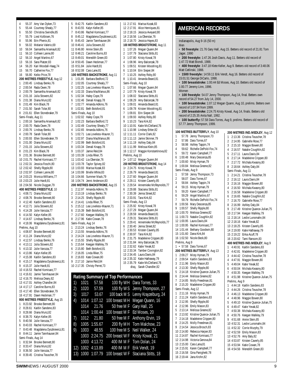55.37 Amy Van Dyken,73 55.44 Courtney Shealy,77 55.50 Christina Swindle,85 55.79 Liesl Kolbisen,76 55.96 Erin Phenix,81 9 56.02 Melanie Valerio 69 10 56.04 Samantha Arsenault 82 11 56.10 Colleen Lanne,80 12 56.10 Angel Martino,67 13 56.16 Sara Platzer,83 14 56.20 Kari Woodall-Haag,74 15 56.70 Catherine Fox,77 16 56.80 Keiko Price,78 **200 METRES FREESTYLE**, Aug 12 2:00.45 Lindsay Benko,76 2:00.54 Rada Owen,78 2:00.79 Samantha Arsenault,82 2:01.16 Julia Stowers,82 2:01.38 Diana Munz,82 2:01.49 Kim Black,78 2:01.50 Sarah Tolar,80 8 2:01.61 Ellen Stonebraker 79 Semi-Finals, Aug 11 2:00.16 Samantha Arsenault,82 2:00.70 Rada Owen,78 2:00.76 Lindsay Benko,76 2:00.78 Sarah Tolar,80 2:00.93 Ellen Stonebraker,79 2:01.00 Diana Munz,82 2:01.15 Julia Stowers,82 2:01.23 Kim Black,78 2:01.36 Brooke Bennett,80 10 2:01.75 Rachel Komisarz,77 11 2:02.31 Jessica Foschi,80 12 2:02.42 Shelly Ripple,80 13 2:02.97 Colleen Lanne,80 14 2:03.23 Monica Williams,77 15 2:03.23 Julie Hardt,81 16 2:04.56 Nicole Duggan,79 **400 METRES FREESTYLE**, 10 4:08.71 Diana Munz,82 2 4:08.76 Brooke Bennett 80 4:12.40 Kaitlin Sandeno,83 4:12.71 Julia Stowers,82 4:14.28 Julie Varozza,77 4:14.50 Kalyn Keller,85 4:14.67 Lindsay Benko,76 4:18.06 Magdalena Dyszkiewicz,81 Prelims, Aug 10 4:08.87 Brooke Bennett,80 4:11.24 Diana Munz,82 4:12.57 Lindsay Benko,76 4:13.11 Julia Stowers,82 4:13.32 Julie Varozza,77 4:13.86 Kalyn Keller,85 4:15.08 Kaitlin Sandeno,83 4:15.17 Magdalena Dyszkiewicz,81 4:15.37 Julie Hardt,81 10 4:16.53 Rachel Komisarz,77 11 4:16.61 Jamie Tannhauser,84 12 4:16.70 Melissa Deary,82 13 4:17.01 Ashley Chandler,84 14 4:17.17 Caroline Burns,83 15 4:17.40 Ellen Stonebraker,79 16 4:17.91 Dawn Heckman,77 **800 METRES FREESTYLE,** Aug 15 8:23.92 Brooke Bennett,80 8:28.61 Kaitlin Sandeno,83 8:28.66 Diana Munz,82 8:38.70 Kalyn Keller,85 8:40.56 Julie Varozza,77 8:43.03 Rachel Komisarz,77 8:43.48 Magdalena Dyszkiewicz,81 8:44.11 Jamie Tannhauser,84 Semi-Finals, Aug 14 8:32.84 Brooke Bennett,80 8:33.47 Diana Munz,82 8:36.50 Julie Varozza,77 8:39.45 Cristina Teuscher,78

 8:42.75 Kaitlin Sandeno,83 8:43.55 Kalyn Keller,85 8:43.86 Rachel Komisarz,77 8:45.12 Magdalena Dyszkiewicz,81 8:45.43 Jamie Tannhauser,84 10 8:46.41 Julia Stowers,82 11 8:46.80 Annie Stein,85 12 8:48.21 Caroline Burns,83 13 8:49.01 Meredith Green,83 14 8:50.45 Dawn Heckman,77 15 8:51.84 Julie Hardt,81 16 8:52.08 Cara Lane,81 **100 METRES BACKSTROKE**, Aug 11 1:01.85 Barbara Bedford,72 1:02.05 Courtney Shealy,77 1:02.25 Lea Loveless-Maurer,71 1:02.33 Diana MacManus,86 1:02.34 Haley Cope,79 1:02.46 Denali Knapp,78 1:02.77 Amanda Adkins,76 1:02.81 Beth Botsford,81 Semi-Finals, Aug 10 1:02.02 Haley Cope,79 1:02.23 Barbara Bedford,72 1:02.49 Courtney Shealy,77 1:02.65 Amanda Adkins,76 1:02.71 Lea Loveless-Maurer,71 1:02.97 Diana MacManus,86 1:02.99 Beth Botsford,81 1:03.34 Denali Knapp,78 1:03.37 Jamie Reid,84 10 1:03.39 Linda Riker,75 11 1:03.42 Lia Oberstar,76 12 1:03.78 Taylor Spivey,82 13 1:03.93 Marisa Kozak,83 14 1:03.99 Brielle White,83 15 1:04.66 Summer Mack,79 16 1:04.74 Jenni Anderson,83 **200 METRES BACKSTROKE**, Aug 15 2:12.97 Amanda Adkins,76 2:13.19 Lindsay Benko,76 2:14.25 Shelly Ripple,80 2:14.41 Linda Riker,75 2:15.12 Lea Loveless-Maurer,71 2:15.39 Beth Botsford,81 2:17.60 Keegan Walkley,79 2:17.96 Katie Cowan,78 Semi-Finals, Aug 14 2:13.24 Lindsay Benko,76 2:13.55 Amanda Adkins,76 3 2:14.24 Lea Loveless-Maurer, 71 2:15.55 Shelly Ripple,80 2:15.64 Keegan Walkley,79 2:15.80 Beth Botsford,81 2:16.05 Linda Riker,75 2:16.83 Kate Cowan,80 2:17.10 Jamie Reid,84 10 2:17.35 Christy Perret,73 **Rating Summary of Top Performances**

11 2:17.61 Marisa Kozak,83 12 2:17.91 Alice Henriques,81 13 2:18.15 Jessica Aveyard,80 14 2:18.56 Lia Oberstar,76 15 2:18.70 Jessica Hayes,83 **100 METRES BREASTSTROKE**, Aug 11 1 1:07.26 Megan Quann,84 2 1:07.79 Staciana Stitts,81 3 1:07.80 Kristy Kowal,78 4 1:08.96 Amy Balcerzak,78 5 1:09.51 Kristen Woodring,81 6 1:10.04 Erin Sieper,84 7 1:10.25 Ashley Roby,80 8 1:10.41 Amanda Beard,81 Semi-Finals, Aug 10 1 1:07.66 Megan Quann,84 2 1:07.79 Kristy Kowal,78 3 1:08.02 Staciana Stitts,81 4 1:08.29 Amy Balcerzak,78 5 1:09.01 Amanda Beard,81 6 1:09.78 Kristen Woodring,81 7 1:09.81 Erin Sieper,84 8 1:09.93 Ashley Roby,80 9 1:10.23 Tara Kirk,82 10 1:10.91 Katie McClelland,76 11 1:10.98 Lindsey Ertter,82 12 1:11.11 Corrie Clark,82 13 1:11.13 Jamie Skinner,79 14 1:11.19 Ashley Daly,84 15 1:11.99 Melissa Klein,85 16 1:12.17 Maggie Konstantinova,82 Prelims, Aug 10 1• 1:07.12 Megan Quann,84 **200 METRES BREASTSTROKE**, Aug 14 1• 2:24.75 Kristy Kowal,78 2 2:26.79 Amanda Beard,81 3 2:27.60 Megan Quann,84 4 2:29.11 Kristen Caverly,85 5 2:29.54 Annemieke McReynolds,77 6 2:29.88 Staciana Stitts,81 7 2:30.39 Jenna Street,82 8 2:33.91 Tara Kirk,82 Semi-Finals, Aug 13 1 2:25.92 Kristy Kowal,78 2 2:27.29 Megan Quann,84 3 2:28.59 Amanda Beard,81 4 2:29.31 Staciana Stitts,81 5 2:29.41 Annemieke McReynolds,77 6 2:30.40 Jenna Street,82 7 2:30.53 Kristen Caverly,85 8 2:30.97 Tara Kirk,82 9 2:31.75 Madeleine Crippen,80 10 2:31.84 Amy Balcerzak,78 11 2:32.62 Katie Yevak,82 12 2:33.34 Tamber Covington,82 13 2:34.45 Laura Davis,84 14 2:35.32 Katie Hathaway,79 15 2:35.79 Katie McClelland,76 disg, Sarah Chandler, 82

#### 1) 1021 57.58 100 fly WH Dara Torres, 33 2) 1020 57.59 100 fly W S Jenny Thompson, 27 3) 1017 53.67 100 back M S Lenny Krayzelburg, 24 4) 1014 1:07.12 100 breast MH Megan Quann, 16 1014 21.76 50 free M F Gary Hall, 25 1014 1:00.44 100 breast M F Ed Moses, 20 7) 1012 21.80 50 free M F Anthony Ervin, 19 8) 1005 1:55.67 200 fly MH Tom Malchow, 23 9) 1003 48.55 100 free M S Neil Walker, 24 1003 2:24.75 200 breast W F Kristy Kowal, 21 1003 4:13.72 400 IM M F Tom Dolan, 24 12) 1002 4:13.89 400 IM M F Erik Vendt, 19 13) 1000 1:07.79 100 breast W F Staciana Stitts, 18

#### **AMERICAN RECORDS**

**100 METRES BUTTERFLY**, Aug 10 1 57.78 Jenny Thompson,73 2 57.86 Dara Torres,67 3 58.98 Ashley Tappin,74 59.62 Richelle DePold-Fox, 74 5 59.72 Karen Campbell,77 6 1:00.48 Mary Descenza,85 7 1:00.60 Misty Hyman,79 8 1:00.84 Melissa Greene,82 Semi-Finals, Aug 9 1 57.59 Jenny Thompson,73 2 58.07 Dara Torres, 67 3 58.84 Ashley Tappin,74 4 59.15 Misty Hyman, 79<br>5 59.20 Karen Campbell 7 5 59.20 Karen Campbell,77 6 59.29 Angel Martino,67 7 59.79 Richelle DePold-Fox,74 8 1:00.56 Mary Descenza,85 9 1:00.57 Shelly Ripple,80 10 1:00.70 Melissa Greene,82 11 1:00.73 Natalie Coughlin,82 12 1:00.95 Laura Davis,84 13 1:00.95 Rachel Komisarz,77 14 1:01.44 Bethany Goodwin,80 15 1:01.60 Dana Kirk,84 16 1:02.50 Nicole Beck,80 Prelims, Aug 9 1 • 57.58 Dara Torres,67 **200 METRES BUTTERFLY**, Aug 13 1 2:09.27 Misty Hyman,79 2 2:09.54 Kaitlin Sandeno,83 3 2:11.96 Emily Mason,83 4 2:13.30 Shelly Ripple,80 5 2:14.18 Kristine Quance-Julian,75 6 2:14.44 Melissa Greene,82 7 2:14.85 Molly Freedman,81 8 2:15.20 Madeleine Crippen,80 Semi-Finals, Aug 12 1 2:11.16 Misty Hyman,79 2 2:11.24 Kaitlin Sandeno,83 3 2:12.95 Shelly Ripple,80 4 2:12.96 Emily Mason,83 5 2:13.14 Melissa Greene,82 6 2:13.92 Kristine Quance-Julian,75 7 2:14.18 Madeleine Crippen,80 8 2:14.25 Molly Freedman,81 9 2:14.54 Jessica Brosch,83 10 2:14.80 Rebecca Harper,83 11 2:14.87 Rachel Komisarz,77 12 2:14.98 Victoria Genova,84 13 2:15.00 Cara Lana,81 14 2:15.91 Karen Campbell,77 15 2:16.58 Gina Panighetti,78 16 2:19.44 Jana Krohn,82 **200 METRES IND.MEDLEY**, Aug 12 1 2:13.36 Cristina Teuscher 78 2 2:14.95 Gabrielle Rose,77 3 2:15.10 Maggie Bowen,80 4 2:16.57 Natalie Coughlin,82 5 2:17.11 Laura Davis,84 6 2:17.14 Madeleine Crippen,80 7 2:17.72 Michala Kwasny,80 8 2:18.64 Ashley Daly,84 Semi-Finals, Aug 11 1 2:14.21 Cristina Teuscher, 78 2 2:16.12 Laura Davis,84 3 2:16.16 Maggie Bowen,80 4 2:16.50 Michala Kwasny,80 5 2:16.58 Madeleine Crippen,80 6 2:16.65 Natalie Coughlin,82 7 2:16.70 Gabrielle Rose,77 8 2:16.99 Ashley Daly,84 9 2:17.49 Kristine Quance-Julian,75 10 2:17.94 Keegan Walkley,79 11 2:18.14 Leslie Lunsmahn,84 12 2:18.16 Katie Yevak,82 13 2:18.25 Kristen Caverly,85 14 2:19.00 Katie Hathaway,79 15 2:19.22 Erika Acuff,78 16 2:20.62 Tami Ransom,83 **400 METRES IND.MEDLEY**, Aug 9 1 4:40.91 Kaitlin Sandeno,83 2 4:42.81 Madeleine Crippen,80 3 4:44.42 Cristina Teuscher,78 4 4:47.91 Maggie Bowen,80 5 4:49.04 Katie Yevak,82 6 4:50.04 Michala Kwasny,80 7 4:50.35 Keegan Walkley,79 8 4:51.98 Kristine Quance-Julian,75 Prelims, Aug 9 1 4:44.18 Kaitlin Sandeno,83 2 4:44.26 Cristina Teuscher,78 3 4:46.13 Madeleine Crippen,80 4 4:48.96 Maggie Bowen,80 5 4:49.10 Kristine Quance-Julian,75 6 4:49.47 Katie Yevak,82 7 4:50.38 Michala Kwasny,80 8 4:50.76 Keegan Walkley,79 9 4:51.68 Annie Stein,85 10 4:52.31 Leslie Lunsmahn,84 11 4:52.32 Corrie Murphy,79 12 4:52.59 Emily Mason,83 13 4:52.76 Amy Baly,82 14 4:53.87 Kristen Caverly,85 15 4:53.94 Katie Cowan,78 16 4:54.56 Meredith Green,83 Indianapolis, Aug 9-16 (50 m) Man • **50 freestyle:** 21.76 Gary Hall, Aug 15. Betters old record of 21.81 Tom Jager, 1990 • **200 freestyle:** 1:47.26 Josh Davis, Aug 11. Betters old record of 1:47.72 Matt Biondi, 1988. • **400 freestyle**: 3:47.18 Klete Keller, Aug 9. Betters old record of 3:48.06 Matt Cetlinski, 1988. • **1500 freestyle:** 14:59.11 Erik Vendt, Aug 16. Betters old record of 15:01.51 George DiCarlo, 1998. • **100 breaststroke:** 1:00.44 Ed Moses, Aug 10. Betters old record of 1:00.77 Jeremy Linn, 1996. Women • **100 freestyle**: 54.07 Jenny Thompson, Aug 14, final. Betters own record of 54.27 from July 14, 2000. • **100 breaststroke:** 1:07.12 Megan Quann, Aug 10, prelims. Betters own record of 1:07.94 from 1999. • **200 breaststroke:** 2:24.75 Kristy Kowal, Aug 14, finals. Betters old record of 2:25.35 Anita Nall, 1992. • **100 butterfly:** 57.58 Dara Torres, Aug 9, prelims. Betters old record of 57.77 Jenny Thompson, 1999.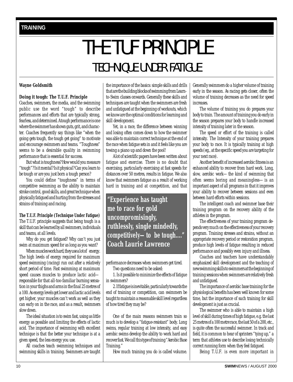# THE TUF PRINCIPLE TECHNIQUE UNDER FATIGUE

#### <span id="page-9-0"></span>**Wayne Goldsmith**

#### **Doing it tough: The T.U.F. Principle**

Coaches, swimmers, the media, and the swimming public use the word "tough" to describe performances and efforts that are typically strong, fearless, and determined. A tough performance is one where the swimmer has shown guts, grit, and character. Coaches frequently say things like "when the going gets tough, the tough get going" to motivate and encourage swimmers and teams. "Toughness" seems to be a desirable quality in swimming performance that is essential for success.

But what is toughness? How would you measure "tough"? Is it mental? Is it physical? Can you learn to be tough or are you just born a tough person?

You could define "toughness" in terms of competitive swimming as the ability to maintain stroke control, good skills, and great technique when physically fatigued and hurting from the stresses and strains of training and racing.

**The T.U.F. Principle (Technique Under Fatigue)** The T.U.F. principle suggests that being tough is a skill that can be learned by all swimmers, individuals and teams, at all levels.

Why do you get fatigued? Why can't you just swim at maximum speed for as long as you want?

When muscles work hard, they use a lot of energy. The high levels of energy required for maximum speed swimming (racing) run out after a relatively short period of time. Fast swimming at maximum speed causes muscles to produce lactic acid responsible for that all-too-familiar burning sensation in your thighs and arms in the final 25 metres of a 100. As energy levels get lower and lactic acid levels get higher, your muscles can't work as well as they can early on in the race, and as a result, swimmers slow down.

The ideal situation is to swim fast, using as little energy as possible and limiting the effects of lactic acid. The importance of swimming with excellent technique is that the better your technique is at a given speed, the less energy you use.

All coaches teach swimming techniques and swimming skills in training. Swimmers are taught

the importance of the basics: simple skills and drills that are the building blocks of swimming from Learnto-Swim classes onwards. Generally these skills and techniques are taught when the swimmers are fresh and unfatigued at the beginning of workouts, which we know are the optimal conditions for learning and skill development.

Yet, in a race, the difference between winning and losing often comes down to how the swimmer was able to maintain correct technique at the end of the race when fatigue sets in and it feels like you are towing a piano up and down the pool!

A lot of scientific papers have been written about fatigue and exercise. There is no doubt that exercising, particularly exercising at fast speeds for distances over 50 metres, results in fatigue. We also know that swimmers fatigue as a result of working hard in training and at competition, and that

**"Experience has taught me to race for gold uncompromisingly, ruthlessly, single mindedly, competitively—to be tough...."** *Coach Laurie Lawrence*

performance decreases when swimmers get tired.

Two questions need to be asked:

1. Is it possible to minimize the effects of fatigue in swimmers?

2. If fatigue is inevitable, particularly towards the end of training or competition, can swimmers be taught to maintain a reasonable skill level regardless of how tired they may be?

One of the main reasons swimmers train so much is to develop a "fatigue-resistant" body. Long swims, regular training at low intensity, and easy aerobic swims develop the ability to work hard and recover fast. We call this type of training "Aerobic Base Training."

How much training you do is called *volume*.

Generally swimmers do a higher volume of training early in the season. As racing gets closer, often the volume of training decreases as the need for speed increases.

The volume of training you do prepares your body to train. The amount of training you do early in the season prepares your body to handle increased intensity of training later in the season.

The speed or effort of the training is called *intensity*. The Intensity of your training prepares your body to race. It is typically training at high speeds (eg., at the specific speed you are targeting for your next race).

Another benefit of increased aerobic fitness is an enhanced ability to recover from hard work. Long, slow, aerobic work—the kind of swimming that often seems boring and meaningless—is an important aspect of all programs in that it improves your ability to recover between sessions and even between hard efforts within sessions.

The intelligent coach and swimmer base their training program on the recovery ability of the athletes in the program.

The effectiveness of your training program depends very much on the effectiveness of your recovery program. Training stresses and strains, without an appropriate recovery period or restoration program, produce high levels of fatigue resulting in reduced performance and possibly even injury and illness.

Coaches and teachers have understandably emphasized skill development and the teaching of new swimming skills to swimmers at the beginning of training sessions when swimmers are relatively fresh and unfatigued.

The importance of aerobic base training for the physiological benefits has been well known for some time, but the importance of such training for skill development is just as crucial.

The swimmer who is able to maintain a high level of skill during times of high fatigue, e.g. the last 25 metres of a 100 metre race, the last 50 of a 200, etc., is quite often the successful swimmer. In track and field, it is common to hear of sprinters "tying up," a term that athletes use to describe losing technically correct running form when they feel fatigued.

Being T.U.F. is even more important in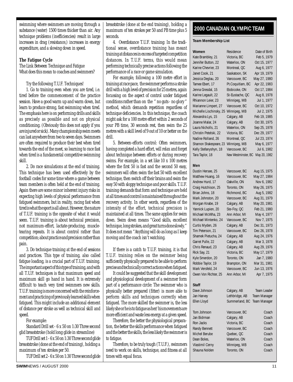<span id="page-10-0"></span>swimming where swimmers are moving through a substance (water) 1500 times thicker than air. Any technique problems (inefficiencies) result in large increases in drag (resistance,) increases in energy expenditure, and a slowing down in speed.

#### **The Fatigue Cycle**

The Link Between Technique and Fatigue What does this mean to coaches and swimmers?

#### Try the following T.U.F. Techniques!

1. Go to training even when you are tired, i.e. tired before the commencement of the practice session. Have a good warm up and warm down, but learn to produce strong, fast swimming when tired. The emphasis here is on performing drills and skills as precisely as possible and not on physical conditioning. (Obviously this does not apply if you are injured or sick). Many championship swim meets can last anywhere from two to seven days. Swimmers are often required to produce their best when tired towards the end of the meet, so learning to race fast when tired is a fundamental competitive swimming skill.

2. Do race simulations at the end of training. This technique has been used effectively by the football codes for some time where a game between team members is often held at the end of training. Again there are some minor inherent injury risks in expecting high levels of physical performance from fatigued swimmers, but in reality, racing fast when tired is what the sport is all about. However, the nature of T.U.F. training is the opposite of what it would seem. T.U.F. training is about technical precision, *not* maximum-effort, lactate-producing, muscletearing repeats. It is about control rather than competition; about practice and precision rather than pain.

3. Do technique training at the end of sessions and practices. This type of training, also called fatigue loading, is a crucial part of T.U.F. training. The important aspect of this type of training, and with all T.U.F. techniques is that maximum speed and maximum skill go hand in hand. It is extremely difficult to teach very tired swimmers new skills. T.U.F. training is more concerned with the reinforcement and practicing of previously learned skills when fatigued. This might include an additional element of distance per stroke as well as technical skill and speed.

For example:

Standard Drill set - 6 x 50 on 1:30 Three second glid breaststroke (hold long glide in streamline)

TUF Drill set 1 - 6 x 50 on 1:30 Three second glide breaststroke (done at the end of training), holding a maximum of ten strokes per 50.

TUF Drill set 2 - 6 x 50 on 1:30 Three second glide

breaststroke (done at the end training), holding a maximum of ten strokes per 50 and PB time plus 5 seconds.

4. Overdistance T.U.F. training: In the traditional sense, overdistance training has meant training at distances in excess of targeted competition distances. In T.U.F. terms, this would mean performing technically precise actions following the performance of a race or game simulation.

For example, following a 100 metre effort in training at race pace, the swimmer performs a stroke drill with a high level of precision for 25 metres, again focussing on the aspect of control under fatigued conditions rather than on the " no guts - no glory " method, which demands repetition regardless of technique deficiencies. In this technique, the coach might ask for a 100 metre effort within 2 seconds of your PB time, 30 seconds rest, then swim the 25 metres with a skill level of 9 out of 10 or better on the drill.

5. Between-efforts control: Often swimmers, having completed a hard effort, will relax and forget about technique between efforts or during recovery swims. For example, in a set like 10 x 100 metres where the first 50 is fast and the second 50 easy, swimmers will often swim the fast 50 with excellent technique, then switch off their brains and swim the easy 50 with sloppy technique and poor skills. T.U.F. training demands that form and technique are held at all times and control is maintained throughout the recovery activity. In other words, regardless of the intensity of the effort, technical precision is maintained at all times. The same applies for swim down. Swim down means "Good skills, excellent technique, long strokes, and great turns done slowly." It does not mean "Anything will do as long as I keep moving and the coach isn't watching.

If there is a catch to T.U.F. training, it is that T.U.F. training relies on the swimmer being sufficiently physically prepared to be able to perform precise and technically correct actions when fatigued.

It could be suggested that the skill development and physiological development of a swimmer form part of a performance circle: The swimmer who is physically better prepared (fitter) is more able to perform skills and techniques correctly when fatigued. The more skilled the swimmer is, the less likely she or he is to fatigue as her/ his movements are more efficient and waste less energy at a given speed.

Therefore, the better the physiological preparation, the better the skills performance when fatigued and the better the skills, the less likely the swimmer is to fatigue.

Therefore, to be truly tough (T.U.F.), swimmers need to work on skills, technique, and fitness at all times with equal focus.

#### **2000 CANADIAN OLYMPIC TEAM**

#### **Team Membership List**

| Women                                                                                                                                                                                                                                                                                                                                                                                                                               | Residence                                                                                                                                                                                                                                                                                                                    | Date of Birth                                                                                                                                                                                                                                                                                                         |
|-------------------------------------------------------------------------------------------------------------------------------------------------------------------------------------------------------------------------------------------------------------------------------------------------------------------------------------------------------------------------------------------------------------------------------------|------------------------------------------------------------------------------------------------------------------------------------------------------------------------------------------------------------------------------------------------------------------------------------------------------------------------------|-----------------------------------------------------------------------------------------------------------------------------------------------------------------------------------------------------------------------------------------------------------------------------------------------------------------------|
| Kate Brambley, 21                                                                                                                                                                                                                                                                                                                                                                                                                   | Victoria, BC                                                                                                                                                                                                                                                                                                                 | Feb 5, 1979                                                                                                                                                                                                                                                                                                           |
| Jennifer Button, 22                                                                                                                                                                                                                                                                                                                                                                                                                 | Waterloo, ON                                                                                                                                                                                                                                                                                                                 | Oct 15, 1977                                                                                                                                                                                                                                                                                                          |
| Karine Chevrier, 23                                                                                                                                                                                                                                                                                                                                                                                                                 | Montreal, QC                                                                                                                                                                                                                                                                                                                 | Aug 6, 1977                                                                                                                                                                                                                                                                                                           |
| Janet Cook, 21                                                                                                                                                                                                                                                                                                                                                                                                                      | Saskatoon, SK                                                                                                                                                                                                                                                                                                                | Apr 19, 1979                                                                                                                                                                                                                                                                                                          |
| Jessica Deglau, 20                                                                                                                                                                                                                                                                                                                                                                                                                  | Vancouver, BC                                                                                                                                                                                                                                                                                                                | May 27, 1980                                                                                                                                                                                                                                                                                                          |
| Tamee Ebert, 17                                                                                                                                                                                                                                                                                                                                                                                                                     | Pt.Coquitlam, BC                                                                                                                                                                                                                                                                                                             | Apr 22, 1983                                                                                                                                                                                                                                                                                                          |
| Jenna Gresdal, 15                                                                                                                                                                                                                                                                                                                                                                                                                   | Etobicoke, ON                                                                                                                                                                                                                                                                                                                | Oct 17, 1984                                                                                                                                                                                                                                                                                                          |
| Karine Legault, 22                                                                                                                                                                                                                                                                                                                                                                                                                  | St-Eustache, QC                                                                                                                                                                                                                                                                                                              | Aug 8, 1978                                                                                                                                                                                                                                                                                                           |
| Rhiannon Leier, 23                                                                                                                                                                                                                                                                                                                                                                                                                  | Winnipeg, MB                                                                                                                                                                                                                                                                                                                 | Jul 1, 1977                                                                                                                                                                                                                                                                                                           |
| Marianne Limpert, 27                                                                                                                                                                                                                                                                                                                                                                                                                | Vancouver, BC                                                                                                                                                                                                                                                                                                                | Oct 10, 1972                                                                                                                                                                                                                                                                                                          |
| Michelle Lischinsky, 25                                                                                                                                                                                                                                                                                                                                                                                                             | Winnipeg, MB                                                                                                                                                                                                                                                                                                                 | Jul 2, 1975                                                                                                                                                                                                                                                                                                           |
| Alexandra Lys, 15                                                                                                                                                                                                                                                                                                                                                                                                                   | Calgary, AB                                                                                                                                                                                                                                                                                                                  | Feb 19, 1985                                                                                                                                                                                                                                                                                                          |
| Joanne Malar, 24                                                                                                                                                                                                                                                                                                                                                                                                                    | Calgary, AB                                                                                                                                                                                                                                                                                                                  | Oct 30, 1975                                                                                                                                                                                                                                                                                                          |
| Laura Nicholls, 21                                                                                                                                                                                                                                                                                                                                                                                                                  | Waterloo, ON                                                                                                                                                                                                                                                                                                                 | Sep 25, 1978                                                                                                                                                                                                                                                                                                          |
| Christin Petelski, 22                                                                                                                                                                                                                                                                                                                                                                                                               | Victoria, BC                                                                                                                                                                                                                                                                                                                 | Dec 29, 1977                                                                                                                                                                                                                                                                                                          |
| Nadine Rolland, 26                                                                                                                                                                                                                                                                                                                                                                                                                  | Montreal, QC                                                                                                                                                                                                                                                                                                                 | Jul 23, 1974                                                                                                                                                                                                                                                                                                          |
| Shannon Shakespeare, 23                                                                                                                                                                                                                                                                                                                                                                                                             | Winnipeg, MB                                                                                                                                                                                                                                                                                                                 | May 6, 1977                                                                                                                                                                                                                                                                                                           |
| Kelly Stefanyshyn, 18                                                                                                                                                                                                                                                                                                                                                                                                               | Vancouver, BC                                                                                                                                                                                                                                                                                                                | Jul 6, 1982                                                                                                                                                                                                                                                                                                           |
| Tara Taylor, 18                                                                                                                                                                                                                                                                                                                                                                                                                     | New Westminster, BC                                                                                                                                                                                                                                                                                                          | May 20, 1982                                                                                                                                                                                                                                                                                                          |
| Men<br>Dustin Hersee, 25<br>Matthew Huang, 16<br>Andrew Hurd, 17<br>Craig Hutchison, 25<br>Brian Johns, 18<br>Mark Johnston, 20<br>Morgan Knabe, 19<br>Yannick Lupien, 20<br>Michael McWha, 23<br>Michael Mintenko, 24<br>Curtis Myden, 26<br>Tim Peterson, 21<br>Shamek Pietucha, 24<br>Garret Pulle, 22<br>Chris Renaud, 23<br>Rick Say, 21<br>Kyle Smerdon, 20<br>Robbie Taylor, 19<br>Mark Versfeld, 24<br>Owen Von Richter, 25 | Vancouver, BC<br>Vancouver, BC<br>Oakville, ON<br>Toronto, ON<br>Richmond, BC<br>Vancouver, BC<br>Calgary, AB<br>Ste-Foy, QC<br>Ann Arbor, MI<br>Vancouver, BC<br>Calgary, AB<br>Vancouver, BC<br>Calgary, AB<br>Calgary, AB<br>Calgary, AB<br>Victoria, BC<br>Toronto, ON<br>Brampton, ON<br>Vancouver, BC<br>Ann Arbor, MI | Aug 15, 1975<br>May 27, 1984<br>Nov 6, 1982<br>May 26, 1975<br>Aug 5, 1982<br>Aug 31, 1979<br>May 20, 1981<br>Feb 21, 1980<br>May 4, 1977<br>Nov 7, 1975<br>Dec 31, 1973<br>Dec 26, 1978<br>Aug 24, 1976<br>Mar 3, 1978<br>Aug 29, 1976<br>May 17, 1979<br>Jan 7, 1980<br>Mar 31, 1981<br>Jun 13, 1976<br>Apr 7, 1975 |
| Staff<br>Dave Johnson<br>Jan Harvey<br>Ellen Lloyd                                                                                                                                                                                                                                                                                                                                                                                  | Calgary, AB<br>Lethbridge, AB<br>Summerland, BC                                                                                                                                                                                                                                                                              | <b>Team Leader</b><br>Team Manager<br><b>Team Manager</b>                                                                                                                                                                                                                                                             |
| Tom Johnson                                                                                                                                                                                                                                                                                                                                                                                                                         | Vancouver, BC                                                                                                                                                                                                                                                                                                                | Coach                                                                                                                                                                                                                                                                                                                 |
| Jan Bidrman                                                                                                                                                                                                                                                                                                                                                                                                                         | Calgary, AB                                                                                                                                                                                                                                                                                                                  | Coach                                                                                                                                                                                                                                                                                                                 |
| Ron Jacks                                                                                                                                                                                                                                                                                                                                                                                                                           | Victoria, BC                                                                                                                                                                                                                                                                                                                 | Coach                                                                                                                                                                                                                                                                                                                 |
| Randy Bennett                                                                                                                                                                                                                                                                                                                                                                                                                       | Vancouver, BC                                                                                                                                                                                                                                                                                                                | Coach                                                                                                                                                                                                                                                                                                                 |
| Michel Berube                                                                                                                                                                                                                                                                                                                                                                                                                       | Quebec, QC                                                                                                                                                                                                                                                                                                                   | Coach                                                                                                                                                                                                                                                                                                                 |
| Dean Boles,                                                                                                                                                                                                                                                                                                                                                                                                                         | Waterloo, ON                                                                                                                                                                                                                                                                                                                 | Coach                                                                                                                                                                                                                                                                                                                 |
| Vlastimil Cerny                                                                                                                                                                                                                                                                                                                                                                                                                     | Winnipeg, MB                                                                                                                                                                                                                                                                                                                 | Coach                                                                                                                                                                                                                                                                                                                 |
| Shauna Nolden                                                                                                                                                                                                                                                                                                                                                                                                                       | Toronto, ON                                                                                                                                                                                                                                                                                                                  | Coach                                                                                                                                                                                                                                                                                                                 |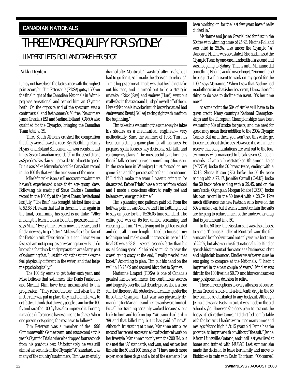#### <span id="page-11-0"></span>**CANADIAN NATIONALS**

## THREE MORE QUALIFY FOR SYDNEY

#### LIMPERT LETS ROLLAND TAKE HER SPOT

#### **Nikki Dryden**

It may not have been the fastest race with the highest point score, but Tim Peterson's (PDSA) gutsy 1500 on the final night of the Canadian Nationals in Winnipeg was sensational and earned him an Olympic berth. On the opposite end of the spectrum was a controversial and fast women's 50 free. Newcomers Jenna Gresdal (ES) and Nadine Rolland (CAMO) also qualified for the Olympics, bringing the Canadian Team total to 39.

Three South Africans crushed the competition that they were allowed to race. Ryk Neethling, Penny Heyns, and Roland Schoeman all won events in fast times. Seven Canadian records fell in the 50s of stroke as Speedo's Fastskin suit proved a true boost to speed. But it was Mike Mintenko's double Canadian record in the 100 fly that was the true swim of the meet.

Mike Mintenko is on a roll most senior swimmers haven't experienced since their age-group days. Following his erasing of Steve Clarke's Canadian record in the 100 fly at the Janet Evans Invitational last July, "The Bear" has brought his best time down to 52.88. He swam that fast in the semi, then again in the final, confirming his speed is no fluke. "After making the team it took a lot of the pressure off me," says Mike. "Every time I swim now it is easier, and I find a new way to go faster." Mike is also a big fan of the Fastskin suit. "Ever since I put it on I have swum fast, so I am not going to stop wearing it now. But I do know that hard work and preparation are a large part of swimming fast. I just think that the suit makes me feel physically different in the water, and that helps me psychologically."

The 100 fly seems to get faster each year, and Mike believes that swimmers like Denis Pankratov and Michael Klim have been instrumental to this progression. "They raised the bar, and when the 15 metre rule was put in place they had to find a way to get faster. I think that the way people train for the 100 fly and race the 100 fly has also improved it. For me, it made a difference to have someone to chase. When one person gets going, the rest have to follow."

Tim Peterson was a member of the 1998 Commonwealth Games team, and was second at this year's Olympic Trials, where he dropped four seconds from his previous best. Unfortunately he was still almost ten seconds off the Olympic "A" standard. Like many of the country's swimmers, Tim was mentally

drained after Montreal. "I was tired after Trials, but I had to go for it, so I made the decision to refocus." Tim's biggest error at Trials was that he did not take out his race, and it turned out to be a strategic mistake. "Rick [Say] and Andrew [Hurd] went out really fast in that race and I judged myself off of them. Here at Nationals it worked much better because I had Andrew and Brent [Sallee] racing right with me from the beginning."

Tim takes his swimming the same way he takes his studies as a mechanical engineer—very methodically. Since the summer of 1998, Tim has been completing a game plan for all his races. He prepares splits, focuses, key decisions, self-talk, and contingency plans. "The most useful part for me is the self-talk because it gives me one thing to focus on. In the race here in Winnipeg I just focused on my game plan and the process rather than the outcome. If I didn't make the team I wasn't going to be devastated. Before Trials I was a bit tired from school and I made a conscious effort to really rest and balance my energy this time."

Tim's planning and patience paid off. From the halfway point it was Andrew and Tim battling it out to stay on pace for the 15:26.05 time standard. The entire pool was on its feet united, screaming and cheering for Tim. "I was trying not to get too excited and do it all in one length. I tried to focus on my technique and make small increases in pace." His final 50 was a 28.8—several seconds faster than his usual closing speed. "It helped so much to have the crowd going crazy at the end, I really needed that boost." According to plan, Tim put his hand on the wall in 15:25.09 and secured his ticket to Sydney.

Marianne Limpert (PDSA) is one of Canada's greatest female swimmers. Her continuous success and longevity over the last decade proves she is a true star, but there are still obstacles and challenges for the three-time Olympian. Last year was physically demanding for Marianne and her rewards were limited. But all her training certainly worked because she is back to form and back on top. "We trained so hard in '99 and that killed me, but it has paid off now!" Although frustrating at times, Marianne attributes most of her recent success to a lot of technical work on her freestyle. Marianne not only won the 200 IM, but she met the "A" standards, and won, and set two best times in the 50 and 100 freestyles. "I have much more experience these days and a lot of the elements I've

been working on for the last few years have finally clicked in."

Marianne and Jenna Gresdal tied for first in the 50 free with winning times of 25.93. Nadine Rolland was third in 25.94, also under the Olympic "A" standard. Nadine was devastated. She had missed the Olympic Team by one-one hundredth of a second and was not going to Sydney. That is until Marianne did something Nadine would never forget. "For me the 50 free is just a fun event to work on my speed for the 100," says Marianne. "When I saw that Nadine had made the cut in what is her best event, I knew the right thing to do was to decline the event. It's her time now."

At some point the 50s of stroke will have to be given credit. Many country's National Championships and the European Championships have been swimming 50s of stroke for years, and the need for speed may mean their addition to the 2004 Olympic Games. But until then, you won't see this writer get too excited about stroke 50s. However, it is with much reserve that congratulations are sent out to the four swimmers who managed to break seven Canadian records. Olympic breaststroker Rhiannon Leier (MANTA) broke the 50 breast twice, ending with a 32.18. Shona Kitson (SE) broke the 50 fly twice ending with a 27.17. Jennifer Carroll (CAMO) broke the 50 back twice ending with a 29.45, and on the men's side, Olympian Morgan Knabe (UCSC) broke his own record in the 50 breast with a 28.79. How much difference the new Fastskin suits have on the 50s is unknown, but it seems almost certain the suits are helping to reduce much of the underwater drag that is paramount in a 50.

In the 50 free, the Fastskin suit was also a boost to some. Thomas Kindler of Montreal wore the full arms and legs bodysuit and not only swam a best time of 22.97, but also won his first national title. Kindler spends his time out of the water as a business student and nightclub bouncer. Kindler wasn't even sure he was going to compete at the Nationals. "I hadn't improved in the past couple of years." Kindler was third in the 100 free in a 50.70, and his recent success may postpone his decision to retire.

There are exceptions to every allusion of course. Jenna Gresdal's four-and-a-half tenth drop in the 50 free cannot be attributed to any bodysuit. Although Jenna did wear a Fastskin suit, it was made in the old school style. However she does plan to test out the bodysuit before the Games. "I didn't feel comfortable with the leg-suit. I hadn't worn it too many times and my legs felt too high." At 15 years old, Jenna has the potential to improve with or without "the suit." Jenna is from Huntsville, Ontario, and until last year lived at home and trained with MUSAC. Last summer she made the decision to leave her family and move to Etobicoke to train with Kevin Thorburn. "Of course I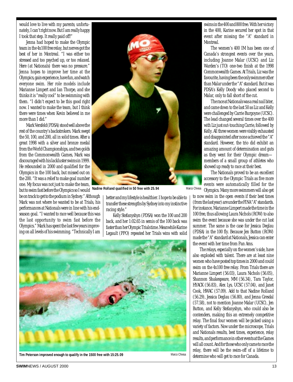would love to live with my parents; unfortunately, I can't right now. But I am really happy I took that step. It really paid off!"

Jenna had hoped to make the Olympic team in the 4x100 free relay, but nerves got the best of her in Montreal. "I was either too stressed and too psyched up, or too relaxed. Here (at Nationals) there was no pressure." Jenna hopes to improve her time at the Olympics, gain experience, have fun, and watch everyone swim. Her role models include Marianne Limpert and Ian Thorpe, and she thinks it is "really cool" to be swimming with them. "I didn't expect to be this good right now. I wanted to make the team, but I think there were times when Kevin believed in me more than I did."

Mark Versfeld (PDSA) stood well above the rest of the country's backstrokers. Mark swept the 50, 100, and 200, all in solid times. After a great 1998 with a silver and bronze medal from the World Championships, and two golds from the Commonwealth Games, Mark was discouraged with his lackluster swims in 1999. He rebounded in 2000 and qualified for the Olympics in the 100 back, but missed out on the 200. "It was a relief to make goal number one. My focus was not just to make the team, but to swim fast before the Olympics so I would

be on track to get to the podium in Sydney." Although Mark was not where he wanted to be at Trials, his performances at Nationals were in line with his endseason goal. "I wanted to race well because this was the last opportunity to swim fast before the Olympics." Mark has spent the last few years improving on all levels of his swimming. "Technically I am



**Nadine Rolland qualified in 50 free with 25.94**

better and my lifestyle is healthier. I hope to be able to transfer these strengths by Sydney into my instinctive racing style."

Kelly Stefanyshyn (PDSA) won the 100 and 200 back, and her 1:02.65 in semis of the 100 back was faster than her Olympic Trials time. Meanwhile Karine Legault (PPO) repeated her Trials wins with solid



swims in the 400 and 800 free. With her victory in the 400, Karine secured her spot in that event after missing the "A" standard in Montreal.

The women's 400 IM has been one of Canada's strongest events over the years, including Joanne Malar (UCSC) and Liz Warden's (TO) one-two finish at the 1998 Commonwealth Games. At Trials, Liz was the favourite, having been the only swimmer other than Malar under the "A" standard. But it was PDSA's Kelly Doody who placed second to Malar, only to fall short of the cut.

The race at Nationals was a real nail biter, and came down to the last 50 as Liz and Kelly were challenged by Carrie Burgoyne (UCSC). The lead changed several times over the 400 with Liz just out-touching Carrie, followed by Kelly. All three women were visibly exhausted and disappointed after none achieved the "A" standard. However, the trio did exhibit an amazing amount of determination and guts as they went for their Olympic dream members of a small group of athletes who showed up ready to race at their best.

The Nationals proved to be an excellent accessory to the Olympic Trials as five more events were automatically filled for the Olympics. Many more swimmers will also get

to now swim in the open events if their best times (from the last year) are under the FINA "A" standards. For instance, Marianne Limpert made the time in the 100 free, thus allowing Laura Nichols (ROW) to also swim the event because she was under the cut last summer. The same is the case for Jessica Deglau (PDSA) in the 100 fly. Because Jen Button (ROW) made the "A" standard at Nationals, Jessica can enter the event with her time from Pan Ams.

The relays, especially on the women's side, have also exploded with talent. There are at least nine women who have posted top times in 2000 and could swim on the 4x100 free relay. From Trials there are Marianne Limpert (56.03), Laura Nichols (56.05), Shannon Shakespeare, MM (56.34), Tara Taylor, HYACK (56.83), Alex Lys, UCSC (57.04), and Janet Cook, HWAC (57.09). Add to that Nadine Rolland (56.29), Jessica Deglau (56.80), and Jenna Gresdal (57.58), not to mention Joanne Malar (UCSC), Jen Button, and Kelly Stefanyshyn, who could also be contenders, making this an extremely competitive relay. The final four women will be picked using a variety of factors. Now under the microscope, Trials and Nationals results, best times, experience, relay results, and performance in other events at the Games will all count. And for those who only came to race the relay, there will be the swim-off of a lifetime to determine who will get to race for Canada.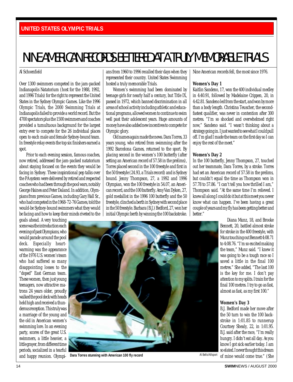## <span id="page-13-0"></span>NINE AMERICAN RECORDS BETTERED AT A TRULY MEMORABLE TRIALS

#### Al Schoenfield

Over 1300 swimmers competed in the jam-packed Indianapolis Natatorium (host for the 1988, 1992, and 1996 Trials) for the right to represent the United States in the Sydney Olympic Games. Like the 1996 Olympic Trials, the 2000 Swimming Trials at Indianapolis failed to provide a world record. But the 4700 spectators plus the 1500 swimmers and coaches provided a tumultuous background for the largest entry ever to compete for the 26 individual places open to each male and female Sydney-bound team. In freestyle relay events the top six finishers earned a spot.

Prior to each evening session, famous coaches, now retired, addressed the jam-packed natatorium about staying focused on the events they would be facing in Sydney. These inspirational pep talks over the PA system were delivered by retired and respected coaches who had been through the pool wars, notably George Haines and Peter Daland. In addition, Olympians from previous Games, including Gary Hall Sr., who had competed in the 1968-72-76 Games, told the would-be Sydney-bound swimmers what they would be facing and how to keep their minds riveted to the

goals ahead. A very touching scene was the introduction each evening of past Olympians, who would parade around the pool deck. Especially heartwarming was the appearance of the 1976 U.S. women's team who had suffered so many disappointing losses to the "doped" East German team. These women, then just young teenagers, now attractive matrons 24 years older, proudly walked the pool deck with heads held high and received a thunderous reception. This truly was a marriage of the young and the old in American women's swimming lore. In an evening party, scores of the great U.S. swimmers, a little heavier, a little grayer, from different time periods, socialized in a tearful and happy reunion. Olympi-

ans from 1960 to 1996 recalled their days when they represented their country. United States Swimming hosted a truly memorable Trials.

Women's swimming had been dominated by teenage girls for nearly half a century, but Title IX, passed in 1972, which banned discrimination in all areas of school activity including athletic and educational programs, allowed women to continue to swim well past their adolescent years. Huge amounts of money have also added new incentives to compete for Olympic glory.

Old names again made the news. Dara Torres, 33 years young, who retired from swimming after the 1992 Barcelona Games, returned to the sport. By placing second in the women's 100 butterfly (after setting an American record of 57.58 in the prelims), Torres placed second in the 100 freestyle and first in the 50 freestyle (24.93, a Trials record) and is Sydney bound. Jenny Thompson, 27, a 1992 and 1996 Olympian, won the 100 freestyle in 54.07, an American record, and the 100 butterfly. Amy Van Dyken, 27, gold medallist in the 1996 100 butterfly and the 50 freestyle, clinched a berth in Sydney with second place in the 50 freestyle. Barbara (B.J.) Bedford, 27, won her initial Olympic berth by winning the 100 backstroke. Nine American records fell, the most since 1976.

#### **Women's Day 1**

Kaitlin Sandeno, 17, won the 400 individual medley in 4:40.91, followed by Madelaine Crippen, 20, in 4:42.81. Sandeno led from the start, and won by more than a body length. Christina Teuscher, the secondfastest qualifier, was never in contention after 300 metres. "I'm so shocked and overwhelmed right now," Sandeno said. "I wasn't thinking about a strategy going in. I just wanted to see what I could pull off. I'm glad I made the team on the first day so I can enjoy the rest of the meet."

#### **Women's Day 2**

In the 100 butterfly, Jenny Thompson, 27, touched out her teammate, Dara Torres, by a stroke. Torres had set an American record of 57.58 in the prelims, but couldn't equal the time as Thompson won in 57.78 to 57.86. "I can't tell you how thrilled I am," Thompson said. "At the same time I'm relieved. I knew all along I could do it but at this meet you never know what can happen. I've been having a great couple of years and my fly has been getting better and better."

> Diana Munz, 18, and Brooke Bennett, 20, battled almost stroke for stroke in the 400 freestyle, with Munz touching out Bennett 4:08.71 to 4:08.76. "I'm so excited making the team," Munz said. "I knew it was going to be a tough race so I saved a little in the final 100 metres." She added, "The last 100 is the key for me. I don't pay attention to my splits. I train for the final 100 metres. I try to go as fast, almost as fast, as my first 100."

#### **Women's Day 3**

B.J. Bedford made her move after the 50 turn to win the 100 backstroke in 1:01.85 to runnerup Courtney Shealy, 22, in 1:01.95. B.J. said after the race, "I'm really hungry. I didn't eat all day. As you know I got sick earlier today. I am so elated. I never thought this dream of mine would come true." (She

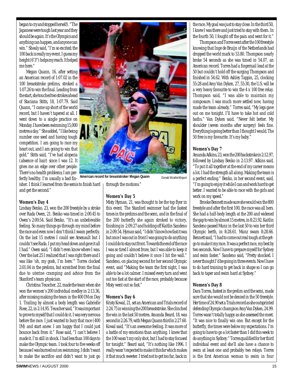began to cry and stopped herself). "The Japanese were tough last year and they should be again. It's the Olympics and anything can happen, and anyone can win." Shealy said, "I'm so excited; the 100 back is really my event. I guess my height (6'3") helps my reach. It helped me here."

Megan Quann, 16, after setting an American record of 1:07.02 in the 100 breaststroke prelims, stroked a 1:07.26 to win the final. Leading from the start, she touched two strokes ahead of Staciana Stitts, 18, 1:07.79. Said Quann, "I came up short of the world record, but I haven't tapered at all. I went down to a single practice on Monday. I have been swimming 15,000 metres a day." She added, "I like being number one seed and having tough competition. I am going to race my heart out, and I am going to win that gold." Stitts said, "I've had alopecia (absence of hair) since I was 12. It gives me an edge over other people. There's no health problems; I am perfectly healthy. I'm usually a bad fin-

isher. I think I learned from the semis to finish hard and get the second."

#### **Women's Day 4**

Lindsay Benko, 23, won the 200 freestyle by a stroke over Rada Owen, 21. Benko was timed in 2:00.45 to Owen's 2:00:54. Said Benko, "It's an unbelievable feeling. So many things go through my mind before the race and even now I don't think I swam perfectly. On the last 15 metres I could see Arsenault but I couldn't see Rada. I put my head down and gave it all I had." Owen said, "I didn't even know where I was. Over the last 25 I realized that I was right there and I was like 'oh, my gosh, I'm here.'" Torres clocked 2:01.04 in the prelims, but scratched from the final due to uterine cramping and advice from the Stanford's team physician.

Christina Teuscher, 22, made the team when she won the women's 200 individual medley in 2:13.36, after missing making the team in the 400 IM on Day 1. Trailing by almost a body length was Gabrielle Rose, 22, in 2:14.95. Teuscher said, "It was important to prove to myself that I could do it. I was very nervous before the race. I just wanted to bury that race (400 IM) and start anew. I am happy that I could just bounce back from it." Rose said, "I can't believe I made it. I'm still in shock. I had less than 100 days to make the Olympic team. I took four to five weeks off because I was burned out on swimming. I didn't want to make the sacrifice and didn't want to just go



**American record for breaststroker Megan Quann** Donald Miralle/Allsport

through the motions."

#### **Women's Day 5**

Misty Hyman, 21, was thought to be the top flyer in this event. The Stanford swimmer had the fastest times in the prelims and the semi, and in the final of the 200 butterfly she again stroked to victory, finishing in 2:09.27 and holding off Kaitlin Sandeno in 2:09.54. Hyman said, "I didn't know how fast it was but once I was out in front I was going to do anything I could do to stay out front. Towards the end of the race I was so tired I almost froze, but I was able to keep it going and couldn't believe it once I hit the wall." Sandeno, on placing second for her second Olympic event, said "Making the team the first night, I was able to be a lot calmer. I missed every turn and went out too fast at the start of the race, probably because Misty went out so fast."

#### **Women's Day 6**

Kristy Kowal, 21, set an American and Trials record of 2:24.75 in winning the 200 breaststroke. She clinched the win in the last 50 metres. Amanda Beard, 18, was second in 2:26.79, with Megan Quann third in 2:27.60. Kowal said, "It's an awesome feeling. It was more of a battle of my emotions than anything. I knew that the 100 wasn't my only shot, but I had to stay focused for tonight." Beard said, "It's nothing like 1996. I really wasn't expected to make it this far which makes it that much sweeter. I tried not to get too far, back in

the race. My goal was just to stay close. In the third 50, I knew I was there and just tried to stay with them. In the fourth 50, I fought off the pain and went for it."

Thompson and Torres went after the 100 freestyle knowing that Inge de Bruijn of the Netherlands had dropped the world mark to 53.80. Thompson nearly broke 54 seconds as she was timed in 54.07, an American record. Torres had a fingernail lead at the 50 but couldn't hold off the surging Thompson and finished in 54.62. With Ashley Tappin, 25, clocking 55:28 and Amy Van Dyken, 27, 55:30, the U.S. will be a very heavy favourite to win the 4 x 100 free relay. Thompson said, "I was able to maintain my composure. I was much more settled now, having made the team already." Torres said, "My legs gave out on me tonight. I'll have to take hot and cold baths." Van Dyken said, "Never felt better. My shoulder (seven months after surgery) feels fine. Everything is going better than I thought I would. The 50 free is my favourite. It's my baby."

#### **Women's Day 7**

Amanda Adkins, 23, won the 200 backstroke in 2:12.97, followed by Lindsay Benko in 2:13.97. Adkins said, "To put it all together at the end of my career means a lot. I had the strength all along. Making the team is a perfect ending." Benko, in her second event, said, "I'm going to enjoy it while I can and work hard to get better. I wanted to be able to race with the girls and work on my speed."

Brooke Bennett made sure she would win the 800 freestyle and after the first 100, the race was all hers. She had a half-body length at the 200 and widened the gap to win by almost 15 metres, in 8:23.92. Kaitlin Sandeno passed Munz in the last 50 to win her third Olympic berth, in 8:28.61. Munz swam 8:28.66. Bennett said, "I had to come out real tough at the getgo to make it my race. It was a perfect race, my best by two seconds. Now I have to prepare myself for Sydney and swim faster." Sandeno said, "Pretty shocked. I never thought I'd be going in three events. Now I have to do hard training to get back in shape so I can go back to taper and swim hard at Sydney."

#### **Women's Day 8**

Dara Torres, fastest in the prelim and the semi, made sure that she would not be denied in the 50 freestyle. Her time of 24.90 set a Trials record as she outsprinted defending Olympic champion Amy Van Dyken, 24.99. Torres wasn't totally happy as she assessed the meet. "It was nice to finally win one. But except for the butterfly, the times were below my expectations. I'm going to have to go a lot faster than I did this week to do anything in Sydney." Torres qualified for her third individual event and she'll also have a chance to swim at least one and probably two relays. Torres is the first American woman to swim in four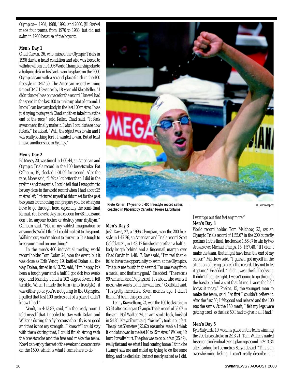Olympics—1984, 1988, 1992, and 2000. Jill Sterkel made four teams, from 1976 to 1988, but did not swim in 1980 because of the boycott.

#### **Men's Day 1**

Chad Carvin, 26, who missed the Olympic Trials in 1996 due to a heart condition and who was forced to withdraw from the 1998 World Championships due to a bulging disk in his back, won his place on the 2000 Olympic team with a second-place finish in the 400 freestyle in 3:47.50. The American record winning time of 3:47.18 was set by 18-year-old Klete Keller. "I didn't know I was on pace for the record. I knew I had the speed in the last 100 to make up alot of ground. I know I can beat anybody in the last 100 metres. I was just trying to stay with Chad and then take him at the end of the race," said Keller. Chad said, "It feels awesome to finally make it. I wish I could share how it feels." He added, "Well, the object was to win and I was really kicking for it. I wanted to win. But at least I have another shot in Sydney."

#### **Men's Day 2**

Ed Moses, 20, was timed in 1:00.44, an American and Olympic Trials record in the 100 breaststroke. Pat Calhoun, 19, clocked 1:01.09 for second. After the race, Moses said, "I felt a lot better than I did in the prelims and the semis. I could tell that I was going to be very close to the world record when I had about 25 metres left. I pictured myself at this meet for the past two years, but nothing can prepare you for what you have to go through here, especially the semi-final format. You have to stay in a cocoon for 48 hours and don't let anyone bother or destroy your rhythym." Calhoun said, "Not in my wildest imagination or anyone else's did I think I could make it to this point. Walking out, you're about to throw up. It is tough to keep your mind on one thing."

In the men's 400 individual medley, world record holder Tom Dolan 24, won the event, but it was close as Erik Vendt, 19, battled Dolan all the way. Dolan, timed in 4:13.72, said, "I'm happy. It's been a tough year and a half. I got sick two weeks ago, and Monday I had a 102 degree fever. I felt terrible. When I made the turn (into freestyle), it was either go or you're not going to the Olympics. I pulled that last 100 metres out of a place I didn't know I had."

Vendt, in 4:13.87, said, "In the ready room I told myself that I needed to stay with Dolan and Wilkens during the fly because their fly is so good and that is not my strength...I knew if I could stay with them during that, I could finish strong with the breaststroke and the free and make the team. Now I can enjoy the rest of the week and concentrate on the 1500, which is what I came here to do."



**Klete Keller, 17-year-old 400 freestyle record setter, coached in Phoenix by Canadian Pierre Lafontaine**

#### **Men's Day 3**

Josh Davis, 27, a 1996 Olympian, won the 200 freestyle in 1:47.26, an American and Trials record. Scott Goldblatt 21, in 1:48.12 finished more than a half-abody-length behind and a fingernail margin over Chad Carvin in 1:48.17. Davis said, "I'm real thankful to have the opportunity to swim at the Olympics. This puts me fourth in the world. I'm one away from a medal, and that's my goal." He added, "The race is 99% mental and 1% physical. It's about who wants it most, who wants to hit the wall first." Goldblatt said, "It's pretty incredible. Seven months ago, I didn't think I'd be in this position."

Lenny Krayzelburg, 24, won the 100 backstroke in 53.84 after setting an Olympic Trials record of 53.67 in the semi. Neil Walker, 24, an arm stroke back, finished in 54.85. Krayzelburg said, "We really took it out fast. The split at 50 metres (25.62) was unbelievable. I think it kind of showed in the last 10 to 15 metres." Walker, "It hurt. It really hurt. The plan was to go out fast (25.49), really fast and see what I had coming home. I think he (Lenny) saw me and ended up trying to do the same thing, and he died also, but not nearly as bad as I did.

I won't go out that fast any more." **Men's Day 4**

World record holder Tom Malchow, 23, set an Olympic Trials record of 1:55.67 in the 200 butterfly prelims. In the final, he clocked 1:56.87 to win by two strokes over Michael Phelps, 15, 1:57.48. "If I didn't make the team, that might have been the end of my career," Malchow said. "I guess I got myself in the situation of trying to break the record. I try not to let it get me." He added, "I didn't wear the full bodysuit. It didn't fit quite right. I wasn't going to go through the hassle to find a suit that fit me. I wore the half bodysuit today." Phelps, 15, the youngest man to make the team, said, "At first I couldn't believe it. After the first 50, I felt good and relaxed and the 100 was the same. At the 150 mark, I felt my legs were getting tired, so the last 50 I had to give it all I had."

Al Bello/Allsport

#### **Men's Day 5**

Kyle Salyards, 19, won his place on the team winning the 200 breaststroke in 2:13.21. Tom Wilkens nailed his second individual event, placing second in 2:13.34 after leading for 150 metres. Salyards said, "This is an overwhelming feeling, I can't really describe it. I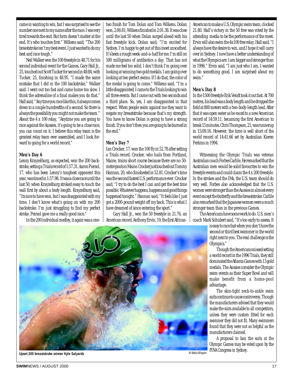came in wanting to win, but I was surprised to see the number one next to my name after the race. I was very tired towards the end. But form doesn't matter at the end. It's who touches first." Wilkens said, "The 200 breaststroke isn't my best event. I just wanted to do my best and race tough."

Neil Walker won the 100 freestyle in 48.71 for his second individual event for the Games. Gary Hall Jr., 25, touched out Scott Tucker for second in 48:84, with Tucker, 25, finishing in 48.95. "I made the same mistake that I did in the 100 backstroke," Walker said. I went out too fast and came home too slow. I think the adrenaline of a final makes you do that." Hall said, "Any time you race like this, it always comes down to a couple hundredths of a second. So there is always the possibility you might not make the team." About the 4 x 100 relay, "Anytime you are going to race against the Aussies, it's going to be a close race, you can count on it. I believe this relay team is the greatest relay team ever assembled, and I look forward to going for a world record."

#### **Men's Day 6**

Lenny Krayzelburg, as expected, won the 200 backstroke, setting a Trials record of 1:57.31. Aaron Piersol, 17, who has been Lenny's toughest opponent this year, was timed in 1:57.98. It was a close race until the last 50, when Krayzelburg stroked away to touch the wall first by about a body length. Krayzelburg said, "Its nice to have won, but I was disappointed with my time. I don't know what's going on with my 200 backstroke. I'm just struggling to find my perfect stroke. Peirsol gave me a really good race."

In the 200 individual medley, it again was a one-

two finish for Tom Dolan and Tom Wilkens. Dolan won, 2:00.81; Wilkens finished in 2:01.38. It was close until the last 50 when Dolan surged ahead with his fast freestyle kick. Dolan said, "I'm excited for Sydney. I'm happy to get out of this meet unscathed. It's been a rough week-and-a-half for me. I'm still on 500 milligrams of antibiotics a day. That has not made me feel too solid. I don't think I'm going over looking at winning two gold medals. I am going over looking at two perfect swims. If I do that, the color of the medal is going to come." Wilkens said, "I'm a little disappointed. I came to the Trials looking to win all three events. But I came out with two seconds and a third place. So, yes, I am disappointed in that respect. When people swim against me they want to negate my breaststroke because that's my strength. You have to know Dolan is going to have a strong finish. If you don't then you are going to be burned in the end."

#### **Men's Day 7**

Ian Crocker, 17, won the 100 fly in 52.78 after setting a Trials record. Crocker, who hails from Portland, Maine, trains short course because there are no 50 metre pools in Maine. Crocker just touched out Tommy Hannan, 20, who finisheded in 52.81. Crocker's time was the second fastest U.S. performance ever. Crocker said, "I try to do the best I can and get the best time possible. Whatever happens, happens and good things happened tonight." Hannan said, "It feels like I just got a 2000-pound weight off my back. This is what I have dreamed of since entering the sport."

Gary Hall Jr., won the 50 freestyle in 21.76, an American record. Anthony Ervin, 19, the first AfricanAmerican to make a U.S. Olympic swim team, clocked 21.80. Hall's victory in the 50 free was voted by the attending media to be the performance of the meet. Ervin will also swim the 4x100 free relay. Hall said, "I always have the desire to win, and I hope it will carry over in Sydney. I now have a better understanding of what the Olympics are. I am bigger and stronger than in 1996." Ervin said, "I am just who I am. I wanted to do something good. I am surprised about my swim."

#### **Men's Day 8**

In the 1500 freestyle Erik Vendt took it out fast. At 700 metres, his lead was a body length and he dropped the field at 800 meters with a two-body-length lead. After that it was open water as he raced to a new American record of 14:59.11, becaming the first American to break 15 minutes. Chris Thompson, 21, was runnerup in 15:09.16. However, the time is well short of the world record of 14:41.66 set by Australian Kieren Perkins in 1994.

Witnessing the Olympic Trials was veteran Australian coach Forbes Carlile. He remarked that the Australian men would be solid favourites to win the freestyle events and could claim the 4 x 200 freestyle. In the strokes and the IMs, the U.S. team should do very well. Forbes also acknowledged that the U.S. women were stronger than the Aussies in almost every event except the butterfly and the breaststroke. Carlile also remarked that the Japanese women were a much stronger team than in the previous Games.

The Americans have some work to do. U.S. men's coach Mark Schubert said, "It's too early to assess. It

> is easy to race fast when you don't have the second or third best swimmer in the world right next to you. The real challenge is the Olympics."

> Though the Americans missed setting a world record in the 1996 Trials, they still dominated the Atlanta Games with 13 gold medals. The Aussies consider the Olympic swim events as their Super Bowl and will make benefit from a home-pool advantage.

> The skin-tight neck-to-ankle swim suits continue to cause controversy. Though the manufacturers advised that they would make the suits available to all competitors, unless they were custom fitted for each swimmer they did not fit. Many swimmers found that they were not as helpful as the manufacturers claimed.

> A proposal to ban the suits at the Olympic Games may be voted upon by the

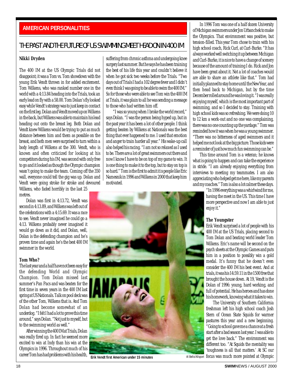#### <span id="page-17-0"></span>**AMERICAN PERSONALITIES**

#### THE PAST AND THE FUTURE OF US SWIMMING MEET HEAD ON IN 400 IM

#### **Nikki Dryden**

The 400 IM at the US Olympic Trials did not disappoint; it was a Tom vs. Tom showdown with the young Erik Vendt thrown in for added excitement. Tom Wilkens, who was ranked number one in the world with a 4:13.84 heading into the Trials, took an early lead on fly with a 58.00. Tom Dolan's fly looked easy while Vendt's strategy was to just keep in contact on the first leg. Dolan and Vendt moved up on Wilkens in the back, but Wilkens was able to maintain his lead heading out onto the breast leg. Both Dolan and Vendt knew Wilkens would be trying to put as much distance between him and them as possible on the breast, and both men were surprised to turn within a body length of Wilkens at the 300. Vendt, who is known and often criticized for looking at his competitors during his IM, was second with only free to go and it looked as though the Olympic champion wasn't going to make the team. Coming off the 350 wall, everyone could tell the gig was up. Dolan and Vendt were going stroke for stroke and devoured Wilkens, who faded horribly in the last 25 metres.

Dolan was first in 4:13.72, Vendt was second in 4:13.89, and Wilkens was left out of the celebrations with a 4:15.69. It was a race to see. Vendt never imagined he could go a 4:13. Wilkens probably never imagined it would go down as it did, and Dolan, well, Dolan is the defending champion and he's proven time and again he's the best 400 IM swimmer in the world.

#### **Tom Who?**

The last year and a half have not been easy for the defending World and Olympic Champion. Tom Dolan missed last summer's Pan Pacs and was beaten for the first time in seven years in the 400 IM last spring at US Nationals. Talk on pool deck was of the other Tom, Wilkens that is. And Tom Dolan had become somewhat of an underdog. "I felt I had a lot to prove this time around," says Dolan. "Not just to myself, but to the swimming world as well."

After winning the 400 IM at Trials, Dolan was really fired up. In fact he seemed more excited to win at Indy than his win at the Olympics in 1996. Throughout much of his career Tom has had problems with his health, suffering from chronic asthma and undergoing knee surgery last summer. But he says he has been training the best of his life this year and couldn't believe it when he got sick two weeks before the Trials. "Two days out of Trials I had a 102 degree fever and I didn't even think I was going to be able to swim the 400 IM." So for those who were able to see Tom win the 400 IM at Trials, it was plain to all he was sending a message to those who had written him off.

"I was so young when I broke the world record," says Dolan. "I was the person being hyped up, but in the past year it has been a lot of other people. I think getting beaten by Wilkens at Nationals was the best thing that ever happened to me. I used that emotion and anger to train harder all year." His wake-up call also helped his racing. "I am not so relaxed as I used to be. There are a lot of great swimmers out there and now I know I have to be on top of my game to win. It is one thing to make it to the top, but to stay on top is so hard." Tom is the first to admit it is people like Eric Namesnik in 1996 and Wilkens in 2000 that keep him motivated.



**Erik Vendt first American under 15 minutes** Al Bello/Allsport

In 1996 Tom was one of a half dozen University of Michigan swimmers under Jon Urbanchek to make the Olympics. That environment was positive, but tension-filled. This year Tom chose to train with his high school coach, Rick Curl, at Curl-Burke. "It has always worked well switching it up between Michigan and Curl-Burke, it is nice to have a change of scenery because of the amount of training I do. Rick and Jon have been great about it. Not a lot of coaches would are able to share an athlete like that." Tom had initially planned to stay home until the New Year, and then head back to Michigan, but by the time December rolled around he was loving it. "I was really enjoying myself, which is the most important part of swimming, and so I decided to stay. Training with high school kids was so refreshing. We were doing 10 to 12 km a work-out and no one was complaining, there was no one counting up the yardage." Tom was reminded how it was when he was a young swimmer. "There was no bitterness of aged swimmers and it helped me not look at the big picture. Those kids were a reminder of just how much fun swimming can be."

This time around Tom is a veteran; he knows what is going to happen and can take the experience in stride. "I am already enjoying everything from interviews to meeting my teammates. I am also appreciating who helped get me here, like my parents and my coaches." Tom is also a lot calmer these days.

"In 1996 everything was a whirlwind for me, having the meet in the US. This time I have more perspective and now I am able to just enjoy it."

#### **The Youngster**

Erik Vendt surprised a lot of people with his 400 IM at the US Trials, placing second to Tom Dolan and beating world leader Tom Wilkens. Eric's name will be second on the psych sheets at the Olympic Games and puts him in a position to possibly win a gold medal. It's funny that he doesn't even consider the 400 IM his best event. And at trials, it was his 14:59.11 in the 1500 free that brought the house down. At 19, Vendt is the Dolan of 1996: young, hard working, and full of potential. He has heroes and has done his homework, knowing what it takes to win.

The University of Southern California freshman left his high school coach Josh Stern of Ocean State Squids for warmer pastures this year and a new beginning. "Going to school gave me a chance at a fresh start after a bad season last year. I was able to get the love back." The environment was different too. "At Squids the mentality was 'toughness is all that matters.' At SC our focus was much more pointed at Olympic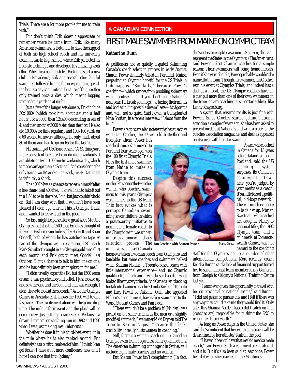<span id="page-18-0"></span>Trials. There are a lot more people for me to train with."

But don't think Erik doesn't appreciate or remember where he came from. Erik, like many American swimmers, is fortunate to have the support of both his high school coach and his university coach. It was in high school where Erik perfected his freestyle technique and developed his amazing work ethic. When his coach Josh left Boston to start a new club in Providence, Erik and several other faithful swimmers followed him to the new program, spending hours a day commuting. Because of this he often only trained once a day, which meant logging tremendous yardage at night.

Just a few of the longer sets done by Erik include 30x1000s (which took him about six and a half hours), or a 3000, then 12x400 descending in sets of 4, and then another 3000 faster than the first. He also did 10,000s for time regularly and 100x100 yards on a 60 second turnover (although he only made about 80 of them and had to go on 65 for the last 20).

His training at USC is no easier. "At SC things are more consistent because I can do more workouts. I am able to go two 10,000 metre workouts a day, which is more yardage than at Squids." And considering he only trains two IM workouts a week, his 4:13 at Trials is definitely a shock.

The 400 IM was a chance to redeem himself after a less-than-ideal 400 free. "I knew I had to take it out in a 1:53 to be in the race. I did, but just couldn't hold on. But I am okay with that. I wouldn't have been pleased if I didn't go after it. This is Olympic Trials, and I wanted to leave it all in the pool."

So Eric might be poised for a great 400 IM at the Olympics, but it is the 1500 that Erik has thought of for years. His heroes include Bobby Hackett and Brian Goodell, both of whom he has watched on tape. As part of the Olympic year preparation, USC coach Mark Schubert brought in an Olympic gold medallist each month and Erik got to meet Goodell last October. "I got a chance to talk to him one on one, and he has definitely been an inspiration for me."

"I didn't really expect the IM, but the 1500 was a dream. I was psyched beyond belief. I just looked up and saw the one and the four and that was enough, I didn't have to look at the seconds." As for the Olympic Games in Australia Erik knows the 1500 will be one fast race. "The excitement alone will help me drop time. The mile is their event and the place will be going crazy. Just getting to race Kieren Perkins is a dream. I remember watching him in 1992 and 1996 when I was just making my junior cuts."

Whether he does it in his third-best event, or in the mile where he is also ranked second, Eric definitely has a big future ahead of him. "I think I can get faster. I have a lot more confidence now and I hope I can ride that into Sydney."

#### **A CANADIAN CONNECTION**

### FIRST MALE SWIMMER FROM MAINE ON OLYMPIC TEAM

#### **Katharine Dunn**

As petitioners not so quietly disputed Swimming Canada's coach selection process in early August, Sharon Power similarly toiled in Portland, Maine, preparing an Olympic hopeful for the US Trials in Indianapolis. "Similarly," because Power's coaching—which ranges from prodding swimmers with incentives like "If you don't make Nationals next year, I'll break your legs!" to taxing their minds and bodies in "impossible dream" sets—is vigorous and, well, not so quiet. Said Power, a transplanted Nova Scotian, in a recent interview: "I shoot from the hip."

Power's tactics are also noteworthy because they work: Ian Crocker, the 17-year-old butterflier and

freestyler whom Power has coached since she moved to Portland four years ago, won the 100 fly at Olympic Trials. He is the first male swimmer from Maine to make an Olympic team.

Despite this success, neither Power nor the two other women who coached swimmers to this year's Olympics were named to the US team. This fact evokes what is perhaps Canadian swimming's recent failure, in which a praiseworthy initiative to nominate a female coach to the Olympic team was undermined by a somewhat shady selection process. The **Ian Crocker with Sharon Power** Marco Chiesainitiative was novel (Canada

has never taken a woman coach to an Olympics) and laudable, but some coaches and swimmers balked when Shauna Nolden, a Toronto-based coach with little international experience—and no Olympic qualifier from her team—was chosen based on what looked like mystery criteria. And Canada isn't lacking for talented women coaches: Linda Kiefer of Toronto and Lucy Hewitt of Oakville, Ont., who appealed Nolden's appointment, have taken swimmers to the World Student Games and Pan Pacs.

"There wouldn't be a problem if (Nolden) was picked on the same criteria as the men or a slightly modified approach," swimmer Nikki Dryden told *The Toronto Star* in August. "Because this lacks credibility, it really hurts women in coaching."

Still, there is a woman coach on the Canadian Olympic swim team, regardless of her qualifications. The American swimming contingent in Sydney will include eight male coaches and no women.

But Sharon Power isn't complaining. (In fact,

she's not even eligible: as a non-US citizen, she can't represent the States in the Olympics.) The Americans, said Power, select Olympic coaches for a simple reason: Their swimmers will bring home medals. Even if she were eligible, Power probably wouldn't be named to the team. Though her swimmer, Ian Crocket, won his event at Olympics Trials, and indeed has a shot at a medal, the US Olympic coaches have all either put more than one of their own swimmers on the team or are coaching a superstar athlete, like Lenny Krayzelburg.

A system that rewards results is just fine with Power. Since Crocker started getting national attention a couple of years ago, she has been asked to present medals at Nationals and write a piece for the coaches association magazine, and she has appeared on its cover with her star swimmer. Power, who coached



staff for the Olympics nor to a number of other international competitions. More recently, coach Kendra Burton said a lack of financial support forced her to send national team member Kristy Cameron from Guelph to Calgary's National Training Centre last year.

"I was never given the opportunity to travel with her on provincial or national teams," said Burton. "I did not pester or pursue this and I felt if there was any way they could take me they would find it. Only after this Shauna Nolden fiasco did I catch on that (coaches are) responsible for pushing the SNC to recognise (their) worth."

As long as Power stays in the United States, she said she's confident that her worth as a coach will be determined by her athletes' feats in the pool.

"I haven't been told yet that my kid needs a male coach," said Power. Such a comment seems absurd, and it is. But it's also been said at least once: Power heard it when she coached in the Maritimes.

before taking a job in Portland, said the US coaching system surpasses its Canadian counterpart. "Down here, you're judged by your merits as a coach. It's a little less of a political, old-boys network." There is much evidence to back her up: Marian Sweetnam, who coached her daughter Nancy to national titles, the 1992 Olympic team, and a gold medal at Commonwealth Games, was not named to the coaching

in Canada for 13 years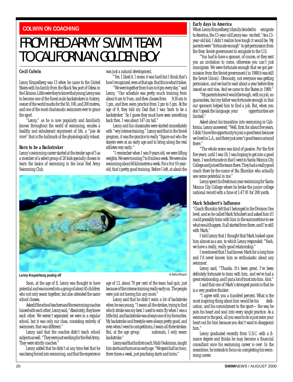#### <span id="page-19-0"></span>**COLWIN ON COACHING**

## FROM RED ARMY SWIM TEAM TO CALIFORNIAN GOLDEN BOY

#### **Cecil Colwin**

Lenny Krayzelberg was 13 when he came to the United States with his family from the Black Sea port of Odesa in the Ukraine. Little were they to know that young Lenny was to become one of the finest male backstrokers in history, owner of the world marks for the 50, 100, and 200 metres, and one of the most charismatic swimmers ever to grace the sport.

"Lenny," as he is now popularly and familiarly known throughout the world of swimming, exudes a healthy and exhuberant enjoyment of life, a "joie de vivre" that is the hallmark of the physiologically robust.

#### **Born to be a Backstroker**

Lenny's swimming career started at the tender age of 5 as a member of a select group of 20 kids specially chosen to learn the basics of swimming in the local Red Army Swimming Club.

was just a natural development.

'Yes. I liked it. I mean it was hard but I think that's how I recognized, even at that age, that this is what it takes.

"We were together from 6 am to 6 pm every day," said Lenny. "Our schedule was pretty much training from about 6 am to 9 am, and then classes from 9:30 am to 1 pm, and then swim practice from 2 pm to 5 pm. At the age of 9, they told my Dad that I was 'born to be a backstroker.' So I guess they must have seen something back then. I was about 147 cm tall."

Lenny and his classmates were started immediately with "very intense training." Lenny said that in the Soviet program, it was the practice to really "figure out who the stayers were at an early age and to bring along the real athletes very early.''

"I remember when I was 9 years old, we were lifting weights. We were running 7 to 8 miles a week. We were also swimming about 60 kilometres a week. For a 9 or 10-yearold, that's pretty good training. Before I left, at about the



Soon, at the age of 8, Lenny was thought to have potential and was moved into a group of about 45 children who not only swam together, but also attended the same school classes.

Asked if the school teachers and the swimming coaches liaised with each other, Lenny said, "Absolutely, they knew each other. We weren't separated; we were in a regular school, but it was only our class, consisting entirely of swimmers, that was different."

Lenny said that the coaches didn't teach school subjects as well. "They were just working for the Red Army. They were strictly coaches."

Lenny added that he didn't at any time feel that he was being forced into swimming, and that the experience

age of 13, about 70 per cent of the team had quit, just because of the intense training really early on. The people were just not having fun any more."

Lenny said that he didn't swim a lot of backstroke when he was young. "I swam all the strokes, trying to find which stroke was my best. I used to swim fly when I was a little kid, and backstroke was always one of my favourites. My backstroke and freestyle were always pretty good, and even when I went to competitions, I swam all three strokes.<br>But. at the age group nationals. I only swam But, at the age group backstroke."

Lenny said that his first coach,Vitali Ovakimian, taught him starts and turns at an early age. "We spent half an hour, three times a week, just practising starts and turns."

#### **Early days in America**

When Lenny Krayzelberg's family decided to emigrate to America, the 13-year-old Lenny was excited. "As a 13 year-old kid, I didn't realize how tough it would be. My parents were "fortunate enough" to get permission from the then Soviet government to emigrate to the U.S.

"You had to have a sponsor, of course, or they sent you an invitation to come, otherwise you can't just immigrate. We were fortunate enough that we got permission from the Soviet government (in 1988 it was still the Soviet Union). Obviously, not everyone was getting permission, and we had to wait about a year before they issued an exit visa. And we came to the States in 1989."

"My parents knew it would be tough, with no job, no guarantees, but my father was fortunate enough in that our sponsors helped him to find a job. But, when you don't speak the language, your opportunities are limited."

Asked about his transition into swimming in California, Lenny answered: "Well, first, for about five years, I didn't have the opportunity to join a good team because we lived in L.A., and there just aren't good teams around there."

"The whole scene was kind of passive. For the first five years, until I was 18, I was hoping to get into a good team. I was fortunate in that I went to Santa Monica City College and joined the team there. They had a really good coach there by the name of Stu Blumkin who actually saw some potential in me."

Lenny spent his freshman year swimming for Santa Monica City College where he broke the junior college national record with a time of 1:47.91 for 200 yards.

#### **Mark Schubert's Influence**

"Coach Blumkin felt that I belonged in the Division One level, and so he called Mark Schubert and asked him if I could posssibly train with him in the summertime to see what would happen. It all started from there, and I'm still with Mark."

I told Lenny that I thought that Mark looked upon him almost as a son, to which Lenny responded: "Yeah, we have a really, really good relationship."

I mentioned that I had known Mark for a long time and I'd never known him so enthusiastic about any swimmer.

Lenny said, "Thanks. It's been great. I've been definitely fortunate to train with him, and we've had a great relationship, and I put a lot of trust into him. A lot."

I said that one of Mark's strongest points is that he is a very positive thinker.

"I agree with you a hundred percent. What is the most inspiring thing about him would be his dedication, and his commitment to the sport—the way he puts his heart and soul into every single practice. As a swimmer in the pool, all you want to do is just swim your heart out for him because you don't want to disappoint him."

Lenny graduated recently from U.S.C. with a finance degree and thinks he may become a financial consultant once his swimming career is over. In the meantime, he intends to focus on completing his swimming career.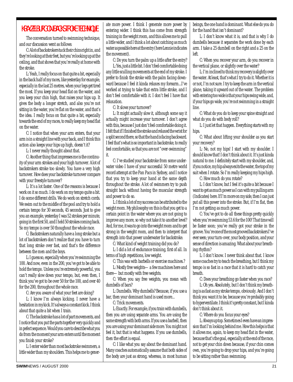#### KRAYZELBURG ON BACKSTROKE TECHNIQUE

The conversation turned to swimming technique, and our discussion went as follows:

C: A lot of backstrokers tuck their chins right in, and they're looking at their feet, but you're looking up at the ceiling, and that shows that you're really at home with the stroke.

L: Yeah, I really focus on that quite a bit, especially in the back half of my races, like yesterday for example, especially in the last 25 metres, when your legs get tired the most. If you keep your head flat on the water, and you keep your chin high, that raises your hips up. It gives the body a longer stretch, and also you're not sitting in the water, you're flat on the water, and that's the idea. I really focus on that quite a bit, especially towards the end of my races, to really keep my head flat on the water.

C: I notice that when your arm enters, that your arm is in a straight line with your back, and I think this action also keeps your hips up high, doesn't it?

L: I never really thought about that.

C: Another thing that impresses me is the continuity of your arm strokes and your high turnover. A lot of backstrokers stroke too slowly. You have a very high turnover. How does your backstroke turnover compare with your freestyle turnover?

L: It's a lot faster. One of the reasons is because I work on it so much. I do work on my tempo quite a bit. I do some different drills. We do work on stretch cords. We swim out to the middle of the pool and try to hold a certain tempo for 30 seconds, 45 seconds. Just to give you an example, yesterday I was 52 strokes per minute, going in the first 50, and I held 50 strokes coming back. So my tempo is over 50 thoughout the whole race.

C: Backstrokers naturally have a long stroke but a lot of backstrokers don't realize that you have to turn that long stroke over fast, and that's the difference between the men and the boys.

L: I guess so, especially when you're swimming the 100. And now, even in the 200, you've got to be able to hold the tempo. Unless you're extremely powerful, you can't really slow down your tempo, but, even then, I think you've got to be over 50 for the 100, and over 40 for the 200, throughout the whole race.

C: Are you aware of what your feet are doing?

L: I know I'm always kicking. I never have a hesitation in my kick. It's always a constant kick. I think about that quite a bit when I train.

C: The backstroke has a lot of part movements, and I notice that you put the parts together very quickly and in pefect sequence. Would you care to describe what you do from the moment your arm enters until the moment you finish your stroke?

L: I enter wider than most backstroke swimmers, a little wider than my shoulders. This helps me to gener-

ate more power. I think I generate more power by entering wider. I think this has come from strength training in the weight room, and this allows me to pull a little wider, and I think a lot about catching as much water as possible here at the entry (here Lennie indicates the movement).

C: Do you turn the palm up a little after the entry?

L: Yes, just a little bit. I don't feel comfortable doing any little sculling movements at the end of my stroke. I prefer to finish the stroke with the palm facing downward because I feel it kinda relaxes my forearm...I've worked at trying to take that extra little stroke, and I don't feel comfortable with it. I don't feel I have that relaxation.

C: It slows your turnover?

L: It might actually slow it, although some say it actually might increase your turnover. I don't agree with this, because I just don't feel comfortable doing it. I felt that if I finished the stroke and relaxed the wrist for a split second there, so that the hand is facing backward. I feel that's what is so important in backstroke, to really feel comfortable, so that you are not "over-swimming" it.

C: I've studied your backstroke from some underwater video I have of your successful 50 metre world record attempt at the Pan Pacs in Sydney, and I notice that you try to keep your hand at the same depth throughout the stroke. A lot of swimmers try to push straight back without having the muscular strength and power to do so.

L: I think a lot of my success can be attributed to the weight room. My philosophy on this is that you get to a certain point in the water where you are not going to improve any more, so why not take it to another level? And, for me, it was to go into the weight room and to get strong in the weight room, and then to interpret that strength into that power underwater for backstroke.

C: What kind of weight training did you do?

L: I did a lot of endurance training, first of all. In terms of high repetitions, low weight.

C: This was with barbells or exercise machines.?

L: Mostly free weights—a few machines here and there—but mostly with free weights.

C: When you say free weights, you mean with dumbells of bars?

L: Dumbells. Why dumbells? Because, if you use a bar, then your dominant hand is used more...

C: Trick movements.

L: Exactly. For example, if you train with dumbells, then you are using separate arms. You are using the same strength with both arms. If you use a barbell, then you are using your dominant side more. You might not feel it, but that is what happens. If you use dumbells, then the effort is equal.

C: I like what you say about the dominant hand. Many coaches automatically assume that both sides of the body are just as strong, whereas, in most human beings, the one hand is dominant. What else do you do for the hand that isn't dominant?

L: I don't know what it is, and that is why I do dumbells because it separates the work done by each arm. I take a 25 dumbell on the right and a 25 on the left.

C: When you recover your arm, do you recover in the vertical plane, or slightly over the water?

L: I'm inclined to think my recovery is slightly over the water. At least, that's what I try to do it. Whether it is or not, I'm not sure. I try to keep the arm in the vertical plane, taking it upward out of the water. The problem with entering too wide is that your hips swing wide, and, if your hips go wide, you're not swimming in a straight line.

C: What do you do to keep your spine straight and what do you do with body roll?

L: I just let that happen. Everything starts with my hips.

C: What about lifting your shoulder as you start your recovery?

L: No, not my hips! I start with my shoulder. I should know that! I don't think about it. It's just kinda natural to me. I definitely start with my shoulder, and, if you notice, my hip always exits the water, the top of my suit when I rotate. So I'm really keeping my hips high.

C: How much do you rotate?

L: I don't know, but I feel it's quite a bit because I want to get as much power as I can with my pulling arm (Indicates) here. If I'm more on my side, then I can just put all this power into the stroke. But, if I'm flat, then I'm not getting as much power.

C: You've got to do all these things pretty quickly when you're swimming 53.6 for the 100! That time will be faster soon; you've really got your stroke in the groove. You're one of the most grooved backstrokers I've ever seen; your turn-over, your body position, and your sense of direction is amazing. What about your breathing rhythm?

L: I don't know. I never think about that. I know some coaches try to teach the breathing, but I think my tempo is so fast in a race that it is hard to catch your breath.

C: Does your breathing go faster when you race?

L: Oh yes. Absolutely, but I don't think my breathing is as fast as my stroke tempo, obviously. And I don't think you want it to be, because you're probably going to hyperventilate. I think it's pretty constant, but I kinda don't think about it.

C: Where do you focus your eyes?

L: Always up top. Sometimes I even have an impression that I'm looking behind me. How this helps is that it allows me, again, to keep my head flat in the water, because that's the goal, especially at the end of the race, not to get your chin down because, if your chin comes own, you're going to drop your hips, and you're going to be sitting rather than swimming.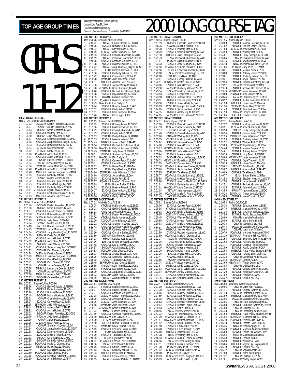### GIRLS 11-12 **50 METRES FREESTYLE** Rec: 27.16 Shauna Collins, ROD, 90<br>1 27.72 CASCMAY Kirsten 27.72 CASCMAY Kirsten Pomerleau, 12, UCSC<br>28.31 CONLAPR Allison Rennett 12 NYAC 2 28.31 ONIAPR Allison Bennett, 12, NYAC<br>3 28.43 ONIIIAPR Nadia Kumentas, 12, NYD<br>4 28.50 ONIGOUL Vintiney Rich, 12, ISS<br>5 28.80 ONIIIAPR Julia Wilkinson, 12, SKY<br>6 28.81 ONAGJUL Jacqueline McQuaig, 11, GGST<br>7 28.85 ONAGJU 8 28.93 BCAGJUL Brittany Reimer,12,SKSC<br>9 28.94 CASCMAY Mallory Hoekstra,12,EKSC<br>10 29.02 PGBMAR Kirsty Teit,12,PGB<br>11 29.06 POAAAJUL Alice Chow,12,PCSC<br>12 29.14 ONAGJUL Jamie MacLeod,12,USC 13 29.20 EOSAJUN Emily Gillespie,12,PERTH 14 29.34 LASCAPR Carleen Ready,12,LASC 15 29.36 ESWIMJUN Jackie Morrison,12,NYAC 16 29.40 PQAAAJUL Anne-M. L-Frechette,12,CNB 17 29.48 MBSKJUL Julianne Toogood,12,MANTA 18 29.55 BCAGJUL Kimberly Kabesh,12,STSC 19 29.72 ONIAPR Marlee Morden,12,CAJ 20 29.72 ABAGJUL Katerina Symes,12,EKSC 21 29.75 BCAGJUL Kayla Rawlings,12,PSW 22 29.77 ABAGJUL Kimberly Wilson,12,GPP 23 29.81 MSSACMAY Ogechi Abara,12,RHAC<br>24 29.81 BCAGJUL Kristine McDonald,11,KCS<br>25 29.85 MBSKJUL Amanda Bell,12,SPART **100 METRES FREESTYLE** Rec: 58.04 Shauna Collins,ROD,90 1 1:01.46 EKSCAPR Kirsten Pomerleau,12,UCSC 2 1:01.88 ONIIIAPR Nadia Kumentas,12,WD 2 1:02.07 ONAGJUL Emily Gillespie, 12, PERTH<br>4 1:02.88 BCAGJUL Brittany Reimer, 12, SKSC 4 1:02.88 BCAGJUL Brittany Reimer,12,SKSC 5 1:03.49 CASCMAY Mallory Hoekstra,12,EKSC 6 1:03.89 PPOMAY Jody Jelen,12,ESWIM 7 1:04.04 ONIAPR Marlee Morden,12,CAJ 8 1:04.18 EASTJUL Brooke Buckland,11,WTSC 9 1:04.23 ESWIMJUN Jackie Morrison,12,NYAC 10 1:04.34 ONAGJUL Jacqueline McQuaig,11,GGST 11 1:04.39 PGBMAR Kirsty Teit,12,PGB 12 1:04.42 ONAGJUL Alyssa Hubert,12,CYPS 13 1:04.62 PQAAAJUL Alice Chow,12,PCSC 14 1:04.63 ONIIIAPR Julia Wilkinson,12,SKY 15 1:04.71 ONAGJUL Sarah Mclaughlin,12,OSHAC 16 1:04.72 ONTIIAPR Katy Murdoch,12,KSS 17 1:04.74 CASCMAY Katerina Symes,12,EKSC 18 1:05.29 MBSKJUL Julianne Toogood,12,MANTA<br>19 1:05.34 BCAGJUL Kayla Rawlings,12,PSW<br>20 1:05.42 EKSCAPR Carol Starratt,12,CASC

19 1:05.34 BCAGJUL Kayla Rawlings,12,PSW 20 1:05.42 EKSCAPR Carol Starratt,12,CASC 21 1:05.48 ONIAPR Jackie Sweers,12,CAJ<br>22 1:05.56 MBSKJUL Lauren MacQuarrie,12<br>23 1:05.58 ONIAPR Ashley Watling,12,NY. 22 1:05.56 MBSKJUL Lauren MacQuarrie,12,ROD 23 1:05.58 ONIAPR Ashley Watling,12,NYAC 24 1:05.66 MBSKJUL Amanda Bell,12,SPART 25 1:05.67 EKSCAPR Carleen Ready,12,LASC

Rec: 2:03.72 Shauna Collins,ROD,90 1 2:15.96 ONAGJUL Emily Gillespie,12,PERTH 2 2:16.14 YTHJRJUL Nadia Kumentas,12,WD 3 2:17.16 BCAGJUL Brittany Reimer,12,SKSC 4 2:17.48 EKSCAPR Mallory Hoekstra,12,EKSC

5 2:18.24 ONIAPR Chantelle Lonsdale,12,WAC 6 2:18.37 BCAGJUL Carleen Ready,12,LASC 7 2:18.98 ESWIMJUN Julia Wilkinson,12,SKY 8 2:19.44 MBSKJUL Amanda Bell,12,SPART 9 2:19.91 ONAGJUL Alyssa Hubert,12,CYPS 10 2:20.02 EKSCAPR Kirsten Pomerleau,12,UCSC

14 2:21.13 ONIAPR Shannon McQueen,12,GO<br>15 2:21.14 ONAGJUL Jacqueline McQuaig,12,GGST<br>16 2:21.63 BCAGJUL Kathryn Johnson,12,PDSA<br>17 2:21.71 BCAGJUL Breanne Poland,12,RAC<br>18 2:21.81 EKSCAPR Carol Starratt,12,CASC

19 2:21.85 EKSCAPR Kimberly Kabesh,12,STSC 20 2:21.91 PQAAAJUL Marie-C. Dionne,12,UL 21 2:22.09 MBSKJUL Hailee Traa,11,MANTA 22 2:22.49 ISJUN Kayla Rawlings,12,PSW 23 2:22.50 PQAAAJUL Alice Chow,12,PCSC 24 2:23.15 ONAGJUL Genvieve Handforth,11,EBSC 25 2:23.39 BCAGJUL Anne Schmuck,12,PSW

11 2:20.79 PPOMAY Jody Jelen,12,ESWIM 12 2:20.96 ONIAPR Jackie Sweers,12,CAJ 13 2:21.06 DCSCMAY Bevan Haley,12,WTSC

**200 METRES FREESTYLE**

|                                            |                               |                                                                         | Swimming/Natation Canada. Compiled by SWIMNEWS                                                                                                                                        |
|--------------------------------------------|-------------------------------|-------------------------------------------------------------------------|---------------------------------------------------------------------------------------------------------------------------------------------------------------------------------------|
|                                            |                               | <b>400 METRES FREESTYLE</b>                                             |                                                                                                                                                                                       |
|                                            | 4:42.72                       | Rec: 4:28.48 Shauna Collins, ROD, 90                                    |                                                                                                                                                                                       |
| $\begin{array}{c} 1 \\ 2 \\ 3 \end{array}$ | 4:46.25                       |                                                                         | <b>ONTIIAPR Emily Gillespie, 12, PERTH</b><br>BCAGJUL Brittany Reimer, 12, SKSC<br>ONTIIAPR Katy Murdoch, 12, KSS<br>CDSCAPR Anne Schmuck, 12, PSW<br>MAGJUL CHA CHAR CHAR CHAR CHAR  |
| 4                                          | 4:48.02<br>4:48.79            |                                                                         |                                                                                                                                                                                       |
| 5                                          | 4:49.13                       |                                                                         | ONAGJUL Chantelle Lonsdale, 12, WAC<br>ONTIIAPR Genvieve Handforth, 11, EBSC                                                                                                          |
| 6<br>7                                     | 4:49.19                       |                                                                         |                                                                                                                                                                                       |
| 8                                          | 4:49.25<br>4:51.08            |                                                                         | ONAGJUL Shannon McQueen, 12, GO<br>ABAGJUL Mallory Hoekstra, 12, EKSC                                                                                                                 |
| 9                                          | 4:53.22                       |                                                                         | ONTIIAPR Jacqueline McQuaig, 11, GGST<br>ISJUN Kathryn Johnson, 12, PDSA                                                                                                              |
| 10<br>11                                   | 4:54.52<br>4:55.36            |                                                                         | BCAGJUL Kimberly Kabesh, 12, STSC                                                                                                                                                     |
| 12                                         | 4:55.42                       |                                                                         | ABAGJUL Carleen Ready,12,LASC                                                                                                                                                         |
| 13<br>14                                   | 4:55.68<br>4:56.81            |                                                                         | ESWIMJUN Julia Wilkinson, 12, SKY<br>MBSKJUL Amanda Bell, 12, SPART                                                                                                                   |
| 15                                         | 4:57.56                       |                                                                         | BCAGJUL Jaylene Witala,12,HYACK<br>MSSACMAY Nadia Kumentas,12,WD                                                                                                                      |
| 16<br>17                                   | 4:57.90<br>4:58.20            |                                                                         | ONAGJUL Rachael Kloosterman, 11, WD                                                                                                                                                   |
| 18                                         | 4:59.08                       |                                                                         | BCAGJUL Kayla Rawlings, 12, PSW                                                                                                                                                       |
| 19<br>20                                   | 5:00.35                       |                                                                         | FARWAUG Melanie Nelson, 12, IS<br>POAAAJUL Marie-C. Dionne, 12, UL                                                                                                                    |
| 21                                         | 5:00.72<br>5:00.75            |                                                                         | HYACKMAY Erin Carlyle, 12, LL                                                                                                                                                         |
| 22                                         | 5:00.94                       |                                                                         | BCAGJUL Breanne Poland, 12, RAC                                                                                                                                                       |
| 23<br>24                                   | 5:01.02<br>5:01.11            |                                                                         | ONAGJUL Emily Jellie, 12, ROW<br>BCAGJUL Katie Kotlowski, 12, PSW                                                                                                                     |
| 25                                         | 5:01.46                       |                                                                         | ONTIIAPR Karen Ingo, 11, KSS                                                                                                                                                          |
|                                            | Rec: 9:12.83                  | 800 METRES FREESTYLE                                                    | Shannon Smith, VANPK, 74                                                                                                                                                              |
| 1                                          | 9:42.39                       |                                                                         | BCAGJUL Brittany Reimer, 12, SKSC<br>BCAGJUL Mallory Hoekstra, 12, EKSC                                                                                                               |
| $\overline{c}$<br>3                        | 9:51.06<br>9:56.72            | RC                                                                      |                                                                                                                                                                                       |
| 4                                          | 9:57.83                       |                                                                         | ONAGJUL Chantelle Lonsdale, 12, WAC<br>ONAGJUL Emily Jellie, 12, ROW<br>EOSAJUN Emily Gillespie, 12, PERTH                                                                            |
| 5<br>6                                     | 9:59.17<br>10:03.13           |                                                                         |                                                                                                                                                                                       |
| 7                                          | 10:04.49                      |                                                                         | BCAGJUL Melanie Nelson, 12, IS<br>MBSKJUL Amanda Bell, 12, SPART<br>ONAGJUL Rachael Kloosterman, 11, WD<br>HYACKMAY Kathryn Johnson, 12, PDSA                                         |
| 8<br>9                                     | 10:08.04                      |                                                                         |                                                                                                                                                                                       |
|                                            | 10:08.16<br>10 10:09.45       |                                                                         |                                                                                                                                                                                       |
| 11                                         | 10:10.71                      |                                                                         | ESWIMJUN Jody Jelen, 12, ESWIM<br>ONAGJUL Shannon McQueen, 13, GO<br>HYACKMAY Erin Carlyle, 12, LL                                                                                    |
| 12<br>13                                   | 10:13.32<br>10:15.43          |                                                                         | BCAGJUL Carleen Ready, 12, LASC                                                                                                                                                       |
| 14                                         | 10:15.71                      |                                                                         | ONAGJUL Laura Kendall, 12, ROW                                                                                                                                                        |
|                                            | 15 10:18.32<br>16 10:19.27    |                                                                         | TBTMAY Hailee Traa,11,MANTA<br>ISJUN Kayla Rawlings, 12, PSW                                                                                                                          |
| 17                                         | 10:24.66                      |                                                                         | ESWIMJUN Julia Wilkinson, 12, SKY                                                                                                                                                     |
|                                            | 18 10:24.66<br>19 10:25.05    |                                                                         | ONAGJUL Jessica Plata, 12,0AK<br>BCAGJUL Hollis Roth, 12, IS                                                                                                                          |
|                                            | 20 10:25.27                   |                                                                         | PQAAAJUL Marie-C. Dionne, 12, UL                                                                                                                                                      |
| 21                                         | 10:25.68<br>22 10:26.02       |                                                                         | ISJUN Brittani Barber, 12, PSW                                                                                                                                                        |
| 23                                         | 10:26.17                      |                                                                         | BCAGJUL Breanne Poland, 12, RAC<br>BCAGJUL Katie Kotlowski, 12, PSW                                                                                                                   |
| 25                                         | 24 10:26.58<br>10:29.00       |                                                                         | LASCAPR Carol Starratt, 12, CASC                                                                                                                                                      |
|                                            |                               | 100 METRES BACKSTROKE                                                   | ONAGJUL Kaitlyn Pittman, 12, GO                                                                                                                                                       |
|                                            |                               | Rec: 1:07.31 Michelle Cruz,ACE,93<br>1     1:09.08     YTHJRJUL Mallory | YTHJRJUL Mallory Hoekstra,12,EKSC                                                                                                                                                     |
| 2                                          | 1:09.13                       |                                                                         |                                                                                                                                                                                       |
| 3                                          | 1:11.13<br>1:11.92            |                                                                         | ONAGJUL Emily Gillespie, 12, PERTH<br>ONAGJUL Emily Gillespie, 12, PERTH<br>ONAGJUL Alyssa Hubert, 12, CYPS<br>BCAGJUL Kirsten Pomerleau, 12, UCSC<br>YTHJRJUL Nadia Kumentas, 12, WD |
| 4<br>5                                     | 1:12.00                       |                                                                         |                                                                                                                                                                                       |
| 6                                          | 1:12.20                       |                                                                         | CDSCAPR Anne Schmuck, 12, PSW                                                                                                                                                         |
| 7<br>8                                     | 1:12.21<br>1:12.41            |                                                                         | ONAGJUL Shannon McQueen, 12, GO<br>ONAGJUL Genvieve Handforth, 11, EBSC                                                                                                               |
| 9                                          | 1:13.41                       |                                                                         | EKSCAPR Kimberly Kabesh, 12, STSC                                                                                                                                                     |
| 10<br>11<br>12                             | 1:13.60<br>1:13.89            |                                                                         | ONAGJUL Christine Sadler, 12, MAC<br>ONTIIAPR Katy Murdoch, 12, KSS<br>MMAPR Landice Yestrau, 12, MM                                                                                  |
|                                            | 1:14.23                       |                                                                         |                                                                                                                                                                                       |
| 13<br>14                                   | 1:14.36<br>1:14.48            |                                                                         | EASTJUL Brooke Buckland, 11, WTSC<br>ONAGJUL Kayla Truswell, 12, LAC                                                                                                                  |
| 15                                         | 1:14.57                       |                                                                         | EKSCAPR Carol Starratt, 12, CASC                                                                                                                                                      |
| 16<br>17                                   | 1:14.83<br>1:15.13            |                                                                         | PCSCJUN Alice Chow, 12, PCSC<br>MBSKJUL Andrea Seaton, 12, SPART                                                                                                                      |
| 18                                         | 1:15.25                       |                                                                         | ONAGJUL Stephanie Peacock, 12, USC<br>ONIAPR Tara Baxter, 12, NKB                                                                                                                     |
| 19<br>20                                   | 1:15.38<br>1:15.49            |                                                                         | ESWIMJUN Kristen Cox, 12, ESWIM                                                                                                                                                       |
| 21                                         | 1:15.65                       |                                                                         | CASCAPR Kelly Pomerleau, 12, UCSC                                                                                                                                                     |
| 22<br>23                                   | 1:15.83                       |                                                                         | YTHJRJUL Kayla Rawlings, 12, PSW                                                                                                                                                      |
| 24                                         | 1:15.90<br>1:15.93            |                                                                         | ONAGJUL Jacqueline McQuaig, 12, GGST<br>NSAGJUN Jamie Hale, 12, PCMSC                                                                                                                 |
| 25                                         | 1:15.99                       |                                                                         | ONTIIAPR Jasmine Mahdy, 12, CHAMP                                                                                                                                                     |
|                                            | Rec: 2:24.64                  | 200 METRES BACKSTROKE<br>Michelle Cruz, ACE, 93                         |                                                                                                                                                                                       |
| 1                                          | 2:28.11                       |                                                                         | YTHJRJUL Mallory Hoekstra,12,EKSC                                                                                                                                                     |
| $\overline{c}$<br>3                        | 2:30.27<br>2:32.91            | ONAGJUL                                                                 | ONAGJUL Emily Gillespie, 12, PERTH<br>Shannon McQueen, 12, GO                                                                                                                         |
| 4                                          | 2:33.98                       |                                                                         | CASCMAY Kirsten Pomerleau, 12, UCSC                                                                                                                                                   |
| 5<br>6                                     | 2:35.05<br>2:35.06            | L                                                                       | ONAGJUL Alyssa Hubert, 12, CYPS<br>CDSCAPR Anne Schmuck, 12, PSW                                                                                                                      |
| 7                                          | 2:36.65                       |                                                                         | ESWIMJUN Julia Wilkinson, 12, SKY<br>MSSACMAY Nadia Kumentas, 12, WD                                                                                                                  |
| 8<br>9                                     | 2:36.81                       |                                                                         | MMAPR Landice Yestrau, 12, MM                                                                                                                                                         |
| io<br>11                                   | 2:37.22<br>2:37.66            |                                                                         | ONAGJUL Genvieve Handforth, 11, EBSC<br>HYACKMAY Erin Carlyle, 12, LL                                                                                                                 |
|                                            | 2:38.39                       |                                                                         |                                                                                                                                                                                       |
| 12                                         | 2:39.00                       |                                                                         | TBTMAY Katy Murdoch, 12, KSS<br>EASTJUL Brooke Buckland, 11, WTSC<br>ESWIMJUN Kayla Truswell, 12, LAC                                                                                 |
| 13<br>14<br>15                             | 2:39.10<br>2:39.14<br>2:39.45 |                                                                         |                                                                                                                                                                                       |
| 16                                         | 2:39.50                       |                                                                         | ONAGJUL Christine Sadler, 12, MAC<br>ISJUN Kayla Rawlings, 12, PSW                                                                                                                    |
| 17                                         | 2:39.79                       |                                                                         | ONAGJUL Tara Baxter, 12, NKB<br>RODJAN Elyse Silzer, 12, ROD                                                                                                                          |
| 18<br>19                                   | 2:40.05<br>2:40.12            |                                                                         | PQAAAJUL Carolyn Ross, 12, CAMO                                                                                                                                                       |
| 20                                         | 2:40.36                       |                                                                         | EKSCAPR Carol Starratt, 12, CASC                                                                                                                                                      |
| 21<br>$^{22}$                              | 2:40.76<br>2:41.43            |                                                                         | ONAGJUL Kaitlyn Pittman, 12, GO<br>EKSCAPR Kimberly Kabesh, 12, STSC                                                                                                                  |
| 23                                         | 2:41.93                       |                                                                         | MBSKJUL Hailee Traa,11,MANTA                                                                                                                                                          |
| 24<br>25                                   | 2:42.64<br>2:42.65            |                                                                         | BCAGJUL Caiti Morris, 12, HYACK<br>AACAPR Jasmine Mahdy, 12, CHAMP                                                                                                                    |
|                                            |                               |                                                                         |                                                                                                                                                                                       |

Rankings for the period (results received) January 1, **to Aug 30**, 2000  $t$  innorted by

## <span id="page-21-0"></span>TOP AGE GROUP TIMES **Reaking for the period (results received**)<br> **2000 LONG COURSE TAG**

|                |                    | <b>100 METRES BREASTSTROKE</b>                                         |                |                        | 200 METRES IND.MEDLEY                                                   |
|----------------|--------------------|------------------------------------------------------------------------|----------------|------------------------|-------------------------------------------------------------------------|
|                |                    | Rec: 1:10.94 Allison Higson, ESC, 86                                   |                |                        | Rec: 2:21.55 Allison Higson, ESC, 86                                    |
| 1              | 1:17.19            | ABAGJUL Elizabeth Hendrick, 12, NCSA                                   | 1              | 2:30.08                | BCAGJUL Mallory Hoekstra, 12,                                           |
| $\overline{c}$ | 1:18.75            | FARWAUG Melanie Nelson, 12, IS                                         | $\overline{a}$ | 2:31.02                | ABAGJUL Carleen Ready, 12, LA                                           |
| 3              | 1:19.78            | ONAGJUL Whitney Rich, 12, ISS                                          | 3              | 2:31.63                | CDSCAPR Anne Schmuck, 12, PS                                            |
| 4              | 1:20.29            | ONAGJUL Danielle Armstrong, 12, TAT                                    | 4              | 2:33.99                | ONAGJUL Whitney Rich, 12, ISS                                           |
| 5              | 1:21.10            | MBSKJUL Jane Harrington, 12, MM                                        | 5              | 2:34.01                | ONAGJUL Emily Gillespie, 12, PE                                         |
| 6<br>7         | 1:21.73            | ONIAPR Chantelle Lonsdale, 12, WAC                                     | 6<br>7         | 2:36.04                | ONIAPR Chantelle Lonsdale,1                                             |
| 8              | 1:21.91<br>1:22.23 | PPOMAY Jasmine Kastner, 12, DDO                                        | 8              | 2:36.16<br>2:36.18     | BCAGJUL Kayla Rawlings, 12, P.                                          |
| 9              | 1:22.56            | BCAGJUL Anne Schmuck, 12, PSW<br>PQAAAJUL Claudia Bonsant, 11, EXCEL   | 9              | 2:37.84                | ONTIIAPR Amanda Gillespie, 15<br>PPOMAY Jody Jelen, 12, ESWIN           |
| 10             | 1:22.56            | ECUPJUL Genevieve Crevier, 12, CNHR                                    | 10             | 2:38.21                | BCAGJUL Melanie Nelson, 12, IS                                          |
| 11             | 1:22.60            | EKSCAPR Catherine Kasongo, 12, EKSC                                    | 11             | 2:38.80                | BCAGJUL Brittany Reimer, 12, SI                                         |
| 12             | 1:22.80            | EOSAJUN Tara Baxter, 12, NKB                                           | 12             | 2:39.01                | BCAGJUL Kimberly Kabesh, 12,                                            |
| 13             | 1:22.81            | BCAGJUL Lynsey Pasloski, 12, WGB                                       | 13             | 2:39.21                | ONAGJUL Kayla Truswell, 12, LA                                          |
| 14             | 1:22.91            | MSSACMAY Kristen Low, 12, MSSAC                                        | 14             | 2:39.54                | ONAGJUL Danielle Armstrong,1                                            |
| 15             | 1:23.06            | ONAGJUL Ivana Corovic, 12, OAK                                         | 15             | 2:39.57                | EKSCAPR Carol Starratt, 12, CAS                                         |
| 16             | 1:23.30            | CASCMAY Kimberly Wilson, 12, GPP                                       | 16             | 2:39.70                | ONAGJUL Rachael Kloosterman                                             |
| 17             | 1:23.54            | EKSCAPR Mallory Hoekstra,12,EKSC                                       | 17             | 2:39.76                | MSSACMAY Nadia Kumentas, 12, V                                          |
| 18             | 1:23.83            | BCAGJUL Freya Heath, 12, IS                                            | 18             | 2:39.80                | PQAAAJUL Alice Chow, 12, PCSC                                           |
| 19<br>20       | 1:23.90<br>1:23.91 | MBSKJUL Jennifer Klein, 12, MANTA                                      | 19<br>20       | 2:40.44<br>2:40.92     | AACAPR Tawnya Rudy, 12, TOR                                             |
| 21             | 1:23.96            | ABAGJUL Carleen Ready, 12, LASC<br>ONAGJUL Jessica Plata, 12, OAK      | 21             | 2:41.20                | BCAGJUL Kirsten Pomerleau, 12<br>MBSKJUL Hailee Traa, 11, MANT          |
| 22             | 1:23.99            | PCSCJUN Morgan Kierstead, 12, AQUA                                     | 22             | 2:41.24                | DCSCMAY Bevan Haley, 12, WTS                                            |
| 23             | 1:24.05            | ONAGJUL Sacha Lambert, 12, TSC                                         | 23             | 2:41.43                | BCAGJUL Katie Kotlowski, 12, P.                                         |
| 24             | 1:24.15            | ABAGJUL Ashley Roy, 12, EDSON                                          | 24             | 2:41.59                | MMAPR Landice Yestrau, 12, M                                            |
| 25             | 1:24.65            | CASCMAY Lauren Crawford, 12, UCSC                                      | 25             | 2:41.66                | EASTJUL Candace Sears, 12, M'                                           |
|                |                    | 200 METRES BREASTSTROKE                                                |                |                        | 400 METRES IND.MEDLEY                                                   |
|                | Rec: 2:34.11       | Allison Higson, ESC, 86                                                |                | Rec: 5:02.71           | Joanne Malar, HWAC, 88                                                  |
| 1              | 2:47.26            | BCAGJUL Elizabeth Hendrick, 12, NCSA                                   | 1              | 5:17.27                | BCAGJUL Mallory Hoekstra, 12,                                           |
| $\overline{c}$ | 2:47.53            | CDSCAPR Anne Schmuck, 12, PSW                                          | $\overline{2}$ | 5:23.21                | CDSCAPR Anne Schmuck, 12, PS                                            |
| 3<br>4         | 2:51.37<br>2:51.46 | UTORJAN Elizabeth Engs, 12, CAJ                                        | 3<br>4         | 5:23.90<br>5:26.54     | EOSAJUN Emily Gillespie, 12, PE<br>ABAGJUL Carleen Ready, 12, LA        |
| 5              | 2:52.90            | ONAGJUL Chantelle Lonsdale, 12, WAC<br>ONTIIAPR Whitney Rich, 12, ISS  | 5              | 5:32.25                | ESWIMJUN Julia Wilkinson, 12, SI                                        |
| 6              | 2:53.75            | YTHJRJUL Mallory Hoekstra, 12, EKSC                                    | 6              | 5:32.59                |                                                                         |
| 7              | 2:54.84            |                                                                        | 7              | 5:33.72                | BCAGJUL Kimberly Kabesh, 12,<br>ONAGJUL Whitney Rich, 12, ISS           |
| 8              | 2:54.86            | PPOMAY Jasmine Kastner, 12, DDO<br>ONAGJUL Ivana Corovic, 12, OAK      | 8              | 5:33.89                | CDSCAPR Kayla Rawlings, 12, PS                                          |
| 9              | 2:55.07            | MSSACMAY Kristen Low, 12, MSSAC                                        | 9              | 5:34.40                | BCAGJUL Mélanie Nelson, 12, IS                                          |
| 10             | 2:55.26            | ESWIMJUN Julia Wilkinson, 12, SKY                                      | 10             | 5:34.61                | BCAGJUL Brittany Reimer, 12, SI                                         |
| 11             | 2:55.94            | BCAGJUL Melanie Nelson, 12, IS                                         | 11             | 5:36.36                | ONAGJUL Jody Jelen, 12, ESWIN<br>MSSACMAY Nadia Kumentas, 12, V         |
| 12             | 2:56.23            | EKSCAPR Catherine Kasongo, 12, EKSC                                    | 12             | 5:36.96                |                                                                         |
| 13             | 2:56.33            | MSSACMAY Esme Hom, 12, TSC                                             | 13             | 5:37.00                | ONAGJUL Kayla Truswell, 12, LA                                          |
| 14<br>15       | 2:57.05            | CASCMAY Carleen Ready, 12, LASC                                        | 14<br>15       | 5:38.18<br>5:38.62     | MBSKJUL Hailee Traa,11,MANT<br>TBTMAY Katy Murdoch, 12, KS:             |
| 16             | 2:57.18<br>2:57.68 | PQAAAJUL Genevieve Crevier, 12, CNHR<br>ONAGJUL Sacha Lambert, 12, TSC | 16             | 5:38.87                | MBSKJUL Amanda Bell, 12, SPA                                            |
| 17             | 2:57.85            | EOSAJUN Tara Baxter, 12, NKB                                           | 17             | 5:40.09                | ONAGJUL Tara Baxter, 12, NKB                                            |
| 18             | 2:58.77            | PQAAAJUL Claudia Bonsant, 11, EXCEL                                    | 18             | 5:40.77                | ISJUN Brittani Barber, 12, PS                                           |
| 19             | 2:59.58            | PQAAAJUL Melissa Perron, 12, CNCB                                      | 19             | 5:41.53                | BCAGJUL Elizabeth Hendrick,12                                           |
| 20             | 3:00.80            | BCAGJUL Amanda MacDonald, 12, ORCA                                     | 20             | 5:42.50                | ONAGJUL Laura Kendall, 12, RO                                           |
| 21             | 3:01.01            | ONAGJUL Danielle Armstrong, 12, TAT                                    | 21             | 5:42.51                | ONAGJUL Rachael Kloosterman                                             |
| 22             | 3:01.01            | HYACKMAY Laura Crawford, 12, UCSC                                      | 22             | 5:43.25                | BCAGJUL Katie Kotlowski, 12, P!                                         |
| 23             | 3:01.03            | TBTMAY Jane Harrington, 11, MM                                         | 23             | 5:43.55                | PPOMAY Jasmine Kastner, 12, [                                           |
| 24             | 3:01.09            | PQAAAJUL Marie-P. Ricard, 12, SHER                                     | 24             | 5:45.28                | ESWIMJUN Kristen Low, 12, MSS/                                          |
| 25             | 3:01.49            | KCSJUN Kaela Richardson, 12, VKSC<br>100 METRES BUTTERFLY              | 25             | 5:45.65                | ONAGJUL Ivana Corovic, 12,0AI<br><b>4X50 MEDLEY RELAY</b>               |
|                | Rec: 1:05.51       | Shauna Collins, ROD, 90                                                |                |                        | Rec: 2:10.53 Regina OD, ROD, 90                                         |
| 1              | 1:08.06            | BCAGJUL Carleen Ready, 12, LASC                                        | 1              | 2:15.38                | ABAGJUL Edmonton Keyano, Ek                                             |
| $\overline{c}$ | 1:08.98            | YTHJRJUL Kayla Rawlings, 12, PSW                                       | $\overline{2}$ | 2:16.75                | MBSKJUL Manta Swim Club, M                                              |
| 3              | 1:09.03            | EOSAJUN Emily Gillespie, 12, PERTH                                     | 3              | 2:17.16                | EASTJUL Miramichi Whitecaps                                             |
| 4              | 1:09.65            | CASCMAY Kimberly Kabesh, 12, STSC                                      | 4              | 2:17.96                | BCAGJUL Pacific Sea Wolves, P                                           |
| 5              | 1:10.45            | ONAGJUL Whitney Rich, 12, ISS                                          | 5              | 2:19.90                | MMAPR Manitoba Marlins, MI                                              |
| 6              | 1:10.85            | ONAGJUL Myekah Payne, 12, BRANT                                        | 6              | 2:20.09                | <b>BCAGJUL Island Swimming,IS</b>                                       |
| 7              | 1:10.93            | CASCMAY Mallory Hoekstra, 12, EKSC                                     | 7<br>8         | 2:20.38                | ONIAPR Nepean Kanata, NKB<br>EKSCAPR Cascade Swim Club,                 |
| 8<br>9         | 1:11.17<br>1:11.50 | BCAGJUL Katie Kotlowski, 12, PSW<br>MBSKJUL Jennifer Klein, 12, MANTA  | 9              | 2:20.44<br>2:20.68     | ONIAPR North York AC, NYAC                                              |
| 10             | 1:11.59            | ONAGJUL Rachael Kloosterman, 11, WD                                    | 10             | 2:20.70                | PQAAAJUL Montreal Aquatique, (                                          |
| 11             | 1:11.89            | POAAAJUL Marie-C. Dionne, 12, UL                                       | 11             | 2:21.19                | ESWIMJUN Richmond Hill AC, RH                                           |
| 12             | 1:12.17            | AACAPR Tawnya Rudy, 12, TORCH                                          | 12             | 2:21.54                | ONAGJUL Etobicoke Swimming                                              |
| 13             | 1:12.36            | ONIAPR Kristine Bunker, 12, NYAC                                       | 13             | 2:21.68                | POAAAJUL Pointe Claire SC, PCS                                          |
| 14             | 1:12.96            | ONIIIAPR Nadia Kumentas, 12, WD                                        | 14             | 2:21.77                | PQAAAJUL CN Haut-Richelieu,C                                            |
| 15             | 1:13.10            | FARWAUG Melanie Nelson, 12, IS                                         | 15             | 2:21.99                | BCAGJUL Pacific Dolphins, PDS                                           |
| 16             | 1:13.20            | EKSCAPR Haley Kremer, 12, OSC                                          | 16             | 2:22.68                | MBSKJUL Fraser Valley Spartan                                           |
| 17             | 1:13.20            | ABAGJUL Andrea Kells, 11, RDCSC                                        | 17             | 2.22.88                | ONAGJUL Toronto Swim Club, T                                            |
| 18<br>19       | 1:13.47<br>1:13.55 | FARWAUG Hollis Roth, 12, IS<br>KCSJUN Amanda Bell, 12, SPART           | 18<br>19       | 2:23.33<br>2:23.43     | ONIAPR Cambridge Aquajets,<br>ESWIMJUN London AC,LAC                    |
| 20             | 1:13.74            | DCSCMAY Bevan Haley, 12, WTSC                                          |                |                        | 20 2:23.69 MSSACMAY Whitby Dolphins, WD                                 |
| 21             | 1:13.87            | MBSKJUL Linda Duarte, 12, ROD                                          | 21             | 2:23.85                | ONIAPR Uxbridge SC,USC                                                  |
| 22             | 1:13.93            | PQAAAJUL Sarah Caron-Cantin, 12, CNCI                                  | 22             | 2:23.96                | ABAGJUL Calgary Swimming,U                                              |
| 23             | 1:13.94            | ESWIMJUN Ashley Marion,12,LAC                                          | 23             | 2:24.20                | BCAGJUL Vancouver Gators, GA                                            |
| 24             | 1:14.11            | ONAGJUL Danielle Armstrong, 12, TAT                                    | 24             | 2:24.92                | ONAGJUL Windsor AC, WAC                                                 |
| 25             | 1:14.16            | NSAGJUN Christina Burton,12,SBSC                                       | 25             | 2:25.32                | ONAGJUL Oakville AC,OAK                                                 |
|                |                    | 200 METRES BUTTERFLY                                                   |                | <b>4X50 FREE RELAY</b> |                                                                         |
| 1              | 2:31.09            | Rec: 2:22.47 Michelle Coulombe,CNMN,77                                 | 1              | 2:00.96                | Rec: 1:55.52 Etobicoke Swimming, ETOB, 95<br>ONIAPR North York AC, NYAC |
| 2              | 2:31.70            | CDSCAPR Kayla Rawlings, 12, PSW<br>BCAGJUL Carleen Ready, 12, LASC     | 2              | 2:01.41                | ABAGJUL Calgary Swimming, U                                             |
| 3              | 2:36.55            | ABAGJUL Mallory Hoekstra, 12, EKSC                                     | 3              | 2:01.48                | <b>EKSCAPR Edmonton Keyano, Ek</b>                                      |
| 4              | 2:37.59            | BCAGJUL Katie Kotlowski, 12, PSW                                       | 4              | 2:01.99                | MBSKJUL Manta Swim Club,M <i>i</i>                                      |
| 5              | 2:38.38            | EKSCAPR Kimberly Kabesh, 12, STSC                                      | 5              | 2:02.96                | EKSCAPR Cascade Swim Club,                                              |
| 6              | 2:38.53            | ONAGJUL Rachael Kloosterman, 11, WD                                    | 6              | 2:03.05                | ONIAPR Glouc-Ottawa Kingfis                                             |
| 7              | 2:39.04            | ONAGJUL Myekah Payne, 12, BRANT                                        | 7              | 2:03.88                | ONAGJUL Etobicoke Swimming                                              |
| 8              | 2:39.43            | BCAGJUL Hollis Roth, 12, IS                                            | 8              | 2:04.00                | ONIAPR Uxbridge SC,USC                                                  |
| 9              | 2:40.55            | EKSCAPR Haley Kremer, 12, OSC                                          | 9              | 2:04.43                | ONIAPR Cambridge Aquajets,                                              |
| 10             | 2:41.22            | AACAPR Tawnya Rudy, 12, TORCH                                          |                | 10 2:04.63             | MBSKJUL Fraser Valley Spartan                                           |
| 11             | 2:41.39            | PQAAAJUL Marie-C. Dionne,12,UL                                         | 11<br>12       | 2:04.94                | ESWIMJUN Richmond Hill AC, RH<br>PQAAAJUL Pointe Claire SC, PCS         |
| 12<br>13       | 2:41.41<br>2:41.42 | HYACKMAY Kathryn Johnson, 12, PDSA<br>ONAGJUL Kayla Truswell, 12, LAC  | 13             | 2:05.10<br>2:05.13     | ONAGJUL Toronto Swim Club, T                                            |
| 14             | 2:41.90            | ONAGJUL Emily Jellie, 12, ROW                                          | 14             | 2:05.35                | ONTIIAPR Perth Stingrays, PERT                                          |
| 15             | 2:43.48            | ONAGJUL Laura Kendall, 12, ROW                                         | 15             | 2:05.40                | PQAAAJUL Montreal Aquatique,                                            |
| 16             | 2:43.80            | MBSKJUL Amanda Bell, 12, SPART                                         | 16             | 2:05.50                | BCAGJUL Pacific Sea Wolves, P                                           |
| 17             | 2:44.30            | ONTIIAPR Whitney Rich, 12, ISS                                         | 17             | 2:05.94                | MMAPR Manitoba Marlins, MI                                              |
| 18             | 2:46.33            | PQAAAJUL Marilou Lepine, 12, CAMO                                      | 18             | 2:06.20                | ONAGJUL London AC,LAC<br>ONAGJUL Windsor AC,WAC                         |
| 19             | 2:46.56            | EKSCAPR Glenna Young, 12, FMSC                                         | 19             | 2:06.58                |                                                                         |
| 20             | 2:47.11            | BCAGJUL Melanie Nelson, 12, IS                                         | 20             | 2:06.64                | MBSKJUL Regina Opt.Dolphins                                             |
| 21             | 2:47.38            | PPOMAY Jody Jelen, 12, ESWIM                                           | 21             | 2:06.70                | ONAGJUL Oakville AC,OAK                                                 |
| 22<br>23       | 2:47.42            | CDSCAPR Brittani Barber, 12, PSW                                       | 22<br>23       | 2:06.72                | ONIAPR Nepean Kanata, NKB                                               |
| 24             | 2:48.08<br>2:49.03 | PGBMAR Erin Carlyle, 12, LL<br>CDSCAPR Lauren Lavigna, 11, GATOR       | 24             | 2:07.00<br>2:07.37     | BCAGJUL Island Swimming, IS<br>ONIAPR Chatham Y, CYPS                   |
|                | 25 2:49.09         | CASCMAY Linda Duarte, 12, ROD                                          |                | 25 2:07.61             | ONIIIAPR Whitby Dolphins, WD                                            |
|                |                    |                                                                        |                |                        |                                                                         |

|                     |                                   |                         | œ,                                                                                                                                                                                                                                                              |
|---------------------|-----------------------------------|-------------------------|-----------------------------------------------------------------------------------------------------------------------------------------------------------------------------------------------------------------------------------------------------------------|
|                     |                                   | 200 METRES IND.MEDLEY   |                                                                                                                                                                                                                                                                 |
| 1                   | Rec: 2:21.55<br>2:30.08           | Allison Higson, ESC, 86 | BCAGJUL Mallory Hoekstra,12,EKSC                                                                                                                                                                                                                                |
| $\overline{a}$<br>3 | 2:31.02<br>2:31.63                |                         | ABAGJUL Carleen Ready,12,LASC<br>CDSCAPR Anne Schmuck, 12, PSW                                                                                                                                                                                                  |
| 4<br>5              | 2:33.99<br>2:34.01                |                         | ONAGJUL Whitney Rich, 12, ISS<br>ONAGJUL Emily Gillespie, 12, PERTH                                                                                                                                                                                             |
| 6                   | 2:36.04                           |                         | ONIAPR Chantelle Lonsdale,12,WAC                                                                                                                                                                                                                                |
| 7<br>8              | 2:36.16<br>2:36.18                |                         | BCAGJUL Kayla Rawlings, 12, PSW<br>ONTIIAPR Amanda Gillespie, 15, PERTH                                                                                                                                                                                         |
| 9<br>10             | 2:37.84<br>2:38.21                |                         | PPOMAY Jody Jelen,12,ESWIM<br>BCAGJUL Melanie Nelson, 12, IS                                                                                                                                                                                                    |
| 11<br>12            | 2:38.80<br>2:39.01                |                         | BCAGJUL Brittany Reimer, 12, SKSC<br>BCAGJUL Kimberly Kabesh, 12, STSC                                                                                                                                                                                          |
| 13                  | 2:39.21                           |                         | ONAGJUL Kayla Truswell, 12, LAC                                                                                                                                                                                                                                 |
| 14<br>15            | 2:39.54<br>2:39.57                |                         | ONAGJUL Danielle Armstrong, 12, TAT<br>EKSCAPR Carol Starratt, 12, CASC                                                                                                                                                                                         |
| 16<br>17            | 2:39.70<br>2:39.76                |                         | ONAGJUL Rachael Kloosterman, 11, WD<br>MSSACMAY Nadia Kumentas, 12, WD                                                                                                                                                                                          |
| 18<br>19            | 2:39.80<br>2:40.44                |                         | POAAAJUL Alice Chow, 12, PCSC                                                                                                                                                                                                                                   |
| 20                  | 2:40.92                           |                         | <b>PLAAADLE ATTER CHORAACA CONTRACTER</b><br><b>AACAPR Tawnya Rudy,12,TORCH<br/> BCAGJUL Kirsten Pomerleau,12,UCSC<br/> MBASKUL Haliee Traa,11,MANTA<br/> DCAGJUL Katie Kottowski,12,PSW<br/> MMAPR Landice Vestrau,12,MMC<br/> FAST III Candara Saars 12,M</b> |
| 21<br>22            | 2:41.20<br>2:41.24                |                         |                                                                                                                                                                                                                                                                 |
| 23<br>24            | 2:41.43<br>2:41.59                |                         |                                                                                                                                                                                                                                                                 |
| 25                  | 2:41.66                           | 400 METRES IND.MEDLEY   | EASTJUL Candace Sears, 12, MWC                                                                                                                                                                                                                                  |
| 1                   | Rec: 5:02.71<br>5:17.27           | Joanne Malar, HWAC, 88  | BCAGJUL Mallory Hoekstra, 12, EKSC                                                                                                                                                                                                                              |
| $\overline{c}$      | 5:23.21                           |                         | CDSCAPR Anne Schmuck, 12, PSW                                                                                                                                                                                                                                   |
| 3<br>4              | 5:23.90<br>5:26.54                |                         | EOSAJUN Emily Gillespie,12,PERTH<br>ABAGJUL Carleen Ready,12,LASC                                                                                                                                                                                               |
| 5<br>6              | 5:32.25<br>5:32.59                |                         | ESWIMJUN Julia Wilkinson, 12, SKY<br>BCAGJUL Kimberly Kabesh, 12, STSC                                                                                                                                                                                          |
| 7<br>8              | 5:33.72<br>5:33.89                |                         | ONAGJUL Whitney Rich,12,ISS<br>CDSCAPR Kayla Rawlings, 12, PSW                                                                                                                                                                                                  |
| 9                   | 5:34.40                           |                         | BCAGJUL Melanie Nelson, 12, IS                                                                                                                                                                                                                                  |
| 10<br>11            | 5:34.61<br>5:36.36                | ONAGJUL                 | BCAGJUL Brittany Reimer, 12, SKSC<br>Jody Jelen, 12, ESWIM                                                                                                                                                                                                      |
| 12<br>13            | 5:36.96<br>5:37.00                |                         | MSSACMAY Nadia Kumentas, 12, WD<br>ONAGJUL Kayla Truswell, 12, LAC                                                                                                                                                                                              |
| 14<br>15            | 5:38.18<br>5:38.62                |                         | MBSKJUL Hailee Traa, 11, MANTA<br>TBTMAY Katy Murdoch, 12, KSS                                                                                                                                                                                                  |
| 16                  | 5:38.87                           |                         | MBSKJUL Amanda Bell, 12, SPART                                                                                                                                                                                                                                  |
| 17<br>18            | 5:40.09<br>5:40.77                |                         | ONAGJUL Tara Baxter, 12, NKB<br>ISJUN Brittani Barber, 12, PSW                                                                                                                                                                                                  |
| 19<br>20            | 5:41.53<br>5:42.50                |                         | BCAGJUL Elizabeth Hendrick, 12, NCSA<br>ONAGJUL Laura Kendall, 12, ROW                                                                                                                                                                                          |
| 21<br>22            | 5:42.51<br>5:43.25                |                         | ONAGJUL Rachael Kloosterman, 11, WD<br>BCAGJUL Katie Kotlowski, 12, PSW<br>PPOMAY Jasmine Kastner, 12, DDO<br>ESWIMJUN Kristen Low, 12, MSSAC                                                                                                                   |
| 23                  | 5:43.55                           |                         |                                                                                                                                                                                                                                                                 |
| 24<br>25            | 5:45.28<br>5:45.65                |                         | ONAGJUL Ivana Corovic, 12, OAK                                                                                                                                                                                                                                  |
|                     | 4X50 MEDLEY RELAY<br>Rec: 2:10.53 | Regina OD, ROD, 90      |                                                                                                                                                                                                                                                                 |
| 1                   | 2:15.38<br>2:16.75                |                         | ABAGJUL Edmonton Keyano,EKSC<br>MBSKJUL Manta Swim Club,MANTA                                                                                                                                                                                                   |
| $\frac{2}{3}$<br>4  | 2:17.16<br>2:17.96                |                         | EASTJUL Miramichi Whitecaps, MWC<br>BCAGJUL Pacific Sea Wolves,PSW                                                                                                                                                                                              |
| 5                   | 2:19.90                           |                         | MMAPR Manitoba Marlins, MM                                                                                                                                                                                                                                      |
| 6<br>7              | 2:20.09<br>2:20.38                |                         | BCAGJUL Island Swimming, IS<br>ONIAPR Nepean Kanata, NKB                                                                                                                                                                                                        |
| 8<br>9              | 2:20.44<br>2:20.68                |                         | EKSCAPR Cascade Swim Club, CASC<br>ONIAPR North York AC,NYAC                                                                                                                                                                                                    |
| 10<br>11            | 2:20.70<br>2:21.19                |                         | PQAAAJUL Montreal Aquatique, CAMO<br>ESWIMJUN Richmond Hill AC, RHAC                                                                                                                                                                                            |
| 12<br>13            | 2:21.54<br>2:21.68                |                         | ONAGJUL Etobicoke Swimming,ESWIM                                                                                                                                                                                                                                |
| 14                  | 2:21.77                           |                         | PQAAAJUL Pointe Claire SC, PCSC<br>PQAAAJUL CN Haut-Richelieu,CNHR                                                                                                                                                                                              |
| 15<br>16            | 2:21.99<br>2:22.68                |                         | BCAGJUL Pacific Dolphins.PDSA<br>MBSKJUL Fraser Valley Spartans, SPART                                                                                                                                                                                          |
| 17<br>18            | 2:22.88<br>2:23.33                |                         | ONAGJUL Toronto Swim Club, TSC<br>ONIAPR Cambridge Aquajets, CAJ                                                                                                                                                                                                |
| 19<br>20            | 2:23.43<br>2:23.69                |                         | ESWIMJUN London ÁC,LÁC<br>MSSACMAY Whitby Dolphins, WD                                                                                                                                                                                                          |
| 21                  | 2:23.85                           |                         | ONIAPR Uxbridge SC,USC                                                                                                                                                                                                                                          |
| 22<br>23            | 2:23.96<br>2:24.20                |                         | ABAGJUL Calgary Swimming, UCSC<br>BCAGJUL Vancouver Gators, GATOR                                                                                                                                                                                               |
| 24<br>25            | 2:24.92<br>2:25.32                |                         | ONAGJUL Windsor AC, WAC<br>ONAGJUL Windsor AC, WAC                                                                                                                                                                                                              |
|                     | 4X50 FREE RELAY<br>Rec: 1:55.52   |                         | Etobicoke Swimming, ETOB, 95                                                                                                                                                                                                                                    |
| 1<br>2              | 2:00.96<br>2:01.41                |                         | ONIAPR North York AC, NYAC                                                                                                                                                                                                                                      |
| 3<br>4              | 2:01.48<br>2:01.99                |                         | ABAGJUL Calgary Swimming, UCSC<br>EKSCAPR Edmonton Keyano, EKSC<br>MBSKJUL Manta Swim Club, MANTA                                                                                                                                                               |
| 5                   | 2:02.96                           |                         | EKSCAPR Cascade Swim Club, CASC                                                                                                                                                                                                                                 |
| $\overline{6}$<br>7 | 2:03.05<br>2:03.88                |                         | ONIAPR Glouc-Ottawa Kingfish, GO<br>ONAGJUL Etobicoke Swimming,ESWIM<br>ONIAPR Uxbridge SC,USC                                                                                                                                                                  |
| 8<br>9              | 2:04.00<br>2:04.43                |                         | ONIAPR Cambridge Aquajets, CAJ                                                                                                                                                                                                                                  |
| 10<br>11            | 2:04.63<br>2:04.94                |                         | MBSKJUL Fraser Valley Spartans, SPART<br>ESWIMJUN Richmond Hill AC, RHAC                                                                                                                                                                                        |
| 12                  | 2:05.10                           |                         | PQAAAJUL Pointe Claire SC, PCSC                                                                                                                                                                                                                                 |
| 13<br>14            | 2:05.13<br>2:05.35                |                         | ONAGJUL Toronto Swim Club,TSC<br>ONTIIAPR Perth Stingrays, PERTH                                                                                                                                                                                                |
| 15<br>16            | 2:05.40<br>2:05.50                |                         | PQAAAJUL Montreal Aquatique, CAMO<br>BCAGJUL Pacific Sea Wolves, PSW                                                                                                                                                                                            |
| 17<br>18            | 2:05.94<br>2:06.20                |                         | MMAPR Manitoba Marlins, MM<br>ONAGJUL London AC,LAC                                                                                                                                                                                                             |
| 19                  | 2:06.58                           |                         | ONAGJUL Windsor AC, WAC                                                                                                                                                                                                                                         |
| 20<br>21            | 2:06.64<br>2:06.70                |                         | MBSKJUL Regina Opt.Dolphins,ROD<br>ONAGJUL Oakville AC, OAK                                                                                                                                                                                                     |
| 22<br>23            | 2:06.72<br>2:07.00                |                         | ONIAPR Nepean Kanata, NKB<br>BCAGJUL Island Swimming, IS                                                                                                                                                                                                        |
| 24                  | 2:07.37                           |                         | ONIAPR Chatham Y, CYPS                                                                                                                                                                                                                                          |

22 **SWIM**NEWS AUGUST 2000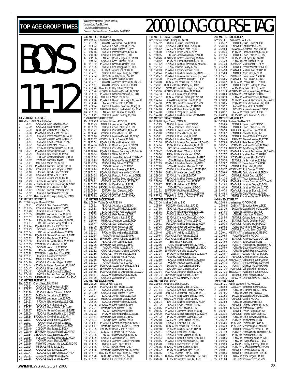#### Rankings for the period (results received) January 1, **to Aug 30**, 2000 TAG BOYS 11-12 **50 METRES FREESTYLE** Rec: 26.17 John M.Mills, GO, 92<br>1 26.44 ONAGJUL Sear 1 26.44 ONAGJUL Sean Dawson,12,GO 2 27.00 ONAGJUL Mark Kurtzer,12,NEW 3 27.39 NEORJUN Jeff Byrne,12,SSMAC 4 28.08 PQAAAJUL David Milot,12,PCSC 5 28.39 ABAGJUL Pascal Wollach,12,LASC 6 28.41 KCSJUN Jackson Wang,12,DELTA 7 28.44 BCAGJUL Gavin D'Amico,12,EKSC 8 28.52 ABAGJUL Lee Grant,12,UCSC 9 28.69 PPOMAY Etienne Lavallee,12,EXCEL 10 28.71 PQAAAJUL Samuel Chartrand,12,ELITE 11 28.79 BCAGJUL Ray Betuzzi,12,PDSA 12 28.94 RODJAN Andrew Malawski,12,ROD 10 28.71 POAAAJUL Samuel Chartrand,12,ELITE<br>11 28.79 BCAGJUL Ray Betuzzi,12,PDSA<br>12 28.94 ESWIMJUN Andrew Malawski,12,ROD<br>13 28.99 ESWIMJUN Steven Rubacha,12,ESWIM<br>14 29.01 MBSKJUL Willie Bell,12,SD 29.01 MBSKJUL Willie Bell, 12, SD<br>29.03 POAAAJUL Mathieu Bois. 12. 15 29.03 POAAAJUL Mathieu Bois,12,HIPPO<br>16 29.16 ONAGJUL Christian Meyer,12,WAC<br>17 29.18 LASCAPR Rodale Estor,12,CASC 16 29.16 ONAGJUL Christian Meyer,12,WAC<br>17 29.18 LASCAPR Rodale Estor,12,CASC<br>18 29.22 BCAGJUL Bryan Mell,12,NEW<br>19 29.23 CASCMAY Alexander Love,12,ROD<br>20 29.23 CASCMAY Alexander Love,12,ROD 21 29.26 MSSACMAY Nathan Zonenberg,12,NYAC 22 29.28 ESWIMJUN Chris Bento,12,LAC 23 29.42 ONTIIAPR Steven Posthumus, 12, TBT<br>24 29.52 ABAGJUL Matt Mantler, 12, PPS<br>25 29.52 HYACKMAY Kris Yap-Chung, 12, HYACK 24 29.52 ABAGJUL Matt Mantler,12,PPS 25 29.52 HYACKMAY Kris Yap-Chung,12,HYACK **100 METRES FREESTYLE** Rec: 57.20 Miguel Munoz,ESC,86 1 58.41 ONAGJUL Sean Dawson,12,GO 2 1:00.05 ONAGJUL Mark Kurtzer,12,NEW 1:00.40 BCAGJUL Gavin D'Amico,12,EKSC<br>1:01.55 FARWAUG Alexander Love,12,ROD 4 1:01.55 FARWAUG Alexander Love,12,ROD 5 1:01.57 ABAGJUL Pascal Wollach, 12, LASC<br>6 1:01.94 PPOMAY Etienne Lavallee, 12, EXCEL<br>7 1:02.07 KCSJUN Jackson Wang, 12, DELTA<br>8 1:02.44 POAAAJUL David Milot, 12, PCSC<br>10 1:03.73 EKSCAPR Jesse Lund, 12, RSC<br>10 1:03.04 RO 11 1:03.26 PQAAAJUL Samuel Chartrand, 12, ELITE<br>12 1:03.33 BCAGJUL Ray Betuzzi, 12, PDSA<br>13 1:03.50 ABAGJUL Robert Buckland. 12. COMET 1:03.33 BCAGJUL Ray Betuzzi, 12, PDSA<br>1:03.50 ABAG JUL Robert Buckland 12.0 13 1:03.50 ABAGJUL Robert Buckland,12,COMET 14 1:03.65 ESWIMJUN Chris Bento,12,LAC 15 1:03.84 EKSCAPR Aaron Loh,12,EKSC 16 1:03.86 LUSCMAY Jeff Byrne,12,SSMAC 17 1:03.88 ESWIMJUN Jamie Ross,12,AUROR 18 1:03.91 ABAGJUL Lee Grant,12,UCSC<br>19 1:03.94 MBSKJUL Willie Bell,12,SD<br>20 1:04.26 ONAGJUL Christian Meyer,12,' 19 1:03.94 MBSKJUL Willie Bell,12,SD 20 1:04.26 ONAGJUL Christian Meyer,12,WAC 21 1:04.44 MSSACMAY Nathan Zonenberg,12,NYAC 22 1:04.47 ONAGJUL Bryan Mell,12,NEW 23 1:04.48 ONIAPR Mark Dimitroff,12,NYAC 24 1:04.48 EASTJUL Mathieu Bouchard, 12, AQUA<br>25 1:04.65 BRANTARR Nolson Norvicleki 12 MSSA 25 1:04.65 BRANTAPR Nelson Nedzielski,12,MSSAC **200 METRES FREESTYLE**<br>Rec: 2:05.83 Chuck Sayao,<br>1 2:08.92 ONAGJUL Rec: 2:05.83 Chuck Sayao,TOMAC,95 1 2:08.92 ONAGJUL Mark Kurtzer,12,NEW 2:09.61 ONAGJUL Sean Dawson,12,GO<br>2:11.76 BCAGJUL Gavin D'Amico,12,EK<br>2:13.02 CASCMAY Jesse Lund,12,EKSC 3 2:11.76 BCAGJUL Gavin D'Amico,12,EKSC 4 2:13.02 CASCMAY Jesse Lund,12,EKSC 5 2:13.06 FARWAUG Alexander Love,12,ROD 2:14.33 PPOMAY Etienne Lavallee, 12, EXCEL<br>2:14.91 ONAGJUL Chris Bento, 12, LAC 2:14.91 ONAGJUL Chris Bento,12,LAC<br>2:15.72 BCAGJUL Pascal Wollach,12,1<br>2:16.67 PQ3MAY Samuel Chartrand,1 8 2:15.72 BCAGJUL Pascal Wollach,12,LASC 9 2:16.67 PQ3MAY Samuel Chartrand,12,ELITE 10 2:18.09 ABAGJUL Robert Buckland,12,COMET 11 2:18.54 BROCKMAY Kyle Palfrey,12,SCAR 12 2:19.77 ONAGJUL Alex Brunton,12,BRANT 13 2:20.07 ONIAPR Mark Dimitroff,12,NYAC 14 2:20.10 RODJAN Andrew Malawski,12,ROD 15 2:20.49 CDSCAPR Ray Betuzzi,12,PDSA 16 2:20.49 ESWIMJUN Matthew Pariselli,12,NYAC 17 2:20.54 MSSACMAY Scott Samuel,12,OAK 18 2:20.54 PCSCJUN Mathieu Bouchard,12,AQUA **400**<br>Rec **150**<br>**Rec:**

| January 1, <b>to Aug 30</b> , 2000<br>TAG is financially supported by<br>Swimming/Natation Canada. Compiled by SWIMNEWS |                               |                                                                                                         |                                                                                                                                                                                                                                                                 |  |  |  |
|-------------------------------------------------------------------------------------------------------------------------|-------------------------------|---------------------------------------------------------------------------------------------------------|-----------------------------------------------------------------------------------------------------------------------------------------------------------------------------------------------------------------------------------------------------------------|--|--|--|
| 400 METRES FREESTYLE                                                                                                    |                               |                                                                                                         |                                                                                                                                                                                                                                                                 |  |  |  |
|                                                                                                                         | Rec: 4:19.04                  | Chuck Sayao, TOMAC, 95                                                                                  |                                                                                                                                                                                                                                                                 |  |  |  |
| 1<br>$\overline{c}$                                                                                                     | 4:37.99<br>4:38.32            |                                                                                                         | FARWAUG Alexander Love, 12, ROD<br>BCAGJUL Gavin D'Amico, 12, EKSC                                                                                                                                                                                              |  |  |  |
| 3                                                                                                                       | 4:42.28                       |                                                                                                         | ONAGJUL Mark Kurtzer, 12, NEW                                                                                                                                                                                                                                   |  |  |  |
| 4                                                                                                                       | 4:43.46                       |                                                                                                         | BCAGJUL Pascal Wollach, 12, LASC                                                                                                                                                                                                                                |  |  |  |
| 5<br>6                                                                                                                  | 4:43.68<br>4:49.36            |                                                                                                         | ONAGJUL Chris Bento, 12, LAC<br>ONTIIAPR David Mongeri, 11, BROCK                                                                                                                                                                                               |  |  |  |
| 7                                                                                                                       | 4:49.83                       |                                                                                                         | ONAGJUL Sean Dawson, 12, GO                                                                                                                                                                                                                                     |  |  |  |
| 8                                                                                                                       | 4:51.52                       |                                                                                                         | POAAAJUL Renaud Laliberte, 11, UL<br>BCAGJUL Chris Wiggans, 12, PDSA                                                                                                                                                                                            |  |  |  |
| 9<br>$\overline{10}$                                                                                                    | 4:51.95<br>4:52.77            |                                                                                                         | EKSCMAR Jesse Lund, 12, EKSC                                                                                                                                                                                                                                    |  |  |  |
| 11                                                                                                                      | 4:54.01                       |                                                                                                         | BCAGJUL Kris Yap-Chung, 12, HYACK                                                                                                                                                                                                                               |  |  |  |
| 12                                                                                                                      | 4:54.04                       |                                                                                                         |                                                                                                                                                                                                                                                                 |  |  |  |
| 13<br>14                                                                                                                | 4:54.51<br>4:54.81            |                                                                                                         | LUSCMAY Jeff Byrne, 12, SSMAC<br>MSSACMAY Scott Samuel, 12, OAK<br>FARWAUG Jonathan Marquez, 12, TSC-TO                                                                                                                                                         |  |  |  |
| 15                                                                                                                      | 4:55.17                       |                                                                                                         | FARWAUG Patrick Cuch, 11, TSC-<br>HYACKMAY Ray Betuzzi, 12, PDSA<br>-10                                                                                                                                                                                         |  |  |  |
| 16                                                                                                                      | 4:55.26                       |                                                                                                         |                                                                                                                                                                                                                                                                 |  |  |  |
| 17<br>18                                                                                                                | 4:55.46<br>4:55.92            |                                                                                                         | MSSACMAY Matthew Pariselli, 12, NYAC                                                                                                                                                                                                                            |  |  |  |
|                                                                                                                         | 4:56.56                       |                                                                                                         | <b>POARAJUL Samuel Chartrand, 12, ELITE<br/>MBSKJUL Willie Bell, 12, SD<br/>POARAJUL Nicolas Sanschagrin, 12, SAMAK<br/>AACAPR Samuel Scott, 11, OAK<br/>ACAPR SAMUEL SCOTTING</b>                                                                              |  |  |  |
| $\frac{19}{20}$                                                                                                         | 4:56.68                       |                                                                                                         |                                                                                                                                                                                                                                                                 |  |  |  |
| 21<br>$\frac{22}{5}$                                                                                                    | 4:58.28<br>4:58.74            |                                                                                                         | EASTJUL Mathieu Bouchard, 12, AQUA                                                                                                                                                                                                                              |  |  |  |
|                                                                                                                         | 4:58.82                       |                                                                                                         | BRANTAPR Nelson Nedzielski, 12, MSSAC                                                                                                                                                                                                                           |  |  |  |
| 23<br>24<br>25                                                                                                          | 4:59.53                       |                                                                                                         | ONTIIAPR Karl Trimble, 11, BROCK                                                                                                                                                                                                                                |  |  |  |
|                                                                                                                         | 5:00.22                       | 1500 METRES FREESTYLE                                                                                   | BCAGJUL Jordan Hartney, 11, PSW                                                                                                                                                                                                                                 |  |  |  |
|                                                                                                                         |                               |                                                                                                         | Rec: 17:05.50 Nicholas Richards, PCSC, 84                                                                                                                                                                                                                       |  |  |  |
| $\frac{1}{2}$                                                                                                           | 18:22.49                      |                                                                                                         | MBSKJUL Alexander Love, 12, ROD                                                                                                                                                                                                                                 |  |  |  |
| 3                                                                                                                       | 18:32.39<br>18:41.47          |                                                                                                         | BCAGJUL Gavin D'Amico, 12, EKSC<br>ABAGJUL Pascal Wollach,12,LASC                                                                                                                                                                                               |  |  |  |
| 4                                                                                                                       | 18:50.46                      |                                                                                                         | ONAGJUL Chris Bento,12,LAC                                                                                                                                                                                                                                      |  |  |  |
| 5                                                                                                                       | 18:59.26                      |                                                                                                         | ONAGJUL Matthew Pariselli, 12, NYAC                                                                                                                                                                                                                             |  |  |  |
| 6<br>7                                                                                                                  | 19:21.37<br>19:23.24          |                                                                                                         | MSSACMAY Scott Samuel, 12, OAK                                                                                                                                                                                                                                  |  |  |  |
| 8                                                                                                                       | 19:24.76                      |                                                                                                         | POAAAJUL Renaud Laliberte, 11, UL<br>BROCKMAY David Mongeri, 11, BROCK                                                                                                                                                                                          |  |  |  |
| 9                                                                                                                       | 19:25.71                      |                                                                                                         | BCAGJUL Chris Wiggans, 12, PDSA                                                                                                                                                                                                                                 |  |  |  |
| 11                                                                                                                      | 10 19:28.80                   |                                                                                                         | POAAAJUL Nicolas Sanschagrin, 12, SAMAK                                                                                                                                                                                                                         |  |  |  |
| 12                                                                                                                      | 19:39.14<br>19:45.04          |                                                                                                         | MBSKJUL Willie Bell, 12,SD<br>ONAGJUL James Davidson-G., 12,BRANT<br>ABAGJUL Matthew Verwey, 12,RDCSC                                                                                                                                                           |  |  |  |
| 13                                                                                                                      | 19:45.88                      |                                                                                                         |                                                                                                                                                                                                                                                                 |  |  |  |
| 14                                                                                                                      | 19:47.15                      |                                                                                                         | BCAGJUL Ray Betuzzi, 12, PDSA<br>OSCAPR Jesse Lund, 12, EKSC                                                                                                                                                                                                    |  |  |  |
| 15<br>16                                                                                                                | 19:47.89<br>19:48.84          |                                                                                                         |                                                                                                                                                                                                                                                                 |  |  |  |
| 17                                                                                                                      | 19:53.71                      |                                                                                                         | BCAGJUL Max Inverarity, 12, PDSA<br>POAAAJUL David Normandin, 12, CNHR                                                                                                                                                                                          |  |  |  |
| 18                                                                                                                      | 19:54.38                      |                                                                                                         |                                                                                                                                                                                                                                                                 |  |  |  |
|                                                                                                                         | 19 19:57.84<br>20 19:59.61    |                                                                                                         |                                                                                                                                                                                                                                                                 |  |  |  |
|                                                                                                                         | 20:03.27                      |                                                                                                         |                                                                                                                                                                                                                                                                 |  |  |  |
|                                                                                                                         | 20:05.36                      |                                                                                                         |                                                                                                                                                                                                                                                                 |  |  |  |
| $\frac{21}{22}$<br>$\frac{23}{24}$                                                                                      | 20:05.56<br>20:06.90          |                                                                                                         | <b>POARAJUL Francois-P Murray, 11, CANFR</b><br><b>POARAJUL Mathieu Bouchard, 12, AQUA<br/> EASTJUL Mathieu Bouchard, 12, CADA<br/> BROCKMAY Kyle Palfrey, 12, SCAR<br/> BROCKMAY Kyle Palfrey, 12, SCAR<br/> ECOCKMAY Mick Bake, 12, BROCK<br/> COSAJUN Se</b> |  |  |  |
|                                                                                                                         | 25 20:08.69                   |                                                                                                         | PQAAAJUL Chris Ekstrand, 12, DDO                                                                                                                                                                                                                                |  |  |  |
|                                                                                                                         |                               | 100 METRES BACKSTROKE                                                                                   |                                                                                                                                                                                                                                                                 |  |  |  |
|                                                                                                                         |                               |                                                                                                         |                                                                                                                                                                                                                                                                 |  |  |  |
|                                                                                                                         | Rec: 1:05.60                  | Tobias Oriwol, PCSC, 98                                                                                 |                                                                                                                                                                                                                                                                 |  |  |  |
| 1<br>$\overline{c}$                                                                                                     | 1:08.61<br>1:08.83            |                                                                                                         | ABAGJUL Jesse Lund, 12, EKSC<br>ABAGJUL Pascal Wollach,12,LASC                                                                                                                                                                                                  |  |  |  |
| 3                                                                                                                       | 1:09.35                       |                                                                                                         | BCAGJUL Jordan Hartney, 11, PSW                                                                                                                                                                                                                                 |  |  |  |
| 4                                                                                                                       | 1:09.78                       |                                                                                                         | PQAAAJUL Felix Renaud, 12, CNB                                                                                                                                                                                                                                  |  |  |  |
| 5<br>6                                                                                                                  | 1:10.36<br>1:10.40            |                                                                                                         | PCSCJUN David Milot, 12, PCSC                                                                                                                                                                                                                                   |  |  |  |
| 7                                                                                                                       | 1:10.47                       |                                                                                                         | MBSKJUL Alexander Love, 12, ROD<br>ONAGJUL Sean Dawson, 12, GO                                                                                                                                                                                                  |  |  |  |
| 8                                                                                                                       | 1:11.70                       |                                                                                                         | ESWIMJUN Mark Kurtzer, 12, NEW                                                                                                                                                                                                                                  |  |  |  |
| 9<br>10                                                                                                                 | 1:12.09<br>1:12.13            |                                                                                                         | MSSACMAY Scott Samuel, 12, OAK                                                                                                                                                                                                                                  |  |  |  |
| 11                                                                                                                      | 1:12.64                       |                                                                                                         | PPOMAY Etienne Lavallee, 12, EXCEL<br>AACAPR Samuel Scott, 10, OAK                                                                                                                                                                                              |  |  |  |
| 12                                                                                                                      | 1:12.68                       |                                                                                                         | ESWIMJUN Steven Rubacha, 12, ESWIM                                                                                                                                                                                                                              |  |  |  |
| 13<br>14                                                                                                                | 1:12.75<br>1.12<br>76         |                                                                                                         | ABAGJUL John Lapins, 12, EXST                                                                                                                                                                                                                                   |  |  |  |
| 15                                                                                                                      | 1:13.45                       |                                                                                                         | ESWIMJUN Ivan Leung, 12, RHA                                                                                                                                                                                                                                    |  |  |  |
| 16                                                                                                                      | 1:13.52                       |                                                                                                         |                                                                                                                                                                                                                                                                 |  |  |  |
| 17<br>18                                                                                                                | 1:13.55<br>1:13.62            |                                                                                                         | AACAPR Jeff Byrne, 12, SSMAC<br>ONAGJUL Jonathan Carkner, 12, GMAC<br>ONAGJUL Trevor Morrison, 12, NKB<br>CDSCAPR Leonard Ho, 12, HYACK                                                                                                                         |  |  |  |
| 19                                                                                                                      | 1:13.85                       |                                                                                                         | ABAGJUL Lee Grant, 12, UCSC                                                                                                                                                                                                                                     |  |  |  |
| 20                                                                                                                      | 1:13.91                       |                                                                                                         | ONIAPR David Arcand, 12, GO                                                                                                                                                                                                                                     |  |  |  |
| 21<br>22                                                                                                                | 1:14.29<br>1:14.33            |                                                                                                         |                                                                                                                                                                                                                                                                 |  |  |  |
| 23                                                                                                                      | 1:14.55                       |                                                                                                         | PQAAAJUL Sebastien Angers, 12, CASE<br>ESWIMJUN Chris Bento, 12, LAC<br>PQAAAJUL Marc-A. Duchesneau, 12, CAMO                                                                                                                                                   |  |  |  |
|                                                                                                                         |                               |                                                                                                         | CASCMAY Matthew Kunyk, 12, EKSC                                                                                                                                                                                                                                 |  |  |  |
|                                                                                                                         |                               |                                                                                                         | Alex Brunton, 12, BRANT                                                                                                                                                                                                                                         |  |  |  |
|                                                                                                                         | Rec: 2:18.05                  | 24 1:14.57 CASCMAY N<br>25 1:14.69 ONAGJUL A<br><b>200 METRES BACKSTROKE</b><br>Tobias Oriwol, PCSC, 98 |                                                                                                                                                                                                                                                                 |  |  |  |
|                                                                                                                         | 2:25.86                       |                                                                                                         | PQAAAJUL Felix Renaud, 12, CNB                                                                                                                                                                                                                                  |  |  |  |
|                                                                                                                         | 2:27.47<br>2:27.99            |                                                                                                         | BCAGJUL Jesse Lund, 12, EKSC                                                                                                                                                                                                                                    |  |  |  |
| 1<br>2<br>3<br>4                                                                                                        | 2:28.77                       |                                                                                                         | ONAGJUL Mark Kurtzer, 12, NEW<br>BCAGJUL Jordan Hartney, 11, PSW                                                                                                                                                                                                |  |  |  |
| 5                                                                                                                       | 2:28.92                       |                                                                                                         | MBSKJUL Alexander Love, 12, ROD                                                                                                                                                                                                                                 |  |  |  |
| 6<br>7                                                                                                                  | 2:29.36<br>2:32.35            |                                                                                                         | BCAGJUL Pascal Wollach, 12, LASC<br>MSSACMAY Scott Samuel, 12, OAK                                                                                                                                                                                              |  |  |  |
| 8                                                                                                                       | 2:33.01                       |                                                                                                         | ESWIMJUN Chris Bento, 12, LAC                                                                                                                                                                                                                                   |  |  |  |
| 9                                                                                                                       | 2:33.70                       |                                                                                                         | AACAPR Samuel Scott, 10, OAK                                                                                                                                                                                                                                    |  |  |  |
| 10<br>11                                                                                                                | 2:33.93<br>2:34.81            |                                                                                                         | PPOMAY Etienne Lavallee, 12, EXCEL<br>ESWIMJUN Ivan Leung, 12, RHAC                                                                                                                                                                                             |  |  |  |
| 12                                                                                                                      | 2:34.94                       |                                                                                                         | EOSAJUN Sean Dawson, 12, GO                                                                                                                                                                                                                                     |  |  |  |
| 13                                                                                                                      | 2:36.41                       | PQAAAJUL                                                                                                | Sebastien Angers, 12, CASE                                                                                                                                                                                                                                      |  |  |  |
| 14<br>15                                                                                                                | 2:36.47<br>2:37.05            |                                                                                                         | ESWIMJUN Steven Rubacha, 12, ESWIM<br>CNHRMAY David Milot, 12, PCSC                                                                                                                                                                                             |  |  |  |
| 16                                                                                                                      | 2:37.21                       |                                                                                                         | CDSCAPR Leonard Ho, 12, HYACK                                                                                                                                                                                                                                   |  |  |  |
| 17                                                                                                                      | 2:37.35                       |                                                                                                         | EKSCAPR Matthew Kunyk, 12, EKSC                                                                                                                                                                                                                                 |  |  |  |
| 18<br>19                                                                                                                | 2:38.39                       |                                                                                                         | ONAGJUL Alex Brunton, 12, BRANT                                                                                                                                                                                                                                 |  |  |  |
| 20                                                                                                                      | 2:38.52<br>2:38.55            |                                                                                                         |                                                                                                                                                                                                                                                                 |  |  |  |
| 21                                                                                                                      | 2:38.86                       |                                                                                                         | ONAGJUL Jonathan Carkner, 12, GMAC<br>ABAGJUL John Lapins, 12, EXST<br>ONIAPR David Arcand, 12, GO                                                                                                                                                              |  |  |  |
| 22<br>23                                                                                                                | 2:38.88                       |                                                                                                         | ESWIMJUN Matthew Pariselli, 12, NYAC                                                                                                                                                                                                                            |  |  |  |
| 24<br>25                                                                                                                | 2:39.01<br>2:39.20<br>2:39.52 |                                                                                                         | HYACKMAY Kris Yap-Chung, 12, HYACK<br>NEORJUN Jeff Byrne, 12, SSMAC<br>ABAGJUL Lee Grant, 12, UCSC                                                                                                                                                              |  |  |  |

# TOP AGE GROUP TIMES  $\frac{Rankings for the period (results (200) and (200) and (200) for the period (200) of the period (200) for the period (200) of the period (200) for the period (200) for the period (200) for the period (200) for the period (200) for the period (200) for the period (200) for the period (200) for the period (200) for the period (200) for the period (200) for the period (200) for the period (200) for the period (200) for the period (200) for the period (200) for the period (200) for the period (200) for the$

|                       |                    | <b>100 METRES BREASTSTROKE</b>       |                                                                                                                                                                                                                     |                       | 200 METRES I                 |
|-----------------------|--------------------|--------------------------------------|---------------------------------------------------------------------------------------------------------------------------------------------------------------------------------------------------------------------|-----------------------|------------------------------|
|                       |                    | Rec: 1:12.24 David Cheung, CREST, 94 |                                                                                                                                                                                                                     |                       | Rec: 2:21.81<br>B            |
| 1                     | 1:14.12            |                                      | ABAGJUL Jesse Lund, 12, EKSC                                                                                                                                                                                        | 1                     | 2:25.72                      |
| $\overline{c}$        | 1:14.93            |                                      | ONAGJUL Jamie Ross, 12, AUROR                                                                                                                                                                                       | $\overline{a}$        | 2:28.48                      |
| 3                     | 1:15.02            |                                      | CASCMAY Rodale Estor 12, CASC                                                                                                                                                                                       | 3                     | 2:29.53                      |
| $\overline{4}$        | 1:16.00            |                                      | ONAGJUL Bryan Mell,12,NEW                                                                                                                                                                                           | $\overline{4}$        | 2:30.44                      |
| 5                     | 1:18.55            |                                      | RODJAN Andrew Malawski, 12, ROD                                                                                                                                                                                     | 5                     | 2:31.54                      |
| 6                     | 1:20.46            |                                      | MSSACMAY Nathan Zonenberg, 12, NYAC                                                                                                                                                                                 | 6                     | 2:33.72                      |
| $\overline{1}$        | 1:20.92            |                                      | PPOMAY Etienne Lavallee, 12, EXCEL                                                                                                                                                                                  | $\overline{1}$        | 2:34.30                      |
| 8                     | 1:21.62            |                                      | ONAGJUL Michael Materski, 12, MSSAC                                                                                                                                                                                 | 8                     | 2:34.38                      |
| 9                     | 1:21.94            |                                      | ONIAPR Karim Hosny, 12, NKB                                                                                                                                                                                         | 9                     | 2:34.98                      |
| 10                    | 1:22.03            |                                      | PQAAAJUL Patrick Marion, 12, DDO                                                                                                                                                                                    | 10                    | 2:34.98                      |
| 11                    | 1:22.44            |                                      | PQAAAJUL Mathieu Brochu, 12, KOTN                                                                                                                                                                                   | 11                    | 2:35.68                      |
| 12                    | 1:22.47            |                                      | PQAAAJUL Marc-A. Duchesneau, 12, CAMO                                                                                                                                                                               | 12                    | 2:35.71                      |
| 13                    | 1:22.78            |                                      | PQ3MAY Jonathan Turcotte, 12, HIPPO                                                                                                                                                                                 | 13                    | 2:36.06                      |
| 14                    | 1:23.08            |                                      | CDSCAPR Leonard Ho, 12, HYACK                                                                                                                                                                                       | 14                    | 2:36.22                      |
| 15                    | 1:23.21            |                                      |                                                                                                                                                                                                                     | 15                    | 2:36.82                      |
| 16                    | 1:23.41            |                                      | BROCKMAY Kyle Palfrey, 12, SCAR<br>ESWIMJUN Jonathan Lugo, 12, MSSAC                                                                                                                                                | 16                    | 2:37.27                      |
| 17                    | 1:23.96            |                                      | MSSACMAY Daniel Baier, 12, COBRA                                                                                                                                                                                    | 17                    | 2:37.73<br>Ņ                 |
| 18                    | 1:24.13            |                                      |                                                                                                                                                                                                                     | 18                    | 2:38.00<br>Ņ                 |
| 19                    | 1:24.17            |                                      | EASTJUL Marc Pyle, 11, SWAT<br>CDSCAPR Kelso Cartwright, 12, PDSA                                                                                                                                                   | 19                    | 2:38.10                      |
| 20                    | 1:24.24            |                                      | FARWAUG Alexander Love, 12, ROD                                                                                                                                                                                     | 20                    | 2:38.28                      |
| 21                    | 1:24.30            |                                      | PARTING AREADON DIRECTOR (2, 12, 2007)<br>PCSCJUN Jonathan Dumont, 12, NES<br>CNHRMAY Mathieu Bois, 11, HIPPO<br>ONIIAPR Gradd Nièboer, 12, BBB<br>BCAGJUL Vang Li, 12, CATOR<br>POAAAJUL Mathieu Demers, 12, DYNAM | 21                    | 2:38.65                      |
| 22                    | 1:24.68            |                                      |                                                                                                                                                                                                                     | 22                    | 2:39.37                      |
| 23                    | 1:24.80            |                                      |                                                                                                                                                                                                                     | 23                    | 2:39.93                      |
| 24                    | 1:24.80            |                                      |                                                                                                                                                                                                                     | 24                    | 2:40.17                      |
| 25                    | 1:24.88            |                                      |                                                                                                                                                                                                                     | 25                    | 2:40.19                      |
|                       |                    | 200 METRES BREASTSTROKE              |                                                                                                                                                                                                                     |                       | 400 METRES I                 |
|                       |                    | Rec: 2:36.28 Ryan Chiew, HYACK, 99   |                                                                                                                                                                                                                     |                       | Rec: 5:03.60<br>A            |
| 1                     | 2:42.85            |                                      | ABAGJUL Jesse Lund, 12, EKSC                                                                                                                                                                                        | 1                     | 5:09.86                      |
| $\overline{a}$        | 2:43.82            |                                      | EKSCAPR Rodale Estor, 12, CASC                                                                                                                                                                                      | $\overline{c}$        | 5:13.84                      |
| 3                     | 2:44.86            |                                      | ONAGJUL Jamie Ross,12,AUROR                                                                                                                                                                                         | 3                     | 5:16.90                      |
| $\overline{4}$        | 2:45.80            |                                      | ONAGJUL Chris Bento, 12, LAC                                                                                                                                                                                        | $\overline{4}$        | 5:17.87                      |
| 5                     | 2:45.81            |                                      | ONAGJUL Bryan Mell, 12, NEW                                                                                                                                                                                         | 5                     | 5:25.50                      |
| 6                     | 2:48.85            |                                      | POAAAJUL Mathieu Bois, 12, HIPPO                                                                                                                                                                                    | 6                     | 5:26.45                      |
| $\overline{\jmath}$   | 2:51.30            |                                      | PQAAAJUL Marc-A. Duchesneau, 12, CAMO                                                                                                                                                                               | 7                     | 5:27.80                      |
| 8                     | 2:54.94            |                                      | PPOMAY Etienne Lavallee, 12, EXCEL                                                                                                                                                                                  | 8                     | 5:29.95                      |
| 9                     | 2:55.55            |                                      | RODJAN Andrew Malawski, 12, ROD                                                                                                                                                                                     | 9                     | l<br>5:31.99                 |
| 10                    | 2:56.47            |                                      | EKSCAPR Gavin D'Amico, 12, EKSC                                                                                                                                                                                     | 10                    | 5:32.02                      |
| 11                    | 2:56.58            |                                      | PPOMAY Patrick Marion.12.DDO                                                                                                                                                                                        | 11                    | 5:32.57                      |
| 12                    | 2:56.96            |                                      | PQ3MAY Jonathan Turcotte, 12, HIPPO                                                                                                                                                                                 | 12                    | 5:32.86                      |
| 13                    | 2:57.04            |                                      | ONIAPR Nathan Zonenberg, 12, NYAC                                                                                                                                                                                   | 13                    | 5:35.35                      |
| 14                    | 2:57.29            |                                      | PQAAAJUL Mathieu Brochu,12,KOTN                                                                                                                                                                                     | 14                    | 5:37.07                      |
| 15                    | 2:57.88            |                                      | ONIAPR Jonathan Marquez, 11, TSC                                                                                                                                                                                    | 15                    | 5:37.56                      |
| 16                    | 2:58.27            |                                      | ONAGJUL Michael Materski, 12, MSSAC                                                                                                                                                                                 | 16                    | 5:38.27<br>Ņ                 |
| 17                    | 2:58.90            |                                      | CASCMAY Alexander Love, 12, ROD                                                                                                                                                                                     | 17                    | 5:39.60                      |
| 18                    | 2:59.28            |                                      |                                                                                                                                                                                                                     | 18                    | 5:40.71                      |
| 19                    | 3:00.40            |                                      | BCAGJUL Yang Li,12,GATOR<br>PQAAAJUL Mathieu Demers,12,DYNAM                                                                                                                                                        | 19                    | 5:41.36                      |
| 20                    | 3:00.56            |                                      | ABAGJUL Jonathan Lam, 12, EKSC                                                                                                                                                                                      | 20                    |                              |
|                       |                    |                                      |                                                                                                                                                                                                                     |                       | 5:42.65                      |
| 21<br>$\overline{22}$ | 3:00.97<br>3:01.36 |                                      | EKSCMAR Jeffrey Lai, 12, EKSC<br>OSCAPR Tyson Larone, 12, EKSC<br>ESWIMJUN Paul Hazlett, 12, GMAC                                                                                                                   | 21<br>$\overline{22}$ | 5:42.68<br>5:46.10           |
| 23                    | 3:01.52            |                                      |                                                                                                                                                                                                                     | 23                    |                              |
| 24                    |                    |                                      |                                                                                                                                                                                                                     | 24                    | 5:46.73                      |
| 25                    |                    |                                      |                                                                                                                                                                                                                     |                       | 5:46.93                      |
|                       |                    |                                      | 24 3:02.06 DESACMAY Steven Rubacha, 12, GMAC<br>25 3:02.26 EASTJUL Jonathan Dumont, 12, NES<br>100 METRES BUTTERFLY<br>Pec: 1:02.26 Million: New York                                                               | 25                    | 5:47.91<br>4X50 MEDLEY       |
|                       |                    |                                      |                                                                                                                                                                                                                     |                       |                              |
| 1                     | 1:05.69            | Rec: 1:03.26 Michael Calkins, IS, 90 | PCSCJUN David Milot, 12, PCSC                                                                                                                                                                                       | 1                     | Rec: 2:06.96<br>Λ<br>2:09.96 |
|                       |                    |                                      |                                                                                                                                                                                                                     |                       |                              |
| $\frac{2}{3}$         | 1:07.80            |                                      | ABAGJUL Jesse Lund, 12, EKSC<br>PPOMAY Etienne Lavallee, 12, EXCEL<br>ONAGJUL Patrick Cuch, 11, TSC                                                                                                                 | $\frac{2}{3}$         | 2:13.20                      |
| $\overline{4}$        | 1:08.01            |                                      |                                                                                                                                                                                                                     | 4                     | 2:14.04                      |
| 5                     | 1:08.20            |                                      |                                                                                                                                                                                                                     |                       | 2:16.18                      |
|                       | 1:08.79            |                                      | BCAGJUL Kris Yap-Chung, 12, HYACK                                                                                                                                                                                   | 5                     | 2:18.56                      |
| 6                     | 1:09.67            |                                      | ABAGJUL Gavin D'Amico, 12, EKSC                                                                                                                                                                                     | 6                     | 2:18.61                      |
| 7<br>8                | 1:09.91            |                                      | PCSCJUN Mathieu Bouchard, 12, AQUA                                                                                                                                                                                  | 7<br>8                | 2:19.38                      |
| 9                     | 1:10.26            |                                      | MBSKJUL Alexander Love, 12, ROD                                                                                                                                                                                     | 9                     | 2:19.52                      |
|                       | 1:10.43            |                                      | PQAAAJUL Samuel Chartrand, 12, ELITE<br>LUSCMAY Jeff Byrne, 12, SSMAC                                                                                                                                               | 10                    | 2:20.09                      |
| 10                    | 1:10.46            |                                      | PQAAAJUL Felix Renaud, 12, CNB                                                                                                                                                                                      |                       | Ņ<br>2:20.41                 |
| 11                    | 1:10.64            |                                      | PQAAAJUL Mathieu Bois, 12, HIPPO                                                                                                                                                                                    | 11                    | 2:20.95                      |
| 12                    | 1:11.24            |                                      |                                                                                                                                                                                                                     | 12                    | 2:23.45                      |
| 13                    | 1:11.39            |                                      | ISAPR Lu Yi Lay,12,IS                                                                                                                                                                                               | 13<br>14              | 2:24.60                      |
| 14<br>15              | 1:12.06<br>1:12.45 |                                      | ONIAPR Matthew Pariselli, 12, NYAC                                                                                                                                                                                  | 15                    | 2:25.25<br>2:25.50           |
| 16                    | 1:12.99            |                                      | BRANTAPR Nelson Nedzielski, 12, MSSAC<br>ESWIMJUN Chris Bento, 12, LAC                                                                                                                                              | 16                    | 2:25.81                      |
| 17                    | 1.13.34            |                                      |                                                                                                                                                                                                                     | 17                    | 2:26.07                      |
| 18                    | 1:13.36            |                                      | PPOMAY Nicolas Sanschagrin, 12, SAMAK                                                                                                                                                                               | 18                    | 2:26.34                      |
| 19                    | 1:13.59            |                                      | FARWAUG Cody Gault, 11, TSC<br>ABAGJUL Robert Buckland, 12, COMET                                                                                                                                                   | 19                    | 2:26.72<br>Ņ                 |
| 20                    | 1:13.72            |                                      | KCSJUN Jackson Wang, 12, DELTA                                                                                                                                                                                      | 20                    | 2:26.78                      |
| 21                    | 1:13.74            |                                      | EKSCAPR Tyson Larone, 12, EKSC                                                                                                                                                                                      | 21                    | 2:27.11                      |
| 22                    | 1:13.81            |                                      |                                                                                                                                                                                                                     | 22                    | 2:27.34                      |
| 23                    | 1:13.94            |                                      | EOSAJUN Sean Dawson, 12, GO<br>POAAAJUL Jonathan Blouin, 11, CNO                                                                                                                                                    | 23                    | 2:27.36<br>ļ                 |
| 24                    | 1:14.14            |                                      | ESWIMJUN Mark Kurtzer, 12, NEW                                                                                                                                                                                      | 24                    | 2:28.43                      |
| 25                    | 1:14.29            |                                      | BROCKMAY Kyle Palfrey, 12, SCAR                                                                                                                                                                                     | 25                    | 2:30.15                      |
|                       |                    | <b>200 METRES BUTTERFLY</b>          |                                                                                                                                                                                                                     |                       | 4X50 FREE RE                 |
|                       | Rec: 2:19.88       | Jonathan Cantin, PLUS, 91            |                                                                                                                                                                                                                     |                       | Rec: 1:54.21<br>H            |
| 1                     | 2:31.41            |                                      | POAAAJUL David Milot, 12, PCSC                                                                                                                                                                                      | 1                     | 1:58.68                      |
| 2                     | 2:31.94            |                                      | BCAGJUL Kris Yap-Chung, 12, HYACK                                                                                                                                                                                   | 2                     | 2:00.52                      |
| 3                     | 2:33.88            |                                      |                                                                                                                                                                                                                     | 3                     | 2:01.06                      |
| 4                     | 2:34.38            |                                      | MBSKJUL Alexander Love, 12, ROD<br>NYACMAY Matthew Pariselli, 12, NYAC                                                                                                                                              | 4                     | 2:01.93                      |
| 5                     | 2:34.87            |                                      | MSSACMAY Patrick Cuch,11,TSC                                                                                                                                                                                        | 5                     | 2:01.94                      |
| 6                     | 2:36.74            |                                      | EASTJUL Mathieu Bouchard, 12, AQUA                                                                                                                                                                                  | 6                     | 2:02.00                      |
| 7                     | 2:37.12            |                                      | ABAGJUL Gavin D'Amico, 12, EKSC                                                                                                                                                                                     | 7                     | 2:02.21                      |
| 8                     | 2:38.65            |                                      | PQAAAJUL Felix Renaud, 12, CNB                                                                                                                                                                                      | 8                     | 2:02.59                      |
| 9                     | 2:40.35            |                                      | PQAAAJUL Jonathan Blouin,11,CNQ                                                                                                                                                                                     | 9                     | 2:02.61                      |
| 10                    | 2:40.70            |                                      | PQAAAJUL Nicolas Sanschagrin,12,SAMAK                                                                                                                                                                               | 10                    | 2:03.14                      |
| 11                    | 2:41.12            |                                      | PPOMAY Jonathan Gagne, 11, DDO                                                                                                                                                                                      | 11                    | 2:03.50                      |
| 12                    | 2:42.68            |                                      | CASCMAY Tyson Larone, 12, EKSC                                                                                                                                                                                      | 12                    | 2:05.12                      |
| 13                    | 2:42.68            |                                      | ONAGJUL Cody Gault, 11, TSC                                                                                                                                                                                         | 13                    | 2:05.64                      |
| 14                    | 2:42.86            |                                      | CDSCAPR Leonard Ho, 12, HYACK                                                                                                                                                                                       | 14                    | 2:06.49                      |
| 15                    | 2:42.98            |                                      | PQ3MAY Mathieu Bois, 11, HIPPO                                                                                                                                                                                      | 15                    | 2:06.82                      |
| 16                    | 2:43.41            |                                      | ONAGJUL Endi Babi,12,EYSC                                                                                                                                                                                           | 16                    | 2:07.40                      |
| 17                    | 2:43.44            |                                      | ONAGJUL Viktor Verblac, 11, YORK                                                                                                                                                                                    | 17                    | 2:08.67                      |
| 18                    | 2:43.54            |                                      | ABAGJUL Robert Buckland, 12, COMET                                                                                                                                                                                  | 18                    | 2:08.86                      |
| 19                    | 2:43.65            |                                      | PQAAAJUL Samuel Chartrand, 12, ELITE                                                                                                                                                                                | 19                    | 2:09.16                      |
| 20                    | 2:45.20            |                                      | BCAGJUL IIya Brotzky, 11, PDSA                                                                                                                                                                                      | 20                    | 2:09.29                      |
| 21                    | 2:45.65            |                                      | MSSACMAY Scott Samuel, 12, OAK                                                                                                                                                                                      | 21                    | 2:09.33                      |
| 22                    | 2:46.22            |                                      | PPOMAY Matthew Leger, 12, DDO                                                                                                                                                                                       | 22                    | 2:09.51                      |
| 23                    | 2:46.55            |                                      | ONIAPR Adam Eilath, 12, RHAC                                                                                                                                                                                        | 23                    | 2:10.54                      |
| 24                    | 2:46.77            |                                      | BRANTAPR Nelson Nedzielski, 12, MSSAC                                                                                                                                                                               | 24                    | 2:11.69                      |
| 25                    | 2:46.78            |                                      | EKSCMAR Jonathan Lam, 12, EKSC                                                                                                                                                                                      | 25                    | 2:11.88                      |

**200 METRES IND.MEDLEY Trian Johns RACER 95** 1 2:25.72 BCAGJUL Jesse Lund,12,EKSC 2 2:28.48 ONAGJUL Chris Bento,12,LAC 3 2:29.53 FARWAUG Alexander Love,12,ROD PPOMAY Etienne Lavallee,12,EXCEL BCAGJUL Gavin D'Amico,12,EKSC 6 2:33.72 LUSCMAY Jeff Byrne,12,SSMAC<br>7 2:34.30 ONIAPR Sean Dawson,12,GO<br>8 2:34.38 ESWIMJUN Mark Kurtzer,12,NEW 9 2:34.98 BCAGJUL Pascal Wollach,12,LASC<br>10 2:34.98 PQAAAJUL Mathieu Bois,12,HIPPO<br>11 2:35.68 ONAGJUL Bryan Mell,12,NEW<br>12 2:35.71 ESWIMJJUL Felix Renaud,12,CNB<br>13 2:36.06 PQAAAJUL Felix Renaud,12,CNB 14 2:36.22 CDSCAPR Leonard Ho,12,HYACK 15 2:36.82 BCAGJUL Jordan Hartney,11,PSW 16 2:37.27 CASCMAY Rodale Estor,12,CASC 17 2:37.73 MSSACMAY Nathan Zonenberg,12,NYAC 18 2:38.00 MSSACMAY Scott Samuel,12,OAK 19 2:38.10 ONIAPR Matthew Pariselli,12,NYAC 20 2:38.28 CNHRMAY Marc-A. Duchesneau,12,CAMO 21 2:38.65 PQ3MAY Samuel Chartrand,12,ELITE 22 2:39.37 AACAPR Samuel Scott,10,OAK 23 2:39.93 RODJAN Andrew Malawski,12,ROD 24 2:40.17 AACAPR Patrick Cuch,11,TSC 25 2:40.19 EKSCMAR Tyson Larone,12,EKSC **400 METRES IND.MEDLEY** ND: MLDLL I<br>Indrew Cho, HYACK, 91 1 5:09.86 BCAGJUL Jesse Lund,12,EKSC 2 5:13.84 BCAGJUL Gavin D'Amico,12,EKSC MBSKJUL Alexander Love,12,ROD 4 5:17.87 ONAGJUL Chris Bento,12,LAC 5 5:25.50 BCAGJUL Pascal Wollach,12,LASC 6 5:26.45 PPOMAY Etienne Lavallee,12,EXCEL 7 5:27.80 PQAAAJUL Felix Renaud,12,CNB 8 5:29.95 NYACMAY Matthew Pariselli,12,NYAC 9 5:31.99 BROCKMAY Kyle Palfrey,12,SCAR 10 5:32.02 PQAAAJUL Marc-A. Duchesneau,12,CAMO 11 5:32.57 PQAAAJUL Mathieu Bois,12,HIPPO 12 5:32.86 CDSCAPR Leonard Ho,12,HYACK 13 5:35.35 BCAGJUL Jordan Hartney,11,PSW 14 5:37.07 ESWIMJUN Jamie Ross,12,AUROR 15 5:37.56 ONAGJUL Bryan Mell,12,NEW 16 5:38.27 MSSACMAY Scott Samuel,12,OAK 17 5:39.60 ONTIIAPR David Mongeri, 11, BROCK<br>18 5:40.71 ONAGUL Patrick Cuch, 11, TSC<br>19 5:41.36 CASCMAY Tyson Larone, 12, EKSC<br>20 5:42.65 POAAAJUL Nicolas Sanschagrin, 12, SAMAK<br>21 5:46.10 ONAGJUL Jonathan Marquez, 11, TSC 23 5:46.73 PQAAAJUL Jonathan Blouin,11,CNQ 24 5:46.93 CDSCAPR Chris Wiggans,12,PDSA 25 5:47.91 ABAGJUL Matthew Verwey,12,RDCSC **4X50 MEDLEY RELAY**<br>Rec: 2:06.96 Mississauga AC,TOMAC,92<br>1 2:09.96 CASCAPR Edmonton Keyano,EKSC<br>2 2:13.20 EKSCAPR Cascade Swim Club,CASC<br>3 2:14.04 ONIAPR Nepean Kanata,NKB 4 2:16.18 ONIAPR North York AC,NYAC 5 2:18.56 ABAGJUL Calgary Swimming,UCSC 6 2:18.61 BCAGJUL Pacific Dolphins,PDSA 7 2:19.38 PQAAAJUL Pointe Claire SC,PCSC 8 2:19.52 ONIAPR Richmond Hill AC,RHAC 9 2:20.09 ONAGJUL Toronto Swim Club,TSC 10 2:20.41 MSSACMAY Mississauga AC,MSSAC 11 2:20.95 AACAPR Oakville AC,OAK 12 2:23.45 BCAGUIL Vancouver Gators, GATOR<br>13 2:24.60 PO3MAY Baie Comeau, KON<br>14 2:25.55 PO3MAY Hippocame St-Hubert, HIPPO<br>15 2:25.50 ONIAPR Glouc-Ottawa Kingfish, GO<br>16 2:25.81 ONIAPR Guelph Martin AC GMAC<br>17 2:26.34 ABAG PO3MAY Mont Joli+Matane,DYNAM 21 2:27.11 PQ3MAY CN Haut-Richelieu,CNHR 22 2:27.34 PQAAAJUL Dollard Swim Team,DDO 23 2:27.36 HYACKMAY Hyack Swim Club,HYACK 24 2:28.43 LESDJUL Brock Niagara,BROCK 25 2:30.15 LUSCMAY Sault Ste.Marie AC,SSMAC **4X50 FREE RELAY** Rec: 1:54.21 Hamilt-Wentworth AC,HWAC,91 CASCMAY Edmonton Keyano,EKSC 2 2:00.52 ONIAPR Richmond Hill AC,RHAC ONIAPR North York AC,NYAC EKSCAPR Cascade Swim Club,CASC 5 2:01.94 ONAGJUL Oakville AC,OAK **CONIGSUE DENTITIE ATO, ONIX**<br>
ONIAPR Nepean Kanata,NKB 7 2:02.21 ABAGJUL Calgary Swimming,UCSC 8 2:02.59 BRANTAPR Brantford AC,BRANT 9 2:02.61 BCAGJUL Pacific Dolphins,PDSA 10 2:03.14 ONAGJUL Toronto Swim Club,TSC 11 2:03.50 ONIAPR Glouc-Ottawa Kingfish,GO 12 2:05.12 PQ3MAY Baie Comeau,KOTN PCSCJUN Pointe Claire SC, PCSC 14 2:06.49 PCSCJUN Mississauga AC,MSSAC 15 2:06.82 BCAGJUL Vancouver Gators,GATOR<br>16 2:07.40 PQ3MAY Hippocame St-Hubert,HIPPO<br>17 2:08.67 PGBMAR Points North SC,PN 18 2:08.86 ONIAPR Cambridge Aquajets,CAJ 19 2:09.16 ONIAPR Guelph Marlin AC,GMAC 20 2:09.29 CASCMAY Calgary Killarney SC,KSC 21 2:09.33 PQ3MAY Mont Joli+Matane,DYNAM 22 2:09.51 ABAGJUL Glencoe Gators,GLEN ABAGJUL Olympian Swim Club.OSC 24 2:11.69 ONTIIAPR Brock Niagara, BROCK 25 2:11.88 KCSJUN Vancouver Pacific.VPS 25 2:11.88 KCSJUN Vancouver Pacific,VPSC

#### **SWIM**NEWS AUGUST 2000 23 25 2:21.58 ONAGJUL David Landry,12,OAK

19 2:20.55 ONIAPR Adam Eilath,12,RHAC 20 2:20.66 FARWAUG Jonathan Marquez,12,TSC-TO 21 2:20.94 MBSKJUL Willie Bell, 12, \$D<br>22 2:21.26 ONAGJUL Kevin Jones, 12, 0<br>23 2:21.47 BCAGJUL Kris Yap-Chung, 1 22 2:21.26 ONAGJUL Kevin Jones,12,OAK 23 2:21.47 BCAGJUL Kris Yap-Chung,12,HYACK 24 2:21.51 LUSCMAY Jeff Byrne,12,SSMAC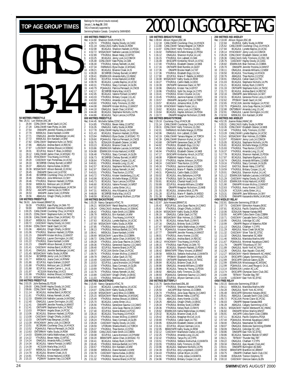### **2000**<br>**2000 AGE GROUP TIMES EXECUTED AND AND SOLUTION**<br>Swimming/Natation Canada, Compiled by SWIMNEWS

Rankings for the period (results received)<br>January 1, **to Aug 30**, 2000<br>TAG is financially supported by Swimm

|                |                         |                             |                                                                                                                                       | 400 N                                 |
|----------------|-------------------------|-----------------------------|---------------------------------------------------------------------------------------------------------------------------------------|---------------------------------------|
|                |                         |                             |                                                                                                                                       | Rec: 4<br>1<br>4                      |
|                |                         |                             |                                                                                                                                       | $\overline{a}$<br>4<br>3<br>4         |
|                |                         |                             |                                                                                                                                       | 4<br>4                                |
|                |                         |                             |                                                                                                                                       | 5<br>4<br>6<br>4                      |
|                |                         |                             |                                                                                                                                       | 7<br>4<br>8<br>4                      |
|                |                         |                             |                                                                                                                                       | 9<br>4                                |
|                |                         |                             |                                                                                                                                       | 10<br>4<br>11<br>4                    |
|                |                         |                             |                                                                                                                                       | 12<br>4<br>13<br>4                    |
|                |                         |                             |                                                                                                                                       | 14<br>4                               |
|                |                         |                             |                                                                                                                                       | 15<br>4<br>16<br>4                    |
|                |                         |                             |                                                                                                                                       | 4<br>17<br>18<br>4                    |
|                |                         |                             |                                                                                                                                       | 19<br>4                               |
|                |                         |                             |                                                                                                                                       | 4<br>20<br>4<br>21                    |
|                |                         |                             |                                                                                                                                       | 4<br>22<br>23<br>4                    |
|                |                         |                             |                                                                                                                                       | 24<br>4                               |
|                |                         | <b>50 METRES FREESTYLE</b>  |                                                                                                                                       | 25<br>4<br>800 N                      |
| 1              | Rec: 26.51<br>26.94     | Lori Melien, AAC, 86        | CDNLCMAY Sarah Gault, 14, CAC                                                                                                         | Rec: 8<br>ς<br>1                      |
| $\overline{a}$ | 27.28                   |                             | CANLCMAR Kate Plyley, 14, OAK                                                                                                         | ς<br>2                                |
| 3<br>4         | 27.54<br>27.70          |                             | ONIIIAPR Jennifer Porenta, 14, MMST<br>MBSKJUL Diane Kardash, 14, MM                                                                  | 3<br>ς<br>4<br>ς                      |
| 5<br>6         | 27.71<br>27.72          |                             | ONAGJUL Jennifer Beckberger, 14, AAC<br>MBSKJUL Erin Kardash.14.MM                                                                    | 5<br>ς<br>ç<br>6                      |
| 7              | 27.82                   |                             | CDNLCMAY Stephanie Kuhn, 14, TMSC                                                                                                     | ç<br>7                                |
| 8<br>9         | 27.86<br>27.97          |                             | ABAGJUL Andrea Baird, 14, RDCSC<br>LUSCMAY Andrea Shoust, 14, SSMAC                                                                   | ç<br>8<br>ç<br>9                      |
| 10<br>11       | 28.01<br>28.12          |                             | ECUPJUL Marie-P. Blais, 14, MEGO<br>CANLCMAR Jackie Chan, 14, MSSAC-TO                                                                | ç<br>10<br>ç<br>11                    |
| 12             | 28.15                   |                             | HYACKMAY Tina Hoang, 14, HYACK                                                                                                        | ç<br>12                               |
| 13<br>14       | 28.20<br>28.33          |                             | CASCMAY Karl Pomerleau, 14, UCSC<br>BCSRFEB Chelsey Burnett, 14, NRST                                                                 | ç<br>13<br>ç<br>14                    |
| 15<br>16       | 28.37<br>28.39          |                             | ABAGJUL Hanna Kubas, 14, EKSC<br>MSSACMAY Allison Bennett, 13, NYAC                                                                   | ç<br>15<br>ς<br>16                    |
| 17             | 28.45                   |                             | ONIIIAPR Dana Lord, 14, EYSC                                                                                                          | ς<br>17                               |
| 18<br>19       | 28.46<br>28.46          |                             | BCSRFEB Courtenay Chuy, 14, HYACK<br>ONAGJUL Julia Wilkinson, 13, SKY                                                                 | ς<br>18<br>ς<br>19                    |
| 20<br>21       | 28.46<br>28.50          |                             | YTHJRJUL Shannon Hackett, 13, PDSA                                                                                                    | ς<br>20<br>ς<br>21                    |
| 22<br>23       | 28.51                   |                             | MBSKJUL Melissa Lam, 13, SPART<br>EKSCAPR Elsa Vangoudoever, 14, NCSA<br>AACAPR Leanna Lee, 14, TORCH<br>AACAPR Leanna Lee, 14, DYALM | ς<br>22                               |
| 24             | 28.52<br>28.53          |                             | MMAPR Joana Cook,13,RYMM                                                                                                              | 23<br>ς<br>24<br>ς                    |
| 25             | 28.56                   | 100 METRES FREESTYLE        | ABAGJUL Orlagh O'Kelly, 14, EKSC                                                                                                      | 25<br>ς<br>100 N                      |
| 1              | Rec: 56.91<br>59.39     | Julie Howard,BRANT,91       | YTHJRJUL Kate Plyley, 14, OAK-TO                                                                                                      | 1<br>Rec:<br>1<br>1                   |
| $\overline{a}$ | 59.90                   |                             | ONIIIAPR Jennifer Porenta, 14, MMST                                                                                                   | 2<br>1                                |
| 3<br>4         | 1:00.25<br>1:00.25      |                             | CANLCMAR Courtenay Chuy, 14, HYACK<br>CDNLCMAY Stephanie Kuhn, 14, TMSC                                                               | 3<br>1<br>4<br>1                      |
| 5<br>6         | 1:00.36<br>1:00.47      |                             | CANLCMAR Jackie Chan, 14, MSSAC-TO<br>MBSKJUL Erin Kardash,14,MM                                                                      | 5<br>1<br>6<br>1                      |
| 7<br>8         | 1:00.72                 |                             | CASCMAY Hayley Doody, 14, CASC<br>CDNLCMAY Sarah Gault, 14, CAC                                                                       | 7<br>1                                |
| 9              | 1:00.84<br>1:01.06      |                             | ABAGJUL Orlagh O'Kelly,14,EKSC                                                                                                        | 8<br>1<br>9<br>1                      |
| 10<br>11       | 1:01.06<br>1:01.15      |                             | YTHJRJUL Shannon Hackett, 13, PDSA<br>ONIIIAPR Kristen McIlroy, 13, MMST                                                              | 10<br>1<br>1<br>11                    |
| 12<br>13       | 1:01.22                 |                             | ONAGJUL Lauren Dorrington, 14, USC                                                                                                    | 1<br>12                               |
| 14             | 1:01.22<br>1:01.23      |                             | YTHJRJUL Diane Kardash, 14, MM<br>ONIAPR Allison Bennett,13,NYAC                                                                      | 1<br>13<br>1<br>14                    |
| 15<br>16       | 1:01.41<br>1:01.41      |                             | CASCMAY Andrea Baird, 14, RDCSC<br>ONAGJUL Jennifer Beckberger, 14, AAC                                                               | 1<br>15<br>1<br>16                    |
| 17             | 1:01.45<br>1:01.54      |                             | MSSACMAY Kathy Siuda, 14, ROW<br>BCSRFEB Jenny Lock, 14, COMOX                                                                        | 1<br>17                               |
| 18<br>19       | 1:01.77                 |                             | MBSKJUL Joana Cook, 14, RYMM                                                                                                          | 18<br>1<br>19<br>1                    |
| 20<br>21       | 1:01.86<br>1:01.88      |                             | ECUPJUL Kayla Graham, 13, EAST<br>YTHJRJUL Mélissa Lam, 13, SPART                                                                     | 20<br>1<br>21<br>1                    |
| 22<br>23       | 1:01.88                 |                             | ECUPJUL Amelie Carrier-L., 14, UL<br>KCSJUN Marla May, 14, KCS                                                                        | 22<br>1                               |
| 24             | 1:01.97<br>1:01.99      |                             | YTHJRJUL Andrea Shoust, 14, SSMAC<br>MSSACMAY Amanda Kelly, 13, HWAC                                                                  | 23<br>1<br>24<br>1                    |
| 25             | 1:02.10                 | <b>200 METRES FREESTYLE</b> |                                                                                                                                       | 25<br>1<br>200 N                      |
| 1              | Rec: 2:03.35<br>2:09.00 | Julie Barbeau, ELITE, 89    |                                                                                                                                       | Rec: 2<br>1                           |
| $\frac{2}{3}$  | 2:09.66                 |                             | CANLCMAR Hayley Doody, 14, CASC<br>CDNLCMAY Kate Plyley, 14, OAK<br>BCAGJUL Andrea Baird, 14, RDCSC                                   | $\overline{2}$<br>2<br>$\overline{a}$ |
| 4              | 2:11.14<br>2:11.61      |                             | YTHJRJUL Kelsey Nemeth,14,AAC                                                                                                         | 3<br>2<br>2<br>4                      |
| 5<br>6         | 2:12.33<br>2:12.40      |                             | ESWIMJUN Nathalie Lacoste, 14, MSSAC<br>ONAGJUL Lauren Dorrington, 14, USC                                                            | 2<br>5<br>2<br>6                      |
| 7              | 2:12.41                 |                             | ONIIIAPR Jennifer Porenta, 14, MMST                                                                                                   | 2<br>7                                |
| 8<br>9         | 2:12.41<br>2:13.03      |                             | ONTIIAPR Stephanie Kuhn, 14, TMSC<br>PPOMAY Angela Sloan, 14, PCSC                                                                    | 2<br>8<br>2<br>9                      |
| 10<br>11       | 2:13.06<br>2:13.08      |                             | BCAGJUL Shannon Hackett, 13, PDSA<br>CASCMAY Orlagh O'Kelly, 14, EKSC                                                                 | 2<br>10<br>2<br>11                    |
| 12             | 2:13.33                 |                             | ONTIIAPR Katy Bergman, 14, KSS                                                                                                        | 2<br>12                               |
| 13<br>14       | 2:13.39<br>2:13.51      |                             | HYACKMAY Jenny Lock, 14, COMOX<br>BCSRJAN Courtenay Chuy, 14, HYACK                                                                   | 13<br>2<br>2<br>14                    |
| 15<br>16       | 2:13.52<br>2:13.63      |                             | PQAAAJUL Patricia Perreault, 14, CNCB<br>ONTSRMAY Kathy Siuda, 14, ROW                                                                | 15<br>2<br>2<br>16                    |
| 17<br>18       | 2:14.03                 |                             | ESWIMJUN Kahla Walkinshaw, 14, HWAC                                                                                                   | 2<br>17                               |
| 19             | 2:14.22<br>2:14.24      |                             | YTHJRJUL Bevan Haley,13,WTSC<br>ONAGJUL Amanda Kelly, 13, HWAC                                                                        | 2<br>18<br>2<br>19                    |
| 20<br>21       | 2:14.34<br>2:14.39      |                             | BCAGJUL Valerie Pomaizl, 14, NRST<br>KCSJUN Marla May, 14, KCS                                                                        | 2<br>20<br>2<br>21                    |
| 22<br>23       | 2:14.57                 |                             | MBSKJUL Erin Kardash, 14, MM                                                                                                          | 2<br>22                               |
| 24             | 2:14.78<br>2:14.81      |                             | BCAGJUL Brianne Cloak, 14, IS<br>YTHJRJUL Krista Haslund, 14, ROD<br>PQ3MAY Suzanne Vary, 13, CNDR                                    | 23<br>2<br>24<br>2                    |
| 25             | 2:15.15                 |                             |                                                                                                                                       | 25<br>2                               |

|                 |                    |                                                   | Swimming/Natation Canada. Compiled by SWIMNEWS                                                                                                                                                                                                                                       |
|-----------------|--------------------|---------------------------------------------------|--------------------------------------------------------------------------------------------------------------------------------------------------------------------------------------------------------------------------------------------------------------------------------------|
|                 |                    | 400 METRES FREESTYLE                              |                                                                                                                                                                                                                                                                                      |
|                 | Rec: 4:14.60       | Shannon Smith, HYACK, 76                          |                                                                                                                                                                                                                                                                                      |
|                 | 4:29.74<br>4:31.19 |                                                   | YTHJRJUL Hayley Doody,14,CASC<br>CANLCAUG Kathy Siuda,14,ROW                                                                                                                                                                                                                         |
| 1<br>2<br>3     | 4:32.08            |                                                   |                                                                                                                                                                                                                                                                                      |
| 4               | 4:32.72            |                                                   | BCAGJUL Shannon Hackett, 13, PDSA<br>MSSACMAY Nathalie Lacoste, 14, MSSAC                                                                                                                                                                                                            |
| 5<br>6          | 4:32.89<br>4:33.25 |                                                   | <b>YTHJRJUL Bevan Haley, 13, WTSC</b><br>BCAGJUL Jenny Lock, 14, COMOX                                                                                                                                                                                                               |
| 7               | 4:35.48            |                                                   | CDNLCMAY Kate Plyley, 14, OAK                                                                                                                                                                                                                                                        |
| 8               | 4:36.30            |                                                   | YTHJRJUL Kelsey Nemeth,14,AAC                                                                                                                                                                                                                                                        |
| 9<br>10         | 4:37.34            |                                                   | FARWAUG Elyse Dudar, 13, MSSAC                                                                                                                                                                                                                                                       |
| 11              | 4:39.21<br>4:39.28 |                                                   | BCAGJUL Brianne Cloak, 14, IS<br>BCSRFEB Chelsey Burnett, 14, NRST                                                                                                                                                                                                                   |
| 12              | 4:39.41            |                                                   | ESWIMJUN Amanda Kelly, 13, HWAC                                                                                                                                                                                                                                                      |
| 13<br>14        | 4:39.41            |                                                   | ECUPJUL Krista Haslund,14,ROD                                                                                                                                                                                                                                                        |
| 15              | 4:39.78<br>4:40.31 |                                                   | BCAGJUL Lynette Bayliss, 14, UCSC<br>YTHJRJUL Stacy Cormack, 14, GLEN                                                                                                                                                                                                                |
| 16              | 4:40.79            |                                                   | PQAAAJUL Patrícia Perreault, 14, CNCB                                                                                                                                                                                                                                                |
| 17              | 4:42.17            |                                                   | BCSRFEB Marla May, 14, KCS                                                                                                                                                                                                                                                           |
| 18<br>19        | 4:42.45<br>4:43.33 |                                                   | BCAGJUL Valerie Pomaizl, 14, NRST                                                                                                                                                                                                                                                    |
| 20              | 4:43.50            |                                                   | YTHJRJUL Brittany Cooper, 13, LAC<br>YTHJRJUL Amanda Long, 13, LAC                                                                                                                                                                                                                   |
| 21              | 4:43.60            |                                                   | YTHJRJUL Kelly Timmons,13,0SC                                                                                                                                                                                                                                                        |
| 22<br>23        | 4:44.08<br>4:44.18 |                                                   | ONIIIAPR Kristen McIlroy, 13, MMST                                                                                                                                                                                                                                                   |
| 24              | 4:44.48            |                                                   | ONAGJUL Sarah Chan, 14, NYAC<br>BCAGJUL Stephanie Nicholls, 14, BCAGJUL Taryn Lencoe, 14, PDSA<br>14, PN                                                                                                                                                                             |
| 25              | 4:44.86            |                                                   |                                                                                                                                                                                                                                                                                      |
|                 | Rec: 8:44.45       | 800 METRES FREESTYLE<br>Michelle Sallee, CDSC, 88 |                                                                                                                                                                                                                                                                                      |
|                 | 9:14.85            |                                                   |                                                                                                                                                                                                                                                                                      |
| 1<br>2<br>3     | 9:16.35            |                                                   | YTHJRJUL Bevan Haley, 13, WTSC<br>ONAGJUL Kathy Siuda, 14, ROW                                                                                                                                                                                                                       |
| 4               | 9:17.78<br>9:21.43 |                                                   | CANLCMAR Hayley Doody, 14, CASC                                                                                                                                                                                                                                                      |
| 5               | 9:23.94            |                                                   | BCAGJUL Shannon Hackett, 13, PDSA<br>FARWAUG Elyse Dudar, 13, MSSAC-TO                                                                                                                                                                                                               |
| 6               | 9:29.60            |                                                   | POAAAJUL Patricia Perreault, 14, CNCB                                                                                                                                                                                                                                                |
| 7<br>8          | 9:30.75<br>9:33.23 |                                                   | EOSAJUN Elizabeth Osterer, 14, NKB                                                                                                                                                                                                                                                   |
| 9               | 9:33.86            |                                                   | BCAGJUL Brianne Cloak, 14, IS<br>ESWIMJUN Nathalie Lacoste, 14, MSSAC                                                                                                                                                                                                                |
| 10              | 9:34.88            |                                                   | ESWIMJUN Krista Haslund, 14, ROD                                                                                                                                                                                                                                                     |
| 11<br>12        | 9:36.48<br>9:36.73 |                                                   | YTHJRJUL Stacy Cormack, 14, GLEN<br>BCSRFEB Chelsey Burnett, 14, NRST                                                                                                                                                                                                                |
| 13              | 9:38.64            |                                                   | YTHJRJUL Brittany Cooper, 13, LAC                                                                                                                                                                                                                                                    |
| 14              | 9:40.81            |                                                   | YTHJRJUL Amanda Long, 13, LAC                                                                                                                                                                                                                                                        |
| 15<br>16        | 9:42.57<br>9:42.97 |                                                   | BCAGJUL Stephanie Nicholls, 14, PN<br>ONAGJUL Kelsey Nemeth, 14, AAC                                                                                                                                                                                                                 |
| 17              | 9:43.01            |                                                   | YTHJRJUL Thea Norton, 13, STSC                                                                                                                                                                                                                                                       |
| 18              | 9:43.72            |                                                   | YTHJRJUL Kristen Vandenberg, 13, LAC                                                                                                                                                                                                                                                 |
| 19<br>20        | 9:43.99<br>9:45.73 |                                                   | BCAGJUL Michelle Mange, 13, PDSA                                                                                                                                                                                                                                                     |
| 21              | 9:46.60            |                                                   | BCAGJUL Taryn Lencoe, 14, PDSA<br>BCAGJUL Valerie Pomaizl, 14, NRST                                                                                                                                                                                                                  |
| 22              | 9:47.02            |                                                   | BCAGJUL Lesley Emter, 14, LL<br>MBSKJUL Amy Killpatrick, 14, M3F                                                                                                                                                                                                                     |
| 23<br>24        | 9:47.31<br>9:48.09 |                                                   | BCSRFEB Marla May, 14, KCS                                                                                                                                                                                                                                                           |
| 25              | 9:48.59            |                                                   | BCAGJUL Courtenay Mulhern, 13, PSW                                                                                                                                                                                                                                                   |
|                 |                    | 100 METRES BACKSTROKE                             |                                                                                                                                                                                                                                                                                      |
|                 |                    |                                                   |                                                                                                                                                                                                                                                                                      |
|                 | Rec: 1:03.28       | Nancy Garapick, HTAC, 76                          |                                                                                                                                                                                                                                                                                      |
| 1               | 1:06.21            |                                                   | MSSACMAY Randi Beaulieu, 14, MSSAC                                                                                                                                                                                                                                                   |
| $\frac{2}{3}$   | 1:06.24<br>1:06.42 |                                                   |                                                                                                                                                                                                                                                                                      |
| 4               | 1:06.78            |                                                   |                                                                                                                                                                                                                                                                                      |
| 5               | 1:07.02            |                                                   |                                                                                                                                                                                                                                                                                      |
| 6<br>7          | 1:07.63<br>1:07.69 |                                                   |                                                                                                                                                                                                                                                                                      |
| 8               | 1:07.85            |                                                   |                                                                                                                                                                                                                                                                                      |
| 9               | 1:08.13            |                                                   | MISSACMAT Karlo Beauteu, 14, MSSAC<br>CANLCAUG Andrea Shoust, 14, SSMAC<br>YTHJRUU, Katle Smith, 14, COBRA<br>MISSACUL Erin Kardash, 14 MM<br>BCAGUU, Lynette Bayliss, 14, UCSC<br>MSSACMAY Kathy Siuda, 14, ROV<br>VTH IP IUI Malicea Rartlett<br>YTHJRJUL Melissa Bartlett,13,CYPS |
| 10<br>11        | 1:08.41<br>1:08.69 |                                                   |                                                                                                                                                                                                                                                                                      |
| 12              | 1:08.72            |                                                   | MBSKJUL Diane Kardash, 14, MM<br>MSSACMAY Laura Wise, 13, COBRA<br>CANLCMAR Jackie Chan, 14, MSSAC-TO                                                                                                                                                                                |
| 13              | 1:09.28            |                                                   | YTHJRJUL Julia Guay-Racine,14,CAMO                                                                                                                                                                                                                                                   |
| 14<br>15        | 1:09.36<br>1:09.40 |                                                   | YTHJRJUL Genevieve Saumur, 13, CAMO<br>ECUPJUL Noemie Brand, 14, PCSC                                                                                                                                                                                                                |
| 16              | 1:09.57            |                                                   | PCSCJUN Emilie Chan, 14, PCSC                                                                                                                                                                                                                                                        |
| 17              | 1:09.76            |                                                   | YTHJRJUL Kristen McIlroy,13,MMST                                                                                                                                                                                                                                                     |
| 18<br>19        | 1:09.78<br>1:10.49 |                                                   | ONAGJUL Callan Gault, 14, TSC                                                                                                                                                                                                                                                        |
| 20              | 1:10.53            |                                                   | CASCMAY Hayley Doody, 14, CASC<br>ECUPJUL Laura Aronsson, 14, DYNAM                                                                                                                                                                                                                  |
| 21              | 1:10.58            |                                                   |                                                                                                                                                                                                                                                                                      |
| 22<br>23        | 1:10.69<br>1:10.76 |                                                   | YTHJRJUL Stacy Cormack, 14, GLEN<br>YTHJRJUL Thea Norton, 13, STSC<br>YTHJRJUL Kelsey Nemeth,14,AAC                                                                                                                                                                                  |
| 24              | 1:10.89            |                                                   |                                                                                                                                                                                                                                                                                      |
| 25              | 1:11.03            |                                                   | CASCMAY Orlagh O'Kelly, 14, EKSC<br>YTHJRJUL Melissa Lam, 13, SPART                                                                                                                                                                                                                  |
|                 | Rec: 2:15.60       | 200 METRES BACKSTROKE<br>Nancy Garapick, HTAC, 76 |                                                                                                                                                                                                                                                                                      |
| 1               | 2:22.44            |                                                   | BCAGJUL Lynette Bayliss, 14, UCSC                                                                                                                                                                                                                                                    |
| $\overline{c}$  | 2:24.07            |                                                   | CDNLCMAY Kathy Siuda, 14, ROW                                                                                                                                                                                                                                                        |
| 3<br>4          | 2:24.39<br>2:25.15 |                                                   | MSSACMAY Laura Wise, 13, COBRA                                                                                                                                                                                                                                                       |
| 5               | 2:25.49            |                                                   |                                                                                                                                                                                                                                                                                      |
| 6               | 2:25.70            |                                                   |                                                                                                                                                                                                                                                                                      |
| 7<br>8          | 2:26.56<br>2:26.91 |                                                   | MISSACMAY Randi Beaulieu, 14, MSSAC<br>YTHJRJUL Andrea Shoust, 14, SSMAC<br>BCAGJUL Lesley Emter, 14, LL<br>YTHJRJUL Genevieve Saumur, 13, CAMO<br>CLID IUL Lulia Grav Pacino 14, CAMO                                                                                               |
| 9               | 2:27.40            |                                                   |                                                                                                                                                                                                                                                                                      |
| $\overline{10}$ | 2:28.16            |                                                   |                                                                                                                                                                                                                                                                                      |
| 11<br>12        | 2:28.23<br>2:28.24 |                                                   | ECUPJUL Julia Guay-Racine, 14, CAMO<br>ECUPJUL Noeme Brand, 14, PCSC<br>BCAGJUL Tina Hoang, 14, HYACK<br>YTHJRJUL Kristen McIlroy, 13, MMST<br>YTHJRJUL Kristen McIlroy, 13, MMST                                                                                                    |
| 13              | 2:28.28            |                                                   | YTHJRJUL Stacy Cormack, 14, GLEN<br>CASCMAY Hayley Doody, 14, CASC                                                                                                                                                                                                                   |
| 14              | 2:28.59            |                                                   | UTORJAN Sheena Martin, 14, TORCH                                                                                                                                                                                                                                                     |
| 15<br>16        | 2:29.37<br>2:29.80 |                                                   | YTHJRJUL Thea Norton,13,STSC                                                                                                                                                                                                                                                         |
| 17              | 2:30.08            |                                                   | CANLCAUG Katie Smith, 14, COBRA<br>ECUPJUL Laura Aronsson, 14, DYNAM                                                                                                                                                                                                                 |
| 18              | 2:30.20            |                                                   | BRANTAPR Jackie Chan, 14, MSSAC-TO                                                                                                                                                                                                                                                   |
| 19              | 2:30.41            |                                                   | BCAGJUL Kelsey Rush, 13, RAYS                                                                                                                                                                                                                                                        |
| 20<br>21        | 2:30.45<br>2:30.57 |                                                   | YTHJRJUL Melissa Bartlett, 14, CYPS<br>YTHJRJUL Erin Kardash, 14, MM                                                                                                                                                                                                                 |
| $^{22}$         | 2:30.68            |                                                   | MBSKJUL Diane Kardash, 14, MM                                                                                                                                                                                                                                                        |
| 23<br>24        | 2:30.78<br>2:31.12 |                                                   | CASCMAY Hanna Kubas, 14, EKSC<br>YTHJRJUL Gillian Bryon, 14, USC                                                                                                                                                                                                                     |

| г<br>$\boldsymbol{J}$   | R<br>C<br>1<br>U<br>е<br>ÐI<br>u | ® |
|-------------------------|----------------------------------|---|
| 100 METREC BREACTSTROUT | 300 METREC IND MEDIEV            |   |

|                      |                                        | 100 METRES BREASTSTROKE                         |                                                                                                                                                                                                                                   | 2                                               |
|----------------------|----------------------------------------|-------------------------------------------------|-----------------------------------------------------------------------------------------------------------------------------------------------------------------------------------------------------------------------------------|-------------------------------------------------|
|                      | Rec: 1:09.84<br>1:12.18                | Allison Higson, ESC, 86                         | CANLCMAR Courtenay Chuy, 14, HYACK                                                                                                                                                                                                | R<br>1                                          |
| $\frac{1}{2}$        | 1:13.80                                |                                                 | CANLCMAR Tamara Wagner, 14, TORCH                                                                                                                                                                                                 | $\overline{a}$                                  |
| 3<br>4               | 1:14.97<br>1:16.02                     |                                                 | CDNLCMAY Kelly Timmons, 13, OSC<br>FARWAUG Michelle Mange, 13, PDSA                                                                                                                                                               | 3<br>4                                          |
| 5                    | 1:16.12                                |                                                 | ONAGJUL Shannon Kryhul, 14, LAC                                                                                                                                                                                                   | 5                                               |
| 6<br>7               | 1:16.15<br>1:16.49                     |                                                 | YTHJRJUL Kim Labbett, 13, OAK<br>EKSCAPR Kimberley Hirsch, 14, STSC                                                                                                                                                               | 6<br>7                                          |
| 8                    | 1:17.00                                |                                                 | YTHJRJUL Elizabeth Osterer, 14, NKB                                                                                                                                                                                               | 8                                               |
| 9                    | 1:17.16                                |                                                 | ONTIIAPR Brett Rumble, 14, GGST                                                                                                                                                                                                   | 9                                               |
| 10<br>11             | 1:17.36<br>1:17.36                     |                                                 | ONIAPR Brooke Heath, 14, TAT<br>YTHJRJUL Elizabeth Engs,13,CAJ                                                                                                                                                                    | 1<br>1                                          |
| 12                   | 1:17.90                                |                                                 | ECUPJUL Marie-P. Ratelle, 14, MEGO                                                                                                                                                                                                | 1.                                              |
| 13<br>14             | 1:18.08<br>1:18.27                     |                                                 | MSSACMAY Kathy Siuda, 14, ROW<br>YTHJRJUL Caitlin Babb,14,DDO                                                                                                                                                                     | ï<br>1                                          |
| 15                   | 1:18.39                                |                                                 | ONTIIAPR Genevieve Dack, 14, TBT                                                                                                                                                                                                  | 1                                               |
| 16<br>17             | 1:18.96<br>1:18.96                     |                                                 | ONAGJUL Kristen Yee, 14, BYST<br>YTHJRJUL Sybil De Jonge, 14, CYPS                                                                                                                                                                | $\mathbf{1}$<br>$\mathbf{1}$                    |
| 18                   | 1:19.41                                |                                                 | YTHJRJUL Kristin Cloutier,14,CAJ                                                                                                                                                                                                  | 1                                               |
| 19                   | 1:19.45                                |                                                 | YTHJRJUL Jasmine Kastner, 13, DDO<br>ONIIIAPR Jacquelyn Craft, 14, TRENT                                                                                                                                                          | $\mathbf{1}^{\mathfrak{c}}$                     |
| 20<br>21             | 1:19.57<br>1:19.57                     |                                                 | BCAGJUL Johanna Wick, 13, PN                                                                                                                                                                                                      | $\overline{a}$<br>$\overline{2}$                |
|                      | 1:19.58                                |                                                 | HYACKMAY Natalie Foster, 14, LL                                                                                                                                                                                                   | $\frac{2}{2}$                                   |
| 22<br>23<br>24<br>25 | 1:19.62<br>1:19.64                     |                                                 | BCAGJUL Jenny Lock, 14, COMOX<br>BCAGJUL Haylee Johnson, 14, PDSA                                                                                                                                                                 | $\overline{c}$                                  |
|                      | 1:19.72                                |                                                 | ONIAPR Meaghan Nicholson,13,NKB                                                                                                                                                                                                   | $\overline{2}$                                  |
|                      |                                        | 200 METRES BREASTSTROKE                         |                                                                                                                                                                                                                                   | 4<br>R                                          |
|                      | Rec: 2:29.18<br>1 2:31.14<br>2 2:39.31 |                                                 | Courtenay Chuy, HYACK, 98<br>CANLCMAR Courtenay Chuy, 14, HYACK<br>CDNLCMAY Kelly Timmons, 13, OSC                                                                                                                                |                                                 |
| $\frac{2}{3}$        |                                        |                                                 |                                                                                                                                                                                                                                   |                                                 |
| 4                    | 2:42.01<br>2:42.06                     |                                                 | FARWAUG Michelle Mange 13, PDSA                                                                                                                                                                                                   | $\begin{array}{c} 1 \\ 2 \\ 3 \\ 4 \end{array}$ |
| 5                    | 2:42.19                                |                                                 | ONAGJUL Kim Labbett, 13, OAK<br>CANLCMAR Tamara Wagner, 14, TORCH                                                                                                                                                                 | 5                                               |
| 6<br>7               | 2:42.39<br>2:43.68                     |                                                 | CANLCMAR Shannon Kryhul, 14, LAC<br>ONTIIAPR Genevieve Dack, 14, TBT                                                                                                                                                              | 6<br>7                                          |
| 8                    | 2:44.82                                |                                                 | YTHJRJUL Elizabeth Engs,13,CAJ                                                                                                                                                                                                    | 8                                               |
| 9                    | 2:45.50                                |                                                 | ONAGJUL Kathy Siuda, 14, ROW                                                                                                                                                                                                      | 9                                               |
| 10<br>11             | 2:46.94<br>2:47.17                     |                                                 | YTHJRJUL Elizabeth Osterer, 14, NKB<br>EKSCAPR Kimberley Hirsch, 14, STSC                                                                                                                                                         | 1<br>1                                          |
| 12                   | 2:48.08                                |                                                 | PGBMAR Natalie Foster, 14, LL                                                                                                                                                                                                     | 1.                                              |
| 13<br>14             | 2:48.10<br>2:48.24                     |                                                 | YTHJRJUL Haylee Johnson, 14, PDSA<br>CASCMAY Thea Norton, 13, STSC                                                                                                                                                                | 1<br>1                                          |
| 15                   | 2:49.16                                |                                                 | YTHJRJUL Jasmine Kastner, 13, DDO                                                                                                                                                                                                 | 1                                               |
| 16<br>17             | 2:49.21<br>2:49.31                     |                                                 | PQAAAJUL Marie-P. Ratelle,14,MEGO<br>PQAAAJUL Caitlin Babb, 13, DDO                                                                                                                                                               | 1<br>1                                          |
| 18                   | 2:50.02                                |                                                 | BCAGJUL Amy Ballantyne, 14, PGB                                                                                                                                                                                                   | 1                                               |
| 19<br>20             | 2:50.36<br>2:50.81                     |                                                 | YTHJRJUL Sybil De Jonge,14,CYPS<br>BCAGJUL Chantal Huard, 14, IS                                                                                                                                                                  | $\mathbf{1}$                                    |
| 21                   | 2:50.89                                |                                                 | ECUPJUL Amanda Williams, 13, NEW                                                                                                                                                                                                  | $\overline{a}$<br>$\overline{2}$                |
| 22                   | 2:50.99                                |                                                 | ONIAPR Meaghan Nicholson, 13, NKB                                                                                                                                                                                                 | $\frac{2}{2}$                                   |
| 23<br>24             | 2:51.05<br>2:51.28                     |                                                 | BCAGJUL Johanna Wick, 13, PN<br>ECUPJUL Marie-P. Batelle, 14, MEGO                                                                                                                                                                | 2                                               |
| 25                   | 2:51.38                                |                                                 | ONAGJUL Lauren Dorrington, 14, USC                                                                                                                                                                                                | $\overline{2}$                                  |
|                      | Rec: 1:02.87                           | 100 METRES BUTTERFLY<br>Julie Howard, BRANT, 91 |                                                                                                                                                                                                                                   | 4<br>R                                          |
| 1                    | 1:05.42                                |                                                 | DIRET TO THE POCUPULE Julia Guay-Racine, 14, CAMO<br>YTHJRJUL Orlagh O'Kelly, 14, EKSC<br>MASSACMAY Kathy Studian, 14, TSC<br>MAGJUL Callan Gault, 14, TSC<br>MSSACMAY Blair Holmes, 13, COBRA<br>PCAC ILIL Valseu Pueb, 13, RAYS | 1                                               |
| $\frac{2}{3}$        | 1:05.82<br>1:06.04                     |                                                 |                                                                                                                                                                                                                                   |                                                 |
| 4                    | 1:06.19                                |                                                 |                                                                                                                                                                                                                                   |                                                 |
| 5                    | 1:06.60                                |                                                 |                                                                                                                                                                                                                                   |                                                 |
| 6<br>7               | 1:06.78<br>1:07.16                     |                                                 | BCAGJUL Kelsey Rush, 13, RAYS<br>ONAGJUL Brittney Scott,13,ROW                                                                                                                                                                    | 234567                                          |
| 8                    | 1:07.47                                |                                                 | MSSACMAY Kahla Walkinshaw,14,HWAC                                                                                                                                                                                                 | 8                                               |
| 9<br>10              | 1:07.76<br>1:07.77                     |                                                 | POAAAJUL Vivianne Genest, 13, CNTR<br>ONIIIAPR Jennifer Porenta, 14, MMST                                                                                                                                                         | 9<br>1                                          |
| 11                   | 1:08.01                                |                                                 | YTHJRJUL Avery Kremer, 13, OSC<br>ABAGJUL Andrea Baird, 14, RDCSC                                                                                                                                                                 | 1                                               |
| $\frac{12}{2}$<br>13 | 1:08.05<br>1:08.12                     |                                                 | HYACKMAY Tina Hoang, 14, HYACK                                                                                                                                                                                                    | 1<br>1                                          |
| 14                   | 1:08.15                                |                                                 | YTHJRJUL Kate Plyley,14,0AK-TO                                                                                                                                                                                                    | 1                                               |
| 15<br>16             | 1:08.39<br>1:08.42                     | <b>BCAGJUL</b>                                  | Shannon Hackett, 13, PDSA<br>BRANTAPR Tiffany Vincent, 14, BRANT                                                                                                                                                                  | $\mathbb{1}$<br>1                               |
| 17                   | 1:08.58                                |                                                 | MBSKJUL Stefanie Andruchuk, 13, MANTA                                                                                                                                                                                             | 1                                               |
| 18                   | 1:08.67                                |                                                 | PPOMAY Elizabeth Osterer, 14, NKB                                                                                                                                                                                                 | 1                                               |
| 19<br>20             | 1:08.83<br>1:08.84                     |                                                 | ONTIIAPR Stephanie Kuhn, 14, TMSC<br>BCAGJUL Brianne Cloak, 14, IS                                                                                                                                                                | 1'<br>$\overline{2}$                            |
| 21                   | 1:08.86                                |                                                 | ONAGJUL Amanda Williams, 13, NEW                                                                                                                                                                                                  | $\overline{2}$                                  |
| 22<br>23             | 1:08.86<br>1:08.92                     |                                                 | BCAGJUL Teresa Au Yeung, 13, PDSA<br>ABAGJUL Kelly Timmons, 13, OSC                                                                                                                                                               | 2<br>$\overline{2}$                             |
| 24                   | 1:08.93                                |                                                 | PQAAAJUL Genevieve Saumur, 12, CAMO                                                                                                                                                                                               | 2                                               |
| 25                   | 1:08.93                                | 200 METRES BUTTERFLY                            | ECUPJUL Allyson Germain, 14, UL                                                                                                                                                                                                   | $\overline{2}$<br>4                             |
|                      | Rec: 2:15.76                           | Sandra Marchand, ENL, 88                        |                                                                                                                                                                                                                                   | R                                               |
| 1                    | 2:25.07                                |                                                 | YTHJRJUL Shannon Hackett, 13, PDSA                                                                                                                                                                                                | 1                                               |
| $\frac{2}{3}$        | 2:26.50<br>2:26.74                     |                                                 | AACAPR Blair Holmes, 13, COBRA                                                                                                                                                                                                    | $\frac{2}{3}$                                   |
| 4                    | 2:26.80                                |                                                 | YTHJRJUL Julia Guay-Racine, 14, CAMO<br>CANLCAUG Bevan Haley, 13, WTSC                                                                                                                                                            | 4                                               |
| 5<br>6               | 2:27.01<br>2:28.25                     |                                                 | ABAGJUL Avery Kremer, 13,0SC<br>ABAGJUL Orlagh O'Kelly, 14, EKSC<br>YTHJRJUL Brittney Scott, 13, ROW<br>YTHJRJUL Kelsey Rush, 13, RAYS                                                                                            | 5                                               |
| 7                    | 2:28.34                                |                                                 |                                                                                                                                                                                                                                   | $\frac{6}{7}$                                   |
| 8<br>9               | 2:28.36<br>2:28.62                     |                                                 | ESWIMJUN Kahla Walkinshaw,14,HWAC                                                                                                                                                                                                 | 8<br>9                                          |
| 10                   | 2:29.32                                |                                                 | BCAGJUL Brianne Cloak, 14, IS                                                                                                                                                                                                     | 1                                               |
| 11<br>12             | 2:29.42<br>2:30.80                     |                                                 | BCAGJUL Meaghan McColl,14,IS                                                                                                                                                                                                      | 1<br>1                                          |
| 13                   | 2:30.95                                |                                                 | YTHJRJUL Callan Gault,14,TSC<br>EOSAJUN Elizabeth Osterer, 14, NKB                                                                                                                                                                | 1                                               |
| 14                   | 2:31.61                                |                                                 | ECUPJUL Allyson Germain, 14, UL                                                                                                                                                                                                   | 1<br>1                                          |
| 15<br>16             | 2:32.05<br>2:32.12                     |                                                 | BRANTAPR Kathy Siuda, 14, ROW<br>CASCMAY MacKenzie Clarke,14,GLEN                                                                                                                                                                 | 1                                               |
| 17                   | 2:32.25                                |                                                 | YTHJRJUL Amanda Long,13,LAC                                                                                                                                                                                                       | 1                                               |
| 18<br>19             | 2:32.42<br>2:33.51                     |                                                 | YTHJRJUL Tanya Fry,14, CYPS<br>YTHJRJUL Stefanie Andruchuk,13,MANTA                                                                                                                                                               | 11<br>$\mathbf{1}^{\mathfrak{c}}$               |
| 20                   | 2:33.55                                |                                                 | YTHJRJUL Kelly Timmons,13,0SC                                                                                                                                                                                                     | $\overline{2}$                                  |
| 21<br>22             | 2:33.96<br>2:34.39                     |                                                 | BCAGJUL Stephanie Nicholls, 14, PN<br>ECUPJUL Amy Longobardi, 13, EAST                                                                                                                                                            | $\overline{2}$<br>$\overline{2}$                |
| 23                   | 2:34.43                                |                                                 | YTHJRJUL Gillian Bryon,14,USC                                                                                                                                                                                                     | $\overline{2}$                                  |
| 24<br>25             | 2:34.91<br>2:34.96                     |                                                 | YTHJRJUL Cindy Jobse, 14, MANTA<br>YTHJRJUL Brittany Cooper, 13, LAC                                                                                                                                                              | $\overline{c}$<br>$\overline{2}$                |

|                     |                                        |                          | $\mathbf{U}_\circledcirc$                                                                                                                                                                                                                           |
|---------------------|----------------------------------------|--------------------------|-----------------------------------------------------------------------------------------------------------------------------------------------------------------------------------------------------------------------------------------------------|
|                     |                                        | 200 METRES IND.MEDLEY    |                                                                                                                                                                                                                                                     |
| 1                   | Rec: 2:18.08<br>2:22.84                | Allison Higson, ESC, 88  | EUJRJUL Kathy Siuda, 14, ROW                                                                                                                                                                                                                        |
| $\overline{c}$<br>3 | 2:25.62<br>2:27.84                     |                          | CANLCMAR Courtenay Chuy, 14, HYACK                                                                                                                                                                                                                  |
| 4<br>5              | 2:28.14<br>2:28.28                     |                          | BCAGJUL Lynette Bayliss, 14, UCSC<br>HYACKMAY Jenny Lock, 14, COMOX<br>CDNLCMAY Elizabeth Osterer, 14, NKB<br>CANLCAUG Kelly Timmons, 13, OSC-SE                                                                                                    |
| 6<br>7              | 2:28.36<br>2:28.76                     |                          | CASCMAY Hayley Doody, 14, CASC<br>ESWIMJUN Blair Holmes, 13, COBRA                                                                                                                                                                                  |
| 8<br>9              | 2:28.82                                |                          |                                                                                                                                                                                                                                                     |
| 10<br>11            | 2:29.70<br>2:30.11<br>2:30.50          |                          | ONIIIAPR Jennifer Porenta, 14, MMST<br>ONAGJUL Amanda Williams, 13, NEW                                                                                                                                                                             |
| 12<br>13            | 2:30.76<br>2:30.91                     |                          | <b>BCAGJUL Tina Hoang, 14, HYACK<br/>ABAGJUL Thea Norton, 13, STSC</b>                                                                                                                                                                              |
| 14<br>15            | 2:31.03<br>2:31.21                     |                          | ONAGJUL Callan Gault, 14, TSC<br>BCAGJUL Stephanie Nicholls, 14, PN<br>BCAGJUL Kelsey Rush, 13, RAYS                                                                                                                                                |
| 16<br>17            | 2:31.33<br>2:31.72                     |                          | ONTIIAPR Stephanie Kuhn, 14, TMSC                                                                                                                                                                                                                   |
| 18                  | 2:32.16                                |                          | BCAGJUL Andrea Baird, 14, RDCSC<br>ONIIIAPR Jane Wilkinson, 14, SKY                                                                                                                                                                                 |
| 19<br>20            | 2:32.31<br>2:32.62                     |                          | BCAGJUL Genevieve Poirier-Leroy, 13, NRST<br>PPOMAY Sarah Gault, 14, CAC                                                                                                                                                                            |
| 21<br>22            | 2:32.65<br>2:32.70                     |                          | PCSCJUN Jennifer Hodgson,14,PCSC<br>PQAAAJUL Julia Guay-Racine, 14, CAMO<br>ONTSRMAY Amanda Long, 13, LAC                                                                                                                                           |
| 23<br>24            | 2:32.88<br>2:32.91                     |                          | ONAGJUL Lauren Dorrington, 14, USC                                                                                                                                                                                                                  |
| 25                  | 2:32.93                                | 400 METRES IND.MEDLEY    | MBSKJUL Erin Kardash, 14, MM                                                                                                                                                                                                                        |
| 1                   | Rec: 4:52.35<br>5:03.31                | Joanne Malar, HWAC, 90   | CANLCAUG Kathy Siuda, 14, ROW                                                                                                                                                                                                                       |
| 2<br>3              | 5:10.35<br>5:12.48                     |                          | CDNLCMAY Elizabeth Osterer, 14, NKB<br>YTHJRJUL Kelly Timmons, 13,0SC                                                                                                                                                                               |
| 4<br>5              | 5:13.28<br>5:13.41                     |                          | CANLCMAR Lynette Bayliss, 14, UCSC                                                                                                                                                                                                                  |
| 6<br>7              | 5:13.57<br>5:15.05                     |                          |                                                                                                                                                                                                                                                     |
| 8<br>9              | 5:15.81<br>5:15.93                     |                          | CANCOMAR Cylicite Baylos, 14,000<br>MSSACMAY Blair Holmes, 13, COBRA<br>PDSAMAY Jenny Lock, 14, COMOX<br>BCAGJUL Stephane Nicholls, 14, PDS<br>VTHJRJUL Thea Norton, 13, STSC<br>YTHJRJUL Thea Norton, 13, STSC<br>THTHRJUL Theannon 13, CAC<br>PTH |
| 10                  | 5:16.37                                |                          |                                                                                                                                                                                                                                                     |
| 11<br>12            | 5:17.78<br>5:17.87                     |                          | BCAGJUL Shannon Hackett, 13, PDSA<br>BCAGJUL Stephanie Bigelow, 14, IS<br>ONAGJUL Amanda Williams, 13, NEW                                                                                                                                          |
| 13<br>14            | 5:18.74<br>5:19.16                     |                          | YTHJRJUL Stacy Cormack, 14, GLEN<br>EASTJUL Bevan Haley, 13, WTSC                                                                                                                                                                                   |
| 15<br>16            | 5:19.42<br>5:19.59                     |                          | YTHJRJUL Brittany Cooper, 13, LAC                                                                                                                                                                                                                   |
| 17<br>18            | 5:20.01<br>5:21.12                     |                          | ONAGJUL Shannon Kryhul, 14, LAC<br>ESWIMJUN Nathalie Lacoste, 14, MSSAC                                                                                                                                                                             |
| 19<br>20            | 5:21.29<br>5:21.83                     |                          | CASCMAY Hayley Doody, 14, CASC<br>ESWIMJUN Krista Haslund, 14, ROD                                                                                                                                                                                  |
| 21<br>22            | 5:21.90<br>5:22.63                     |                          | ONIIIAPR Kristen McIlroy, 13, MMST<br>YTHJRJUL Avery Kremer, 13, OSC                                                                                                                                                                                |
| 23<br>24            | 5:23.26<br>5:23.31                     |                          | KCSJUN Lesley Emter,14,LL<br>ONIIIAPR Jane Wilkinson, 14, SKY                                                                                                                                                                                       |
| 25                  | 5:23.35                                | <b>4X50 MEDLEY RELAY</b> | ONIIIAPR Kassandra Wolfe,14,MUSAC                                                                                                                                                                                                                   |
| 1                   | Rec: 2:02.81<br>2:07.73                |                          | Etobicoke Swimming, ETOB, 97<br>CASCMAY Edmonton Keyano,EKSC                                                                                                                                                                                        |
| $\frac{2}{3}$       | 2:07.81                                |                          | BCAGJUL Pacific Dolphins,PDSA                                                                                                                                                                                                                       |
| 4                   | 2:10.06<br>2:10.55                     |                          | EOSAJUN Nepean Kanata, NKB<br>AACAPR Cobra Swim Club, COBRA                                                                                                                                                                                         |
| 5<br>6              | 2:10.71<br>2:10.95                     |                          | CASCMAY Cascade Swim Club, CASC<br>ONAGJUL Uxbridge SC,USC                                                                                                                                                                                          |
| 7<br>8              | 2:10.99<br>2:11.13                     |                          | ONIAPR Region of Waterloo, ROW<br>ONAGJUL Chatham Y, CYPS                                                                                                                                                                                           |
| 9<br>10             | 2:11.29<br>2:11.32                     |                          | ABAGULL Nose Creek SA, NCSA<br>CASCMAY Silver Tide SC, STSC<br>ONAGULL Newmarket SC, NEW<br>MBSKJUL Manitoba Marlins, MM                                                                                                                            |
| 11<br>12            | 2:11.32<br>2:11.46                     |                          |                                                                                                                                                                                                                                                     |
| 13<br>14            | 2:11.67<br>2:11.79                     |                          | PQAAAJUL Montreal Aquatique,CAMO<br>ONIAPR Tillsonburg AT,TAT<br>ONAGJUL North York AC,NYAC<br>ONAGJUL Misu Agustis Club AAC                                                                                                                        |
| 15<br>16            | 2:11.89<br>2:12.26                     |                          |                                                                                                                                                                                                                                                     |
| 17<br>18            | 2:12.27<br>2:12.29                     |                          | ONAGJUL Ajax Aquatic Club, AAC<br>MSSACMAY Hamilt-Wentworth AC, HWAC<br>EKSCAPR Calgary Swimming, UCSC                                                                                                                                              |
| 19<br>20            | 2:12.89<br>2:12.99                     |                          | EKSCAPR Glencoe Gators, GLEN<br>ESWIMJUN Mississauga AC, MSSAC                                                                                                                                                                                      |
| 21<br>22            | 2:12.99<br>2:13.14                     |                          | PQAAAJUL Univ.Laval Rouge & Or,UL<br>ESWIMJUN London AC,LAČ                                                                                                                                                                                         |
| 23                  | 2:13.74                                |                          | EKSCAPR Olympian Swim Club,OSC                                                                                                                                                                                                                      |
| 24<br>25            | 2:13.89<br>2:14.06                     |                          | TBTMAY Thunder Bay, TBT<br>LUSCMAY East York SC, EYSC                                                                                                                                                                                               |
|                     | <b>4X50 FREE RELAY</b><br>Rec: 1:50.15 |                          | Etobicoke Swimming, ETOB, 97                                                                                                                                                                                                                        |
| 1<br>2              | 1:54.11<br>1:54.28                     |                          | MBSKJUL Manitoba Marlins, MM<br>ONAGJUL North York AC, NYAC                                                                                                                                                                                         |
| 3<br>4              | 1:55.48<br>1:55.61                     |                          | EKSCAPR Edmonton Keyano, EKSC<br>ABAGJUL Cascade Swim Club,CASC                                                                                                                                                                                     |
| 5<br>6              | 1:55.72<br>1:56.03                     |                          | PCSCJUN Pointe Claire SC, PCSC<br>ONIAPR Nepean Kanata, NKB                                                                                                                                                                                         |
| 7<br>8              | 1:56.28<br>1:56.51                     |                          | ABAGJUL Calgary Swimming, UCSC<br>MSSACMAY Hamilt-Wentworth AC, HWAC                                                                                                                                                                                |
| 9<br>10             | 1:56.82<br>1:56.91                     |                          | ONIIIAPR Milton Marlins, MMST<br>AACAPR Cobra Swim Club, COBRA                                                                                                                                                                                      |
| 11<br>12            | 1:57.11<br>1:57.44                     |                          | BCAGJUL Pacific Dolphins, PDSA                                                                                                                                                                                                                      |
| 13<br>14            | 1:58.00<br>1:58.07                     |                          | <b>DOAGJUL Nontreal Aquatique, CAMO<br/> ONAGJUL Newmarket SC, NEW<br/> ONAGJUL Newmarket SC, NEW<br/> ONAGJUL Ethoticles Swimming, ESWIM<br/> ONAGJUL Lykridge SC, USC<br/> ONILAPR East York SC, EYSC<br/> RCAG UU Nanaimo Biotide ST NIPST</b>   |
| 15<br>16            | 1:58.09<br>1:58.86                     |                          |                                                                                                                                                                                                                                                     |
| 17                  | 1:58.86                                |                          |                                                                                                                                                                                                                                                     |
| 18<br>19            | 1:59.21<br>1:59.22                     |                          | BCAGJUL Nanaimo Riptide ST, NRST<br>TBTMAY Thunder Bay, TBT<br>ONAGJUL Chatham Y, CYPS<br>NAGJUL Chatham Y, CYPS                                                                                                                                    |
| 20<br>21            | 1:59.34<br>1:59.41                     |                          | ONAGJUL Ajax Aquatic Club, AAC<br>ONIIIAPR Burlington AD, BAD                                                                                                                                                                                       |
| 22<br>23            | 1:59.50<br>1:59.75                     |                          | BRANTAPR Brantford AC, BRANT<br>ONIAPR Chatham Swim Club, CSC                                                                                                                                                                                       |
| 24<br>25            | 1:59.88<br>2:00.10                     |                          | EOSAJUN Trenton Dolphins, TD<br>CASCMAY Glencoe Gators, GLEN                                                                                                                                                                                        |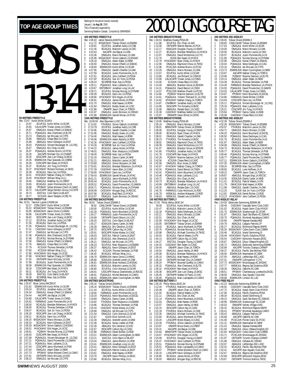#### TOP AGE GROUP TIMES **FRANCE S AND AGE GROUP TIMES** Rankings for the period (results received) January 1, **to Aug 30**, 2000 BOYS **50 METRES FREESTYLE** 13-14 Rec: 23.97 Kurtis Miller, SCAR, 0<br>1 23.97 FCUP. JUL Kurtis 23.97 ECUPJUL Kurtis Miller, 14, SCAR<br>25.65 CALACAPR Tristan Jones, 14, CNN<br>25.67 ONAGJUL Kieran O'Neill, 14, SSM 2 25.65 CALACAPR Tristan Jones,14,CNNG 3 25.67 ONAGJUL Kieran O'Neill,14,SSMAC 25.71 PQAAAJUL Alex Chartrand,14,ELITE<br>25.74 ONAGJUL Ian McLean,14,CYPS<br>25.89 ABAGJUL Chase Reid,14,CASC 5 25.74 ONAGJUL Ian McLean,14,CYPS 6 25.89 ABAGJUL Chase Reid,14,CASC 25.99 ABAGJUL Kevin Gillespie, 14, EXST<br>26.03 PQAAAJUL Vincent Boulanger-M., 1 8 26.03 POAAAJUL Vincent Boulanger-M.,13,CNQ<br>9 26.07 ONAGJUL Eric Chan,14,AAC<br>10 26.07 POAAAJUL Andrew Munro,14,PCSC<br>11 26.25 AACAPR Michael Chu,14,CHAMP 12 26.25 EKSCAPR Jian-Lok Chang,14,EKSC 13 26.35 ESWIMJUN Paul Quevedo,14,COBRA 14 26.36 CDSCAPR Ben Keast,14,HYACK 15 26.37 BCAGJUL Jim Tung,14,HYACK 16 26.37 HYACKMAY Richard Hortness,14,SKSC 17 26.39 BCAGJUL Dario Isic,14,PDSA 18 26.41 NYACMAY Nathan Chang,14,TORCH 19 26.45 HYACKMAY William Wray,14,LL 20 26.64 ONAGJUL Matthew Sy,14,CREST 21 26.65 BCAGJUL Justin Pommerville,14,IS 22 26.68 PPOMAY Sofian Mohand-Cherif,14,CAMO 23 26.72 CALACAPR Serge Demers-Giroux,14,CNTR 24 26.74 EASTJUL Colin Baird,14,BLAST 25 26.77 KCSJUN Jason Steeple,14,DELTA **100 METRES FREESTYLE**<br>Rec: 52.91 Yannick Lupien,<br>1 53.17 CDNLCMAY Rec: 52.91 Yannick Lupien,CAGRA,94 1 53.17 CDNLCMAY Kurtis Miller,14,SCAR 55.22 MSSACMAY Tobias Oriwol, 14, ESWIM<br>55.95 MSSACMAY Aaron Donst, 13, HWAC 55.95 MSSACMAY Aaron Donst, 13, HWAC<br>56.86 CALACAPR Tristan Jones, 14, CNNC 56.86 CALACAPR Tristan Jones, 14, CNNG<br>56.92 EKSCAPR Jian-Lok Chang, 14, EKS<br>57.12 ECUPJUL Jonathan Aubry, 14, CNE 5 56.92 EKSCAPR Jian-Lok Chang,14,EKSC 6 57.12 ECUPJUL Jonathan Aubry,14,CNB 7 57.26 BCAGJUL Dario Isic,14,PDSA 8 57.26 PQAAAJUL Vincent Boulanger-M.,13,CNQ 9 57.31 CASCMAY Kevin Gillespie,14,EXST 10 57.47 ONAGJUL Ian McLean,14,CYPS 11 57.48 PQAAAJUL Alex Chartrand,14,ELITE 12 57.48 ECUPJUL Nicolas Murray,14,DYNAM 13 57.50 ONAGJUL Kieran O'Neill,14,SSMAC 14 57.76 ABAGJUL Chase Reid,14,CASC 15 57.79 KCSJUN Thomas Demetzer,14,PGB 16 57.80 KCSJUN William Wray,13,LL 17 57.80 HYACKMAY Erik Hogan,14,UCSC 18 57.88 NYACMAY Nathan Chang,14,TORCH 19 57.92 ONTIIAPR Devin McCarty,14,KSS 20 57.99 BCAGJUL Justin Pommerville,14,IS 21 58.08 ESWIMJUN Paul Quevedo, 14, COBRA<br>22 58.18 CDSCAPR Ben Keast, 14, HYACK<br>23 58.21 BCAGJUL Jim Tung, 14, HYACK 22 58.18 CDSCAPR Ben Keast,14,HYACK 23 58.21 BCAGJUL Jim Tung,14,HYACK 24 58.28 EASTJUL Colin Baird,14,BLAST 25 58.38 BCSRFEB Marc Sze,14, PDSA **200 METRES FREESTYLE**<br>Rec: 1:55.97 Brian Johns, R<br>1 2:01.62 ESWIMJUN Rec: 1:55.97 Brian Johns,RACER,97 1 2:01.62 ESWIMJUN Kurtis Miller,14,SCAR 2 2:03.24 ECUPJUL Jonathan Aubry,14,CNB 3 2:04.34 ONAGJUL Kieran O'Neill,14,SSMAC 4 2:04.44 AACAPR Joe Bajcar,14,OAK 2:04.88 CALACAPR Tristan Jones, 14, CNNG<br>2:05.92 FARWAUG Justin Pommerville, 14, 6 2:05.92 FARWAUG Justin Pommerville,14,IS 7 2:06.00 BCAGJUL Brendan Robertson,14,HYACK 8 2:06.00 BCAGJUL Thomas Demetzer,14,PGB 9 2:06.07 BCAGJUL Suk Jin Yoon,14,PDSA 10 2:06.20 EKSCAPR Jian-Lok Chang,14,EKSC 11 2:06.21 BCAGJUL Dario Isic,14,PDSA 12 2:06.25 MSSACMAY Marco Monaco,13,OAK 13 2:06.33 BCAGJUL Kevin Gillespie,14,EXST 14 2:06.39 MSSACMAY Simon Gabsch, 13, MSSAC<br>15 2:06.52 HYACKMAY Erik Hogan, 14, UCSC<br>16 2:06.81 PO3MAY Nicolas Murray, 13, DYNAM<br>17 2:06.93 CDSCAPR Ben Keast, 14, HYACK<br>18 2:07.08 POAAAJUL Diavid Provencher, 13, GAMIN<br>19 2

TAG is financially supported by Swimming/Natation Canada. Compiled by SWIMNEWS **400 METRES FREESTYLE** Rec: 4:05.63 Jamie Stevens,MANTA,89 1 4:11.72 MSSACMAY Tobias Oriwol,14,ESWIM 2 4:20.81 ECUPJUL Jonathan Aubry,14,CNB 3 4:21.45 BCAGJUL Malcolm Lavoie,14,OSC 4:21.45 BCAGJUL Malcolm Lavoie,14<br>4 4:22.63 AACAPR Joe Bajcar,14,0AK<br>5 4:23.36 ONAGJUL Marco Monaco,13, 5 4:23.36 ONAGJUL Marco Monaco,13,0AK<br>6 4:25.99 MSSACMAY Simon Gabsch,13,MSS 4:25.99 MSSACMAY Simon Gabsch,13,MSSAC<br>4:26.18 ONAGJUL Adam Slater,14,NEW 4.26.18 ONAGJUL Adam Slater,14,NEW<br>
4.26.18 ONAGJUL Adam Slater,14,NEW<br>
4.26.50 ONAGJUL Kieran O'Neill,14,SSI<br>
4.26.84 FSWIM JUN Kurtis Miller 14 SCA 4:26.50 ONAGJUL Kieran O'Neill,14,SSMAC<br>4:26.84 FSWIM JUN Kurtis Miller 14 SCAR 9 4:26.84 ESWIMJUN Kurtis Miller, 14, SCAR<br>10 4:27.06 ONAGJUL Gareth Chantler, 14, OA 10 4:27.06 ONAGJUL Gareth Chantler, 14, OAK 11 4:27.59 BCAGJUL Justin Pommerville, 14, IS<br>12 4:27.61 BCAGJUL Jens Cuthbert 13 PDSA 12 4:27.61 BCAGJUL Jens Cuthbert,13,PDSA 13 4:27.82 BCAGJUL Suk Jin Yoon,14,PDSA<br>14 4:28.24 BCSREEB Marc Sze.14.PDSA 14 4:28.24 BCSRFEB Marc Sze,14,PDSA<br>15 4:29.11 PQAAAJUL Marc Laliberte,13,UL<br>16 4:29.67 ONTSRMAY Jonathan Long,14,LAC<br>17 4:29.71 ECUPJUL Nicolas Murray,14,DYNAM 18 4:30.39 BCAGJUL Dario Isic,14,PDSA 19 4:30.66 HYACKMAY Erik Hogan,14,UCSC 20 4:30.91 BCAGJUL James Monk,14,PDSA 21 4:31.70 ONAGJUL Matt Hawes,14,ROW 22 4:31.84 ONAGJUL Buddy Green,14,LUSC<br>23 4:31.88 ONIAPR Jason Chan,14,TORC<br>24 4:31.97 ONAGJUL Justin Bronson,14,0SI 23 4:31.88 ONIAPR Jason Chan,14,TORCH 24 4:31.97 ONAGJUL Justin Bronson,14,OSHAC 25 4:31.98 ESWIM JUN Garrett Moran, 14, NYAC **1500 METRES FREESTYLE** Rec: 16:00.93 Alex Baumann,LUSC,79 1 17:14.91 YTHJRJUL Simon Gabsch,14,MSSAC 2 17:23.79 ECUPJUL Jonathan Aubry,14,CNB 3 17:24.95 ONAGJUL Gareth Chantler,14,OAK 4 17:31.85 ONAGJUL Buddy Green,14,LUSC 5 17:34.40 ONAGJUL Matt Hawes,14,ROW 6 17:40.06 ESWIMJUN Adam Abdulla,14,ROD<br>7 17:42.36 HYACKMAY Jens Cuthbert 13, PDS 7 17:42.36 HYACKMAY Jens Cuthbert,13,PDSA 8 17:43.26 BCSRFEB Suk Jin Yoon,14,PDSA 9 – 17:44.22 BCAGJUL James Monk,14,PDSA<br>10 17:48.01 ONAGJUL Marc Mazzucco,14,ESWIM<br>11 17:48.45 BCSRFEB Marc Sze,14,PDSA 12 17:52.20 ONAGJUL Danny Carter,14,NKB 13 17:52.21 ABAGJUL Malcolm Lavoie,14,OSC 14 17:53.60 ONAGJUL Simon Borjeson,14,OAK 15 17:53.81 BCAGJUL Brendan Robertson, 14, HYACK<br>16 17:57.39 CASCMAY Aaron Blair, 14, CASC 16 17:57.39 CASCMAY Aaron Blair,14,CASC 17 17:59.00 HYACKMAY Dario Isic,14,PDSA<br>18 17:59.43 ESWIMJUN Garrett Moran,14,N<br>19 18:01.21 BCAGJUL Janco Mynhardt,14, 18 17:59.43 ESWIMJUN Garrett Moran,14,NYAC 19 18:01.21 BCAGJUL Janco Mynhardt,14,PSW 20 18:05.44 BCAGJUL Justin Pommerville, 14, IS<br>21 18:05.52 POAAAJUL David Provencher, 13, GA<br>22 18:05.71 POAAAJUL Nicolas Murray, 14, DYNA 21 18:05.52 PQAAAJUL David Provencher,13,GAMIN 22 18:05.71 PQAAAJUL Nicolas Murray,14,DYNAM 23 18:06.99 CASCMAY Morgan Engi,14,RDCSC 24 18:07.80 BCAGJUL Brad Reid,13,HYACK 25 18:07.80<br>
24 18:07.80 BCAGJUL Brad Reid,13, HYACK<br>
25 18:10.07 ONAGJUL Justin Bronson.14.0SHAC **100 METRES BACKSTROKE**<br>Rec: 58.92 Tobias Oriwol, ES Rec: 58.92 Tobias Oriwol,ESWIM,0 1 58.92 CANLCMAR Tobias Oriwol,14,ESWIM 2 1:00.00 ECUPJUL Kurtis Miller,14,SCAR 3 1:02.28 PQAAAJUL Kevin Bouchard,14,EXCEL 4 1:04.27 FARWAUG Justin Pommerville, 14, IS<br>5 1:04.69 ONTIIAPR David Gibson, 14, LUSC 5 1:04.69 ONTIIAPR David Gibson,14,LUSC 6 1:05.20 EASTJUL Colin Baird,14,BLAST 7 1:05.27 EOSAJUN Danny Carter,14,NKB 8 1:05.39 ABAGJUL Eric Gendron,13,KSC 9 1:05.70 EKSCAPR Callum Ng,14,CASC 10 1:05.91 EKSCAPR Myles Maxey,14,CASC 11 1:06.03 EASTJUL Patrick Craine,14,EAST 12 1:06.20 BCAGJUL Alex Sherwood,13,KCS 13 1:06.21 ONAGJUL Ian McLean,14,CYPS 14 1:06.23 ECUPJUL Marc Mazzucco,14,ESWIM 15 1:06.37 ABAGJUL Kevin Gillespie,14,EXST 16 1:06.42 KCSJUN Thomas Demetzer,14,PGB 17 1:06.45 BCAGJUL William Wray,14,LL 18 1:06.78 ESWIMJUN Aaron Donst, 13, HWAC<br>19 1:06.80 EOSAJUN Andrew Lenert, 14, CNE 19 1:06.80 EOSAJUN AndreW Lenert,14,CNB<br>20 1:06.81 ESWIMJUN Brian Holland.13,MSSA 20 1:06.81 ESWIMJUN Brian Holland,13,MSSAC<br>21 1:06.81 BCAGJUL Malcolm Lavoie,14,0SC<br>22 1:06.90 ECUPJUL Colin Ackroyd,13,SCAR 21 1:06.81 BCAGJUL Malcolm Lavoie,14,0SC<br>22 1:06.90 ECUPJUL Colin Ackroyd,13,SCAR<br>23 1:06.91 CASCAPR Marcus Greenshields,14,RDCSC 24 1:06.91 PQAAAJUL Michel Bertrand,14,CAMO 25 1:06.94 ESWIMJUN Adam Cunningham,14,NEW **200 METRES BACKSTROKE** Rec: 2:05.16 Tobias Oriwol,ESWIM,0 1 2:05.16 MSSACMAY Tobias Oriwol,14,ESWIM 2 2:11.44 ECUPJUL Kurtis Miller,14,SCAR 3 2:18.00 FARWAUG Justin Pommerville,14,IS 4 2:18.24 PQAAAJUL Kevin Bouchard,14,EXCEL 5 2:18.69 ONAGJUL Danny Carter,14,NKB 6 2:19.92 YTHJRJUL Marc Mazzucco,14,ESWIM 7 2:19.96 BCAGJUL Thomas Demetzer, 14, PGB<br>8 2:20.34 CASCMAY Myles Maxey, 14, CASC<br>9 2:20.66 ONAGJUL Ian McLean, 14, CYPS<br>10 2:21.54 ONAGJUL Colin Ackroyd, 13, SCAR<br>11 2:21.87 ONAGJUL AndreW Lenert, 14, NKB<br>12 2:22.28 ONAG 13 2:22.38 BCAGJUL Nolan Liedke,14,PGB 14 2:22.39 ABAGJUL Eric Gendron,13,KSC<br>15 2:22.39 ABAGJUL Eric Gendron,13,KSC<br>15 2:22.67 EKSCAPR Callum No.14.CASC 15 2:22.67 EKSCAPR Callum Ng,14,CASC 16 2:22.86 FARWAUG Derek Richter,13,ROD 17 2:23.21 ESWIMJUN Adam Cunningham,14,NEW 18 2:23.21 EASTJUL Colin Baird,14,BLAST<br>19 2:23.34 ONAGJUL Jamie Ellerton,14,VEV<br>20 2:23.41 ESWIMJUN Jonathan Long,14,LA 19 2:23.34 ONAGJUL Jamie Ellerton,14,VEW 20 2:23.41 ESWIMJUN Jonathan Long,14,LAC 21 2:23.41 ABAGJUL Kevin Gillespie, 14, EXST<br>22 2:23.42 NSAGJUN Patrick Craine, 14, EXST<br>23 2:23.61 ONAGJUL Matt Hawes, 14, ROW 22 2:23.42 NSAGJUN Patrick Craine,14,EAST 23 2:23.61 ONAGJUL Matt Hawes, 14, ROW<br>24 2:23.70 OSCAPR Devin Phillips, 14, EK:<br>25 2:23.90 BCAGJUL William Wrav. 14. LL 24 2:23.70 OSCAPR Devin Phillips,14,EKSC 25 2:23.90 BCAGJUL William Wray,14,LL

#### **100 METRES BREASTSTROKE** Rec: 1:04.53 Matthew Huang,PDSA,99 1 1:11.96 ECUPJUL Eric Chan,14,AAC 2 1:12.00 ONTIIAPR Warren Barnes,14,PICK 3 1:12.17 NSAGJUN Douglas Young,14,SWAT 4 1:12.27 BCAGJUL Brendan Robertson,14,HYACK 5 1:12.67 ONAGJUL David McKechnie,14,CYC 6 1:12.70 ISJUN Ben Keast,14,HYACK<br>7 1:12.79 HYACKMAY Ryan Chiew,13,HYACK<br>8 1:12.90 ONAGJUL Raymond Chow,14,TMSC 9 1:12.96 PCSCJUN Andrew Munro,14,PCSC 10 1:13.20 ONAGJUL Marco Monaco,13,OAK 11 1:13.57 ECUPJUL Kurtis Miller,14,SCAR 12 1:13.80 BCAGJUL Joe Richard,14,COMOX 13 1:13.90 CALACAPR Tristan Jones,14,CNNG 13 1:13.90 CALACAPR Tristan Jones, 14, CN14.00 KCSJUN Chase Reid, 14, CASCS<br>15 1:14.00 ABAGJUL Brandon Grove, 14, E1:14.01 ABAGJUL Brandon Grove, 14, ENS<br>16 1:14.31 POAAAJUL David Benoit, 14, CNS<br>17 1:14.57 PCSCJUN Mathieu 15 1:14.00 ABAGJUL Brandon Grove,14,EDSON 16 1:14.31 PQAAAJUL David Benoit,14,CNSH 17 1:14.57 PCSCJUN Mathieu Powell,14,PCSC 18 1:14.60 PQ3MAY Maxime Samson,14,ELITE 19 1:14.61 PQAAAJUL Yohann Theriault-R.,14,CNQ 20 1:14.62 NYACMAY Nathan Chang,14,TORCH 21 1:14.87 CNHRMAY Jonathan Aubry,14,CNB 22 1:14.90 EKSCAPR Tim Kinsella,14,EKSC 23 1:15.08 ABAGJUL Rodale Estor,13,CASC 24 1:15.39 CASCMAY Matthew Gettler,14,CONNU 25 1:15.87 ONIIIAPR Davin Elliott 14 ODSC **200 METRES BREASTSTROKE** Rec: 2:19.95 Matthew Huang,PDSA,99 1 2:35.19 ONAGJUL Marco Monaco,13,OAK 2 2:36.01 BRANTAPR Tobias Oriwol,14,ESWIM 3 2:36.06 ECUPJUL Douglas Young,14,SWAT 4 2:38.00 BCAGJUL Ryan Chiew,14,HYACK 5 2:38.01 ONAGJUL Gareth Chantler,14,OAK 6 2:38.23 YTHJRJUL Tim Kinsella,14,EKSC 7 2:38.91 ONAGJUL Raymond Chow,14,TMSC 8 2:40.39 ONAGJUL David McKechnie,14,CYC 9 2:41.07 ABAGJUL Brandon Grove,14,EDSON 10 2:41.60 YTHJRJUL Jonathan Aubry,14,CNB 11 2:41.78 CDSCAPR Ben Keast,14,HYACK 12 2:42.29 PQ3MAY Maxime Samson,14,ELITE 13 2:42.56 KCSJUN Chase Reid,14,CASC 14 2:42.56 COSUUN Chase Reid, 14, CAS<br>14 2:42.58 ONAGJUL Bryn Jones, 13, NEW<br>15 2:42.58 ONAGJUL Bryn Jones, 13, NEW 15 2:42.67 NYACMAY Nathan Chang,14,TORCH 16 2:43.34 PQAAAJUL David Benoit,14,CNSH 16 2:43.34 POAAAJUL David Benoit, 14, CNSH<br>17 2:43.42 POAAAJUL Kevin Bouchard, 14, EXCEL<br>18 2:43.46 POAAAJUL Marc Lalibere, 13, UL<br>19 2:43.72 ONAGJUL Eric Chan, 14, AAC 18 2:43.46 PQAAAJUL Marc Laliberte,13,UL 19 2:43.72 ONAGJUL Eric Chan,14,AAC 20 2:43.73 BCAGJUL Brendan Robertson,14,HYACK<br>21 2:43.99 ONTSRMAY Jonathan Long,14,LAC<br>22 2:45.30 ABAGJUL Rodale Estor,13,CASC 21 2:43.99 ONTSRMAY Jonathan Long,14,LAC 22 2:45.30 ABAGJUL Rodale Estor,13,CASC 23 2:45.78 FARWAUG Cody Hitchcock,14,ROD 24 2:45.79 MBSKJUL Andrew Malawski,13,ROD 23 2:45.78 FARWAUG Cody Hitchcock, 14, ROD<br>24 2:45.79 MBSKJUL Andrew Malawski, 13, RC<br>25 2:46.63 MBSKJUL Oswald Lee, 14, MANTA **100 METRES BUTTERFLY**<br>Rec: 57.45 Philip Weiss, SK **REFRES BOTTERT ET<br>7.45 Philip Weiss, SKSC, 94<br>59.30 ECUPJUL Kurtis** 59.30 ECUPJUL Kurtis Miller, 14, SCAR<br>1.01.47 RCAG JUL Malcolm Lavoie 14.09 2 1:01.47 BCAGJUL Malcolm Lavoie,14,OSC 3 1:02.18 PQAAAJUL Steve Desforges,14,CAG 4 1:02.21 ONAGJUL Marco Monaco, 13, OAK<br>5 1:02.51 ONAGJUL Eric Chan, 14, AAC 5 1:02.51 ONAGJUL Eric Chan,14,AAC 6 1:02.90 HYACKMAY Erik Hogan,14,UCSC 7 1:03.05 ONTSRMAY Tobias Oriwol,14,ESWIM 8 1:03.43 BCAGJUL Janco Mynhardt,14,PSW 9 1:03.76 PQAAAJUL Nicolas Murray,14,DYNAM 10 1:03.98 ONAGJUL Michael Commito,14,TMSC 11 1:04.03 BCAGJUL Patrick Waters, 14, PN<br>12 1:04.13 EKSCAPR Callum Ng, 14, CASC<br>13 1:04.27 EASTJUL Douglas Young, 14, SN<br>14 1:04.32 CASCMAY Ben Adam, 14, CASC 12 1:04.13 EKSCAPR Callum Ng,14,CASC 13 1:04.27 EASTJUL Douglas Young,14,SWAT 14 1:04.32 CASCMAY Ben Adam,14,CASC 15 1:04.44 ONIAPR Jason Chan,14,TORCH 16 1:04.54 ONAGJUL Jason Harley,14,NKB 17 1:05.08 BCAGJUL Brendan Robertson,14,HYACK 18 1:05.10 ONAGJUL Matt Hawes, 14, ROW 19 1:05.16 ONTIIAPR Michael Chu,14,CHAMP<br>20 1:05.24 PPOMAY Bourned Gueffai.14.CAM 20 1:05.24 PPOMAY Boumed Gueffai,14,CAMO<br>21 1:05.32 PQAAAJUL Alex Chartrand,14,ELITE<br>22 1:05.32 HYACKMAY Ben Keast,14,HYACK 21 1:05.32 PQAAAJUL Alex Chartrand,14,ELITE 22 1:05.32 HYACKMAY Ben Keast,14,HYACK 23 1:05.38 EKSCAPR Jian-Lok Chang,14,EKSC 24 1:05.45 ONTIIAPR Matteo Di Paolo,13,VAC 24 1:05.45 ONTIIAPR Matteo Di Paolo, 13, VAC<br>25 1:05.59 PQAAAJUL Marc Lachapelle, 14, CAMO **200 METRES BUTTERFLY** Rec: 2:05.20 Philip Weiss,SKSC,94 1 2:12.44 YTHJRJUL Malcolm Lavoie,14,OSC 2 2:20.38 ONIAPR Jason Chan,14,TORCH 3 2:21.04 BCAGJUL Patrick Waters,14,PN 4 2:21.11 ONAGJUL Eric Chan,14,AAC 5 2:21.14 PQAAAJUL Kevin Bouchard,14,EXCEL 6 2:22.03 ONAGJUL Matt Hawes,14,ROW 7 2:22.07 ONAGJUL Jason Harley,14,NKB 8 2:22.15 EKSCAPR Callum Ng,14,CASC 9 2:22.18 YTHJRJUL Marco Monaco,13,OAK 10 2:22.30 ONAGJUL Michael Commito,14,TMSC 11 2:22.84 BCAGJUL Janco Mynhardt,14,PSW 12 2:23.20 LASCAPR Myles Maxey,14,CASC 13 2:22.34 BCAGJUL Janco Mynhardt,14,PSW<br>12 2:23.20 LASCAPR Myles Maxey,14,CASC<br>13 2:23.28 YTHJRJUL Simon Gabsch,14,MSSAC<br>14 2:23.97 ONIAPR Bruce Evans,14,CREST 14 2:23.97 ONIAPR Bruce Evans, 14, CREST<br>15 2:24.31 AACAPR Joe Baicar.14, OAK 15 2:24.31 AACAPR Joe Bajcar,14,OAK 16 2:24.64 BRANTAPR Tobias Oriwol,14,ESWIM 17 2:24.67 HYACKMAY Erik Hogan,14,UCSC 18 2:24.99 ECUPJUL Douglas Young,14,SWAT 19 2:25.47 HYACKMAY Jens Cuthbert,13,PDSA 20 2:25.51 PQAAAJUL Nicolas Murray,14,DYNAM 21 2:25.51 PQAAAJUL Marc Lachapelle,14,CAMO<br>22 2:26.07 PPOMAY Sofian Mohand-Cherif,14,C<br>23 2:26.15 LASCAPR Kevin Gillespie,14,EXST 2:26.07 PPOMAY Sofian Mohand-Cherif,14,CAMO<br>2:26.07 PPOMAY Sofian Mohand-Cherif,14,CAMO 23 2:26.15 LASCAPR Kevin Gillespie,14,EXST 24 2:26.65 BCAGJUL James Monk,14,PDSA 25 2:26.93 ABAGJUL Morgan Engi,14,RDCSC

#### **200 METRES IND.MEDLEY** Rec: 2:09.65 Tobias Oriwol,ESWIM,0 1 2:09.65 CANLCMAR Tobias Oriwol,14,ESWIM 2 2:17.03 ONAGJUL Kurtis Miller,14,SCAR 3 2:19.00 ONAGJUL Marco Monaco,13,OAK BCAGJUL Malcolm Lavoie,14,OSC 2:20.57 BCAGJUL Justin Pommerville,14,IS<br>
2:21.90 PQAAAJUL Justin Pommerville,14,IS<br>
6 2:21.90 PQAAAJUL Vicens ONLITA,IDYNA 6 2:21.90 PQAAAJUL Nicolas Murray,14,DYNAM 7 2:22.96 ONAGJUL Kieran O'Neill,14,SSMAC 8 2:23.04 PQAAAJUL Steve Desforges,14,CAG<br>9 2:23.16 ONAGJUL Ian McLean,14,CYPS<br>10 2:23.73 ESWIMJUN Adam Cunningham,14,NEW<br>11 2:23.87 PACAPR Nathan Chang,14,TORCH<br>12 2:23.96 PQ3MAY Maxime Samson,14,ELITE 13 2:24.14 ONAGJUL Adam Slater,14,NEW 14 2:24.39 BCAGJUL Thomas Demetzer,14,PGB 15 2:24.49 FARWAUG Brendan Robertson,14,HYACK 16 2:24.50 PQAAAJUL David Provencher,13,GAMIN 16 2:24.50 PQAAAJUL David Provencher, 13, G<br>17 2:24.53 CALACAPR Tristan Jones, 14, CNNG<br>18 2:24.67 PPOMAY Kevin Bouchard, 14, EXC 18 2:24.67 PPOMAY Kevin Bouchard,14,EXCEL 19 2:24.86 FARWAUG Derek Richter,13,ROD 20 2:24.93 CDSCAPR Dario Isic,14,PDSA 21 2:25.11 PQAAAJUL Vincent Boulanger-M.,13,CNQ 22 2:25.18 PQAAAJUL Marc Laliberte,13,UL 23 2:25.21 CDSCAPR Jim Tung,14,HYACK 24 2:25.94 PPOMAY Danny Carter,14,NKB 25 2:26.08 CASCMAY Chase Reid,14,CASC **400 METRES IND.MEDLEY** Rec: 4:32.39 Tobias Oriwol,ESWIM,0 1 4:32.39 MSSACMAY Tobias Oriwol,14,ESWIM 2 4:53.57 YTHJRJUL Malcolm Lavoie,14,OSC 3 4:54.72 ONAGJUL Marco Monaco,13,OAK 4 4:59.20 PQAAAJUL Kevin Bouchard,14,EXCEL 5 5:00.50 PQAAAJUL Steve Desforges,14,CAG 6 5:01.76 BCAGJUL Justin Pommerville, 14, IS<br>7 5:01.97 ONAGJUL Adam Slater. 14. NFW 7 5:01.97 ONAGJUL Adam Slater,14,NEW 8 5:04.08 ONAGJUL Kieran O'Neill,14,SSMAC 9 5:04.73 BCAGJUL Brendan Robertson, 14, HYACK<br>10 5:05.77 BCAGJUL Thomas Demeter, 14, PGB<br>11 5:06.46 POAAAJUL Nicolas Murray, 14, DYNAM<br>12 5:06.77 POAAAJUL David Provencher, 13, GAMIN<br>14 5:07.15 ESWIMJUN Adam Cunningham, 1 15 5:08.24 BCSRFEB Marc Sze,14,PDSA 16 5:08.65 BCAGJUL Luke Hoffman,14,IS 16 5:08.65 BCAGJUL Luke Hoffman,14,IS<br>17 5:09.22 ONIAPR Jason Chan,14,TORCH<br>18 5:09.87 ABAGJUL Morgan Engi,14,RDCS 18 5:09.87 ABAGJUL Morgan Engi,14,RDCSC 19 5:10.30 EOSAJUN Danny Carter,14,NKB 20 5:11.41 BCAGJUL Patrick Waters,14,PN 21 5:11.79 GMACJUN Matt Hawes,14,ROW 22 5:11.98 ONAGJUL Gareth Chantler,14,OAK 23 5:12.25 ISJUN Suk Jin Yoon,14,PDSA 24 5:12.82 ESWIMJUN Derek Richter,13,ROD 23 5:12.25 ISJUN Suk Jin Yoon,14,PDSA<br>24 5:12.82 ESWIMJUN Derek Richter,13,ROD<br>25 5:13.13 HYACKMAY Jens Cuthbert.13,PDSA **4X50 MEDLEY RELAY**<br>
Rec: 1:54.59 Etobicoke<br>
1 1:59.49 CASCM **FINELAT**<br>Etobicoke Swimming,ESWIM,98 1 1:59.49 CASCMAY Cascade Swim Club,CASC 2 2:01.02 BCAGJUL Hyack Swim Club,HYACK 3 2:01.70 ESWIMJUN Scarborough SC,SCAR 4 2:01.97 ONAGJUL Sault Ste.Marie AC,SSMAC 5 2:03.75 PQAAAJUL Montreal Aquatique,CAMO 6 2:03.90 ONIAPR Nepean Kanata,NKB 7 2:04.78 ABAGJUL Calgary Patriots,CP 8 2:05.27 BCAGJUL Richmond Rapids,RAPID 9 2:05.34 MSSACMAY Cobra Swim Club,COBRA 10 2:05.48 BCAGJUL Island Swimming,IS 11 2:05.49 HYACKMAY Pacific Dolphins,PDSA 12 2:05.54 CASCMAY Edmonton Keyano,EKSC 13 2:05.67 ONAGJUL Glouc-Ottawa Kingfish,GO 14 2:05.72 ONAGJUL Etobicoke Swimming,ESWIM 15 2:05.99 AACAPR Toronto Champs,CHAMP 16 2:06.37 BCAGJUL Pacific Sea Wolves,PSW 17 2:06.56 ESWIMJUN Newmarket SC,NEW 18 2:07.05 ABAGJUL Lethbridge ASC,LASC<br>19 2:07.41 ONIIIAPR Collingwood Y,CYC 19 2:07.41 ONIIIAPR Collingwood Y,CYC<br>20 2:07.73 MSSACMAY Mississauga AC,MS<br>21 2:07.77 MBSKJUL Regina Opt.Dolphin<br>22 2:08.28 ONAGJUL Oakville AC,OAK 20 2:07.73 MSSACMAY Mississauga AC,MSSAC<br>21 2:07.77 MBSKJUL Regina Opt.Dolphins,RO<br>22 2:08.28 ONAGJUL Oakville AC,OAK 21 2:07.77 MBSKJUL Regina Opt.Dolphins,ROD 22 2:08.28 ONAGJUL Oakville AC,OAK 23 2:08.51 PPOMAY Charlesbourg-Loretteville,EXCEL 24 2:08.59 ONAGJUL Ajax Aquatic Club,AAC 25 2:08.98 ESWIMJUN London AC,LAC **4X50 FREE RELAY** 1:42.23 Etobicoke Swimming,ESWIM,98<br>1:46.92 CASCMAY Cascade Swim Clu 1:46.92 CASCMAY Cascade Swim Club,CASC<br>1:47.72 BCAG ILIL Hyack Swim Club HYACK 2 1:47.72 BCAGJUL Hyack Swim Club,HYACK 3 1:47.90 BCAGJUL Pacific Dolphins,PDSA 4 1:48.34 BCAGJUL Island Swimming,IS<br>5 1:49.15 ONAGJUL Sault Ste Marie ACS 5 1:49.15 ONAGJUL Sault Ste.Marie AC,SSMAC 6 1:49.99 ESWIMJUN Scarborough SC,SCAR 7 1:50.03 ONIIIAPR Variety Village,VVAC 8 1:50.32 BCAGJUL Richmond Rapids,RAPID 9 1:50.41 PPOMAY Montreal Aquatique,CAMO 10 1:50.42 ABAGJUL Calgary Patriots,CP 11 1:50.68 AACAPR Oakville AC,OAK 12 1:51.08 PCSCJUN Pointe Claire SC,PCSC 13 1:51.31 ESWIMJUN Newmarket SC,NEW 14 1:51.42 ONAGJUL Nepean Kanata,NKB 15 1:51.50 ONAGJUL Glouc-Ottawa Kingfish,GO 16 1:51.64 MSSACMAY Cobra Swim Club,COBRA 17 1:51.71 PCSCJUN Mississauga AC,MSSAC 18 1:51.97 ONTIIAPR Toronto Champs,CHAMP<br>19 1:51.98 ONAGJUL Oshawa AC,OSHAC<br>20 1:52.07 ABAGJUL Lethbridge ASC,LASC 19 1:51.98 ONAGJUL Oshawa AC,OSHAC 20 1:52.07 ABAGJUL Lethbridge ASC,LASC 21 1:52.32 BCAGJUL Pacific Sea Wolves,PSW 22 1:52.41 AACAPR Ajax Aquatic Club,AAC<br>23 1:52.67 MBSKJUL Regina Opt.Dolphins,ROD<br>24 1:52.69 EKSCAPR Edmonton Keyano,EKSC<br>25 1:53.67 ONTIIAPR Timmins Marlins,TMSC

#### **SWIM**NEWS AUGUST 2000 25

20 2:07.21 PQAAAJUL Marc Laliberte,13,UL<br>21 2:07.44 CDSCAPR Janco Mynhardt.14. 21 2:07.44 CDSCAPR Janco Mynhardt,14,PSW<br>22 2:07.63 ONAGJUL Adam Slater,14,NEW<br>23 2:07.73 PPOMAY Sofian Mohand-Cherif,14, 22 2:07.63 ONAGJUL Adam Slater,14,NEW 23 2:07.73 PPOMAY Sofian Mohand-Cherif,14,CAMO 24 2:07.91 ONTIIAPR Devin McCarty, 14, KSS<br>25 2:08.22 ONAG ILL Jan McLean 14 CVPS 25 2:08.22 ONAGJUL Ian McLean,14,CYPS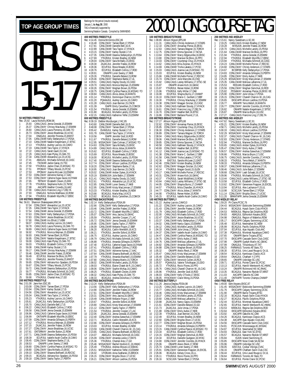**40**<br>Ref

# GIRI S 15-17 **50 METRES FREESTYLE**

|                                            | Rec: 25.92                       | טוויים ו<br>ᅠᅠ<br>Laura Nicholls, ROW, 96  |                                                                                                                                                                                                                                                          | oı.<br>Re                             |
|--------------------------------------------|----------------------------------|--------------------------------------------|----------------------------------------------------------------------------------------------------------------------------------------------------------------------------------------------------------------------------------------------------------|---------------------------------------|
| 1                                          | 25.93                            |                                            | CANLCAUG Jenna Gresdal, 15, ESWIM                                                                                                                                                                                                                        | 1                                     |
| $\frac{2}{3}$                              | 26.37<br>26.60                   |                                            | CDNLCMAY Chrissy MacAulay, 17, ESWIM<br>CANLCAUG Laura Pomeroy, 16, OAK-TO                                                                                                                                                                               | $\overline{\mathbf{c}}$               |
| 4                                          | 26.73                            |                                            | CDNLCMAY Jessie Bradshaw, 16, UCSC                                                                                                                                                                                                                       | 3<br>4                                |
| 5                                          | 27.04                            |                                            | ONAGJUL Jennifer Porenta, 15, MMST                                                                                                                                                                                                                       | 5                                     |
| $\frac{6}{7}$                              | 27.05                            |                                            | CANLCMAR Kelly Stefanyshyn, 17, PDSA                                                                                                                                                                                                                     | $\begin{array}{c} 6 \\ 7 \end{array}$ |
|                                            |                                  |                                            | CANLCMAR Natalie Kiegelmann, 17, BTSC                                                                                                                                                                                                                    |                                       |
| 8<br>9                                     | 27.10<br>27.13<br>27.19          |                                            | YTHJRJUL Audrey Lacroix, 16, CAMO<br>CANLCMAR Tara Taylor, 17, HYACK                                                                                                                                                                                     | 8<br>9                                |
| 10                                         |                                  |                                            |                                                                                                                                                                                                                                                          | 10                                    |
| $\begin{array}{c} 11 \\ 12 \end{array}$    | 27.22<br>27.29                   |                                            |                                                                                                                                                                                                                                                          | 11                                    |
|                                            | 27.34                            |                                            | CANLCAUG Sarah Gault, 15, CAC<br>CANLCAUG Kate Plyley, 15, OAK-TO<br>CANLCMAR Alexandra Lys, 15, UCSC                                                                                                                                                    | 12                                    |
| 13<br>14                                   | 27.41<br>27.45                   |                                            | ABAGJUL Michaela Schmidt, 16, CASC<br>TSCMAR Jackie Garay, 15, TSC<br>YTHJRJUL Jackie Chan, 15, MSSAC-TO<br>PPOMAY Tiffany Woods, 15, PCSC                                                                                                               | 13                                    |
| 15                                         | 27.50                            |                                            |                                                                                                                                                                                                                                                          | 14                                    |
| 16                                         | 27.51                            |                                            |                                                                                                                                                                                                                                                          | $\frac{15}{16}$                       |
| 17                                         | 27.53                            |                                            |                                                                                                                                                                                                                                                          |                                       |
| 18<br>19                                   | 27.53                            |                                            |                                                                                                                                                                                                                                                          | 18<br>19                              |
| 20                                         | 27.53<br>27.53<br>27.65<br>27.78 |                                            | <b>From The Headler Medicine School CMAY Johnna McLean, 16, ESWIM<br/>CDNLCMAY Adrienne Karney, 17, AAC<br/>CDNLCMAY Calineire Dugas-Savoie 16, DYNAM<br/>TETMAY Elizabeth Cleven, 15, TMS<br/>AACAPR Heather Crowlds, 16, AAC<br/>CAMI CAUG Erancin</b> | 20                                    |
| 21<br>22                                   |                                  |                                            |                                                                                                                                                                                                                                                          | 21                                    |
|                                            |                                  |                                            |                                                                                                                                                                                                                                                          | 22                                    |
| 23<br>24                                   | 27.90<br>27.93                   |                                            | CANLCAUG Francine Ling, 17, DELTA                                                                                                                                                                                                                        | 23                                    |
| 25                                         | 27.94                            |                                            | ONAGJUL Nichola Matthews, 16, ROW<br>YTHJRJUL Elizabeth Wycliffe,17,EBSC                                                                                                                                                                                 | 24<br>25                              |
|                                            |                                  | 100 METRES FREESTYLE                       |                                                                                                                                                                                                                                                          | 10                                    |
|                                            | Rec: 56.61                       |                                            | Shannon Shakespeare, MM, 94                                                                                                                                                                                                                              | Re                                    |
| 1                                          | 57.04                            |                                            |                                                                                                                                                                                                                                                          | 1                                     |
| $\begin{array}{c} 2 \\ 3 \\ 4 \end{array}$ | 57.35<br>57.54                   |                                            |                                                                                                                                                                                                                                                          | $\frac{2}{3}$                         |
|                                            | 57.63                            |                                            |                                                                                                                                                                                                                                                          | 4                                     |
| 5                                          | 57.83<br>57.90                   |                                            |                                                                                                                                                                                                                                                          | 5                                     |
| $\frac{6}{7}$                              | 58.07                            |                                            |                                                                                                                                                                                                                                                          | $\frac{6}{7}$                         |
| 8                                          | 58.78                            |                                            | Tailmin Shakespeare, Mont, 24<br>CDNLCMAY Alexandra Lys, 15, UCSC<br>CANLCMAR Tara Taylor, 17, HYACK<br>CDNLCMAR Jenna Gresdal 15, ESWIM<br>CDNLCMAY Jessie Bradshaw, 16, UCSC<br>FRALCMAR Tris Elliott, 17, KBM<br>CANLCAUG Laura Pomeroy, 16,          | 8                                     |
| 9                                          | 58.89                            |                                            |                                                                                                                                                                                                                                                          | 9                                     |
| 10                                         | 58.92                            |                                            | YTHJRJUL Monica Wejman, 15, ESWIM                                                                                                                                                                                                                        | 10                                    |
| 11<br>12                                   | 58.93<br>58.95                   |                                            | CANLCMAR Tamee Ebert, 16, PDSA<br>CDNLCMAY Natalie Kiegelmann, 17, BTSC                                                                                                                                                                                  | 11                                    |
| 13                                         | 59.00                            |                                            |                                                                                                                                                                                                                                                          | 12<br>13                              |
| 14                                         | 59.03                            |                                            | CANLCAUG Kate Plyley, 15, OAK-TO<br>YTHJRJUL Elizabeth Collins, 17, ROD                                                                                                                                                                                  | 14                                    |
| 15                                         | 59.08                            |                                            | CANLCMAR Karley Stutzel, 17, IS                                                                                                                                                                                                                          | 15                                    |
| 16<br>17                                   | 59.17<br>59.46                   |                                            | CANLCMAR Chrissy MacAulay, 17, ESWIM<br>CANLCMAR Jennifer Fratesi, 15, ROW<br>ECUPJUL Marieve De Blois, 16, PPO                                                                                                                                          | 16<br>17                              |
| 18                                         | 59.49                            |                                            |                                                                                                                                                                                                                                                          | 18                                    |
| 19                                         | 59.51                            |                                            | ONAGJUL Jennifer Porenta, 15, MMST                                                                                                                                                                                                                       | 19                                    |
| 20                                         | 59.65                            |                                            | CDNLCMAY Adriana Koc-Spadaro, 16, PDSA<br>CDNLCMAY Tiffany Woods, 15, PCSC                                                                                                                                                                               | $\overline{20}$                       |
| 21<br>22                                   | 59.67<br>59.72                   |                                            | CANLCMAR Deanna Stefanyshyn, 15, PDSA                                                                                                                                                                                                                    | 21                                    |
| 23                                         | 59.77                            |                                            | YTHJRJUL Michaela Schmidt,16,CASC                                                                                                                                                                                                                        | $\overline{2}$<br>23                  |
| 24                                         | 59.85                            |                                            | CDNLCMAY Jackie Chan, 15, MSSAC-TO<br>YTHJRJUL Chantal Ares, 17, GO                                                                                                                                                                                      | 24                                    |
| 25                                         | 59.90                            |                                            |                                                                                                                                                                                                                                                          | 25                                    |
|                                            | Rec: 2:01.08                     | 200 METRES FREESTYLE<br>Jane Kerr, ESC, 85 |                                                                                                                                                                                                                                                          | 20<br>Re                              |
|                                            |                                  |                                            | Jame Neu, Lov., 00<br>CDNLCMAY Tamee Ebert, 17, PDSA<br>CDNLCMAY Karley Stutzel, 17, IS<br>CONLCMAY Alexandra Lys, 15, UCSC<br>CANLCMAR Tara Taylor, 17, HYACK<br>YTHJRJUL Audrey Lacroix, 16, CAMO<br>CAMP CALIC Republic Real 1715                     | 1                                     |
| $\begin{array}{c} 1 \\ 2 \\ 3 \end{array}$ | 2:03.08<br>2:03.94               |                                            |                                                                                                                                                                                                                                                          | $\frac{2}{3}$                         |
|                                            | 2:04.56                          |                                            |                                                                                                                                                                                                                                                          |                                       |
| 4                                          | 2:05.04<br>2:05.23               |                                            |                                                                                                                                                                                                                                                          | $\frac{1}{4}$                         |
| 567                                        | 2:05.61                          |                                            |                                                                                                                                                                                                                                                          | 567                                   |
|                                            | 2:05.70                          |                                            | CANLCAUG Danielle Bell, 17, IS                                                                                                                                                                                                                           |                                       |
| 8<br>9                                     | 2:06.22                          |                                            | CANLCAUG Elizabeth Collins, 17, ROD                                                                                                                                                                                                                      | 8                                     |
| 10                                         | 2:06.58<br>2:06.96               |                                            | CANLCMAR Jenna Gresdal, 15, ESWIM                                                                                                                                                                                                                        | 9<br>10                               |
| 11                                         | 2:06.99                          |                                            | CANLCAUG Catherine Dugas-Savoie, 16, DYNAM<br>ONTIIAPR Elizabeth Wycliffe, 16, EBSC                                                                                                                                                                      | 11                                    |
| 12                                         | 2:07.09                          |                                            |                                                                                                                                                                                                                                                          | 12                                    |
| 13<br>14                                   | 2:07.12                          |                                            |                                                                                                                                                                                                                                                          | 13                                    |
| 15                                         | 2:07.15                          |                                            | <b>CONCOMPRENDICATE</b><br>CONCOMPRENDICATE THE STATE THAN CONCORDING THE FIRE THANGULARY JESSIE BRIGHT CONCORPING CONCORDING THE THANGULARY JESSIE BRIGHT DURING THE BULGARY STATE OF THE PROPERTY OF THE PROPERTY OF THE PROPERTY O                    | 14<br>15                              |
| 16                                         | 2:07.61                          |                                            |                                                                                                                                                                                                                                                          | 16                                    |
| 17                                         | 2:07.71                          |                                            | CANLCMAR Deanna Stefanyshyn, 15, PDSA<br>ECUPJUL Isabelle Ascah-Coallier, 16, CAMO                                                                                                                                                                       | 17                                    |
| 18                                         | 2:08.39                          |                                            |                                                                                                                                                                                                                                                          | 18                                    |
| 19<br>20                                   | 2:08.45<br>2:08.53               |                                            | CDNLCMAY Stephanie Barbe, 17, UL<br>ONIAPR Loren Sweny, 17, NKB                                                                                                                                                                                          | 19<br>20                              |
| $\begin{array}{c} 21 \\ 22 \end{array}$    | 2:08.80                          |                                            |                                                                                                                                                                                                                                                          | 21                                    |
|                                            | 2:08.80                          |                                            | CDNLCMAY Cynthia Pearce, 16, MSSAC-TO<br>CDNLCMAY Sara McNally, 15, EKSC<br>CDNLCMAY Shawna Bothwell, 16, RDCSC                                                                                                                                          | 22                                    |
| 23                                         | 2:09.10                          |                                            |                                                                                                                                                                                                                                                          | 23                                    |

24 2:09.15 BCAGJUL Adriana Koc-Spadaro, 16, PDSA<br>25 2:09.18 CDNLCMAV Sasha Taylor 17 PERTH 25 2:09.18 CDNLCMAY Sasha Taylor,17,PERTH

|                                              |                        | Rankings for the period (results received)                             |                                                                                                                                                                                                                                                                                                                      |
|----------------------------------------------|------------------------|------------------------------------------------------------------------|----------------------------------------------------------------------------------------------------------------------------------------------------------------------------------------------------------------------------------------------------------------------------------------------------------------------|
|                                              |                        | January 1, <b>to Aug 30</b> , 2000                                     |                                                                                                                                                                                                                                                                                                                      |
|                                              |                        | TAG is financially supported by                                        |                                                                                                                                                                                                                                                                                                                      |
|                                              |                        |                                                                        | Swimming/Natation Canada. Compiled by SWIMNEWS                                                                                                                                                                                                                                                                       |
|                                              |                        | 400 METRES FREESTYLE                                                   |                                                                                                                                                                                                                                                                                                                      |
|                                              | Rec: 4:14.45           | Donna McGinnis, ESC, 86                                                |                                                                                                                                                                                                                                                                                                                      |
| 1<br>$\overline{c}$                          | 4:16.48<br>4:17.81     |                                                                        | CDNLCMAY Tamee Ebert, 17, PDSA<br>CANLCMAR Danielle Bell, 16, IS                                                                                                                                                                                                                                                     |
| 3                                            | 4:22.89                |                                                                        | CANLCMAR Tara Taylor, 17, HYACK                                                                                                                                                                                                                                                                                      |
| 4                                            | 4:23.15                |                                                                        | CDNLCMAY Karley Śtutzel, 17, IS                                                                                                                                                                                                                                                                                      |
| 5                                            | 4:27.35                |                                                                        | CANLCMAR Deanna Stefanyshyn, 15, PDSA                                                                                                                                                                                                                                                                                |
| 6<br>7                                       | 4:27.69<br>4:28.04     |                                                                        | YTHJRJUL Kristen Bradley,16,NEW                                                                                                                                                                                                                                                                                      |
| 8                                            | 4:28.30                |                                                                        | CDNLCMAY Sara McNally, 15, EKSC<br>ZAJACJUL Jennifer Fratesi, 16, ROW<br>ECUPJUL Rosie Meade, 15, BOSC                                                                                                                                                                                                               |
| 9                                            | 4:28.36                |                                                                        |                                                                                                                                                                                                                                                                                                                      |
| 10                                           | 4:28.76                |                                                                        | ECUPJUL Elizabeth Collins, 17, ROD                                                                                                                                                                                                                                                                                   |
| 11<br>12                                     | 4:28.91<br>4:29.26     |                                                                        | <b>EGOTOL ENSIGNATION CONTRACT CONTRACT CONTRACT CONTRACT CONTRACT CONTRACT CONTRACT CONTRACT CONTRACT CONTRACT CONTRACT CONTRACT CONTRACT CONTRACT CONTRACT CONTRACT CONTRACT CONTRACT CONTRACT CONTRACT CONTRACT CONTRACT CONT</b>                                                                                 |
| 13                                           | 4:29.46                |                                                                        |                                                                                                                                                                                                                                                                                                                      |
| 14                                           | 4:29.51                |                                                                        |                                                                                                                                                                                                                                                                                                                      |
| $\frac{15}{2}$<br>16                         | 4:29.70                |                                                                        |                                                                                                                                                                                                                                                                                                                      |
| 17                                           | $4:30.26$<br>$4:30.75$ |                                                                        |                                                                                                                                                                                                                                                                                                                      |
| 18                                           | 4:30.84                |                                                                        | CANLCAUG Alicia Jobse, 16, MANTA                                                                                                                                                                                                                                                                                     |
| 19                                           | 4:31.14                |                                                                        | YTHJRJUL Dominique Charron, 16, PPO<br>POAAAJUL Audrey Lacroix, 16, CAMO<br>CANLCAUG Joan Bernier, 15, CNCB                                                                                                                                                                                                          |
| 20<br>21                                     | 4:31.20<br>4:31.28     |                                                                        |                                                                                                                                                                                                                                                                                                                      |
| 22                                           | 4:31.39                |                                                                        | ISAPR Emily Carwithen, 15, COMOX                                                                                                                                                                                                                                                                                     |
| 23                                           | 4:31.54                |                                                                        | YTHJRJUL Jenna Gresdal, 15, ESWIM                                                                                                                                                                                                                                                                                    |
| 24<br>25                                     | 4:31.80<br>4:32.15     |                                                                        | BCAGJUL Michelle Landry,15,PDSA<br>CANLCAUG Katherine Telfer, 15, ESWIM                                                                                                                                                                                                                                              |
|                                              |                        | 800 METRES FREESTYLE                                                   |                                                                                                                                                                                                                                                                                                                      |
|                                              | Rec: 8:39.19           |                                                                        | Debbie Wurzburger, LYAC, 85                                                                                                                                                                                                                                                                                          |
| 1<br>$\overline{c}$                          | 8:43.60                |                                                                        | CANLCMAR Danielle Bell, 16, IS<br>CDNLCMAY Tamee Ebert, 17, PDSA                                                                                                                                                                                                                                                     |
| 3                                            | 8:48.08<br>8:55.42     |                                                                        |                                                                                                                                                                                                                                                                                                                      |
| 4                                            | 9:01.78                |                                                                        | EVANSJUL Karley Stutzel, 17, IS<br>CANLCMAR Tara Taylor, 17, HYACK                                                                                                                                                                                                                                                   |
| 5                                            | 9:10.56                |                                                                        | ISAPR Jennifer Graf, 16, ROD                                                                                                                                                                                                                                                                                         |
| 6<br>7                                       | 9:11.67<br>9:12.95     |                                                                        | YTHJRJUL Danielle Beland, 15, ROW<br>MSSACMAY Dale Colman, 17, MSSAC-TO                                                                                                                                                                                                                                              |
| 8                                            | 9:14.63                |                                                                        |                                                                                                                                                                                                                                                                                                                      |
| 9                                            | 9:14.89                |                                                                        | CDNLCMAY Sara McNally, 15, EKSC<br>CANLCAUG Alicia Jobse, 16, MANTA                                                                                                                                                                                                                                                  |
| 10                                           | 9:15.62                |                                                                        | ECUPJUL Elizabeth Collins, 17, ROD<br>ECUPJUL Rosie Meade, 15, BOSC<br>BCAGJUL Michelle Landry, 15, PDSA                                                                                                                                                                                                             |
| 11<br>12                                     | 9:15.69<br>9:16.00     |                                                                        |                                                                                                                                                                                                                                                                                                                      |
| 13                                           | 9:17.40                |                                                                        | CANLCMAR Deanna Stefanyshyn, 15, PDSA                                                                                                                                                                                                                                                                                |
| 14                                           | 9:17.74<br>9:18.20     |                                                                        |                                                                                                                                                                                                                                                                                                                      |
|                                              | 9:18.95                |                                                                        |                                                                                                                                                                                                                                                                                                                      |
| 15<br>16<br>17                               | 9:20.02                |                                                                        | CONLCMAY Allison Laidlow, 15, PDSA<br>CONLCMAY Stephanie Barbe, 17, UL<br>CANLCAUG Joan Bernier, 15, CNCB<br>CANLCAMA Amber Dykes, 16, HYACK<br>CANLCAMA Amber Dykes, 16, HYACK                                                                                                                                      |
|                                              | 9:20.19                |                                                                        |                                                                                                                                                                                                                                                                                                                      |
| 18<br>19<br>20                               | 9:21.41                |                                                                        | ESWIMJUN Julie Babin, 17, ESWIM<br>CANLCAUG Hayley Doody, 15, CASC<br>YTHJRJUL Alexandra Lys, 15, UCSC                                                                                                                                                                                                               |
| $\frac{21}{2}$                               | 9:22.61<br>9:22.85     |                                                                        | CANLCMAR Loren Sweny, 17, NKB                                                                                                                                                                                                                                                                                        |
|                                              | 9:22.95                |                                                                        | CANLCMAR Kristy MacLennan, 17, ESWIM                                                                                                                                                                                                                                                                                 |
| 22<br>23<br>24                               | 9:23.33                |                                                                        | YTHJRJUL Kristen Bradley,16,NEW                                                                                                                                                                                                                                                                                      |
| 25                                           | 9:23.66<br>9:23.82     |                                                                        | BCAGJUL Maria May,14,KCS<br>BCAGJUL Emily Carwithen, 15, COMOX                                                                                                                                                                                                                                                       |
|                                              |                        | <b>100 METRES BACKSTROKE</b>                                           |                                                                                                                                                                                                                                                                                                                      |
|                                              | Rec: 1:02.14           | Kelly Stefanyshyn, PDSA, 99                                            |                                                                                                                                                                                                                                                                                                                      |
| 1<br>$\overline{c}$                          | 1:02.66                |                                                                        | CDŃLCMAY Kelly Stefanyshyn, 17, PDSA                                                                                                                                                                                                                                                                                 |
| 3                                            | 1:03.46<br>1:03.72     |                                                                        | CANLCMAR Jennifer Fratesi, 15, ROW<br>CDNLCMAY Elizabeth Wycliffe, 17, EBSC                                                                                                                                                                                                                                          |
| 4                                            | 1:05.07                |                                                                        | CDNLCMAY Amy Jacina 16, GMAC                                                                                                                                                                                                                                                                                         |
| 5                                            | 1:05.59                |                                                                        | YTHJRJUL Jennifer Cooper, 17, LAC                                                                                                                                                                                                                                                                                    |
| 6<br>7                                       | 1:05.72<br>1:05.95     |                                                                        | CDNLCMAY Jenna Gresdal, 15, ESWIM<br>CDNLCMAY Sasha Taylor, 17, PERTH                                                                                                                                                                                                                                                |
| 8                                            | 1:06.09                |                                                                        | CANLCMAR Melanie Frigon, 17, BBF                                                                                                                                                                                                                                                                                     |
| 9                                            | 1:06.20                |                                                                        | BCAGJUL Caitlin Meredith, 16, KCS<br>YTHJRJUL Jennifer Esford, 16, ROW<br>ECUPJUL Audrey Lacroix, 16, CAMO                                                                                                                                                                                                           |
| 10<br>11                                     | 1:06.21<br>1:06.75     |                                                                        |                                                                                                                                                                                                                                                                                                                      |
| 12                                           | 1:06.79                |                                                                        | CANLCAUG Michaela Schmidt, 16, CASC                                                                                                                                                                                                                                                                                  |
| 13                                           | 1:06.88                |                                                                        | YTHJRJUL Amanda Gillespie, 15, PERTH                                                                                                                                                                                                                                                                                 |
| 14                                           | 1:07.40                |                                                                        | ECUPJUL Catherine Dugas-Savoie, 16, DYNAM                                                                                                                                                                                                                                                                            |
| 15<br>16                                     | 1:07.41<br>1:07.51     |                                                                        | YTHJRJUL Elizabeth Collins, 17, ROD<br>CDNLCMAY Adrienne Karney, 17, AAC                                                                                                                                                                                                                                             |
| 17                                           | 1:07.64                |                                                                        |                                                                                                                                                                                                                                                                                                                      |
| 18<br>19                                     | 1:07.79                |                                                                        | CANLCMAR Shawna Bothwell, 16, RDCSC<br>YTHJRJUL Amanda MacNeill, 15, ESWIM<br>CANLCAUG Sheena Martin, 15, TORCH<br>CANLCMAR Michelle Landry, 15, PDSA<br>TULOMAR Michelle Landry, 15, PDSA                                                                                                                           |
| 20                                           | 1:07.80<br>1:08.02     |                                                                        |                                                                                                                                                                                                                                                                                                                      |
|                                              | 1:08.03                |                                                                        |                                                                                                                                                                                                                                                                                                                      |
| 21<br>22<br>23                               | 1:08.06                |                                                                        | YTHJRJUL Elaine Chatel de R., 15, CAMO<br>CDNLCMAY Sophie McKay, 16, CAMO<br>YTHJRJUL Elizabeth Cleven, 15, MM                                                                                                                                                                                                       |
|                                              | 1:08.25                |                                                                        | CANLCAUG Kate Plyley, 15, OAK-TO                                                                                                                                                                                                                                                                                     |
|                                              |                        | 24 1:08.32 CANLCAUG K<br>25 1:08.33 BCAGJUL A<br>200 METRES BACKSTROKE | BCAGJUL Andrea Donohoe, 17, CHENA                                                                                                                                                                                                                                                                                    |
|                                              |                        |                                                                        |                                                                                                                                                                                                                                                                                                                      |
|                                              | Rec: 2:13.24           | Kelly Stefanyshyn, PDSA, 99                                            | CDNLCMAY Kelly Stefanyshyn, 17, PDSA                                                                                                                                                                                                                                                                                 |
| $\frac{1}{2}$                                | 2:13.56<br>2:14.90     |                                                                        |                                                                                                                                                                                                                                                                                                                      |
| 3                                            | 2:17.61                |                                                                        | CDNLCMAY Jennifer Fratesi, 16, ROW<br>CDNLCMAY Elizabeth Wycliffe, 17, EBSC                                                                                                                                                                                                                                          |
| 4<br>5                                       | 2:20.31                |                                                                        | CDNLCMAY Amy Jacina, 16, GMAC                                                                                                                                                                                                                                                                                        |
| 6                                            | 2:20.49<br>2:20.67     |                                                                        | CANLCMAR Melanie Frigon, 17, BBF                                                                                                                                                                                                                                                                                     |
| 7                                            | 2:20.80                |                                                                        | YTHJRJUL Jennifer Esford, 16, ROW<br>CANLCAUG Kristy MacLennan, 17, ESWIM                                                                                                                                                                                                                                            |
| 8                                            | 2:21.12                |                                                                        | CDNLCMAY Sasha Taylor, 17, PERTH                                                                                                                                                                                                                                                                                     |
| 9<br>10                                      | 2:21.54<br>2:22.05     |                                                                        | YTHJRJUL Jennifer Cooper,17,LAC                                                                                                                                                                                                                                                                                      |
| 11                                           | 2:22.40                |                                                                        | ZAJACJUL Jenna Gresdal, 15, ESWIM<br>CDNLCMAY Andrea Szewchuk, 17, ESWIM                                                                                                                                                                                                                                             |
| 12                                           | 2:22.71                |                                                                        | BCAGJUL Caitlin Meredith, 16, KCS<br>CDNLCMAY Amanda Gillespie, 15, PERTH                                                                                                                                                                                                                                            |
| 13                                           | 2:22.86                |                                                                        |                                                                                                                                                                                                                                                                                                                      |
|                                              | 2:23.03                |                                                                        | ECUPJUL Kristen Bradley, 16, NEW<br>CANLCMAR Chanell Charron-W., 15, CAG                                                                                                                                                                                                                                             |
|                                              |                        |                                                                        |                                                                                                                                                                                                                                                                                                                      |
|                                              | 2:23.59<br>2:23.65     |                                                                        | CANLCAUG Shawna Bothwell, 16, RDCSC                                                                                                                                                                                                                                                                                  |
|                                              | 2:24.07                |                                                                        | ABAGJUL Michaela Schmidt, 16, CASC                                                                                                                                                                                                                                                                                   |
|                                              | 2:25.09                |                                                                        |                                                                                                                                                                                                                                                                                                                      |
|                                              | 2:25.36                |                                                                        |                                                                                                                                                                                                                                                                                                                      |
| 14<br>15<br>16<br>17<br>18<br>19<br>20<br>21 | 2:25.46<br>2:25.49     |                                                                        |                                                                                                                                                                                                                                                                                                                      |
| $\overline{2}$                               | 2:25.51                |                                                                        |                                                                                                                                                                                                                                                                                                                      |
| 23<br>24<br>25                               | 2:26.02<br>2:26.15     |                                                                        | ABAUJUL Mitulated Summun, 1970-2012<br>CDNLCMAY Amaria Leslie, 17, RAYS<br>YTHJRJUL Chantal Ares, 17, GO<br>MYSSACMAY Rachel Hosford-E., 16, HVMC<br>YTHJRJUL Andrea Shoust, 14, SSMAC<br>MITORJAN Ama Szálfarski, 15, BROCK<br>COM LONAN<br>CDNLCMAY Brigitta Olson, 17, UCSC<br>CDNLCMAY Allison Laidlow, 15, PDSA |

#### TOP AGE GROUP TIMES  $\frac{\text{Rankings for the period (results recerved)} }{\text{Katrons of 2000}}$   $2000$  LONG COURSE TAG® **100 METRES BREASTSTROKE** Rec: 1:08.86 Allison Higson,EPS,88<br>1 1:11.31 CANLCAUG Christy Anderson,17,STARS<br>2 1:12.10 CDNLCMAY Annamay Pierse,16,EKSC<br>3 1:12.63 CANLCAUG Tamara Wagner,15,TORCH 4 1:12.75 CDNLCMAY Emma Spooner,17,NCSA<br>5 1:13.64 CDNLCMAY Marieve De Blois,16,PEKSC<br>6 1:13.80 CDNLCMAY Marieve De Blois,16,PPO<br>7 1:14.03 CDNLCMAY Courtenay Chuy,15,HYACK<br>8 1:14.62 CANLCAUG Mila Zvijerac,15,HYACK 9 1:14.69 CANLCMAR Trisha Lakatos,17,PCSC<br>10 1:15.03 CANLCAUG Joanna Lee,15,MSSAC-TO<br>11 1:15.03 ECUPJUL Kristen Bradley,16,NEW<br>12 1:15.66 CANLCMAR Michelle Poirier,17,RDCSC 13 1:15.74 CDNLCMAY Julie Marcotte, 16, CNQ<br>14 1:15.82 CANLCAUG Lesley Williams, 17, STS 14 1:15.82 CANLCAUG Lesley Williams,17,STSC-SE 15 1:15.87 ONIAPR Ariane Kich,16,GMAC 16 1:15.87 YTHJRJUL Renee Hober,15,ROW 17 1:15.96 YTHJRJUL Kelly Millar,17,OAK 18 1:16.08 ECUPJUL Shayna Burns,17,CHAMP 19 1:16.10 CDNLCMAY Marie-C. Guilbert,17,BBF 20 1:16.30 YTHJRJUL Chrissy MacAulay,17,ESWIM<br>21 1:16.38 CDNLCMAY Meagan Sinclair,15,CASC<br>22 1:16.39 CANLCMAY Meagan Stoody,17,HYACK<br>23 1:16.61 CDNLCMAY Francine Ling,17,DELTA<br>24 1:16.70 CDNLCMAY Heather Bell,16,BTSC 25 1:16.86 CDNLCMAY Barbara Pouret,17,UL **200 METRES BREASTSTROKE** Rec: 2:27.27 Allison Higson,EPS,88 1 2:32.62 CDNLCMAY Annamay Pierse,16,EKSC 2 2:35.85 CDNLCMAY Courtenay Chuy,15,HYACK 3 2:36.30 CDNLCMAY Christy Anderson,17,STARS 4 2:36.89 CDNLCMAY Tamara Wagner,15,TORCH 5 2:38.04 CANLCAUG Marcy Edgecumbe,16,EKSC 6 2:39.06 CANLCMAR Marieve De Blois,16,PPO 7 2:39.85 CDNLCMAY Emma Spooner,17,NCSA 8 2:40.58 CANLCAUG Kathleen Stoody,17,HYACK 9 2:40.69 CDNLCMAY Heather Bell,16,BTSC 10 2:41.12 CANLCMAR Joanna Lee,15,MSSAC-TO 11 2:41.38 CDNLCMAY Marie-C. Guilbert,17,BBF 12 2:41.58 CANLCMAR Trisha Lakatos, 17, PCSC<br>13 2:42.36 EASTUL Sandra McLean, 21, EAST<br>14 2:42.46 CDNLCMAY Kristen Bradley, 16, NEW<br>15 2:42.46 CDNLCMAY Meagan Sinclair, 15, CASC<br>16 2:43.14 YTHJRUL Meg 18 2:43.31 CDNLCMAY Ariane Kich,16,GMAC<br>19 2:43.37 YTHJRJUL Sarah Widdifield,15,ROW<br>20 2:43.64 CANLCAUG Lesley Williams,17,CTSC-SE<br>21 2:44.05 YTHJRJUL Mitra Chandler,16,HYACK<br>22 2:44.57 YTHJRJUL 23 2:44.77 CDNLCMAY Alicia Jobse,17,MANTA 24 2:44.90 YTHJRJUL Renee Hober,15,ROW 23 2:44.77 CONLCMAY Alticla Jobse, 17, MANTA<br>24 2:44.90 YTHJRJUL Renee Hober, 15, ROW<br>25 2:45.15 ECUPJUL Isabelle Ascah-Coallier, 16, CAMO **100 METRES BUTTERFLY**<br>Rec: 1:01.22 Audrey Lacrol Rec: 1:01.22 Audrey Lacroix,CAMO,0<br>1 1:01.22 CDNLCMAY Audrey Lacroix,16,CAMO<br>2 1:01.43 CDNLCMAY Jennifer Fratesi,16,ROW<br>3 1:01.79 CANLCAUG Elizabeth Collins,17,ROD 4 1:02.00 CANLCAUG Michaela Schmidt,16,CASC 5 1:02.47 CDNLCMAY Jessie Bradshaw,16,UCSC<br>6 1:03.37 CANLCMAR Kelly Stefanyshyn,17,PDSA<br>7 1:04.02 CANLCMAR Nancy Gajos,15,ESWIM<br>8 1:04.12 CANLCMAR Julie Unrau,17,PDSA<br>9 1:04.33 CANLCMAR Julie Unrau,17,PDSA 10 1:04.37 CONLCMAY Isabelle Ascah-Coallier, 16, CAMO<br>11 1:04.47 CANLCMAR Cynthia Pearce, 16, MSSAC-TO<br>12 1:04.75 CONLCMAY Emily Aubie, 17, NKB<br>13 1:04.76 CANLCMAY Meilasa Laflamme, 17, UL<br>14 1:04.82 CONLCMAY Meghan Brown, 18 1:05.49 CDNLCMAY Danielle Beland, 15, GO<br>19 1:05.57 CDNLCMAY Veronick Cullen, 16, RC. 19 1:05.47 CONLOMAT Banner Berand, 19,80<br>19 1:05.57 CDNLCMAY Veronick Cullen, 16, RCA<br>20 1:05.57 POAAA JUL Valerie Tcholkavan. 15.D 20 1:05.57 PQAAAJUL Valerie Tcholkayan, 15, DDO<br>21 1:05.72 YTHJRJUL Rocio Flores, 16, PPO<br>22 1:05.76 CANLCAUG Chanell Charron-W., 16, CA 21 1:05.72 YTHJRJUL Rocio Flores,16,PPO 22 1:05.76 CANLCAUG Chanell Charron-W.,16,CAG 23 1:05.96 YTHJRJUL Jennifer Graf, 16, ROD<br>24 1:06.03 CDNLCMAY Kelly O'Toole, 17, EKSO<br>25 1:06.05 HYACKMAY Claire Wong, 15, PDSA 24 1:06.03 CDNLCMAY Kelly O'Toole,17,EKSC 25 1:06.05 HYACKMAY Claire Wong,15,PDSA **200 METRES BUTTERFLY**<br>Rec: 2:11.26 Jessica Deglau<br>1 2:13.25 CANLCAUG Rec: 2:11.26 Jessica Deglau,PDSA,98<br>1 2:13.25 CANLCAUG Audrey Lacroix,16,CAMO<br>2 2:15.77 CANLCAUG Michaela Schmidt,16,CASC<br>3 2:16.46 CANLCAUG Kristy MacLennan,17,ESWIM 4 2:18.37 CANLCAUG Michelle Landry, 15, PDSA 5 2:20.60 CANLCMAR Melissa Laflamme,17,UL 6 2:20.88 ZAJACJUL Nancy Gajos,15,ESWIM 7 2:21.61 CDNLCMAY Danielle Beland, 15.GO<br>8 2:21.73 ZAJACJUL Julie Unrau, 17, PDSA<br>9 2:21.88 CDNLCMAY Emily Aubie, 17, NKB<br>10 2:22.49 FCUPJUL Joan Bernier, 15, CNCB<br>12 2:22.60 CDNLCMAY Brigitta Olson, 17, UCSC 13 2:22.77 CDNLCMAY Meghan Brown,16,PDSA 14 2:23.14 YTHJRJUL Amanda Gillespie,15,PERTH 15 2:23.15 CANLCMAR Cynthia Pearce, 16, MSSAC-TO<br>16 2:23.34 ECUPJUL Elizabeth Collins, 17, ROD<br>17 2:24.15 CDNLCMAY Meghan Demchuk, 16, ROD<br>18 2:24.30 CDNLCMAY Jeminer Coombs, 16, HYACK<br>19 2:25.06 CDNLCMAY Jeminer Coombs, 1 21 2:25.74 CANLCMAR Loren Sweny,17,NKB<br>22 2:25.91 CDNLCMAY Genevieve Frappier,1<br>23 2:26.06 BCAGJUL Kelsey Cross,16,LL 22 2:25.91 CDNLCMAY Genevieve Frappier,16,EXCEL 23 2:26.06 BCAGJUL Kelsey Cross,16,LL 24 2:26.11 YTHJRJUL Rocio Flores,16,PPO 25 2:26.16 SCSCJUN Tamee Ebert,17,PDSA

#### Rec: 2:15.61 Nancy Sweetnam,LLSC,90 1 2:19.25 CANLCAUG Kristen Bradley,17,NEW 2 2:19.28 MVNJUN Jennifer Fratesi,16,ROW 3 2:20.70 CANLCAUG Michelle Landry,15,PDSA 4 2:21.64 CANLCMAR Marieve De Blois,16,PPO 5 2:21.94 YTHJRJUL Jenna Gresdal,15,ESWIM 6 2:22.94 YTHJRJUL Elizabeth Wycliffe,17,EBSC 7 2:23.94 YTHJRJUL Michaela Schmidt,16,CASC 8 2:24.23 CANLCMAR Michelle Poirier,17,RDCSC 9 2:24.60 CDNLCMAY Christy Anderson,17,STARS<br>10 2:24.67 BCSRFEB Kelly Stefanyshyn,17,PDSA<br>11 2:24.83 CDNLCMAY Amanda Gillespie,15,PERTH<br>12 2:24.85 CDNLCMAY Emily Aubie,17,NKB<br>13 2:25.29 MSSACMAY Kristy MacLennan,17,ESWIM 14 2:25:35 CANLCMAR Melissa Laflamme, 17, UL<br>15 2:25.53 RODJAN Elizabeth Collins, 17, ROD<br>16 2:25.56 CDNLCMAY Meghan Demchuk, 16, ROD<br>17 2:25.50 CDNLCMAY Annamay Pierse, 16, EKSC-SE<br>18 2:25.50 CDNLCMAY JChanell Charron-W., 20 2:26.65 EKSCAPR Allison Laidlow,15,PDSA 21 2:26.77 MMAPR Terra Welsh,16,MANTA 22 2:26.77 CDNLCMAY Jennifer Coombs,16,HYACK<br>23 2:26.82 ONIAPR Natalie Kiegelmann,17,BTS<br>24 2:26.87 ONIAPR Marcia Bryon,16,USC 23 2:26.82 ONIAPR Natalie Kiegelmann,17,BTSC 24 2:26.87 ONIAPR Marcia Bryon,16,USC 25 2:27.27 CANLCAUG Francine Ling,17,DELTA **400 METRES IND.MEDLEY** Rec: 4:47.62 Nancy Sweetnam,LLSC,91 1 4:55.21 CDNLCMAY Kristen Bradley,16,NEW 2 4:58.71 CANLCAUG Michelle Landry,15,PDSA 3 5:00.33 CANLCAUG Allison Laidlow, 15, PDSA<br>4 5:02.33 CANLCAUG Allison Laidlow, 15, PDSA<br>5 5:02.37 CANLCAUG Chanell Charmon-W., 16, CAG<br>5:02.37 CANLCAUG Chanell Charmon-W., 16, CAG<br>7 5:02.94 VYHJRJUL Marieve De Blois, 16, 15 5:08.37 CANLCMAR Melissa Laflamme,17,UL 16 5:08.46 CANLCAUG Julie Babin,17,ESWIM 16 5:08.46 CANLCAUG Julie Babin, 17, ESUMA<br>17 5:08.68 CDNLCMAY Leah Schaab, 16, UCSC<br>18 5:09.96 YTHJRJUL Michaela Schmidt, 16,<br>19 5:10.44 CANLCAUG Lesley Williams, 17, ST 18 5:09.96 YTHJRJUL Michaela Schmidt,16,CASC 19 5:10.44 CANLCAUG Lesley Williams,17,STSC-SE 20 5:10.58 ECUPJUL Elizabeth Collins,17,ROD 21 5:10.62 CDNLCMAY Genevieve Frappier,16,EXCEL 22 5:10.94 ECUPJUL Alex Lachance-F,15,UL 23 5:10.98 SCSCJUN Tamee Ebert,17,PDSA 24 5:11.14 CDNLCMAY Brigitta Olson,17,UCSC 26.1.2020 BRANTAPR JOSEPH J. 1.1.14 CONLCMAY Brigitta Olson, 17, UCSC<br>25.11.14 CDNLCMAY Brigitta Olson, 17, UCSC<br>25.11.20 BRANTAPR Jenna Gresdal, 15.ESWIM **4X50 MEDLEY RELAY**<br>
Rec: 1:59.20 Pt-Claire,<br>
1 2:04.43 MSSACM Rec: 1:59.20 Pt-Claire,PCSC,76<br>1 2:04.43 MSSACMAY Etobicoke Swimming,ESWIM 2 2:04.44 BCAGJUL Hyack Swim Club, HYACK<br>3 2:04.53 MBSKJUL Regina Opt.Dolphins, ROD 2005 - MBSKULL Regina Opt. Dojhnins, ROD 2015<br>120453 - MBSKULL Edmonton Keyano, EKSC<br>120498 - ONAGJUL Edmonton Keyano, EKSC<br>1205.17 - EKSCAPR Calgary Swimming, UCSC<br>1205.48 - ECUPJUL Newmarket SC, NEW<br>1205.48 - ECUPJUL New 20 2:09.71 ECUPJUL Pointe Claire SC,PCSC 21 2:10.13 ECUPJUL Hamilt-Wentworth AC,HWAC 22 2:10.24 ONIAPR Richmond Hill AC,RHAC 23 2:10.35 BCAGJUL Nanaimo Riptide ST, NRST<br>24 2:11.03 AACAPR Oakville AC, OAK<br>25 2:11.40 ONTIIAPR Toronto Champs, CHAMP 20100302 Hanalino hiphae **25 2:11.40 PM CART IN DANSITION CHAMP 4X50 FREE RELAY**<br>Rec: 1:49.00 Edm.K<br>1 1:51.45 MSSA Rec: 1:49.00 Edm.Keyano,EKSC,87 1 1:51.45 MSSACMAY Etobicoke Swimming,ESWIM 2 1:51.76 EKSCAPR Calgary Swimming,UCSC<br>3 1:51.90 ONIAPR Barrie Trojans,BTSC<br>4 1:52.16 BCAGJUL Hyack Swim Club,HYACK<br>5 1:52.27 BCAGJUL Pacific Dolphins,PDSA<br>6 1:52.44 ECUPJUL Montreal Aquatique,CAMO 7 1:52.65 ECUPJUL Hamilt-Wentworth AC,HWAC 8 1:53.53 MBSKJUL Regina Opt.Dolphins,ROD 9 1:53.64 EKSCAPR Edmonton Keyano,EKSC 10 1:53.92 AACAPR Oakville AC,OAK<br>11 1:54.26 BCAGJUL Kamloops Classi<br>12 1:54.38 AACAPR Ajax Aquatic Clu<br>13 1:54.56 EKSCAPR Cascade Swim C 11 1:54.26 BCAGJUL Kamloops Classic,KCS 12 1:54.38 AACAPR Ajax Aquatic Club,AAC 13 1:54.56 EKSCAPR Cascade Swim Club,CASC 14 1:54.81 PCSCJUN Mississauga AC,MSSAC<br>15 1:54.87 FCUPJUL Newmarket SC.NEW 15 1:54.87 ECUPJUL Newmarket SC, NEW<br>16 1:54.93 ONAGJUL East York SC, EYSC<br>17 1:55.57 BCAGJUL Nanaimo Riptide ST, 16 1:54.93 ONAGJUL East York SC,EYSC 17 1:55.57 BCAGJUL Nanaimo Riptide ST,NRST 18 1:55.84 ISJUN Island Swimming,IS 19 1:55.85 EKSCAPR Nose Creek SA,NCSA 20 1:55.96 ONIAPR Uxbridge SC,USC 21 1:56.05 EASTJUL Codiac Vikings,CVAC 21 1:56.16 **CONIAPR Chatham Swim Club, CSC**<br>23 1:56.44 **ECUPJUL Univ.Laval Rouge & Or,U** 23 1:56.44 ECUPJUL Univ.Laval Rouge & Or,UL<br>24 1:56.64 FARWAUG Toronto All Stars, TO<br>25 1:56.64 ECUPJUL Pointe Claire SC.PCSC 24 1:56.64 FARWAUG Toronto All Stars,TO 25 1:56.64 ECUPJUL Pointe Claire SC,PCSC

**200 METRES IND.MEDLEY**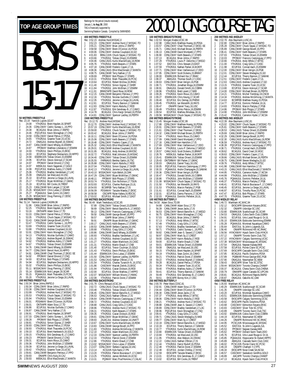#### Rankings for the period (results received) January 1, **to Aug 30**, 2000 TAG is financially supported by Swimming/Natation Canada. Compiled by SWIMNEWS BOYS 15-17 **50 METRES FREESTYLE** Rec: 23.19 Yannick Lupien, GO, 97<br>1 24.08 YTHJR JUL Brent H 24.08 YTHJRJUL Brent Hayden,16,SPART<br>24.36 CDNLCMAY Cedric Sureau-L.,16,PP<br>24.38 BCAGJUL Brian Johns,17,RAPID 2 24.36 CDNLCMAY Cedric Sureau-L.,16,PPO 3 24.38 BCAGJUL Brian Johns,17,RAPID 24.46 POCUPJUL Kevin Monaghan, 17, CNQ 5 24.58 CDNLCMAY Daniel Petrus,17,PDSA 6 24.65 YTHJRJUL Graeme Tozer,15,UCSC 24.72 ONAGJUL Andrew Bignell, 16, SSMAC<br>24.87 CANLCMAR David Whang, 16, ESWIM 8 24.87 CANLCMAR David Whang,16,ESWIM 9 24.87 PPOMAY Matthew Liberatore,17,ESWIM 10 24.93 YTHJRJUL Devin Phillips,15,EKSC 11 24.93 ECUPJUL Stephane Deslauriers,18,HIPPO 12 24.94 ESWIMJUN Tobias Oriwol,15,ESWIM 13 24.95 ECUPJUL Devon Ackroyd,17,SCAR 14 24.97 PPOMAY Daniel Emond,17,CNQ 15 24.97 MBSKJUL Kevin Saganski,17,GOLD 16 24.99 PQCUPJUL Mathieu Aubry,17,CNHR 17 25.06 YTHJRJUL Bradley Vanderkam,17,LAC 18 25.09 ONAGJUL Ian MacLeod,16,USC 19 25.10 ECUPJUL Jerome Le Siege,16,LAVAL 20 25.17 YTHJRJUL Bryan McMillan,17,GMAC 21 25.19 ECUPJUL BIII Cocks, 16, TRENT<br>22 25.23 CANLCMAR Nick Langan, 17, SCA 22 25.23 CANLCMAR Nick Langan, 17, SCAR<br>
23 25.26 MSSACMAY Chris Lukas, 17, ESWIN<br>
24 25.27 POAAAJUL Sean Zunini, 16, CAMO<br>
25.27 POAAAJUL Sean Zunini, 16, CAMO<br>
25.29 MSSACMAY Doug Fleming, 17, ODS 23 25.26 MSSACMAY Chris Lukas, 17, ESWIM<br>24 25.27 POAAA IUL Sean Zunini 16, CAMO 24 25.27 PQAAAJUL Sean Zunini,16,CAMO 25 25.29 MSSACMAY Doug Fleming,17,ODSC **100 METRES FREESTYLE**<br>Rec: 51.14 Yannick Lupien,<br>1 51.96 CANLCMAR Rec: 51.14 Yannick Lupien,CAGRA,96 1 51.96 CANLCMAR Brian Johns,17,RAPID 2 52.25 YTHJRJUL Brent Hayden,16,SPART 3 53.16 ONTIIAPR Adam Sioui,17,TD 53.16 ONTIIAPR Adam Sioui,17,TD<br>53.33 CDNLCMAY Daniel Petrus,17,PDSA<br>53.35 YTHIRIIII Chuck Savao 17 MSSA 5 53.35 YTHJRJUL Chuck Sayao,17,MSSAC-TO 6 53.43 CANLCMAR George Bovell,16,PPO 7 53.47 YTHJRJUL Cedric Sureau-L.,16,PPO 8 53.69 YTHJRJUL Graeme Tozer,15,UCSC 9 53.88 YTHJRJUL Andrew Coupland,16,GO 10 53.91 CDNLCMAY Kevin Monaghan,17,CNQ 11 54.13 YTHJRJUL Nicolas Guillotte,17,CAMO 12 54.15 ONAGJUL Andrew Bignell,16,SSMAC 13 54.62 YTHJRJUL Mathieu Aubry,17,CNHR 14 54.67 YTHJRJUL Tobias Oriwol,15,ESWIM 15 54.76 CANLCMAR David Whang,16,ESWIM 16 54.77 CDNLCMAY Benoit Huot,16,HIPPO 17 54.81 CANLCMAR Chad Thomsen,17,EKSC-SE 18 54.92 PPOMAY Daniel Emond, 17, CNQ<br>19 54.93 ECUPJUL Bob Phipps, 17, STARS<br>20 54.94 ECUPJUL Stephane Deslauriers, 1 19 54.93 ECUPJUL Bob Phipps,17,STARS 20 54.94 ECUPJUL Stephane Deslauriers,18,HIPPO 21 55.02 YTHJRJUL Devin Phillips,15,EKSC 22 55.11 MSSACMAY Doug Fleming,17,ODSC 23 55.14 ESWIMJUN Nick Langan,18,SCAR 21 55.11 MSSACMAY Doug Fleming,17,0DSC<br>
23 55.14 ESWIMJUN Nick Langan,18,SCAR<br>
24 55.15 POAAAJUL Mark Thauvette,15,PCSC<br>
25 55.15 POAAAJUL Mark Thauvette,15,PCS<br>
25 55.20 YTH ID Jul Jacoma La Stega 14.1 AV

|                |                               | <b>400 METRES FREESTYLE</b>                            |                                                                                                                                                                                                                                                                         |
|----------------|-------------------------------|--------------------------------------------------------|-------------------------------------------------------------------------------------------------------------------------------------------------------------------------------------------------------------------------------------------------------------------------|
|                | Rec: 3:52.23<br>1 3:52.23     | Andrew Hurd, MSSAC, 0                                  |                                                                                                                                                                                                                                                                         |
| $\overline{c}$ | 3:55.21                       |                                                        | CDNLCMAY Andrew Hurd, 17, MSSAC-TO<br>CDNLCMAY Brian Johns, 17, RAPID                                                                                                                                                                                                   |
| 3<br>4         | 3:58.58<br>4:00.06            |                                                        | CONLEMAY Brent O'Connor, 16, PDSA<br>CDNLCMAY Andrew Coupland, 16, GO<br>BRALCJUN Chuck Sayao, 17, MSSAC-TO<br>YTHJRJUL Tobias Oriwol, 15, ESWIM                                                                                                                        |
| 5              | 4:01.83                       |                                                        |                                                                                                                                                                                                                                                                         |
| 6<br>7         | 4:03.66<br>4:04.46            |                                                        | THERMOLT UDIAS MONOITON CANNON THERMOLT SAN CANNON THERMOLT SCALE CAN CANNON THE CANNON CANNON CANNON CANNON CANNON CANNON CANNON CANNON CANNON CANNON CANNON CANNON CANNON CANNON CANNON CANNON CANNON CANNON CANNON CANNON C                                          |
| 8              | 4:05.76                       |                                                        |                                                                                                                                                                                                                                                                         |
| 9<br>10        | 4:07.18<br>4:08.36            |                                                        |                                                                                                                                                                                                                                                                         |
| 11             | 4:08.75                       |                                                        | CANLCMAR Terry Nathan, 17, IS<br>PPOMAY Bob Phipps, 17, STARS<br>YTHJRJUL Mark Thauvette, 16, PCSC<br>ECUPJUL Robert McDow, 16, RHAC<br>CUPJUL Robert McDow, 16, RHAC                                                                                                   |
| 12<br>13       | 4:09.69<br>4:10.31            |                                                        |                                                                                                                                                                                                                                                                         |
| 14<br>15       | 4:10.64                       |                                                        |                                                                                                                                                                                                                                                                         |
| 16             | 4:11.40<br>4:11.84            |                                                        | YTHJRJUL Simon Gignac, 17, SHER<br>YTHJRJUL John McErlain, 17, ESWIM<br>BRANTAPR David Rose, 18, ROW                                                                                                                                                                    |
| 17<br>18       | 4:11.91                       |                                                        |                                                                                                                                                                                                                                                                         |
| 19             | 4:12.15<br>4:12.16            |                                                        | CANLCMAR Benjamin Petrieux,17,PPO<br>YTHJRJUL Nicolas Guillotte,17,CAMO                                                                                                                                                                                                 |
| 20<br>21       | 4:12.35<br>4:12.81            |                                                        | YTHJRJUL Jerome Le Siege, 16, LAVAL                                                                                                                                                                                                                                     |
| 22             | 4:12.83                       |                                                        | ECUPJUL Thierry Bannon, 17, SAMAK<br>CDNLCMAY Karim Abdulla, 17, ROD                                                                                                                                                                                                    |
| 23<br>24       | 4:12.87<br>4:14.78            |                                                        | YTHJRJUL Erik Gendreau-B.,17,CAMO<br>BCAGJUL Chris Kargl-Simard, 16, PDSA                                                                                                                                                                                               |
| 25             | 4:14.81                       |                                                        | CDNLCMAY Spencer Laidley, 16, PERTH                                                                                                                                                                                                                                     |
|                | Rec: 15:12.70                 | <b>1500 METRES FREESTYLE</b><br>Andrew Hurd, MSSAC, 0  |                                                                                                                                                                                                                                                                         |
| 1              | 15:12.70                      |                                                        | CDNLCMAY Andrew Hurd, 17, MSSAC-TO                                                                                                                                                                                                                                      |
| 2<br>3         | 15:57.19<br>15:59.00          |                                                        | CDNLCMAY Kurtis MacGillivary, 16, ROW                                                                                                                                                                                                                                   |
| 4              | 16:03.42                      |                                                        | YTHJRJUL Chuck Sayao, 17, MSSAC-TO<br>BCAGJUL Brian Johns, 17, RAPID                                                                                                                                                                                                    |
| 5<br>6         | 16:10.11<br>16:15.06          |                                                        | CDNLCMAY Brent O'Connor, 16, PDSA                                                                                                                                                                                                                                       |
| 7              | 16:19.48                      |                                                        | CDNLCMAY Keith Beavers, 17, STARS<br>CDNLCMAY Frederic Cayen, 17, UL<br>CANLCAUG Elliot MacDonald, 17, MANTA                                                                                                                                                            |
| 8<br>9         | 16:25.32<br>16:29.01          |                                                        |                                                                                                                                                                                                                                                                         |
|                | 10 16:31.95                   |                                                        | CANLCMAR Andrew Coupland, 16, GO<br>BCAGJUL Andy Andrew, 16, WVOSC<br>THJRJUL Matt Johnston, 15, MSSAC<br>CDNLCMAY Tobias Oriwol, 15, ESWIM                                                                                                                             |
| 11<br>12       | 16:32.72<br>16:34.40          |                                                        |                                                                                                                                                                                                                                                                         |
| 13             | 16:35.55                      |                                                        | <b>EXAMPLE TO Bentley Gaikis, 16, TSC</b>                                                                                                                                                                                                                               |
| 14<br>15       | 16:35.88<br>16:37.04          |                                                        | CDNLCMAY Karim Abdulla, 17, ROD<br>YTHJRJUL Simon Gignac, 17, SHER<br>VITHJD II II - Jacome Le Siege, 16, LAN                                                                                                                                                           |
| 16             | 16:42.13<br>16:43.10          |                                                        | THURUL Jerome Le Siege, 16, LAVAL<br>MSSACMAY Kyle Welsh, 16, OAK<br>CDNLCMAY Bryan McMillan, 17, GMAC<br>PPOMAY Bob Phipps, 17, STARS<br>YTHJRJUL Don Nicholson, 17, TSIN<br>YTHJRJUL Don Nicholson, 17, TSIN<br>YTHJRJUL Don Nicholson,<br>Jerome Le Siege, 16, LAVAL |
| 17             | 18 16:47.29                   |                                                        |                                                                                                                                                                                                                                                                         |
| 19             | 16:48.11                      |                                                        |                                                                                                                                                                                                                                                                         |
| 21             | 20 16:53.74<br>16:53.93       |                                                        | ECUPJUL Charles Rodrigue, 15, UL                                                                                                                                                                                                                                        |
| 22             | 16:54.93                      |                                                        | BCSRFEB Terry Nathan, 17, IS<br>PDSAMAY Taisuke Maeda, 17, EKSC                                                                                                                                                                                                         |
| 23<br>24       | 16:56.09<br>16:58.58          |                                                        | OSCAPR Rylan Kafara, 16, RDCSC                                                                                                                                                                                                                                          |
|                |                               |                                                        |                                                                                                                                                                                                                                                                         |
| 25             | 17:03.02                      |                                                        | ECUPJUL Michael Smith, 17, EAST                                                                                                                                                                                                                                         |
|                |                               | <b>100 METRES BACKSTROKE</b>                           |                                                                                                                                                                                                                                                                         |
| 1              | Rec: 56.49<br>57.89           |                                                        | Mark Tewksbury,UCSC,85<br>9 CDNLCMAY Tobias Oriwol,15,ESWIM                                                                                                                                                                                                             |
| 2<br>3         | 58.69<br>59.13                |                                                        | CDNLCMAY Benoit Banville-A., 17, MEGO                                                                                                                                                                                                                                   |
| 4              | 59.50                         |                                                        | CDNLCMAY Francois Castonguay 17, PPO<br>CANLCMAR George Bovell, 16, PPO                                                                                                                                                                                                 |
| 5<br>6         | 59.57<br>59.91                |                                                        | ISAPR Brian Johns, 17, RAPID                                                                                                                                                                                                                                            |
| 7              | 1:00.17                       |                                                        | ONIAPR Bryan McMillan,17,GMAC<br>CANLCAUG Keith Beavers, 17, STARS                                                                                                                                                                                                      |
| 8<br>9         | 1:00.53<br>1:00.68            |                                                        | CANLCMAR Stefano Caprara, 16, VAC                                                                                                                                                                                                                                       |
| 10             | 1:00.86                       |                                                        | YTHJRJUL Craig Gillis, 17, CASC<br>CANLCMAR David Whang, 16, ESWIM                                                                                                                                                                                                      |
| 11<br>12       | 1:00.93<br>1:01.15            |                                                        |                                                                                                                                                                                                                                                                         |
| 13             |                               |                                                        |                                                                                                                                                                                                                                                                         |
| 14<br>15       | 1:01.27<br>1:01.31<br>1:01.40 |                                                        |                                                                                                                                                                                                                                                                         |
| 16             | 1:01.43                       |                                                        | ANLUMAN David Wanderkan, 17, Loven, 17, LAC<br>YTHJRJUL Bradley Vanderkan, 17, LAC<br>YTHJRJUL Andrew Coupland, 16, GO<br>YTHJRJUL Martin Enault, 17, CNB<br>YTHJRJUL Trevor Coulman, 15, GOLD<br>COUPJUL Trevor Coulman, 15, CNS<br>COUPJUL Ter                        |
| 17<br>18       | 1:01.44<br>1:01.50            |                                                        |                                                                                                                                                                                                                                                                         |
| 19             | 1:01.53                       |                                                        |                                                                                                                                                                                                                                                                         |
| 20<br>21       | 1:01.54<br>1:01.86            |                                                        |                                                                                                                                                                                                                                                                         |
| 22             | 1:01.94                       |                                                        | ESWIMJUN Chris Lukas, 17, ESWIM<br>CDNLCMAY Spencer Laidley, 16, PERTH<br>CANLCAUG Nathan O'Brien, 17, IS.<br>YTHJRJUL Charles Turanich-N., 16, STSC<br>CASCMAY Maciek Zielnik, 15, EKSC<br>CASCMAY Maciek Zielnik, 15, EKSC<br>YTHJRJUL Ciaran Dickson, 16,ROD         |
| 23<br>24       | 1:02.00<br>1:02.07            |                                                        | ECUPJUL Olivier Mathieu, 17, HIPPO<br>MSSACMAY William Moore, 17, HWAC                                                                                                                                                                                                  |
| 25             | 1:02.08                       |                                                        | YTHJRJUL Patrick Doret,17,ESWIM                                                                                                                                                                                                                                         |
|                | Rec: 2:01.79                  | <b>200 METRES BACKSTROKE</b><br>Chris Renaud, UCSC, 94 |                                                                                                                                                                                                                                                                         |
| 1              | 2:02.72                       |                                                        | CANLCAUG Chuck Sayao, 17, MSSAC-TO                                                                                                                                                                                                                                      |
| 2<br>3         | 2:03.48<br>2:06.45            |                                                        | YTHJRJUL Tobias Oriwol,15,ESWIM<br>CDNLCMAY Benoit Banville-A., 17, MEGO                                                                                                                                                                                                |
| 4              | 2:06.53                       |                                                        | CANLCAUG Nathan O'Brien, 17, IS                                                                                                                                                                                                                                         |
| 5<br>6         | 2:06.64<br>2:08.72            |                                                        | CANLCMAR Francois Castonguay, 17, PPO<br>YTHJRJUL Andrew Coupland,16,GO                                                                                                                                                                                                 |
| 7<br>8         | 2:08.88<br>2:08.96            |                                                        | CANLCAUG Craig Gillis,17,CASC                                                                                                                                                                                                                                           |
| 9              | 2:09.31                       |                                                        | YTHJRJUL Andrew Hurd,17,MSSAC-TO<br>YTHJRJUL Keith Beavers, 17, STARS                                                                                                                                                                                                   |
| 10<br>11       | 2:09.35                       |                                                        | YTHJRJUL Ciaran Dickson, 16, ROD                                                                                                                                                                                                                                        |
| 12             | 2:09.81<br>2:09.93            |                                                        | CDNLCMAY Bryan McMillan, 17, GMAC<br>ZAJACJUL Andrew Greener, 16, UNATT                                                                                                                                                                                                 |
| 13<br>14       | 2:10.67<br>2:10.83            |                                                        |                                                                                                                                                                                                                                                                         |
| 15             | 2:11.83                       |                                                        | CONLCMAY Kurtis MacGillivary, 16, ROW<br>CANLCMAR George Bovell, 16, PPO<br>YTHJRJUL Andrew McGillivray, 17, MANTA                                                                                                                                                      |
| 16<br>17       | 2:12.10                       |                                                        |                                                                                                                                                                                                                                                                         |
| 18             | 2:12.33<br>2:12.33            |                                                        |                                                                                                                                                                                                                                                                         |
| 19<br>20       | 2:12.86                       |                                                        | YTHJRJUL Adam Martinson, 16, CASC<br>CDNLCMAY Spencer Laidley, 16, PERTH<br>YTHJRJUL Patrick Doret, 17, ESWIM<br>YTHJRJUL Martin Enault, 17, CNB                                                                                                                        |
| 21             | 2:13.02<br>2:13.07            |                                                        | MSSACMAY Chris Lukas, 17, ESWIM<br>CDNLCMAY Stefano Caprara, 16, VAC                                                                                                                                                                                                    |
| 22<br>23<br>24 | 2:13.14<br>2:13.20<br>2:13.25 |                                                        | DNECMAY Stefano Caprara, 16, VAC<br>KCSJUN Kyle Nartz, 17, PN<br>YTHJRJUL Patrick Bourassa-F., 17, CAMO<br>YTHJRJUL James Winfield, 16, UCSC                                                                                                                            |

# TOP AGE GROUP TIMES  $\frac{Rankings for the period (results (200) and (200) and (200) for the period (200) of the period (200) for the period (200) of the period (200) for the period (200) for the period (200) for the period (200) for the period (200) for the period (200) for the period (200) for the period (200) for the period (200) for the period (200) for the period (200) for the period (200) for the period (200) for the period (200) for the period (200) for the period (200) for the period (200) for the period (200) for the$

|                     |                          | 100 METRES BREASTSTROKE                               |                                                                               |          |                                     | <b>200 METRES IND.MEDLEY</b>                          |                                                                              |
|---------------------|--------------------------|-------------------------------------------------------|-------------------------------------------------------------------------------|----------|-------------------------------------|-------------------------------------------------------|------------------------------------------------------------------------------|
|                     |                          | Rec: 1:02.53 Morgan Knabe, UCSC, 99                   |                                                                               |          |                                     | Rec: 2:02.78 Alex Baumann, LUSC, 81                   |                                                                              |
| 1                   | 1:02.98                  |                                                       | CANLCAUG Matthew Huang, 16, PDSA                                              | 1        | 2:02.80                             |                                                       | CDNLCMAY Brian Johns, 17, RAPID                                              |
| $\overline{c}$<br>3 | 1:03.57<br>1:05.71       |                                                       | CDNLCMAY Chad Thomsen, 17, EKSC-SE<br>CANLCAUG Michael Brown, 16, PERTH       | 2<br>3   | 2:05.28<br>2:05.89                  |                                                       | CDNLCMAY Chuck Sayao, 17, MSSAC-TO<br>CANLCMAR George Bovell, 16, PPO        |
| 4                   | 1:06.13                  |                                                       | CANLCMAR David Montpetit, 17, PPO                                             | 4        | 2:06.41                             |                                                       | CDNLCMAY Keith Beavers, 17, STARS                                            |
| 5                   | 1:06.90                  |                                                       | CDNLCMAY Keith Beavers, 17, STARS                                             | 5        | 2:07.03                             |                                                       | YTHJRJUL Tobias Oriwol, 15, ESWIM                                            |
| 6                   | 1:07.13                  |                                                       | BCAGJUL Brian Johns, 17, RAPID                                                | 6        | 2:10.03                             |                                                       | PPOMAY Francois Castonguay, 17, PPO                                          |
| 7<br>8              | 1:07.29<br>1:07.52       |                                                       | YTHJRJUL Louis-P. Delorme, 17, MEGO<br>EASTJUL Chris Stewart, 23, EAST        | 7<br>8   | 2:10.66<br>2:11.00                  |                                                       | YTHJRJUL Andy White, 17, WTSC<br>YTHJRJUL Craig Gillis, 17, CASC             |
| 9                   | 1:07.59                  |                                                       | YTHJRJUL Nathan Parker, 16, MJKFF                                             | 9        | 2:11.98                             |                                                       | ECUPJUL Conrad Aach, 15, ESWIM                                               |
| 10                  | 1:07.71                  |                                                       | CDNLCMAY Marc Vaillancourt, 17, DDO                                           | 10       | 2:12.00                             |                                                       | CDNLCMAY Brian Verigin, 16, PGB                                              |
| 11                  | 1:07.95                  |                                                       | CDNLCMAY Scott Dickens, 15, BRANT                                             | 11       | 2:12.01                             |                                                       | CDNLCMAY Steven Medaglia, 15, GO<br>ECUPJUL Thierry Bannon, 17, SAMAK        |
| 12<br>13            | 1:08.00                  |                                                       | ESWIMJUN Richard Hui, 17, RHAC                                                | 12<br>13 | 2:12.44<br>2:12.51                  |                                                       | CDNLCMAY Frederic Cayen, 17, UL                                              |
| 14                  | 1:08.37<br>1:08.63       |                                                       | ABAGJUL Thomas South, 17, CASC<br>CDNLCMAY Brian Verigin, 16, PGB             | 14       | 2:12.63                             |                                                       | CANLCAUG Andrew Coupland, 17, GO                                             |
| 15                  | 1:08.71                  |                                                       | YTHJRJUL Jonathan Moga, 16, ESWIM                                             | 15       | 2:13.15                             |                                                       | YTHJRJUL Graeme Tozer, 15, UCSC                                              |
| 16                  | 1:08.91                  |                                                       | ONAGJUL Donald Smith, 16, COBRA                                               | 16       | 2:13.80                             |                                                       | ECUPJUL Devon Ackroyd, 17, SCAR                                              |
| 17                  | 1:08.96                  |                                                       | YTHJRJUL Brett Levert, 17, NKB                                                | 17       | 2:14.00                             |                                                       | CDNLCMAY Michael Brown, 16, PERTH                                            |
| 18<br>19            | 1:09.26<br>1:09.27       |                                                       | YTHJRJUL Kevin Rioux, 15, CAMO<br>ESWIMJUN Chris Keung, 17, SCAR              | 18<br>19 | 2:14.21<br>2:14.34                  |                                                       | YTHJRJUL Michel Tremblay, 19, CNCB<br>YTHJRJUL Andrew McGillivray, 17, MANTA |
| 20                  | 1:09.40                  |                                                       | ECUPJUL Eric Demay, 16, PHENX                                                 | 20       | 2:14.63                             |                                                       | BCSRFEB Matthew Huang, 15, PDSA                                              |
| 21                  | 1:09.45                  |                                                       | YTHJRJUL Ian Meredith, 16, RAYS                                               | 21       | 2:14.77                             |                                                       | ECUPJUL Dominic Pelletier, 16, UL                                            |
| 22                  | 1:09.47                  |                                                       | ONIAPR Daniel Tracy, 16, USC                                                  | 22       | 2:14.83                             |                                                       | YTHJRJUL Marcin Partyka, 17, PGB                                             |
| 23<br>24            | 1:09.49<br>1:09.54       |                                                       | YTHJRJUL Mirko Petrov, 16, ESWIM<br>ECUPJUL Mathieu Bilodeau, 16, UL          | 23<br>24 | 2:14.86<br>2:14.90                  |                                                       | PPOMAY Bob Phipps, 17, STARS<br>YTHJRJUL John McErlain, 17, ESWIM            |
| 25                  | 1:09.56                  |                                                       | MSSACMAY Chuck Sayao, 17, MSSAC-TO                                            | 25       | 2:15.42                             |                                                       | YTHJRJUL Cameron Hyder, 17, NCSA                                             |
|                     |                          | 200 METRES BREASTSTROKE                               |                                                                               |          |                                     | 400 METRES IND.MEDLEY                                 |                                                                              |
|                     |                          | Rec: 2:15.45 Morgan Knabe, UCSC, 99                   |                                                                               |          |                                     | Rec: 4:22.39 Alex Baumann, LUSC, 81                   |                                                                              |
| 1<br>$\overline{c}$ | 2:17.88<br>2:20.91       |                                                       | CDNLCMAY Matthew Huang, 16, PDSA<br>CDNLCMAY Keith Beavers, 17, STARS         | 1<br>2   | 4:23.02<br>4:25.81                  |                                                       | CDNLCMAY Chuck Sayao, 17, MSSAC-TO<br>CDNLCMAY Keith Beavers, 17, STARS      |
| 3                   | 2:21.61                  |                                                       | CDNLCMAY Chad Thomsen, 17, EKSC                                               | 3        | 4:28.53                             |                                                       | CANLCAUG Tobias Oriwol, 15, ESWIM                                            |
| 4                   | 2:24.32                  |                                                       | CANLCMAR Michael Brown, 15, PERTH                                             | 4        | 4:29.69                             |                                                       | CANLCMAR Brian Johns, 17, RAPID                                              |
| 5                   | 2:27.04                  |                                                       | YTHJRJUL Kevin Rioux, 15, CAMO                                                | 5        | 4:32.29                             |                                                       | CANLCMAR George Bovell, 16, PPO                                              |
| 6<br>7              | 2:27.09<br>2:27.16       |                                                       | CANLCMAR David Montpetit, 17, PPO<br>CANLCMAR Ken Hamilton, 17, IS            | 6<br>7   | 4:32.30<br>4:36.59                  |                                                       | CANLCAUG Kurtis MacGillivary, 16, ROW<br>YTHJRJUL Andrew Hurd, 17, MSSAC-TO  |
| 8                   | 2:27.69                  |                                                       | CDNLCMAY Marc Vaillancourt, 17, DDO                                           | 8        | 4:38.39                             |                                                       | PQCUPJUL Francois Castonguay, 17, PPO                                        |
| 9                   | 2:28.44                  |                                                       | YTHJRJUL Louis-P. Delorme,17,MEGO                                             | 9        | 4:38.71                             |                                                       | YTHJRJUL Conrad Aach, 15, ESWIM                                              |
| 10                  | 2:28.57                  |                                                       | CANLCAUG Scott Dickens, 15, BRANT                                             | 10       | 4:39.62                             |                                                       | BCAGJUL David Creel, 19, VKSC                                                |
| 11<br>12            | 2:28.76<br>2:29.41       |                                                       | MBSKJUL Nathan Parker, 16, MJKFF<br>ESWIMJUN Tobias Oriwol, 15, ESWIM         | 11<br>12 | 4:39.63<br>4:39.66                  |                                                       | CDNLCMAY Frederic Cayen, 17, UL<br>CANLCAUG Michael Brown, 16, PERTH         |
| 13                  | 2:29.43                  |                                                       | ONTSRMAY Bill Parker, 17, GMAC                                                | 13       | 4:39.75                             |                                                       | CANLCMAR Steven Medaglia, 15, GO                                             |
| 14                  | 2:30.03                  |                                                       | ONAGJUL Daniel Tracy, 16, USC                                                 | 14       | 4:39.76                             |                                                       | YTHJRJUL Andy White, 17, WTSC                                                |
| 15                  | 2:30.05                  |                                                       | PQCUPJUL Francois Castonguay, 17, PPO                                         | 15       | 4:41.98                             |                                                       | CANLCMAR Ken Hamilton, 17, IS                                                |
| 16<br>17            | 2:30.33<br>2:30.36       |                                                       | PQAAAJUL Andre Champagne, 15, SAMAK<br>CDNLCMAY Brian Verigin, 16, PGB        | 16<br>17 | 4:43.15<br>4:44.95                  |                                                       | CANLCAUG Elliot MacDonald, 17, MANTA<br>YTHJRJUL Cameron Hyder, 17, NCSA     |
| 18                  | 2:30.47                  |                                                       | YTHJRJUL Donald Smith, 16, COBRA                                              | 18       | 4:44.99                             |                                                       | YTHJRJUL John McErlain, 17, ESWIM                                            |
| 19                  | 2:30.86                  |                                                       | YTHJRJUL John McErlain, 17, ESWIM<br>MSSACMAY Chuck Sayao, 17, MSSAC-TO       | 19       | 4:45.76                             |                                                       | PQAAAJUL Dominic Pelletier, 16, UL                                           |
| 20                  | 2:31.08                  |                                                       |                                                                               | 20       | 4:46.37                             |                                                       | YTHJRJUL Marcin Partyka, 17, PGB                                             |
| 21<br>22            | 2:31.50<br>2:31.53       |                                                       | YTHJRJUL Ian Meredith, 16, RAYS<br>YTHJRJUL Marcin Partyka, 17, PGB           | 21<br>22 | 4:46.41<br>4:46.45                  |                                                       | ECUPJUL Patrick Bourassa-F., 17, CAMO                                        |
| 23                  | 2:31.61                  |                                                       | ECUPJUL Conrad Aach, 15, ESWIM                                                | 23       | 4:46.97                             |                                                       | ECUPJUL Jerome Le Siege, 16, LAVAL<br>ECUPJUL Timothy Ruse, 15, PCSC         |
| 24                  | 2:32.01                  |                                                       | ECUPJUL Danny Parsons, 17, SCAR                                               | 24       | 4:47.47                             |                                                       | ECUPJUL Bob Phipps, 17, STARS                                                |
| 25                  | 2:32.03                  |                                                       | PQAAAJUL Dominic Pelletier, 16, UL                                            | 25       | 4:47.70                             |                                                       | YTHJRJUL Graeme Tozer, 15, UCSC                                              |
|                     |                          | 100 METRES BUTTERFLY<br>Rec: 54.50 Adam Sioui, TD, 99 |                                                                               |          |                                     | 4X50 MEDLEY RELAY<br>Rec: 1:46.72 Markham AC, MAC, 94 |                                                                              |
| 1                   | 54.88                    |                                                       | CANLCMAR Adam Sioui, 17, TD                                                   | 1        | 1:52.12                             |                                                       | EKSCAPR Edmonton Keyano, EKSC                                                |
| $\overline{c}$      | 56.39                    |                                                       | CANLCMAR Jesse Jacks, 17, IS                                                  | 2        | 1:52.32                             |                                                       | ONIAPR Uxbridge SC,USC                                                       |
| 3                   | 56.53                    |                                                       | CDNLCMAY Benoit Banville-A., 17, MEGO                                         | 3<br>4   | 1:53.80                             |                                                       | ESWIMJUN Scarborough SC, SCAR                                                |
| 4<br>5              | 56.75<br>57.03           |                                                       | CDNLCMAY Kevin Monaghan, 17, CNQ<br>BCAGJUL Brian Johns, 17, RAPID            | 5        | 1:54.53<br>1:54.91                  |                                                       | ONAGJUL Cobra Swim Club, COBRA<br>ECUPJUL Univ.Laval Rouge & Or,UL           |
| 6                   | 57.13                    |                                                       | YTHJRJUL Andy White, 17, WTSC                                                 | 6        | 1:55.10                             |                                                       | ESWIMJUN Etobicoke Swimming, ESWIM                                           |
| 7                   | 57.49                    |                                                       | YTHJRJUL Craig Gillis, 17, CASC                                               | 7        | 1:55.28                             |                                                       | PQAAAJUL Montreal Aquatique,CAMO                                             |
| 8                   | 57.63                    |                                                       | YTHJRJUL Bradley Vanderkam, 17, LAC                                           | 8        | 1:55.64                             |                                                       | EASTJUL St.John's Legends, SJL                                               |
| 9<br>10             | 58.71<br>58.82           |                                                       | YTHJRJUL Cedric Sureau-L., 16, PPO<br>CANLCMAR Jean-S. Savard, 17, CAMO       | 9<br>10  | 1:56.40<br>1:56.56                  |                                                       | ONIAPR Richmond Hill AC, RHAC<br>HYACKMAY Hyack Swim Club, HYACK             |
| 11                  | 58.97                    |                                                       | CDNLCMAY Mark Sy, 17, CREST                                                   | 11       | 1:57.12                             |                                                       | ONIAPR Toronto Swim Club, TSC                                                |
| 12                  | 59.00                    |                                                       | CDNLCMAY Karim Abdulla, 17, ROD                                               | 12       | 1:57.22                             |                                                       | HYACKMAY Calgary Swimming, UCSC                                              |
| 13<br>14            | 59.00<br>59.01           |                                                       | ECUPJUL Martin Enault, 17, CNB                                                | 13<br>14 | 1:57.38<br>1:57.54                  |                                                       | MSSACMAY Mississauga AC, MSSAC                                               |
| 15                  | 59.08                    |                                                       | ESWIMJUN Tobias Oriwol, 15, ESWIM<br>ONAGJUL Ian MacLeod, 16, USC             | 15       | 1:57.58                             |                                                       | ONAGJUL Nepean Kanata, NKB<br>ECUPJUL Pointe Claire SC, PCSC                 |
| 16                  | 59.15                    |                                                       | YTHJRJUL Brent Hayden, 16, SPART                                              | 16       | 1:57.69                             |                                                       | EKSCAPR Cascade Swim Club, CASC                                              |
| 17                  | 59.19                    |                                                       | YTHJRJUL Sean Zunini, 16, CAMO                                                | 17       | 1:57.85                             |                                                       | BCAGJUL Pacific Dolphins, PDSA                                               |
| 18<br>19            | 59.21<br>59.22           |                                                       | YTHJRJUL Patrick Doret, 17, ESWIM<br>YTHJRJUL Andrew Bignell, 17, SSMAC       | 18       | 1:57.89<br>19 1:57.90               |                                                       | PGBMAR Prince George BSC, PGB<br>ONAGJUL Newmarket SC, NEW                   |
| 20                  | 59.28                    |                                                       | BCAGJUL Daniel Petrus, 17, PDSA                                               |          | 20 1:58.43                          |                                                       | EKSCAPR Silver Tide SC, STSC                                                 |
| 21                  | 59.34                    |                                                       | YTHJRJUL Graeme Tozer, 15, UCSC                                               | 21       | 1:59.44                             |                                                       | MSSACMAY Toronto Champs, CHAMP                                               |
| 22                  | 59.40                    |                                                       | YTHJRJUL Mathieu Aubry, 17, CNHR<br>ECUPJUL Thierry Bannon, 17, SAMAK         |          | 22 2:00.37<br>23 2:00.79            |                                                       | BCAGJUL Chena Swim Club, CHENA                                               |
| 23<br>24            | 59.41<br>59.49           |                                                       | YTHJRJUL Erik Gendreau-B., 17, CAMO                                           |          |                                     |                                                       | ONIIIAPR Upper Canada SC, UPCAN<br>BCAGJUL Richmond Rapids, RAPID            |
| 25                  | 59.51                    |                                                       | EKSCAPR Borrey Kim, 17, OSC                                                   | 25       | 24 2:00.81<br>25 2:00.87<br>2:00.87 |                                                       | ONAGJUL Oakville AC, OAK                                                     |
|                     |                          | 200 METRES BUTTERFLY                                  |                                                                               |          | <b>4X50 FREE RELAY</b>              |                                                       |                                                                              |
| 1                   |                          | Rec: 2:00.78    Peter Ward,CDSC,81                    |                                                                               | 1        | 1:40.29                             | Rec: 1:35.93 Markham AC, MAC, 94                      |                                                                              |
| $\overline{c}$      | 2:02.91<br>2:04.44       |                                                       | CANLCMAR Adam Sioui, 17, TD<br>CDNLCMAY Brent O'Connor, 16, PDSA              | 2        | 1:41.35                             |                                                       | ESWIMJUN Scarborough SC, SCAR<br>ONIAPR Uxbridge SC, USC                     |
| 3                   | 2:06.30                  |                                                       | CANLCMAR Jesse Jacks, 17, IS                                                  | 3        | 1:43.20                             |                                                       | ECUPJUL Montreal Aquatique, CAMO                                             |
| 4                   | 2:07.37                  |                                                       | YTHJRJUL Andy White, 17, WTSC                                                 | 4        | 1:43.51                             |                                                       | ESWIMJUN Etobicoke Swimming, ESWIM                                           |
| 5                   | 2:08.21                  |                                                       | 2:08.06 CDNLCMAY Karim Abdulla, 17, ROD<br>YTHJRJUL Andrew Hurd, 17, MSSAC-TO | 5<br>6   | 1:43.58<br>1:43.62                  |                                                       | <b>EKSCAPR Calgary Swimming, UCSC</b><br>EKSCAPR Pacific Dolphins, PDSA      |
| 6<br>7              | 2:08.88                  |                                                       | CANLCMAR Jean-S. Savard, 17, CAMO                                             | 7        | 1:43.68                             |                                                       | CASCMAY Edmonton Keyano, EKSC                                                |
| 8                   | 2:08.89                  |                                                       | CDNLCMAY Bradley Vanderkam, 17, LAC                                           | 8        | 1:43.83                             |                                                       | CASCMAY Silver Tide SC, STSC                                                 |
| 9                   | 2:08.96                  |                                                       | PQCUPJUL Kevin Monaghan, 17, CNQ                                              | 9        | 1:43.89                             |                                                       | <b>ONIAPR Toronto Swim Club, TSC</b>                                         |
| 11                  | 10 2:09.41<br>2:09.71    |                                                       | YTHJRJUL Craig Gillis, 17, CASC<br>CANLCAUG Steven Medaglia, 15, NKB          | 10<br>11 | 1:43.92<br>1:44.19                  |                                                       | ESWIMJUN Cobra Swim Club, COBRA<br>ECUPJUL Newmarket SC, NEW                 |
|                     | 12 2:09.77               |                                                       | CDNLCMAY Mark Sy, 17, CREST                                                   | 12       | 1:44.26                             |                                                       | ONIAPR Richmond Hill AC, RHAC                                                |
|                     | 13 2:10.19               |                                                       | CDNLCMAY Benoit Banville-A., 17, MEGO                                         | 13       | 1:44.95                             |                                                       | PCSCJUN Mississauga AC, MSSAC                                                |
|                     | 14 2:10.19               |                                                       | ECUPJUL Thierry Bannon, 17, SAMAK                                             | 14       | 1:45.52                             |                                                       | EASTJUL St.John's Legends, SJL                                               |
|                     | 15 2:10.77<br>16 2:10.80 |                                                       | YTHJRJUL Kurtis MacGillivary, 16, ROW<br>ESWIMJUN Tobias Oriwol, 15, ESWIM    | 15<br>16 | 1:45.53<br>1:45.62                  |                                                       | PPOMAY Nepean Kanata, NKB<br>PPOMAY Dollard Swim Team, DDO                   |
|                     | 17 2:10.84               |                                                       | YTHJRJUL Ian MacLeod, 16, USC                                                 | 17       | 1:45.76                             |                                                       | ECUPJUL Univ.Laval Rouge & Or,UL                                             |
|                     | 18 2:11.95               |                                                       | YTHJRJUL Alex Watson, 16, OSHAC                                               |          | 18 1:45.85                          |                                                       | PQAAAJUL Hippocame St-Hubert, HIPPO                                          |
|                     | 19 2:12.22               |                                                       | CANLCAUG Nathan O'Brien, 17, IS                                               | 19       | 1:45.89                             |                                                       | ABAGJUL Cascade Swim Club, CASC                                              |
| 21.                 | 20 2:12.44<br>2:12.48    |                                                       | YTHJRJUL Darryl Rudolf, 16, PDSA<br>YTHJRJUL Patríck Doret, 17, ESWIM         | 21       | 20 1:46.02<br>1:46.19               |                                                       | PCSCJUN Pointe Claire SC, PCSC<br>ONIAPR Chatham Y, CYPS                     |
|                     | 22 2:12.48               |                                                       | ECUPJUL Jordan Chittley, 17, NYAC                                             | 22       | 1:46.34                             |                                                       | EKSCAPR Nose Creek SA, NCSA                                                  |
|                     | 23 2:12.59               |                                                       | EKSCAPR Taisuke Maeda, 17, EKSC                                               | 23       | 1:46.57                             |                                                       | CASCMAY Saskatoon Goldfins, GOLD                                             |
|                     | 24 2:13.01               |                                                       | ECUPJUL Erik Gendreau-B., 17, CAMO                                            | 24       | 1:46.89<br>25 1:47.13               |                                                       | AACAPR Toronto Champs, CHAMP                                                 |
|                     | 25 2:13.02               |                                                       | ECUPJUL Bill Cocks, 16, TRENT                                                 |          |                                     |                                                       | BCAGJUL Hyack Swim Club, HYACK                                               |

#### **SWIM**NEWS AUGUST 2000 27

25 55.20 YTHJRJUL Jerome Le Siege,16,LAVAL

Rec: 1:50.34 Brian Johns,RAPID,0 1 1:50.34 CDNLCMAY Brian Johns,17,RAPID 1:53.38 CDNLCMAY Andrew Coupland, 16, GO<br>1:53.99 YTH IR IIII Andrew Hurd 17 MSSAC 3 1:53.99 YTHJRJUL Andrew Hurd,17,MSSAC-TO 4 1:55.53 YTHJRJUL Chuck Sayao,17,MSSAC-TO 5 1:55.94 YTHJRJUL Tobias Oriwol,15,ESWIM 6 1:56.01 PDSAMAY Brent O'Connor,16,PDSA 7 1:56.01 ONTIIAPR Adam Sioui,17,TD

8 1:56.86 ECUPJUL Nicolas Guillotte, 17, CAMO<br>9 1:56.87 CANLCMAR Tery Nathan, 17, IS<br>10 1:56.91 YTHJRJUL Brent Hayden, 16, SPART<br>11 1:57.33 CDNLCMAY Cedric Sureau-L., 16, PPO<br>13 1:58.81 YTHJRJUL Simon Gignac, 17, SHER

14 1:58.93 CDNLCMAY Daniel Petrus,17,PDSA 15 1:58.93 YTHJRJUL Mark Thauvette,16,PCSC 16 1:59.10 ECUPJUL Brent Hankewich,16,GOLD 17 1:59.15 YTHJRJUL Erik Gendreau-B.,17,CAMO 18 1:59.23 PPOMAY Daniel Emond,17,CNQ

19 1:59.31 ECUPJUL Kevin Rioux, 15, CAMO<br>20 1:59.36 YTHJRUL John McEriain, 17, ESWIM<br>21 1:59.39 ECUPJUL Jerome Le Siege, 16, LAVAL<br>22 1:59.31 CANLCMAR Benjamin Petriew, 17, PPO<br>23 1:59.93 ONIAPR Chris Kula, 16, CAJ<br>24 1:59 25 1:59.93 MBSKJUL Elliot MacDonald,17,MANTA

**200 METRES FREESTYLE**<br>Rec: 1:50.34 Brian Johns, R<br>1 1:50.34 CDNLCMAY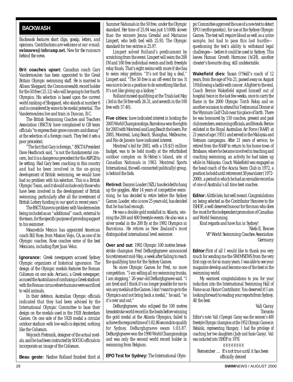#### <span id="page-27-0"></span>**BACKWASH**

*Backwash features short clips, gossip, letters, and opinions. Contributions are welcome at our e-mail:* **swimnews@inforamp.net.** *Now for the rumours behind the news.*

**Brit coaches upset:** Canadian coach Gary Vandermeulen has been appointed to the Great Britain Olympic swimming staff. He is married to Allison Sheppard, the Commonwealth record holder for the 50 free (25.12) who will be going to her fourth Olympics. His selection is based upon the current world ranking of Sheppard, who stands at number 6 and is considered by some to be medal potential. The Vandermeulens live and train in Duncan, B.C.

The British Swimming Coaches and Teachers Association (BSCTA) have complained to GB team officials "to express their grave concern and dismay" at the selection of a foreign coach. They feel it sets a poor precedent.

"The fact that Gary is foreign," BSCTA President Dave Heathcock said, "is not the fundamental concern, but it is a dangerous precedent for the ASFGB to be setting. Had Gary been coaching in this country and had he been involved in the on-going development of British swimming, we would have had no problem with his selection. This is a British Olympic Team, and it should include only those who have been involved in the development of British swimming; particularly after all the investment of British Lottery funding in our sport in recent years."

The BSCTA have no problem with Vandermeulen being included as an "additional" coach, external to the team, for the specific purpose of providing support to his swimmer.

Meanwhile Mexico has appointed American coach Bill Rose, from Mission Viejo, CA, as one of its Olympic coaches. Rose coaches some of the best Mexicans, including flyer Juan Veloz.

**Ignorance:** Greek newspapers accused Sydney Olympic organizers of historical ignorance. The design of the Olympic medals features the Roman Coliseum on one side. *Avriani*, a Greek newspaper, accused the Australians of confusing a Greek stadium with the Roman circus where humans were sacrificed to wild animals.

In their defence, Australian Olympic officials indicated that they had been advised by the International Olympic Committee to base their design on the medals used in the 1928 Amsterdam Games. On one side of the 1928 medal a circular outdoor stadium with low walls is depicted, nothing like the Coliseum.

Wojciech Pietranik, designer of the actual medals, said he had been instructed by SOCOG officials to incorporate an image of the Coliseum.

**Beau geste:** Nadine Rolland finished third at

Summer Nationals in the 50 free, under the Olympic standard. Her time of 25.94 was just 1/100th slower than the winners Jenna Gresdal and Marianne Limpert, who both tied with 25.93. The Olympic standard for two entries is 25.97.

Limpert solved Rolland's predicament by scratching from the event. Limpert will swim the 200 IM and 100 free individual events and both freestyle relay finals. That's eight swims with more if she has to swim relay prelims. "It's not that big a deal," Limpert said. "The 50 free is an off-event for me. It was nice to be in a position to do something like that. It's not like giving up a kidney."

Rolland missed qualifying at the Trials last May (3rd in the 50 free with 26.31, and seventh in the 100 free with 57.40).

**Five cities:** have indicated interest in hosting the 2005 World Championships. Barcelona won the rights for 2003 with Montreal and Long Beach the losers. For 2005, Montreal, Long Beach, Shanghai, Melbourne, and Rio de Janeiro have indicated interest.

Montreal's bid for 2003, with a US \$15 million budget, was to be held mostly at the refurbished outdoor complex on St-Helen's Island, site of Canadian Nationals in 1963. Montreal Sports International, the well-connected (politically) group, is behind the bids.

**Retired:**Danyon Loader (NZL) has decided to hang up the goggles. After 14 years of competitive swimming, he has decided to retire before the Sydney Games. Loader, who is now 25 years old, has decided that he has had enough.

He was a double gold medallist in Atlanta, winning the 200 and 400 freestyle events. He also won a silver medal in the 200 fly at the 1992 Olympics in Barcelona. He retires as New Zealand's most distinguished international level swimmer.

**Over and out:** 1992 Olympic 100 metres breaststroke champion Fred DeBurghgraeve announced his retirement mid-May, a week after failing to reach the qualifying time for the Sydney Games.

No more Olympic Games for Fred, no more competition. "I am selling all my swimming trunks, I am stopping," 26-year-old DeBurghgraeve said. "I am tired and I think it's no longer possible for me to win any medals at the Games. I don't want to go to the Olympics and not bring back a medal," he said, "so it's over and out."

DeBurghgraeve, who eclipsed the 100 metres breaststroke world record in the heats before winning the gold medal at the Atlanta Olympics, failed to achieve the required time of 1:02.86 seconds to qualify for Sydney. DeBurghgraeve swam 1:03.87. DeBurghgraeve won the 1998 World Championships and was only the second world record holder in swimming from Belgium.

**EPO Test for Sydney:** The International Olym-

pic Committee approved the use of a new test to detect EPO (erythropoietin), for use at the Sydney Olympic Games. The test will require blood as well as a urine sample, but had to pass this last hurdle questioning the test's ability to withstand legal challenges—before it could be used in Sydney. This leaves Human Growth Hormone (hGH), another cheater's favourite drug, still undetectable.

**Wakefield dies:** Susan O'Neill's coach of 12 years, from the age of 9 to 21, passed away on August 19 following a battle with cancer. A fighter to the end, Coach Bernie Wakefield signed himself out of hospital twice in the last few weeks, once to carry the flame in the 2000 Olympic Torch Relay and on another occasion to attend his Testimonial Dinner at the Wynnum Golf Club near his place of birth. There he was honoured by 150 coaches, present and past club members, swimming officials, and friends. Bernie enlisted in the Royal Australian Air Force (RAAF) at 21 years of age (1951) and served in the Malaysia and Vietnam campaigns. After 21 years of service, he retired from the RAAF to return to his home town of Brisbane, where he became involved in teaching and coaching swimming, an activity he had taken up while in Malaysia. Coach Wakefield was engaged as the head coach of the Acacia Swim Club in 1972, a position he held until retirement 38 years later (1972- 2000), a period in which he had an enviable record as of one of Australia's all time best coaches.

**Editor:**A little late, but well meant. Congratulations on being selected as the Contributor Honoree to the ISHOF, a well deserved honour for the man who does the most for the independent promotion of Canadian and World Swimming.

Kind regards and have fun in Sydney!

*Niels E. Bouws VP World Swimming Coaches Association Germany*

**Editor:**First of all I would like to thank you very much for sending me the SWIMNEWS from the very first copy on for so many years. I was able to see your magazine develop and become one of the best in the swimming world.

My warmest congratulations to you for your induction into the International Swimming Hall of Fame as an Honor Contributor. You deserved it! I am looking forward to reading your reports from Sydney. All the best.

> *Vali Garay Toronto*

Editor's note: Vali (Gyenge) Garay was the women's 400 freestyle Olympic champion at the 1952 Olympic Games in Helsinki, representing Hungary. I had the privilege of coaching her two daughters (Judy and Susie Garay). Vali was inducted into ISHOF in 1978.

✌✌✌✌✌✌✌✌ *Remember … It's not true until it has been officially denied*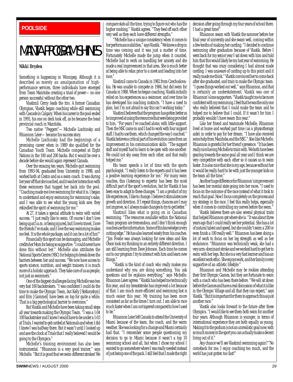#### <span id="page-28-0"></span>**BACKWASH POOLSIDE**

### MANTA PROGRAM SHINES

#### **Nikki Dryden**

Something is happening in Winnipeg. Although it is described as merely an amalgamation of highperformance services, three individuals have emerged from Team Manitoba creating a triad of power—no one person successful without the other two.

Vlastimil Cerny leads the trio. A former Canadian Olympian, Vlastik began coaching while still swimming with Cascade in Calgary. When his career in the pool ended in 1993, his one on deck took off, as he became the head provincial coach in Manitoba.

Two native "Peggers"—Michelle Lischinsky and Rhiannon Leier—became his success story.

Michelle Lischinsky had the beginnings of a promising career when in 1989 she qualified for the Canadian Youth Team. Michelle competed at Eight Nations in the 100 and 200 backs. But it would be over a decade before she would again represent Canada.

Over the ensuing ten years, Michelle quit swimming from 1993-94, graduated from University in 1998, and worked both at Costco and as a swim coach. It was during her year off that she coached, and it was her interaction with these swimmers that tugged her back into the pool. "Coaching made me love swimming for what it is. I began to understand and enjoy swimming for swimming's sake, and I was able to see what the young kids saw; they rekindled the spirit of swimming for me."

At 27, it takes a special attitude to swim with varied success. "I just really like to swim. Of course I don't love being up at 5 a.m. or being injured, but I love to travel, I love the friends I've made, and I love the way swimming makes me feel. It is the whole package, and it can be a lot of fun!"

Financially this sport can be damaging, and Michelle credits her Mom for being so supportive. "I could never have done this without her." Michelle also attributes the National Sports Centre (NSC) for helping to break down the barriers between her and success. "We now have access to sports science, nutrition, and weight trainers; it is much more of a holistic approach. They take care of us as people, not just as swimmers."

One of the biggest challenges facing Michelle was two very fast 100 backstrokers. "I was confident I could do the time to make the Olympic Team, but Kelly [Stefanyshyn] and Erin [Gammel] have been on top for quite a while. That is a big psychological barrier to overcome."

But Vlastik and Michelle have been taking small steps all year towards making the Olympic Team. "I was a 1:04 100 backstroker and I knew I would have to be under a 1:03 at Trials. I wanted to get carded at Nationals and when I did I knew I was halfway there. But it wasn't until I looked up and saw the clock at Trials that I really believed I would be going to the Olympics."

Michelle's training environment has also been instrumental. "Rhiannon is a very good trainer," says Michelle. "But it is good that we swim different strokes! We compare stats all the time, trying to figure out who has the higher ranking." Vlastik agrees. "They feed off each other very well as they each have different strengths."

"Michelle has a unique consistency when it comes to her performance abilities," says Vlastik. "We knew a drop in time was coming and it was just a matter of time. Fortunately Michelle made the jump when it counted. Michelle had to work on handling her anxiety and she made a real improvement in that area. She is much better at being able to relax prior to a meet and leading into her race.

Vlastimil came to Canada in 1982 from Czechoslovakia. He was unable to compete in 1984, but did swim for Canada in 1988. When he began coaching, Vlastik initially relied on his experiences as a swimmer, and over time he has developed his coaching instincts. "I have a need to plan, but I'm not afraid to say this isn't working today."

Vlastimil believes that the program has gotten better as he improved at using the resources that were being provided to him. "For years I've coached alone, with little support. Then the NSC came in and I had to work with four support staff. I had to use them, which changed the way I coached." Vlastik believes a critical part of his evolution came from an improvement in his communication skills. "The support staff and myself had to learn to be open with one another. We could not shy away from each other, and that really helped me."

His team spends a lot of time with the sports psychologist. "I really listen to the experts and it has been a positive learning experience for me." For many swim coaches, this (listening to experts) has been the most difficult part of the sport's evolution, but for Vlastik it has been easy to adapt to these changes. "I am a product of my life experiences, I like to change. I believe it stimulates new growth and direction. If I repeat things, chances are I may not improve, so I always make changes to try to get better."

Vlastimil likes what is going on in Canadian swimming. "The resources available within the National Team program are tremendous, and I don't think enough coaches use the information. Some of this knowledge is very cutting edge." He has also learned wisely from his coaches. "Jim Fowlie was always looking for new ideas and Ken Olson took my thinking in an entirely different direction. I am still learning from Dave Johnson. Each time he comes out to our program I try to interact with him and learn new things.

"Vlastik is the kind of coach who really makes you understand why you are doing something. You ask questions and he explains everything," says Michelle. Rhiannon Leier agrees. "Vlastik has helped me technically this year, and my breaststroke has improved a lot because of that. I am much more efficient and swimming fast is much easier this year. My training has been more consistent as far as the times I turn out. I am able to race much faster when I am not tapered compared to how I used to be."

Rhiannon Leier left Canada to attend the University of Miami because of the team, the coach, and the warm weather. She was looking for a change and Miami certainly had that. "I remember some people questioning my decision to go to Miami because it wasn't a top 10 swimming school and all, but when I chose my school I wanted to go somewhere where I was really needed instead of just being one of the pack. I still feel that I made the right decision after going through my four years of school there. I had a great time!"

Rhiannon swam with Vlastik the summer before her final year of university and she swam well, coming within a few tenths of making her carding. "I decided to continue swimming after graduation because of Vlastik. Before I went back for my senior year I sat down with him and told him that this would likely be my last year of swimming. He thought that was crazy considering I had almost made carding. I was unaware of carding up to this point and it really made me think." Vlastik convinced her to come back after she graduated, and train to make the Olympic team. "I guess things worked out well," says Rhiannon, and that is certainly an understatement. Vlastik was one of Rhiannon's lone supporters. "Vlastik taught me to be more confident with my swimming. I feel that he was the only one who really believed that I could make the team and he helped me to believe that I could. If it wasn't for him I probably wouldn't have swam this year."

Like her friend and teammate Michelle, Rhiannon lived at home and worked part time (as a physiotherapy aide) in order to pay for her dream. "I have also received some help from Manitoba and the NSC." Also like Michelle, Rhiannon is grateful for her friend's presence. "It has been really nice having Michelle to train with. We both have been gearing towards the same goal all year and I think we are very competitive with each other so it causes us to swim faster. It is also nice that she is my age, because without her it would be really hard to be with just the younger kids on the team all the time."

Another huge difference for Rhiannon's improvement has been her mental state going into her races. "I used to focus on the outcome of the race instead of what it took to reach that goal. Now I focus completely on the process and my strategy in the race. I feel this really helps, especially when it comes to controlling my nerves before the swim."

Vlastik believes there are also several physical traits that helped Rhiannon get where she is. "It was about three years ago that I could really see her potential. She has a lot of natural talent and speed, but she couldn't swim a 200 or even finish a 100 really well." Rhiannon has been doing a lot of work to focus on her leg strength as well as her endurance. "Rhiannon was technically weak, she had a very arm-dominant stroke and we worked hard to get her to swim with her legs. But she is a very fast learner and has an excellent work ethic. She enjoys work, and her family is very supportive of an athletic lifestyle."

Rhiannon and Michelle may be rookies attending their first Olympic Games, but they are fortunate to swim with a coach who has been there before. "We will sit down before the Games and have a real discussion of what it is like in the Olympic Village and all that they can expect," says Vlastik. "But it is important for them to approach this as just another race."

Vlastik also looks forward to the future after these Olympics. "I would like to see them both swim for another four years. Although Rhiannon is younger, in terms of international experience they are both equally as young. Making it to the podium is not an unrealistic goal now; with so much money in the sport you can actually make a decent living out of it."

Any chance we'll see Vlastimil swimming again? "No comeback for me. I enjoy coaching too much, and the world has just gotten too fast!"